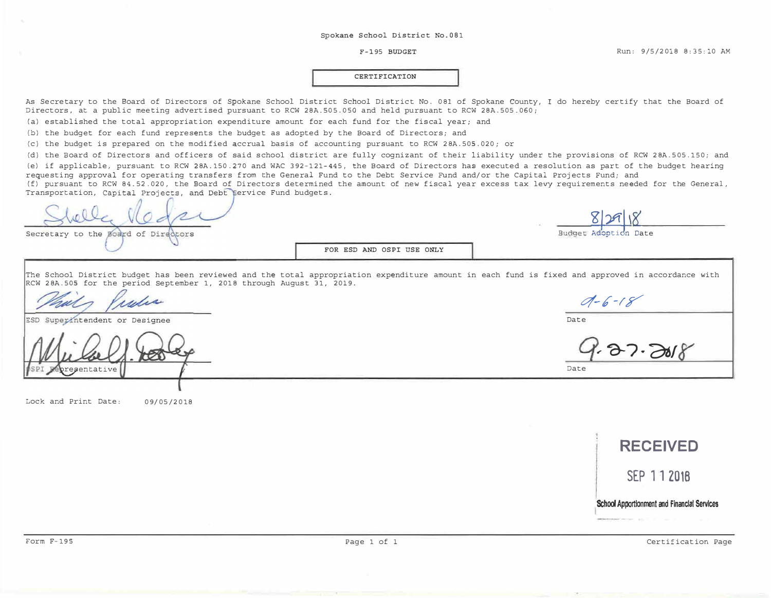#### F-195 BUDGET

#### **CERTIFICATION**

As Secretary to the Board of Directors of Spokane School District School District No. 081 of Spokane County, I do hereby certify that the Board of Directors, at a public meeting advertised pursuant to RCW 28A.505.0SO and held pursuant to RCW 28A.505.060;

(a) established the total appropriation expenditure amount for each fund for the fiscal year; and

{b) the budget for each fund represents the budget as adopted by the Board of Directors; and

(c) the budget is prepared on the modified accrual basis of accounting pursuant to RCW 28A.505.020; or

(d) the Board of Directors and officers of said school district are fully cognizant of their liability under the provisions of RCW 28A.505.150; and (e) if applicable, pursuant to RCW 28A.150.270 and WAC 392-121-445, the Board of Directors has executed a resolution as part of the budget hearing requesting approval for operating transfers from the General Fund to the Debt Service Fund and/or the Capital Projects Fund; and

(f) pursuant to RCW 84.52.020, the Board of Directors determined the amount of new fiscal year excess tax levy requirements needed for the General, Transportation, Capital Projects, and Debt Service Fund budgets.

Secretary to the Board of Directors

**FOR ESD AND OSPI USE ONLY** 

The School District budget has been reviewed and the total appropriation expenditure amount in each fund is fixed and approved in accordance with RCW 28A.505 for the period September 1, 2018 through August 31, 2019.

where

ESD Superintendent or Designee

aentative

Lock and Print Date: 09/05/2018

**RECEIVED SEP 11 2016 1 School Appartlonment and Financial Services** 

 $2.37.2018$ 

Budget Adoption Date

*v/-1"-rT* 

Date

Date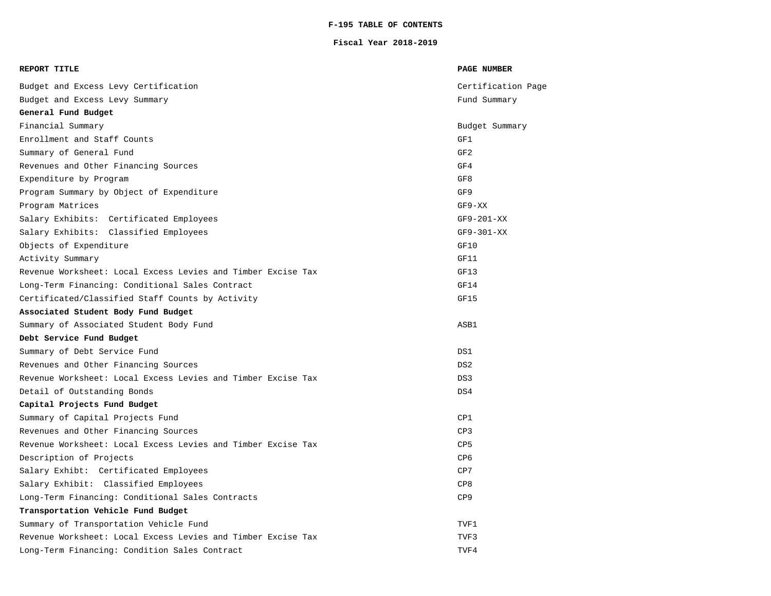### **F-195 TABLE OF CONTENTS**

#### **Fiscal Year 2018-2019**

| REPORT TITLE                                                 | <b>PAGE NUMBER</b> |
|--------------------------------------------------------------|--------------------|
| Budget and Excess Levy Certification                         | Certification Page |
| Budget and Excess Levy Summary                               | Fund Summary       |
| General Fund Budget                                          |                    |
| Financial Summary                                            | Budget Summary     |
| Enrollment and Staff Counts                                  | GF1                |
| Summary of General Fund                                      | GF <sub>2</sub>    |
| Revenues and Other Financing Sources                         | GF4                |
| Expenditure by Program                                       | GF8                |
| Program Summary by Object of Expenditure                     | GF9                |
| Program Matrices                                             | $GF9-XX$           |
| Salary Exhibits: Certificated Employees                      | $GF9-201-XX$       |
| Salary Exhibits: Classified Employees                        | $GF9-301-XX$       |
| Objects of Expenditure                                       | GF10               |
| Activity Summary                                             | GF11               |
| Revenue Worksheet: Local Excess Levies and Timber Excise Tax | GF13               |
| Long-Term Financing: Conditional Sales Contract              | GF14               |
| Certificated/Classified Staff Counts by Activity             | GF15               |
| Associated Student Body Fund Budget                          |                    |
| Summary of Associated Student Body Fund                      | ASB1               |
| Debt Service Fund Budget                                     |                    |
| Summary of Debt Service Fund                                 | DS1                |
| Revenues and Other Financing Sources                         | DS <sub>2</sub>    |
| Revenue Worksheet: Local Excess Levies and Timber Excise Tax | DS3                |
| Detail of Outstanding Bonds                                  | DS4                |
| Capital Projects Fund Budget                                 |                    |
| Summary of Capital Projects Fund                             | CP1                |
| Revenues and Other Financing Sources                         | CP3                |
| Revenue Worksheet: Local Excess Levies and Timber Excise Tax | CP5                |
| Description of Projects                                      | CP <sub>6</sub>    |
| Salary Exhibt: Certificated Employees                        | CP7                |
| Salary Exhibit: Classified Employees                         | CP8                |
| Long-Term Financing: Conditional Sales Contracts             | CP9                |
| Transportation Vehicle Fund Budget                           |                    |
| Summary of Transportation Vehicle Fund                       | TVF1               |
| Revenue Worksheet: Local Excess Levies and Timber Excise Tax | TVF3               |
| Long-Term Financing: Condition Sales Contract                | TVF4               |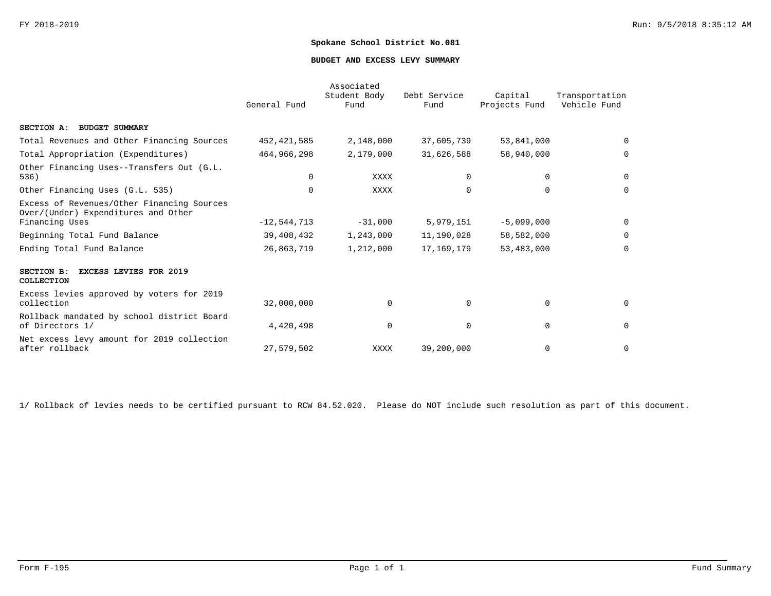#### **BUDGET AND EXCESS LEVY SUMMARY**

|                                                                                                     | General Fund  | Associated<br>Student Body<br>Fund | Debt Service<br>Fund | Capital<br>Projects Fund | Transportation<br>Vehicle Fund |
|-----------------------------------------------------------------------------------------------------|---------------|------------------------------------|----------------------|--------------------------|--------------------------------|
| SECTION A: BUDGET SUMMARY                                                                           |               |                                    |                      |                          |                                |
| Total Revenues and Other Financing Sources                                                          | 452, 421, 585 | 2,148,000                          | 37,605,739           | 53,841,000               | $\mathbf 0$                    |
| Total Appropriation (Expenditures)                                                                  | 464,966,298   | 2,179,000                          | 31,626,588           | 58,940,000               | 0                              |
| Other Financing Uses--Transfers Out (G.L.<br>536)                                                   | 0             | <b>XXXX</b>                        | $\Omega$             | 0                        | 0                              |
| Other Financing Uses (G.L. 535)                                                                     | $\Omega$      | <b>XXXX</b>                        | $\Omega$             | $\Omega$                 | $\mathbf 0$                    |
| Excess of Revenues/Other Financing Sources<br>Over/(Under) Expenditures and Other<br>Financing Uses | $-12,544,713$ | $-31,000$                          | 5,979,151            | $-5,099,000$             | 0                              |
| Beginning Total Fund Balance                                                                        | 39,408,432    | 1,243,000                          | 11,190,028           | 58,582,000               | 0                              |
| Ending Total Fund Balance                                                                           | 26,863,719    | 1,212,000                          | 17,169,179           | 53,483,000               | $\mathbf 0$                    |
| SECTION B:<br><b>EXCESS LEVIES FOR 2019</b><br>COLLECTION                                           |               |                                    |                      |                          |                                |
| Excess levies approved by voters for 2019<br>collection                                             | 32,000,000    | $\Omega$                           | $\Omega$             | $\mathbf 0$              | 0                              |
| Rollback mandated by school district Board<br>of Directors 1/                                       | 4,420,498     | $\mathbf 0$                        | $\Omega$             | $\mathbf 0$              | 0                              |
| Net excess levy amount for 2019 collection<br>after rollback                                        | 27,579,502    | XXXX                               | 39,200,000           | $\mathbf 0$              | $\mathbf 0$                    |

1/ Rollback of levies needs to be certified pursuant to RCW 84.52.020. Please do NOT include such resolution as part of this document.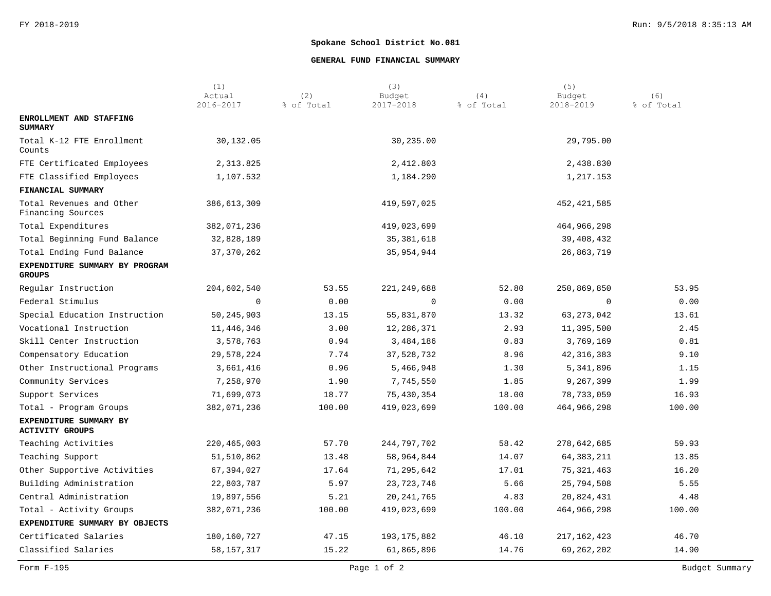### **GENERAL FUND FINANCIAL SUMMARY**

|                                                  | (1)<br>Actual | (2)        | (3)<br>Budget | (4)        | (5)<br>Budget | (6)        |
|--------------------------------------------------|---------------|------------|---------------|------------|---------------|------------|
|                                                  | 2016-2017     | % of Total | 2017-2018     | % of Total | 2018-2019     | % of Total |
| ENROLLMENT AND STAFFING<br><b>SUMMARY</b>        |               |            |               |            |               |            |
| Total K-12 FTE Enrollment<br>Counts              | 30,132.05     |            | 30,235.00     |            | 29,795.00     |            |
| FTE Certificated Employees                       | 2,313.825     |            | 2,412.803     |            | 2,438.830     |            |
| FTE Classified Employees                         | 1,107.532     |            | 1,184.290     |            | 1,217.153     |            |
| FINANCIAL SUMMARY                                |               |            |               |            |               |            |
| Total Revenues and Other<br>Financing Sources    | 386,613,309   |            | 419,597,025   |            | 452, 421, 585 |            |
| Total Expenditures                               | 382,071,236   |            | 419,023,699   |            | 464,966,298   |            |
| Total Beginning Fund Balance                     | 32,828,189    |            | 35, 381, 618  |            | 39,408,432    |            |
| Total Ending Fund Balance                        | 37, 370, 262  |            | 35,954,944    |            | 26,863,719    |            |
| EXPENDITURE SUMMARY BY PROGRAM<br><b>GROUPS</b>  |               |            |               |            |               |            |
| Regular Instruction                              | 204,602,540   | 53.55      | 221, 249, 688 | 52.80      | 250,869,850   | 53.95      |
| Federal Stimulus                                 | 0             | 0.00       | 0             | 0.00       | 0             | 0.00       |
| Special Education Instruction                    | 50, 245, 903  | 13.15      | 55,831,870    | 13.32      | 63, 273, 042  | 13.61      |
| Vocational Instruction                           | 11,446,346    | 3.00       | 12,286,371    | 2.93       | 11,395,500    | 2.45       |
| Skill Center Instruction                         | 3,578,763     | 0.94       | 3,484,186     | 0.83       | 3,769,169     | 0.81       |
| Compensatory Education                           | 29,578,224    | 7.74       | 37,528,732    | 8.96       | 42, 316, 383  | 9.10       |
| Other Instructional Programs                     | 3,661,416     | 0.96       | 5,466,948     | 1.30       | 5,341,896     | 1.15       |
| Community Services                               | 7,258,970     | 1.90       | 7,745,550     | 1.85       | 9,267,399     | 1.99       |
| Support Services                                 | 71,699,073    | 18.77      | 75,430,354    | 18.00      | 78,733,059    | 16.93      |
| Total - Program Groups                           | 382,071,236   | 100.00     | 419,023,699   | 100.00     | 464,966,298   | 100.00     |
| EXPENDITURE SUMMARY BY<br><b>ACTIVITY GROUPS</b> |               |            |               |            |               |            |
| Teaching Activities                              | 220, 465, 003 | 57.70      | 244,797,702   | 58.42      | 278,642,685   | 59.93      |
| Teaching Support                                 | 51,510,862    | 13.48      | 58,964,844    | 14.07      | 64, 383, 211  | 13.85      |
| Other Supportive Activities                      | 67,394,027    | 17.64      | 71,295,642    | 17.01      | 75, 321, 463  | 16.20      |
| Building Administration                          | 22,803,787    | 5.97       | 23, 723, 746  | 5.66       | 25,794,508    | 5.55       |
| Central Administration                           | 19,897,556    | 5.21       | 20, 241, 765  | 4.83       | 20,824,431    | 4.48       |
| Total - Activity Groups                          | 382,071,236   | 100.00     | 419,023,699   | 100.00     | 464,966,298   | 100.00     |
| EXPENDITURE SUMMARY BY OBJECTS                   |               |            |               |            |               |            |
| Certificated Salaries                            | 180, 160, 727 | 47.15      | 193, 175, 882 | 46.10      | 217,162,423   | 46.70      |
| Classified Salaries                              | 58, 157, 317  | 15.22      | 61,865,896    | 14.76      | 69,262,202    | 14.90      |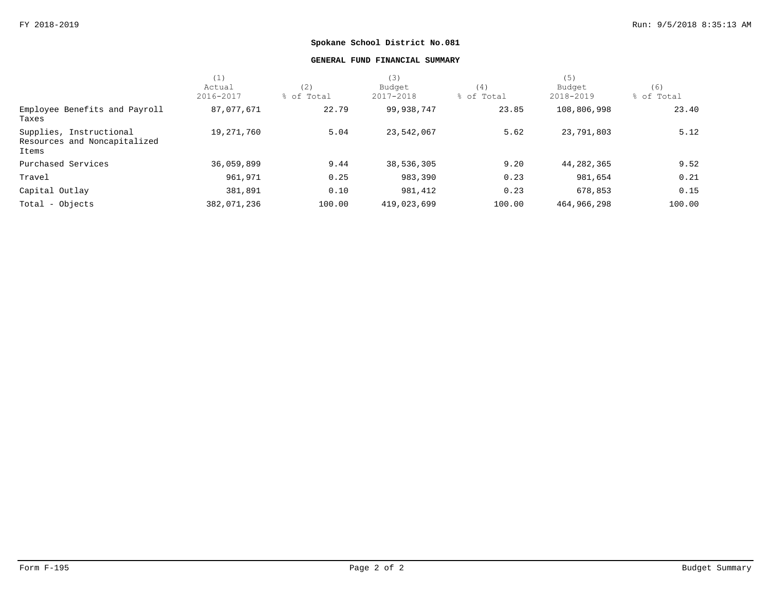### **GENERAL FUND FINANCIAL SUMMARY**

|                                                                  | (1)         |            | (3)         |            | (5)         |            |
|------------------------------------------------------------------|-------------|------------|-------------|------------|-------------|------------|
|                                                                  | Actual      | (2)        | Budget      | (4)        | Budget      | (6)        |
|                                                                  | 2016-2017   | % of Total | 2017-2018   | % of Total | 2018-2019   | % of Total |
| Employee Benefits and Payroll<br>Taxes                           | 87,077,671  | 22.79      | 99,938,747  | 23.85      | 108,806,998 | 23.40      |
| Supplies, Instructional<br>Resources and Noncapitalized<br>Items | 19,271,760  | 5.04       | 23,542,067  | 5.62       | 23,791,803  | 5.12       |
| Purchased Services                                               | 36,059,899  | 9.44       | 38,536,305  | 9.20       | 44,282,365  | 9.52       |
| Travel                                                           | 961,971     | 0.25       | 983,390     | 0.23       | 981,654     | 0.21       |
| Capital Outlay                                                   | 381,891     | 0.10       | 981,412     | 0.23       | 678,853     | 0.15       |
| Total - Objects                                                  | 382,071,236 | 100.00     | 419,023,699 | 100.00     | 464,966,298 | 100.00     |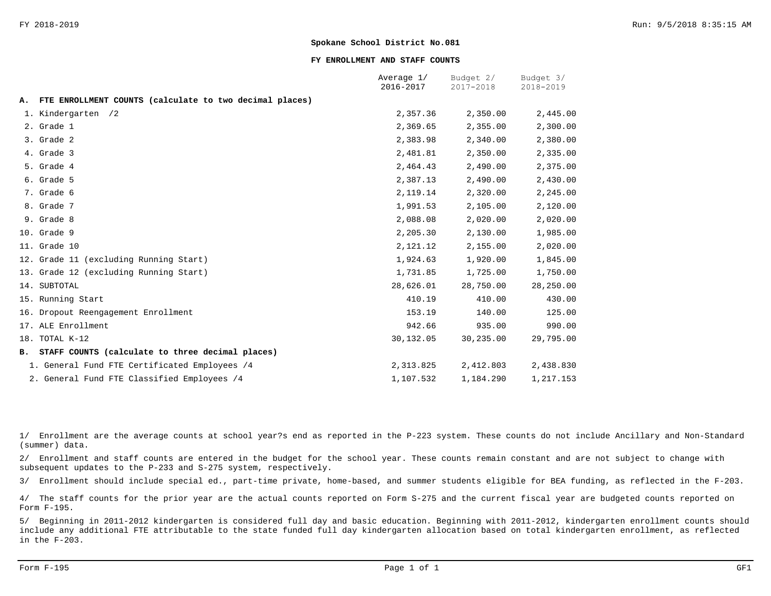#### **FY ENROLLMENT AND STAFF COUNTS**

|    |                                                         | Average 1/<br>2016-2017 | Budget 2/<br>2017-2018 | Budget 3/<br>2018-2019 |
|----|---------------------------------------------------------|-------------------------|------------------------|------------------------|
| А. | FTE ENROLLMENT COUNTS (calculate to two decimal places) |                         |                        |                        |
|    | 1. Kindergarten /2                                      | 2,357.36                | 2,350.00               | 2,445.00               |
|    | 2. Grade 1                                              | 2,369.65                | 2,355.00               | 2,300.00               |
|    | 3. Grade 2                                              | 2,383.98                | 2,340.00               | 2,380.00               |
|    | 4. Grade 3                                              | 2,481.81                | 2,350.00               | 2,335.00               |
|    | 5. Grade 4                                              | 2,464.43                | 2,490.00               | 2,375.00               |
|    | 6. Grade 5                                              | 2,387.13                | 2,490.00               | 2,430.00               |
|    | 7. Grade 6                                              | 2,119.14                | 2,320.00               | 2,245.00               |
|    | 8. Grade 7                                              | 1,991.53                | 2,105.00               | 2,120.00               |
|    | 9. Grade 8                                              | 2,088.08                | 2,020.00               | 2,020.00               |
|    | 10. Grade 9                                             | 2,205.30                | 2,130.00               | 1,985.00               |
|    | 11. Grade 10                                            | 2,121.12                | 2,155.00               | 2,020.00               |
|    | 12. Grade 11 (excluding Running Start)                  | 1,924.63                | 1,920.00               | 1,845.00               |
|    | 13. Grade 12 (excluding Running Start)                  | 1,731.85                | 1,725.00               | 1,750.00               |
|    | 14. SUBTOTAL                                            | 28,626.01               | 28,750.00              | 28,250.00              |
|    | 15. Running Start                                       | 410.19                  | 410.00                 | 430.00                 |
|    | 16. Dropout Reengagement Enrollment                     | 153.19                  | 140.00                 | 125.00                 |
|    | 17. ALE Enrollment                                      | 942.66                  | 935.00                 | 990.00                 |
|    | 18. TOTAL K-12                                          | 30,132.05               | 30,235.00              | 29,795.00              |
|    | B. STAFF COUNTS (calculate to three decimal places)     |                         |                        |                        |
|    | 1. General Fund FTE Certificated Employees /4           | 2,313.825               | 2,412.803              | 2,438.830              |
|    | 2. General Fund FTE Classified Employees /4             | 1,107.532               | 1,184.290              | 1,217.153              |

1/ Enrollment are the average counts at school year?s end as reported in the P-223 system. These counts do not include Ancillary and Non-Standard (summer) data.

2/ Enrollment and staff counts are entered in the budget for the school year. These counts remain constant and are not subject to change with subsequent updates to the P-233 and S-275 system, respectively.

3/ Enrollment should include special ed., part-time private, home-based, and summer students eligible for BEA funding, as reflected in the F-203.

4/ The staff counts for the prior year are the actual counts reported on Form S-275 and the current fiscal year are budgeted counts reported on Form F-195.

5/ Beginning in 2011-2012 kindergarten is considered full day and basic education. Beginning with 2011-2012, kindergarten enrollment counts should include any additional FTE attributable to the state funded full day kindergarten allocation based on total kindergarten enrollment, as reflected in the F-203.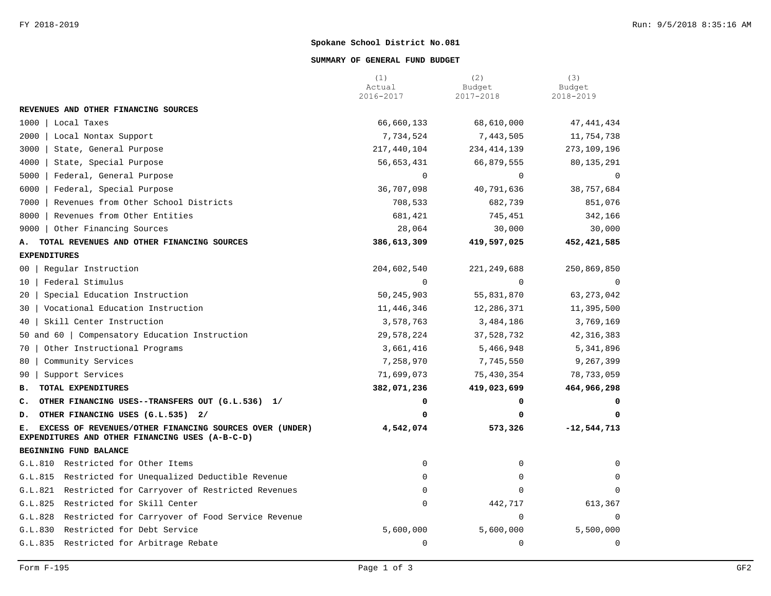#### **SUMMARY OF GENERAL FUND BUDGET**

|                                                                                                                  | (1)<br>Actual<br>2016-2017 | (2)<br>Budget<br>2017-2018 | (3)<br>Budget<br>2018-2019 |
|------------------------------------------------------------------------------------------------------------------|----------------------------|----------------------------|----------------------------|
| REVENUES AND OTHER FINANCING SOURCES                                                                             |                            |                            |                            |
| 1000<br>Local Taxes                                                                                              | 66,660,133                 | 68,610,000                 | 47, 441, 434               |
| 2000<br>Local Nontax Support                                                                                     | 7,734,524                  | 7,443,505                  | 11,754,738                 |
| 3000<br>State, General Purpose                                                                                   | 217,440,104                | 234, 414, 139              | 273,109,196                |
| 4000<br>State, Special Purpose                                                                                   | 56,653,431                 | 66,879,555                 | 80, 135, 291               |
| Federal, General Purpose<br>5000                                                                                 | $\Omega$                   | $\Omega$                   | $\Omega$                   |
| 6000<br>Federal, Special Purpose                                                                                 | 36,707,098                 | 40,791,636                 | 38,757,684                 |
| 7000<br>Revenues from Other School Districts                                                                     | 708,533                    | 682,739                    | 851,076                    |
| Revenues from Other Entities<br>8000                                                                             | 681,421                    | 745,451                    | 342,166                    |
| 9000<br>  Other Financing Sources                                                                                | 28,064                     | 30,000                     | 30,000                     |
| TOTAL REVENUES AND OTHER FINANCING SOURCES<br>А.                                                                 | 386,613,309                | 419,597,025                | 452,421,585                |
| <b>EXPENDITURES</b>                                                                                              |                            |                            |                            |
| Regular Instruction<br>00                                                                                        | 204,602,540                | 221, 249, 688              | 250,869,850                |
| Federal Stimulus<br>10                                                                                           | $\Omega$                   | $\Omega$                   | $\mathbf 0$                |
| Special Education Instruction<br>20                                                                              | 50, 245, 903               | 55,831,870                 | 63, 273, 042               |
| Vocational Education Instruction<br>30                                                                           | 11,446,346                 | 12,286,371                 | 11,395,500                 |
| Skill Center Instruction<br>40                                                                                   | 3,578,763                  | 3,484,186                  | 3,769,169                  |
| 50 and 60   Compensatory Education Instruction                                                                   | 29,578,224                 | 37,528,732                 | 42, 316, 383               |
| Other Instructional Programs<br>70                                                                               | 3,661,416                  | 5,466,948                  | 5,341,896                  |
| Community Services<br>80                                                                                         | 7,258,970                  | 7,745,550                  | 9,267,399                  |
| Support Services<br>90                                                                                           | 71,699,073                 | 75,430,354                 | 78,733,059                 |
| TOTAL EXPENDITURES<br>в.                                                                                         | 382,071,236                | 419,023,699                | 464,966,298                |
| OTHER FINANCING USES--TRANSFERS OUT (G.L.536) 1/<br>c.                                                           | 0                          | 0                          | 0                          |
| OTHER FINANCING USES (G.L.535) 2/<br>D.                                                                          | 0                          | $\mathbf 0$                | 0                          |
| EXCESS OF REVENUES/OTHER FINANCING SOURCES OVER (UNDER)<br>Е.<br>EXPENDITURES AND OTHER FINANCING USES (A-B-C-D) | 4,542,074                  | 573,326                    | $-12,544,713$              |
| BEGINNING FUND BALANCE                                                                                           |                            |                            |                            |
| G.L.810 Restricted for Other Items                                                                               | $\mathbf 0$                | 0                          | 0                          |
| Restricted for Unequalized Deductible Revenue<br>G.L.815                                                         | $\Omega$                   | 0                          | 0                          |
| Restricted for Carryover of Restricted Revenues<br>G.L.821                                                       | $\Omega$                   | $\Omega$                   | $\mathbf 0$                |
| G.L.825<br>Restricted for Skill Center                                                                           | $\mathsf 0$                | 442,717                    | 613,367                    |
| G.L.828<br>Restricted for Carryover of Food Service Revenue                                                      |                            | $\mathbf 0$                | $\mathbf 0$                |
| G.L.830 Restricted for Debt Service                                                                              | 5,600,000                  | 5,600,000                  | 5,500,000                  |
| Restricted for Arbitrage Rebate<br>G.L.835                                                                       | $\mathsf 0$                | $\mathbf 0$                | $\mathbf 0$                |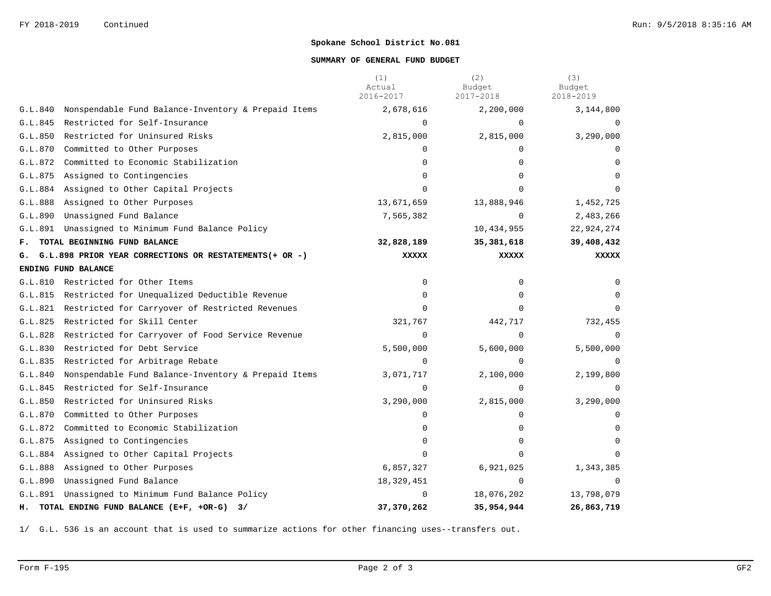#### **SUMMARY OF GENERAL FUND BUDGET**

|         |                                                           | (1)<br>Actual<br>2016-2017 | (2)<br>Budget<br>2017-2018 | (3)<br>Budget<br>2018-2019 |
|---------|-----------------------------------------------------------|----------------------------|----------------------------|----------------------------|
| G.L.840 | Nonspendable Fund Balance-Inventory & Prepaid Items       | 2,678,616                  | 2,200,000                  | 3,144,800                  |
| G.L.845 | Restricted for Self-Insurance                             | $\Omega$                   | $\Omega$                   | $\Omega$                   |
| G.L.850 | Restricted for Uninsured Risks                            | 2,815,000                  | 2,815,000                  | 3,290,000                  |
| G.L.870 | Committed to Other Purposes                               | 0                          | $\Omega$                   | $\Omega$                   |
| G.L.872 | Committed to Economic Stabilization                       | $\Omega$                   | $\Omega$                   | $\Omega$                   |
| G.L.875 | Assigned to Contingencies                                 | $\Omega$                   | $\Omega$                   |                            |
| G.L.884 | Assigned to Other Capital Projects                        | $\Omega$                   | $\cap$                     |                            |
|         | G.L.888 Assigned to Other Purposes                        | 13,671,659                 | 13,888,946                 | 1,452,725                  |
| G.L.890 | Unassigned Fund Balance                                   | 7,565,382                  | $\mathbf 0$                | 2,483,266                  |
|         | G.L.891 Unassigned to Minimum Fund Balance Policy         |                            | 10,434,955                 | 22,924,274                 |
| F.      | TOTAL BEGINNING FUND BALANCE                              | 32,828,189                 | 35,381,618                 | 39,408,432                 |
|         | G. G.L.898 PRIOR YEAR CORRECTIONS OR RESTATEMENTS(+ OR -) | <b>XXXXX</b>               | <b>XXXXX</b>               | <b>XXXXX</b>               |
|         | ENDING FUND BALANCE                                       |                            |                            |                            |
| G.L.810 | Restricted for Other Items                                | 0                          | 0                          | 0                          |
| G.L.815 | Restricted for Unequalized Deductible Revenue             | 0                          | $\Omega$                   | 0                          |
|         | G.L.821 Restricted for Carryover of Restricted Revenues   | $\Omega$                   | $\Omega$                   | $\Omega$                   |
| G.L.825 | Restricted for Skill Center                               | 321,767                    | 442,717                    | 732,455                    |
| G.L.828 | Restricted for Carryover of Food Service Revenue          | 0                          | $\Omega$                   | $\Omega$                   |
| G.L.830 | Restricted for Debt Service                               | 5,500,000                  | 5,600,000                  | 5,500,000                  |
| G.L.835 | Restricted for Arbitrage Rebate                           | $\Omega$                   | $\Omega$                   | $\Omega$                   |
| G.L.840 | Nonspendable Fund Balance-Inventory & Prepaid Items       | 3,071,717                  | 2,100,000                  | 2,199,800                  |
| G.L.845 | Restricted for Self-Insurance                             | $\mathbf 0$                | $\Omega$                   | $\Omega$                   |
| G.L.850 | Restricted for Uninsured Risks                            | 3,290,000                  | 2,815,000                  | 3,290,000                  |
| G.L.870 | Committed to Other Purposes                               | 0                          | 0                          | $\Omega$                   |
| G.L.872 | Committed to Economic Stabilization                       | 0                          | $\Omega$                   | 0                          |
| G.L.875 | Assigned to Contingencies                                 | $\Omega$                   | $\Omega$                   | $\Omega$                   |
|         | G.L.884 Assigned to Other Capital Projects                | $\Omega$                   | $\Omega$                   |                            |
| G.L.888 | Assigned to Other Purposes                                | 6,857,327                  | 6,921,025                  | 1,343,385                  |
| G.L.890 | Unassigned Fund Balance                                   | 18,329,451                 | $\Omega$                   |                            |
| G.L.891 | Unassigned to Minimum Fund Balance Policy                 | 0                          | 18,076,202                 | 13,798,079                 |
|         | H. TOTAL ENDING FUND BALANCE (E+F, +OR-G) 3/              | 37,370,262                 | 35,954,944                 | 26,863,719                 |

1/ G.L. 536 is an account that is used to summarize actions for other financing uses--transfers out.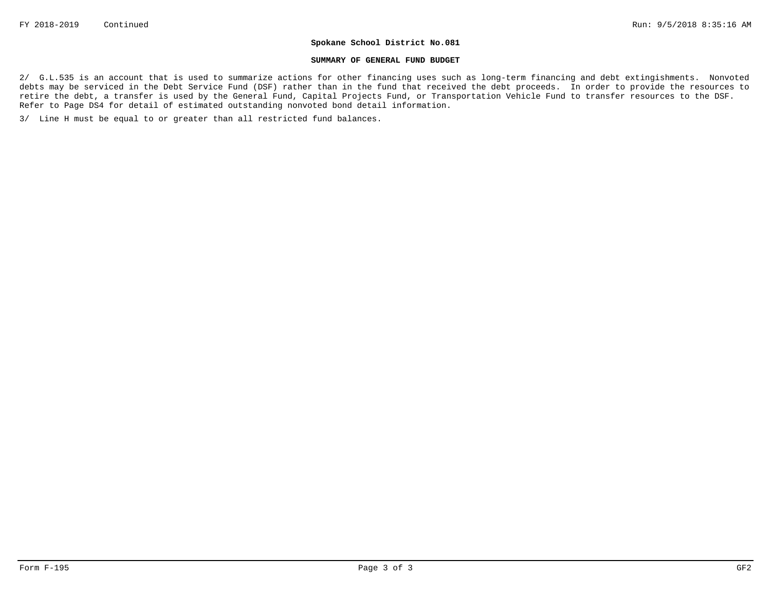#### **SUMMARY OF GENERAL FUND BUDGET**

2/ G.L.535 is an account that is used to summarize actions for other financing uses such as long-term financing and debt extingishments. Nonvoted debts may be serviced in the Debt Service Fund (DSF) rather than in the fund that received the debt proceeds. In order to provide the resources to retire the debt, a transfer is used by the General Fund, Capital Projects Fund, or Transportation Vehicle Fund to transfer resources to the DSF. Refer to Page DS4 for detail of estimated outstanding nonvoted bond detail information.

3/ Line H must be equal to or greater than all restricted fund balances.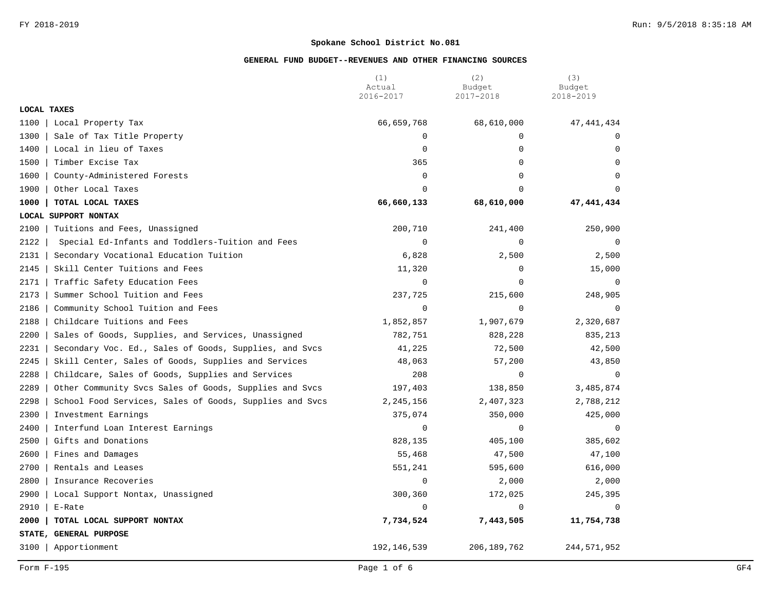|             |                                                         | (1)<br>Actual | (2)<br>Budget | (3)<br>Budget |
|-------------|---------------------------------------------------------|---------------|---------------|---------------|
|             |                                                         | 2016-2017     | 2017-2018     | 2018-2019     |
| LOCAL TAXES |                                                         |               |               |               |
| 1100        | Local Property Tax                                      | 66,659,768    | 68,610,000    | 47, 441, 434  |
| 1300        | Sale of Tax Title Property                              | $\mathbf 0$   | $\mathbf 0$   | 0             |
| 1400        | Local in lieu of Taxes                                  | $\mathbf 0$   | $\mathbf 0$   | $\Omega$      |
| 1500        | Timber Excise Tax                                       | 365           | $\mathbf 0$   | $\Omega$      |
| 1600        | County-Administered Forests                             | $\mathbf 0$   | $\mathbf 0$   | $\mathbf 0$   |
| 1900        | Other Local Taxes                                       | $\Omega$      | $\Omega$      | $\Omega$      |
| 1000        | TOTAL LOCAL TAXES                                       | 66,660,133    | 68,610,000    | 47, 441, 434  |
|             | LOCAL SUPPORT NONTAX                                    |               |               |               |
| 2100        | Tuitions and Fees, Unassigned                           | 200,710       | 241,400       | 250,900       |
| 2122        | Special Ed-Infants and Toddlers-Tuition and Fees        | $\mathbf 0$   | 0             | 0             |
| 2131        | Secondary Vocational Education Tuition                  | 6,828         | 2,500         | 2,500         |
| 2145        | Skill Center Tuitions and Fees                          | 11,320        | $\mathbf 0$   | 15,000        |
| 2171        | Traffic Safety Education Fees                           | $\mathbf 0$   | $\mathbf 0$   | $\mathbf 0$   |
| 2173        | Summer School Tuition and Fees                          | 237,725       | 215,600       | 248,905       |
| 2186        | Community School Tuition and Fees                       | $\mathbf 0$   | $\mathbf 0$   | $\Omega$      |
| 2188        | Childcare Tuitions and Fees                             | 1,852,857     | 1,907,679     | 2,320,687     |
| 2200        | Sales of Goods, Supplies, and Services, Unassigned      | 782,751       | 828,228       | 835,213       |
| 2231        | Secondary Voc. Ed., Sales of Goods, Supplies, and Svcs  | 41,225        | 72,500        | 42,500        |
| 2245        | Skill Center, Sales of Goods, Supplies and Services     | 48,063        | 57,200        | 43,850        |
| 2288        | Childcare, Sales of Goods, Supplies and Services        | 208           | $\Omega$      | $\Omega$      |
| 2289        | Other Community Svcs Sales of Goods, Supplies and Svcs  | 197,403       | 138,850       | 3,485,874     |
| 2298        | School Food Services, Sales of Goods, Supplies and Svcs | 2,245,156     | 2,407,323     | 2,788,212     |
| 2300        | Investment Earnings                                     | 375,074       | 350,000       | 425,000       |
| 2400        | Interfund Loan Interest Earnings                        | $\mathbf 0$   | 0             | $\Omega$      |
| 2500        | Gifts and Donations                                     | 828,135       | 405,100       | 385,602       |
| 2600        | Fines and Damages                                       | 55,468        | 47,500        | 47,100        |
| 2700        | Rentals and Leases                                      | 551,241       | 595,600       | 616,000       |
| 2800        | Insurance Recoveries                                    | $\mathbf 0$   | 2,000         | 2,000         |
| 2900        | Local Support Nontax, Unassigned                        | 300,360       | 172,025       | 245,395       |
| 2910        | E-Rate                                                  | $\Omega$      | $\Omega$      | $\Omega$      |
| 2000        | TOTAL LOCAL SUPPORT NONTAX                              | 7,734,524     | 7,443,505     | 11,754,738    |
|             | STATE, GENERAL PURPOSE                                  |               |               |               |
| 3100        | Apportionment                                           | 192, 146, 539 | 206, 189, 762 | 244,571,952   |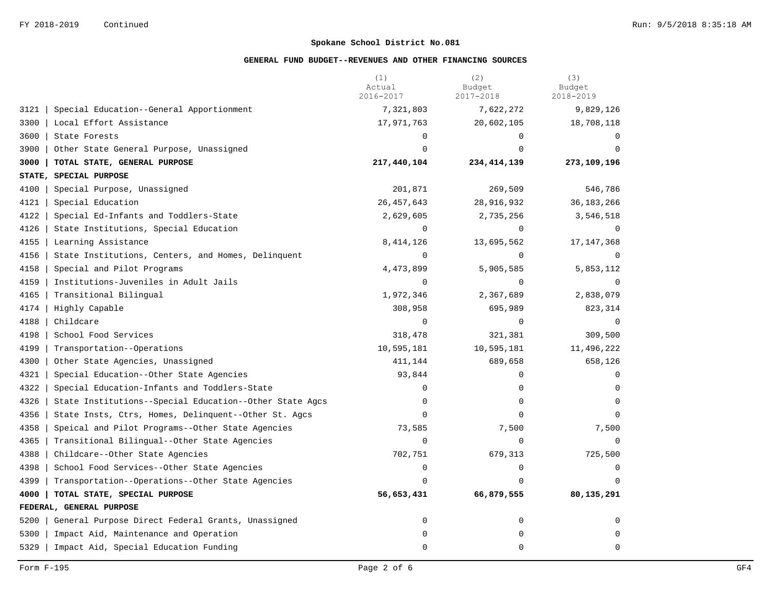|      |                                                         | (1)<br>Actual<br>2016-2017 | (2)<br>Budget<br>2017-2018 | (3)<br>Budget<br>2018-2019 |
|------|---------------------------------------------------------|----------------------------|----------------------------|----------------------------|
| 3121 | Special Education--General Apportionment                | 7,321,803                  | 7,622,272                  | 9,829,126                  |
| 3300 | Local Effort Assistance                                 | 17,971,763                 | 20,602,105                 | 18,708,118                 |
| 3600 | State Forests                                           | $\Omega$                   | $\Omega$                   | 0                          |
| 3900 | Other State General Purpose, Unassigned                 | $\Omega$                   | $\Omega$                   | $\Omega$                   |
| 3000 | TOTAL STATE, GENERAL PURPOSE                            | 217,440,104                | 234, 414, 139              | 273,109,196                |
|      | STATE, SPECIAL PURPOSE                                  |                            |                            |                            |
| 4100 | Special Purpose, Unassigned                             | 201,871                    | 269,509                    | 546,786                    |
| 4121 | Special Education                                       | 26,457,643                 | 28,916,932                 | 36, 183, 266               |
| 4122 | Special Ed-Infants and Toddlers-State                   | 2,629,605                  | 2,735,256                  | 3,546,518                  |
| 4126 | State Institutions, Special Education                   | $\mathbf 0$                | $\mathbf 0$                | $\mathbf 0$                |
| 4155 | Learning Assistance                                     | 8,414,126                  | 13,695,562                 | 17, 147, 368               |
| 4156 | State Institutions, Centers, and Homes, Delinquent      | $\Omega$                   | $\Omega$                   | $\Omega$                   |
| 4158 | Special and Pilot Programs                              | 4,473,899                  | 5,905,585                  | 5,853,112                  |
| 4159 | Institutions-Juveniles in Adult Jails                   | $\mathbf 0$                | $\mathbf 0$                | $\Omega$                   |
| 4165 | Transitional Bilingual                                  | 1,972,346                  | 2,367,689                  | 2,838,079                  |
| 4174 | Highly Capable                                          | 308,958                    | 695,989                    | 823,314                    |
| 4188 | Childcare                                               | $\mathbf 0$                | $\Omega$                   | $\Omega$                   |
| 4198 | School Food Services                                    | 318,478                    | 321,381                    | 309,500                    |
| 4199 | Transportation--Operations                              | 10,595,181                 | 10,595,181                 | 11,496,222                 |
| 4300 | Other State Agencies, Unassigned                        | 411,144                    | 689,658                    | 658,126                    |
| 4321 | Special Education--Other State Agencies                 | 93,844                     | 0                          | $\Omega$                   |
| 4322 | Special Education-Infants and Toddlers-State            | $\mathbf 0$                | $\mathbf 0$                | 0                          |
| 4326 | State Institutions--Special Education--Other State Agcs | $\mathbf 0$                | $\mathbf 0$                | $\Omega$                   |
| 4356 | State Insts, Ctrs, Homes, Delinquent--Other St. Agcs    | $\mathbf 0$                | $\mathbf 0$                | $\Omega$                   |
| 4358 | Speical and Pilot Programs--Other State Agencies        | 73,585                     | 7,500                      | 7,500                      |
| 4365 | Transitional Bilingual--Other State Agencies            | $\Omega$                   | $\Omega$                   | $\Omega$                   |
| 4388 | Childcare--Other State Agencies                         | 702,751                    | 679,313                    | 725,500                    |
| 4398 | School Food Services--Other State Agencies              | $\mathbf 0$                | $\mathbf 0$                | $\Omega$                   |
| 4399 | Transportation--Operations--Other State Agencies        | $\mathbf 0$                | $\Omega$                   |                            |
| 4000 | TOTAL STATE, SPECIAL PURPOSE                            | 56,653,431                 | 66,879,555                 | 80,135,291                 |
|      | FEDERAL, GENERAL PURPOSE                                |                            |                            |                            |
| 5200 | General Purpose Direct Federal Grants, Unassigned       | $\mathbf 0$                | $\mathsf 0$                | $\mathbf 0$                |
| 5300 | Impact Aid, Maintenance and Operation                   | $\mathbf 0$                | $\mathbf 0$                | $\Omega$                   |
| 5329 | Impact Aid, Special Education Funding                   | $\mathbf 0$                | $\mathbf 0$                | $\mathbf 0$                |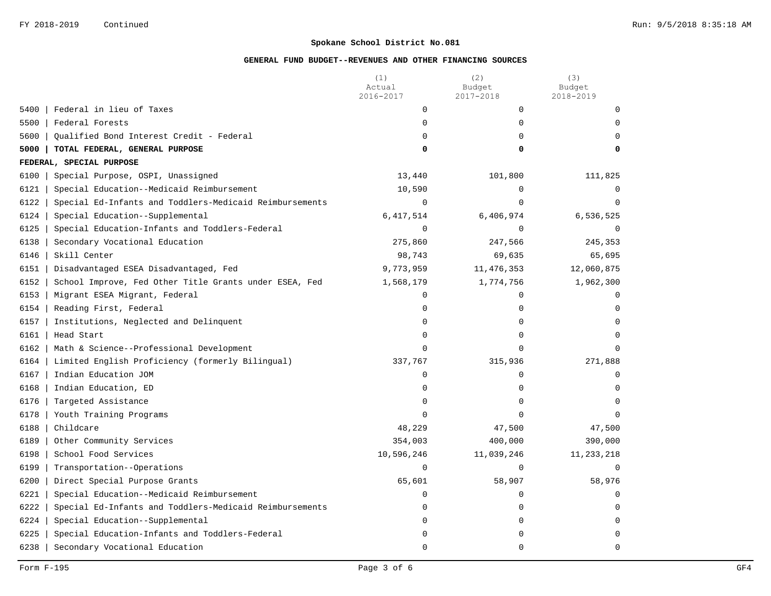|                                                                 | (1)<br>Actual<br>2016-2017 | (2)<br>Budget<br>2017-2018 | (3)<br>Budget<br>2018-2019 |
|-----------------------------------------------------------------|----------------------------|----------------------------|----------------------------|
| Federal in lieu of Taxes<br>5400                                | 0                          | 0                          | $\Omega$                   |
| 5500<br>Federal Forests                                         | $\mathbf 0$                | 0                          | $\Omega$                   |
| 5600<br>Qualified Bond Interest Credit - Federal                | 0                          | $\Omega$                   | $\Omega$                   |
| 5000<br>TOTAL FEDERAL, GENERAL PURPOSE                          | 0                          | 0                          | 0                          |
| FEDERAL, SPECIAL PURPOSE                                        |                            |                            |                            |
| 6100<br>Special Purpose, OSPI, Unassigned                       | 13,440                     | 101,800                    | 111,825                    |
| 6121<br>Special Education--Medicaid Reimbursement               | 10,590                     | $\mathbf 0$                | $\mathbf 0$                |
| Special Ed-Infants and Toddlers-Medicaid Reimbursements<br>6122 | 0                          | $\Omega$                   | $\Omega$                   |
| 6124<br>Special Education--Supplemental                         | 6,417,514                  | 6,406,974                  | 6,536,525                  |
| 6125<br>Special Education-Infants and Toddlers-Federal          | $\mathbf 0$                | $\mathbf 0$                | $\mathbf 0$                |
| 6138<br>Secondary Vocational Education                          | 275,860                    | 247,566                    | 245,353                    |
| 6146<br>Skill Center                                            | 98,743                     | 69,635                     | 65,695                     |
| 6151<br>Disadvantaged ESEA Disadvantaged, Fed                   | 9,773,959                  | 11, 476, 353               | 12,060,875                 |
| 6152<br>School Improve, Fed Other Title Grants under ESEA, Fed  | 1,568,179                  | 1,774,756                  | 1,962,300                  |
| 6153<br>Migrant ESEA Migrant, Federal                           | 0                          | 0                          | $\Omega$                   |
| 6154<br>Reading First, Federal                                  | 0                          | $\Omega$                   | $\Omega$                   |
| 6157<br>Institutions, Neglected and Delinquent                  | $\mathbf 0$                | $\mathbf 0$                | $\mathbf 0$                |
| 6161<br>Head Start                                              | $\mathbf 0$                | $\mathbf 0$                | $\Omega$                   |
| 6162<br>Math & Science--Professional Development                | $\mathbf 0$                | $\Omega$                   | $\Omega$                   |
| 6164<br>Limited English Proficiency (formerly Bilingual)        | 337,767                    | 315,936                    | 271,888                    |
| 6167<br>Indian Education JOM                                    | $\mathbf 0$                | $\mathbf 0$                | $\mathbf 0$                |
| 6168<br>Indian Education, ED                                    | 0                          | 0                          | $\Omega$                   |
| 6176<br>Targeted Assistance                                     | 0                          | 0                          | $\mathbf 0$                |
| 6178<br>Youth Training Programs                                 | $\Omega$                   | $\Omega$                   | $\Omega$                   |
| 6188<br>Childcare                                               | 48,229                     | 47,500                     | 47,500                     |
| 6189<br>Other Community Services                                | 354,003                    | 400,000                    | 390,000                    |
| 6198<br>School Food Services                                    | 10,596,246                 | 11,039,246                 | 11, 233, 218               |
| 6199<br>Transportation--Operations                              | $\mathbf 0$                | $\Omega$                   | $\Omega$                   |
| 6200<br>Direct Special Purpose Grants                           | 65,601                     | 58,907                     | 58,976                     |
| 6221<br>Special Education--Medicaid Reimbursement               | 0                          | 0                          | $\mathbf 0$                |
| 6222<br>Special Ed-Infants and Toddlers-Medicaid Reimbursements | 0                          | 0                          | $\Omega$                   |
| 6224<br>Special Education--Supplemental                         | $\mathbf 0$                | $\mathbf 0$                | $\Omega$                   |
| 6225<br>Special Education-Infants and Toddlers-Federal          | 0                          | $\Omega$                   | $\Omega$                   |
| 6238<br>Secondary Vocational Education                          | 0                          | $\Omega$                   | $\mathbf 0$                |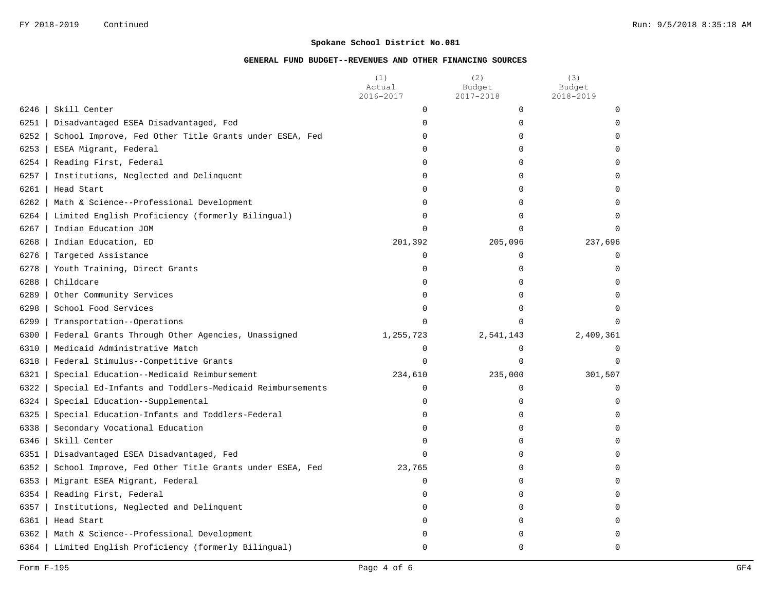|                      |                                                         | (1)<br>Actual | (2)<br>Budget | (3)<br>Budget |
|----------------------|---------------------------------------------------------|---------------|---------------|---------------|
|                      |                                                         | 2016-2017     | 2017-2018     | 2018-2019     |
| Skill Center<br>6246 |                                                         | $\mathbf 0$   | $\mathbf 0$   | $\Omega$      |
| 6251                 | Disadvantaged ESEA Disadvantaged, Fed                   | $\mathbf 0$   | $\Omega$      | $\Omega$      |
| 6252                 | School Improve, Fed Other Title Grants under ESEA, Fed  | $\mathbf 0$   | 0             | $\Omega$      |
| 6253                 | ESEA Migrant, Federal                                   | $\Omega$      | $\Omega$      | $\Omega$      |
| 6254                 | Reading First, Federal                                  | $\mathbf 0$   | 0             | $\Omega$      |
| 6257                 | Institutions, Neglected and Delinquent                  | $\mathbf 0$   | 0             | $\Omega$      |
| 6261<br>Head Start   |                                                         | $\mathbf 0$   | 0             | $\Omega$      |
| 6262                 | Math & Science--Professional Development                | $\mathbf 0$   | $\Omega$      | $\Omega$      |
| 6264                 | Limited English Proficiency (formerly Bilingual)        | $\mathbf 0$   | 0             | $\mathbf 0$   |
| 6267                 | Indian Education JOM                                    | $\mathbf 0$   | 0             | $\Omega$      |
| 6268                 | Indian Education, ED                                    | 201,392       | 205,096       | 237,696       |
| 6276                 | Targeted Assistance                                     | 0             | 0             | $\Omega$      |
| 6278                 | Youth Training, Direct Grants                           | 0             | 0             | $\Omega$      |
| 6288<br>Childcare    |                                                         | $\mathbf 0$   | 0             | $\Omega$      |
| 6289                 | Other Community Services                                | $\mathbf 0$   | $\Omega$      | $\Omega$      |
| 6298                 | School Food Services                                    | $\mathbf 0$   | $\Omega$      | $\Omega$      |
| 6299                 | Transportation--Operations                              | $\Omega$      | 0             | $\Omega$      |
| 6300                 | Federal Grants Through Other Agencies, Unassigned       | 1,255,723     | 2,541,143     | 2,409,361     |
| 6310                 | Medicaid Administrative Match                           | $\mathbf 0$   | 0             | $\Omega$      |
| 6318                 | Federal Stimulus--Competitive Grants                    | $\Omega$      | 0             | $\Omega$      |
| 6321                 | Special Education--Medicaid Reimbursement               | 234,610       | 235,000       | 301,507       |
| 6322                 | Special Ed-Infants and Toddlers-Medicaid Reimbursements | $\mathbf 0$   | 0             | $\mathbf 0$   |
| 6324                 | Special Education--Supplemental                         | $\mathbf 0$   | 0             | 0             |
| 6325                 | Special Education-Infants and Toddlers-Federal          | $\mathbf 0$   | 0             | 0             |
| 6338                 | Secondary Vocational Education                          | $\Omega$      | 0             | $\Omega$      |
| 6346<br>Skill Center |                                                         | $\Omega$      | 0             | $\Omega$      |
| 6351                 | Disadvantaged ESEA Disadvantaged, Fed                   | $\Omega$      | 0             | $\Omega$      |
| 6352                 | School Improve, Fed Other Title Grants under ESEA, Fed  | 23,765        | 0             | $\Omega$      |
| 6353                 | Migrant ESEA Migrant, Federal                           | $\mathbf 0$   | $\Omega$      | $\Omega$      |
| 6354                 | Reading First, Federal                                  | 0             | 0             | $\Omega$      |
| 6357                 | Institutions, Neglected and Delinquent                  | 0             | 0             | $\Omega$      |
| 6361<br>Head Start   |                                                         | $\mathbf 0$   | 0             | $\Omega$      |
| 6362                 | Math & Science--Professional Development                | $\mathbf 0$   | 0             | $\Omega$      |
| 6364                 | Limited English Proficiency (formerly Bilingual)        | $\Omega$      | 0             | $\Omega$      |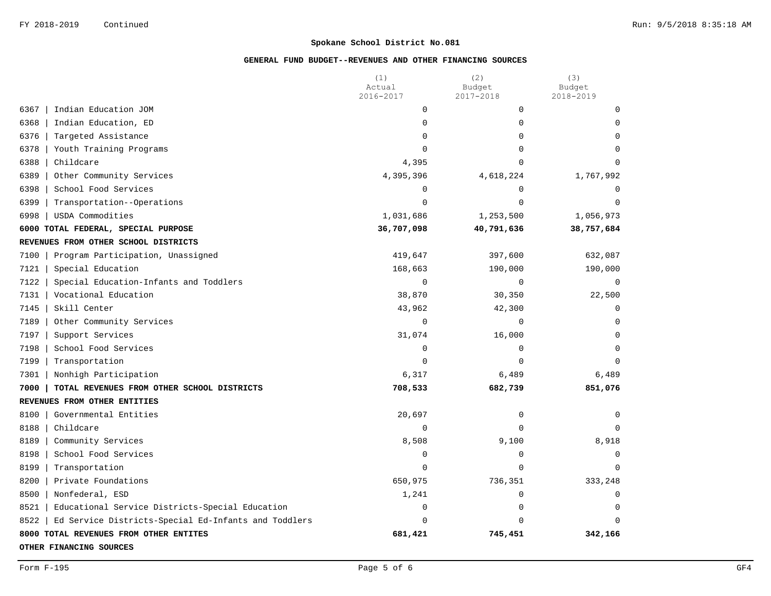|                                                              | (1)<br>Actual | (2)<br>Budget | (3)<br>Budget  |
|--------------------------------------------------------------|---------------|---------------|----------------|
|                                                              | 2016-2017     | 2017-2018     | 2018-2019      |
| 6367<br>Indian Education JOM                                 | $\mathbf 0$   | $\mathbf 0$   | $\Omega$       |
| 6368<br>Indian Education, ED                                 | $\mathbf 0$   | $\Omega$      | $\Omega$       |
| 6376<br>Targeted Assistance                                  | $\Omega$      | $\Omega$      | $\Omega$       |
| 6378<br>Youth Training Programs                              | $\Omega$      | $\Omega$      | $\Omega$       |
| 6388<br>Childcare                                            | 4,395         | $\Omega$      | $\Omega$       |
| 6389<br>Other Community Services                             | 4,395,396     | 4,618,224     | 1,767,992      |
| 6398<br>School Food Services                                 | $\Omega$      | $\Omega$      | $\Omega$       |
| 6399<br>Transportation--Operations                           | $\Omega$      | $\Omega$      | $\Omega$       |
| 6998<br>USDA Commodities                                     | 1,031,686     | 1,253,500     | 1,056,973      |
| 6000 TOTAL FEDERAL, SPECIAL PURPOSE                          | 36,707,098    | 40,791,636    | 38,757,684     |
| REVENUES FROM OTHER SCHOOL DISTRICTS                         |               |               |                |
| 7100<br>Program Participation, Unassigned                    | 419,647       | 397,600       | 632,087        |
| 7121<br>Special Education                                    | 168,663       | 190,000       | 190,000        |
| 7122<br>Special Education-Infants and Toddlers               | $\mathbf 0$   | $\Omega$      | $\overline{0}$ |
| Vocational Education<br>7131                                 | 38,870        | 30,350        | 22,500         |
| 7145<br>Skill Center                                         | 43,962        | 42,300        | 0              |
| 7189<br>Other Community Services                             | $\mathbf 0$   | 0             | $\Omega$       |
| 7197<br>Support Services                                     | 31,074        | 16,000        | $\Omega$       |
| 7198<br>School Food Services                                 | $\mathbf 0$   | $\mathbf 0$   | $\Omega$       |
| 7199<br>Transportation                                       | $\Omega$      | $\Omega$      | $\Omega$       |
| 7301<br>Nonhigh Participation                                | 6,317         | 6,489         | 6,489          |
| 7000<br>TOTAL REVENUES FROM OTHER SCHOOL DISTRICTS           | 708,533       | 682,739       | 851,076        |
| REVENUES FROM OTHER ENTITIES                                 |               |               |                |
| 8100<br>Governmental Entities                                | 20,697        | 0             | $\Omega$       |
| 8188<br>Childcare                                            | $\Omega$      | $\Omega$      | $\Omega$       |
| 8189<br>Community Services                                   | 8,508         | 9,100         | 8,918          |
| 8198<br>School Food Services                                 | $\mathbf 0$   | $\mathbf 0$   | $\mathbf 0$    |
| 8199<br>Transportation                                       | $\mathbf 0$   | $\mathbf 0$   | $\Omega$       |
| 8200<br>Private Foundations                                  | 650,975       | 736,351       | 333,248        |
| 8500<br>Nonfederal, ESD                                      | 1,241         | 0             | $\mathbf 0$    |
| 8521<br>Educational Service Districts-Special Education      | $\mathbf 0$   | $\mathbf 0$   | $\mathbf 0$    |
| 8522<br>Ed Service Districts-Special Ed-Infants and Toddlers | $\mathbf 0$   | $\Omega$      | $\Omega$       |
| 8000 TOTAL REVENUES FROM OTHER ENTITES                       | 681,421       | 745,451       | 342,166        |
| OTHER FINANCING SOURCES                                      |               |               |                |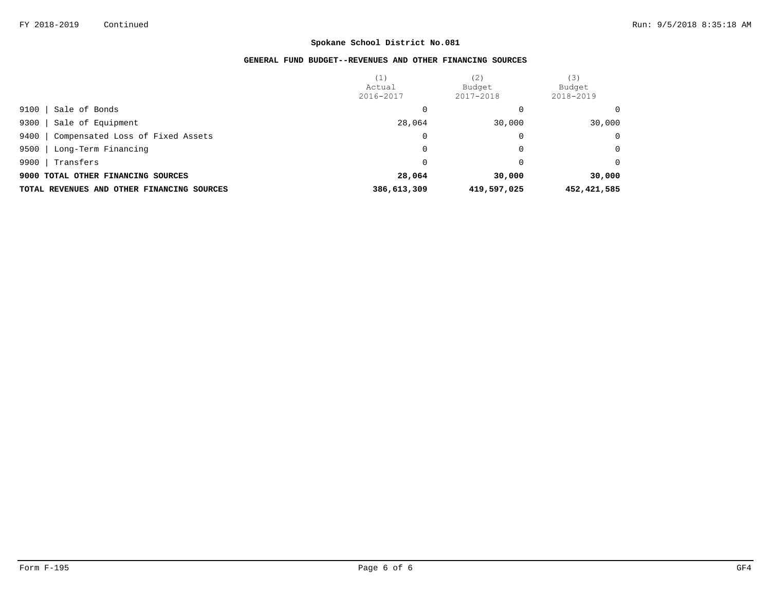|                                               | (1)<br>Actual<br>2016-2017 | (2)<br>Budget<br>2017-2018 | (3)<br>Budget<br>2018-2019 |
|-----------------------------------------------|----------------------------|----------------------------|----------------------------|
| 9100<br>Sale of Bonds                         |                            |                            | 0                          |
| 9300<br>Sale of Equipment                     | 28,064                     | 30,000                     | 30,000                     |
| 9400<br>Compensated Loss of Fixed Assets      | 0                          | 0                          | $\mathbf 0$                |
| 9500<br>Long-Term Financing                   | $\Omega$                   | 0                          | $\Omega$                   |
| 9900<br>Transfers                             |                            | 0                          | $\Omega$                   |
| 9000 TOTAL OTHER FINANCING SOURCES            | 28,064                     | 30,000                     | 30,000                     |
| OTHER FINANCING SOURCES<br>TOTAL REVENUES AND | 386,613,309                | 419,597,025                | 452, 421, 585              |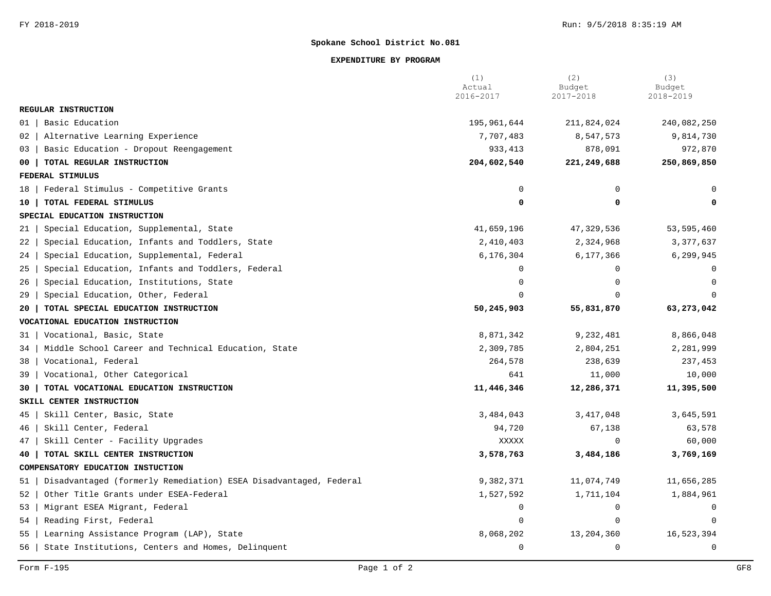#### **EXPENDITURE BY PROGRAM**

|                                                                        | (1)<br>Actual<br>2016-2017 | (2)<br>Budget<br>2017-2018 | (3)<br>Budget<br>2018-2019 |
|------------------------------------------------------------------------|----------------------------|----------------------------|----------------------------|
| REGULAR INSTRUCTION                                                    |                            |                            |                            |
| Basic Education<br>01                                                  | 195,961,644                | 211,824,024                | 240,082,250                |
| Alternative Learning Experience<br>02                                  | 7,707,483                  | 8,547,573                  | 9,814,730                  |
| Basic Education - Dropout Reengagement<br>03                           | 933, 413                   | 878,091                    | 972,870                    |
| TOTAL REGULAR INSTRUCTION<br>00                                        | 204,602,540                | 221,249,688                | 250,869,850                |
| FEDERAL STIMULUS                                                       |                            |                            |                            |
| Federal Stimulus - Competitive Grants<br>18                            | $\mathbf 0$                | 0                          |                            |
| TOTAL FEDERAL STIMULUS<br>10                                           | $\mathbf 0$                | 0                          | 0                          |
| SPECIAL EDUCATION INSTRUCTION                                          |                            |                            |                            |
| Special Education, Supplemental, State<br>21                           | 41,659,196                 | 47,329,536                 | 53,595,460                 |
| Special Education, Infants and Toddlers, State<br>22                   | 2,410,403                  | 2,324,968                  | 3,377,637                  |
| Special Education, Supplemental, Federal<br>24                         | 6,176,304                  | 6,177,366                  | 6,299,945                  |
| Special Education, Infants and Toddlers, Federal<br>25                 | $\Omega$                   | $\Omega$                   | $\Omega$                   |
| Special Education, Institutions, State<br>26                           | $\Omega$                   | $\Omega$                   | $\Omega$                   |
| Special Education, Other, Federal<br>29                                | $\Omega$                   | $\Omega$                   | $\Omega$                   |
| TOTAL SPECIAL EDUCATION INSTRUCTION<br>20                              | 50,245,903                 | 55,831,870                 | 63,273,042                 |
| VOCATIONAL EDUCATION INSTRUCTION                                       |                            |                            |                            |
| Vocational, Basic, State<br>31                                         | 8,871,342                  | 9,232,481                  | 8,866,048                  |
| Middle School Career and Technical Education, State<br>34              | 2,309,785                  | 2,804,251                  | 2,281,999                  |
| Vocational, Federal<br>38                                              | 264,578                    | 238,639                    | 237,453                    |
| Vocational, Other Categorical<br>39                                    | 641                        | 11,000                     | 10,000                     |
| TOTAL VOCATIONAL EDUCATION INSTRUCTION<br>30                           | 11,446,346                 | 12,286,371                 | 11,395,500                 |
| SKILL CENTER INSTRUCTION                                               |                            |                            |                            |
| Skill Center, Basic, State<br>45                                       | 3,484,043                  | 3, 417, 048                | 3,645,591                  |
| Skill Center, Federal<br>46                                            | 94,720                     | 67,138                     | 63,578                     |
| Skill Center - Facility Upgrades<br>47                                 | XXXXX                      |                            | 60,000                     |
| TOTAL SKILL CENTER INSTRUCTION<br>40                                   | 3,578,763                  | 3,484,186                  | 3,769,169                  |
| COMPENSATORY EDUCATION INSTUCTION                                      |                            |                            |                            |
| Disadvantaged (formerly Remediation) ESEA Disadvantaged, Federal<br>51 | 9,382,371                  | 11,074,749                 | 11,656,285                 |
| Other Title Grants under ESEA-Federal<br>52                            | 1,527,592                  | 1,711,104                  | 1,884,961                  |
| Migrant ESEA Migrant, Federal<br>53                                    | $\mathbf 0$                | $\mathbf 0$                | 0                          |
| Reading First, Federal<br>54                                           | $\mathbf 0$                | 0                          | $\mathbf 0$                |
| Learning Assistance Program (LAP), State<br>55                         | 8,068,202                  | 13, 204, 360               | 16,523,394                 |
| State Institutions, Centers and Homes, Delinquent<br>56                | $\mathbf 0$                | $\Omega$                   | $\mathbf 0$                |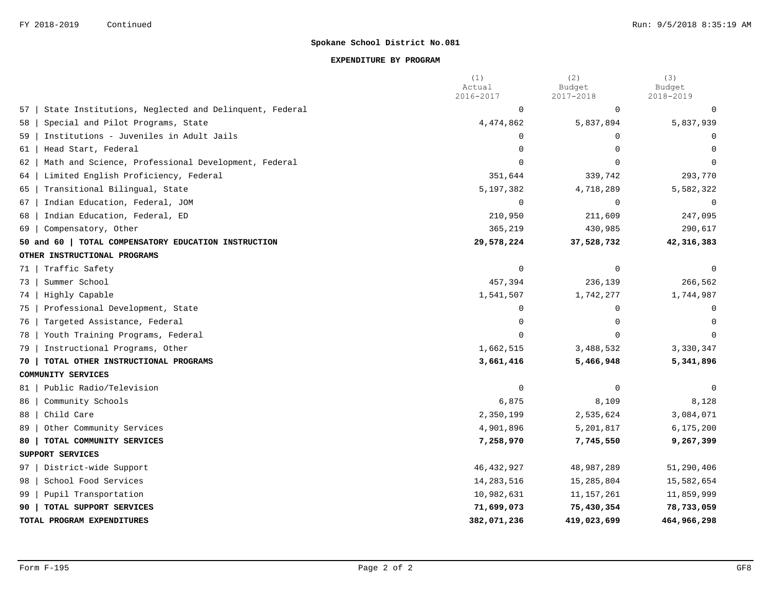#### **EXPENDITURE BY PROGRAM**

|    |                                                       | (1)<br>Actual<br>2016-2017 | (2)<br>Budget<br>2017-2018 | (3)<br>Budget<br>2018-2019 |
|----|-------------------------------------------------------|----------------------------|----------------------------|----------------------------|
| 57 | State Institutions, Neglected and Delinquent, Federal | $\mathbf 0$                | $\mathbf 0$                | 0                          |
| 58 | Special and Pilot Programs, State                     | 4,474,862                  | 5,837,894                  | 5,837,939                  |
| 59 | Institutions - Juveniles in Adult Jails               | $\Omega$                   | $\Omega$                   | $\Omega$                   |
| 61 | Head Start, Federal                                   | $\Omega$                   | $\Omega$                   | $\cap$                     |
| 62 | Math and Science, Professional Development, Federal   | $\Omega$                   | $\Omega$                   |                            |
| 64 | Limited English Proficiency, Federal                  | 351,644                    | 339,742                    | 293,770                    |
| 65 | Transitional Bilingual, State                         | 5,197,382                  | 4,718,289                  | 5,582,322                  |
| 67 | Indian Education, Federal, JOM                        | $\Omega$                   | $\Omega$                   | $\Omega$                   |
| 68 | Indian Education, Federal, ED                         | 210,950                    | 211,609                    | 247,095                    |
| 69 | Compensatory, Other                                   | 365,219                    | 430,985                    | 290,617                    |
|    | 50 and 60   TOTAL COMPENSATORY EDUCATION INSTRUCTION  | 29,578,224                 | 37,528,732                 | 42,316,383                 |
|    | OTHER INSTRUCTIONAL PROGRAMS                          |                            |                            |                            |
| 71 | Traffic Safety                                        | $\mathbf 0$                | $\Omega$                   | $\Omega$                   |
| 73 | Summer School                                         | 457,394                    | 236,139                    | 266,562                    |
| 74 | Highly Capable                                        | 1,541,507                  | 1,742,277                  | 1,744,987                  |
| 75 | Professional Development, State                       | $\mathbf 0$                | $\Omega$                   | $\Omega$                   |
| 76 | Targeted Assistance, Federal                          | $\Omega$                   | $\Omega$                   | $\Omega$                   |
| 78 | Youth Training Programs, Federal                      | $\Omega$                   | $\Omega$                   | $\Omega$                   |
| 79 | Instructional Programs, Other                         | 1,662,515                  | 3,488,532                  | 3,330,347                  |
| 70 | TOTAL OTHER INSTRUCTIONAL PROGRAMS                    | 3,661,416                  | 5,466,948                  | 5,341,896                  |
|    | COMMUNITY SERVICES                                    |                            |                            |                            |
| 81 | Public Radio/Television                               | $\Omega$                   | $\Omega$                   | $\Omega$                   |
| 86 | Community Schools                                     | 6,875                      | 8,109                      | 8,128                      |
| 88 | Child Care                                            | 2,350,199                  | 2,535,624                  | 3,084,071                  |
| 89 | Other Community Services                              | 4,901,896                  | 5,201,817                  | 6, 175, 200                |
| 80 | TOTAL COMMUNITY SERVICES                              | 7,258,970                  | 7,745,550                  | 9,267,399                  |
|    | SUPPORT SERVICES                                      |                            |                            |                            |
| 97 | District-wide Support                                 | 46, 432, 927               | 48,987,289                 | 51,290,406                 |
| 98 | School Food Services                                  | 14, 283, 516               | 15,285,804                 | 15,582,654                 |
| 99 | Pupil Transportation                                  | 10,982,631                 | 11, 157, 261               | 11,859,999                 |
| 90 | TOTAL SUPPORT SERVICES                                | 71,699,073                 | 75,430,354                 | 78,733,059                 |
|    | TOTAL PROGRAM EXPENDITURES                            | 382,071,236                | 419,023,699                | 464,966,298                |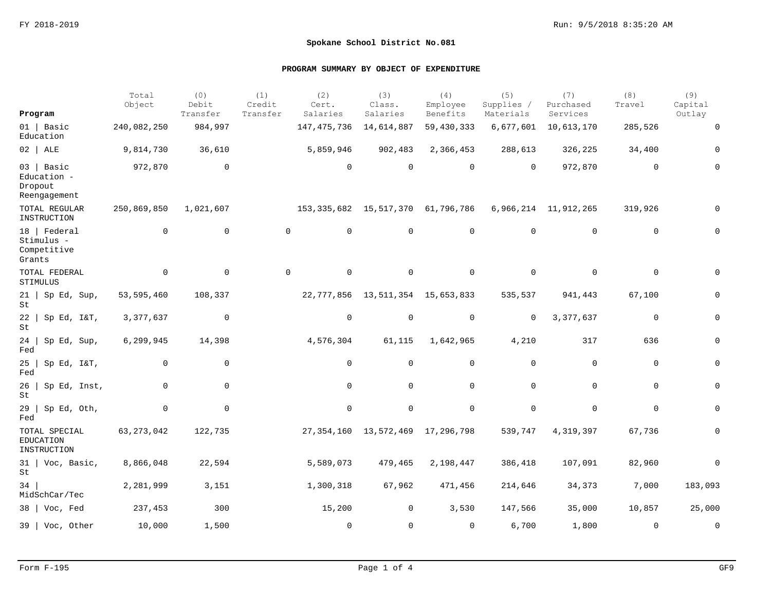| Program                                             | Total<br>Object | (0)<br>Debit<br>Transfer | (1)<br>Credit<br>Transfer | (2)<br>Cert.<br>Salaries                | (3)<br>Class.<br>Salaries              | (4)<br>Employee<br>Benefits | (5)<br>Supplies /<br>Materials | (7)<br>Purchased<br>Services | (8)<br>Travel | (9)<br>Capital<br>Outlay |
|-----------------------------------------------------|-----------------|--------------------------|---------------------------|-----------------------------------------|----------------------------------------|-----------------------------|--------------------------------|------------------------------|---------------|--------------------------|
| $01$   Basic<br>Education                           | 240,082,250     | 984,997                  |                           | 147, 475, 736                           | 14,614,887                             | 59,430,333                  | 6,677,601                      | 10,613,170                   | 285,526       | $\mathbf 0$              |
| $02$   ALE                                          | 9,814,730       | 36,610                   |                           | 5,859,946                               | 902,483                                | 2,366,453                   | 288,613                        | 326,225                      | 34,400        | 0                        |
| 03 Basic<br>Education -<br>Dropout<br>Reengagement  | 972,870         | $\mathbf 0$              |                           | $\mathbf 0$                             | $\Omega$                               | $\mathbf 0$                 | $\Omega$                       | 972,870                      | $\mathbf 0$   | 0                        |
| TOTAL REGULAR<br>INSTRUCTION                        | 250,869,850     | 1,021,607                |                           | 153, 335, 682 15, 517, 370 61, 796, 786 |                                        |                             |                                | 6,966,214 11,912,265         | 319,926       |                          |
| 18   Federal<br>Stimulus -<br>Competitive<br>Grants | $\mathbf 0$     | $\mathbf 0$              |                           | $\mathbf 0$<br>0                        | $\mathbf 0$                            | $\mathbf 0$                 | $\mathbf 0$                    | $\mathbf 0$                  | 0             | $\Omega$                 |
| TOTAL FEDERAL<br>STIMULUS                           | $\mathbf 0$     | $\mathbf 0$              |                           | $\mathbf 0$<br>0                        | $\mathbf 0$                            | $\mathbf 0$                 | $\mathbf 0$                    | $\mathbf 0$                  | 0             | $\Omega$                 |
| $21$   Sp Ed, Sup,<br>St                            | 53,595,460      | 108,337                  |                           |                                         | 22, 777, 856 13, 511, 354 15, 653, 833 |                             | 535,537                        | 941,443                      | 67,100        | 0                        |
| $22$   Sp Ed, I&T,<br>St                            | 3, 377, 637     | $\mathbf 0$              |                           | 0                                       | 0                                      | 0                           | 0                              | 3,377,637                    | 0             | 0                        |
| $24$   Sp Ed, Sup,<br>$_{\rm Fed}$                  | 6,299,945       | 14,398                   |                           | 4,576,304                               | 61,115                                 | 1,642,965                   | 4,210                          | 317                          | 636           | 0                        |
| 25<br>Sp Ed, I&T,<br>Fed                            | 0               | 0                        |                           | 0                                       | $\mathbf 0$                            | $\mathbf 0$                 | 0                              | $\mathbf 0$                  | $\mathbf 0$   | 0                        |
| 26<br>Sp Ed, Inst,<br>$\operatorname{\mathsf{St}}$  | $\mathbf 0$     | $\mathbf 0$              |                           | 0                                       | $\mathbf 0$                            | $\mathbf 0$                 | $\mathbf 0$                    | $\mathbf 0$                  | $\mathbf 0$   | 0                        |
| $29 \mid$ Sp Ed, Oth,<br>Fed                        | 0               | 0                        |                           | 0                                       | $\mathbf 0$                            | $\mathbf 0$                 | 0                              | $\mathbf 0$                  | $\mathbf 0$   | 0                        |
| TOTAL SPECIAL<br><b>EDUCATION</b><br>INSTRUCTION    | 63, 273, 042    | 122,735                  |                           |                                         | 27, 354, 160 13, 572, 469 17, 296, 798 |                             | 539,747                        | 4,319,397                    | 67,736        | 0                        |
| $31$   Voc, Basic,<br>St                            | 8,866,048       | 22,594                   |                           | 5,589,073                               | 479,465                                | 2,198,447                   | 386,418                        | 107,091                      | 82,960        | $\mathbf 0$              |
| 34<br>MidSchCar/Tec                                 | 2,281,999       | 3,151                    |                           | 1,300,318                               | 67,962                                 | 471,456                     | 214,646                        | 34,373                       | 7,000         | 183,093                  |
| $38$   Voc, Fed                                     | 237,453         | 300                      |                           | 15,200                                  | 0                                      | 3,530                       | 147,566                        | 35,000                       | 10,857        | 25,000                   |
| 39   Voc, Other                                     | 10,000          | 1,500                    |                           | $\mathbf 0$                             | $\Omega$                               | $\Omega$                    | 6,700                          | 1,800                        | $\Omega$      | $\mathbf 0$              |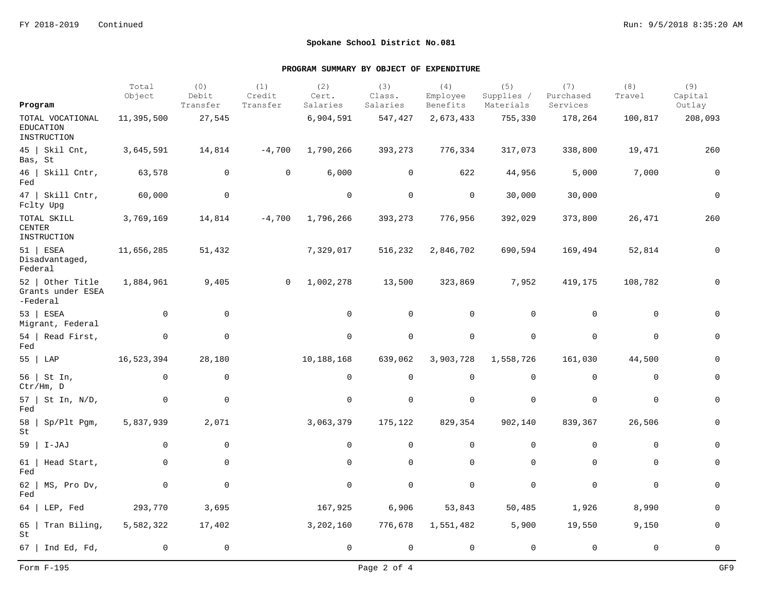|                                                   | Total<br>Object | (0)<br>Debit | (1)<br>Credit  | (2)<br>Cert. | (3)<br>Class.  | (4)<br>Employee | (5)<br>Supplies / | (7)<br>Purchased | (8)<br>Travel | (9)<br>Capital |
|---------------------------------------------------|-----------------|--------------|----------------|--------------|----------------|-----------------|-------------------|------------------|---------------|----------------|
| Program                                           |                 | Transfer     | Transfer       | Salaries     | Salaries       | Benefits        | Materials         | Services         |               | Outlay         |
| TOTAL VOCATIONAL<br>EDUCATION<br>INSTRUCTION      | 11,395,500      | 27,545       |                | 6,904,591    | 547,427        | 2,673,433       | 755,330           | 178,264          | 100,817       | 208,093        |
| $45$   Skil Cnt,<br>Bas, St                       | 3,645,591       | 14,814       | $-4,700$       | 1,790,266    | 393,273        | 776,334         | 317,073           | 338,800          | 19,471        | 260            |
| 46   Skill Cntr,<br>Fed                           | 63,578          | $\mathbf{0}$ | 0              | 6,000        | $\overline{0}$ | 622             | 44,956            | 5,000            | 7,000         | $\mathbf 0$    |
| $47$   Skill Cntr,<br>Fclty Upg                   | 60,000          | $\mathbf 0$  |                | $\mathbf 0$  | $\mathbf 0$    | $\mathbf 0$     | 30,000            | 30,000           |               | $\mathsf 0$    |
| TOTAL SKILL<br><b>CENTER</b><br>INSTRUCTION       | 3,769,169       | 14,814       | $-4,700$       | 1,796,266    | 393,273        | 776,956         | 392,029           | 373,800          | 26,471        | 260            |
| $51$   ESEA<br>Disadvantaged,<br>Federal          | 11,656,285      | 51,432       |                | 7,329,017    | 516,232        | 2,846,702       | 690,594           | 169,494          | 52,814        | $\mathbf 0$    |
| 52   Other Title<br>Grants under ESEA<br>-Federal | 1,884,961       | 9,405        | $\overline{0}$ | 1,002,278    | 13,500         | 323,869         | 7,952             | 419,175          | 108,782       | 0              |
| $53$ ESEA<br>Migrant, Federal                     | $\overline{0}$  | $\mathbf 0$  |                | $\mathbf 0$  | 0              | 0               | 0                 | 0                | $\mathbf 0$   | $\Omega$       |
| $54$   Read First,<br>Fed                         | $\mathbf 0$     | $\mathbf 0$  |                | $\mathbf 0$  | $\mathbf 0$    | $\mathbf 0$     | $\mathbf 0$       | $\mathbf 0$      | $\mathbf 0$   | $\mathbf 0$    |
| 55   LAP                                          | 16,523,394      | 28,180       |                | 10,188,168   | 639,062        | 3,903,728       | 1,558,726         | 161,030          | 44,500        | $\mathbf 0$    |
| 56  <br>St In,<br>Ctr/Hm, D                       | $\overline{0}$  | $\mathbf{0}$ |                | $\mathbf 0$  | $\mathbf 0$    | $\mathbf 0$     | $\mathbf 0$       | $\mathbf 0$      | $\mathbf 0$   | $\mathbf 0$    |
| $57$   St In, N/D,<br>Fed                         | $\mathbf 0$     | $\mathbf 0$  |                | $\mathbf 0$  | $\mathbf 0$    | $\mathbf 0$     | $\mathbf 0$       | $\mathbf 0$      | $\mathbf 0$   | $\mathbf 0$    |
| 58<br>Sp/Plt Pgm,<br>St                           | 5,837,939       | 2,071        |                | 3,063,379    | 175,122        | 829,354         | 902,140           | 839,367          | 26,506        | $\mathsf{O}$   |
| $59$   I-JAJ                                      | $\overline{0}$  | $\mathbf 0$  |                | $\mathbf 0$  | $\mathbf 0$    | $\mathbf 0$     | $\mathbf 0$       | $\mathbf 0$      | $\mathbf 0$   | $\mathbf 0$    |
| Head Start,<br>61<br>Fed                          | 0               | $\mathsf{O}$ |                | $\mathsf{O}$ | $\mathbf 0$    | $\mathbf 0$     | $\mathbf 0$       | $\mathbf 0$      | $\mathbf 0$   | $\mathbf 0$    |
| 62<br>MS, Pro Dv,<br>Fed                          | 0               | $\mathbf 0$  |                | $\mathsf{O}$ | $\mathbf 0$    | $\mathbf 0$     | $\mathbf 0$       | $\mathbf 0$      | $\mathbf 0$   | $\mathsf{O}$   |
| LEP, Fed<br>64                                    | 293,770         | 3,695        |                | 167,925      | 6,906          | 53,843          | 50,485            | 1,926            | 8,990         | $\mathbf 0$    |
| Tran Biling,<br>65<br>St                          | 5,582,322       | 17,402       |                | 3,202,160    | 776,678        | 1,551,482       | 5,900             | 19,550           | 9,150         | $\mathbf 0$    |
| $67$   Ind Ed, Fd,                                | $\mathbf 0$     | 0            |                | $\mathsf{O}$ | $\mathbf 0$    | $\mathbf 0$     | $\mathbf 0$       | $\mathbf 0$      | $\mathbf 0$   | $\mathbf 0$    |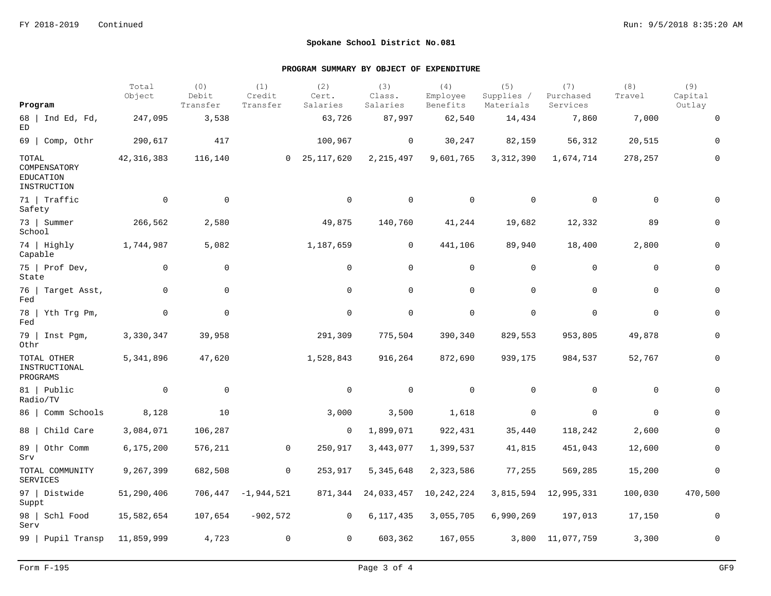|                                                          | Total<br>Object | (0)<br>Debit | (1)<br>Credit | (2)<br>Cert.    | (3)<br>Class.  | (4)<br>Employee | (5)<br>Supplies / | (7)<br>Purchased | (8)<br>Travel | (9)<br>Capital |
|----------------------------------------------------------|-----------------|--------------|---------------|-----------------|----------------|-----------------|-------------------|------------------|---------------|----------------|
| Program                                                  |                 | Transfer     | Transfer      | Salaries        | Salaries       | Benefits        | Materials         | Services         |               | Outlay         |
| 68   Ind Ed, Fd,<br>ED                                   | 247,095         | 3,538        |               | 63,726          | 87,997         | 62,540          | 14,434            | 7,860            | 7,000         | $\mathbf 0$    |
| $69$   Comp, Othr                                        | 290,617         | 417          |               | 100,967         | 0              | 30,247          | 82,159            | 56,312           | 20,515        | 0              |
| TOTAL<br>COMPENSATORY<br><b>EDUCATION</b><br>INSTRUCTION | 42, 316, 383    | 116,140      |               | 0, 25, 117, 620 | 2, 215, 497    | 9,601,765       | 3, 312, 390       | 1,674,714        | 278,257       | 0              |
| 71   Traffic<br>Safety                                   | $\mathbf 0$     | $\mathbf 0$  |               | $\mathbf 0$     | $\mathbf 0$    | $\mathbf 0$     | $\mathbf 0$       | $\mathbf 0$      | $\mathbf 0$   | $\Omega$       |
| 73   Summer<br>School                                    | 266,562         | 2,580        |               | 49,875          | 140,760        | 41,244          | 19,682            | 12,332           | 89            | 0              |
| 74   Highly<br>Capable                                   | 1,744,987       | 5,082        |               | 1,187,659       | 0              | 441,106         | 89,940            | 18,400           | 2,800         | $\mathbf 0$    |
| $75$   Prof Dev,<br>State                                | $\mathbf 0$     | $\mathbf 0$  |               | 0               | $\mathbf 0$    | 0               | $\mathbf 0$       | $\mathbf 0$      | $\mathbf 0$   | $\mathbf 0$    |
| 76   Target Asst,<br>Fed                                 | $\mathbf 0$     | $\mathbf 0$  |               | $\mathbf 0$     | $\mathbf 0$    | 0               | $\mathbf 0$       | $\mathbf 0$      | $\mathbf 0$   | $\mathbf 0$    |
| $78$   Yth Trg Pm,<br>Fed                                | $\mathbf{0}$    | $\mathbf 0$  |               | $\mathbf 0$     | 0              | 0               | $\mathbf 0$       | $\mathbf 0$      | $\mathbf 0$   | $\mathbf 0$    |
| $79$   Inst Pqm,<br>Othr                                 | 3,330,347       | 39,958       |               | 291,309         | 775,504        | 390,340         | 829,553           | 953,805          | 49,878        | $\mathbf 0$    |
| TOTAL OTHER<br>INSTRUCTIONAL<br>PROGRAMS                 | 5,341,896       | 47,620       |               | 1,528,843       | 916,264        | 872,690         | 939,175           | 984,537          | 52,767        | 0              |
| 81   Public<br>Radio/TV                                  | $\overline{0}$  | $\mathbf 0$  |               | $\mathbf 0$     | $\overline{0}$ | 0               | $\mathbf 0$       | $\mathbf 0$      | $\mathbf 0$   | $\mathbf 0$    |
| 86   Comm Schools                                        | 8,128           | 10           |               | 3,000           | 3,500          | 1,618           | 0                 | $\mathbf 0$      | $\mathbf 0$   | $\mathbf 0$    |
| 88   Child Care                                          | 3,084,071       | 106,287      |               | $\mathbf 0$     | 1,899,071      | 922,431         | 35,440            | 118,242          | 2,600         | $\Omega$       |
| 89   Othr Comm<br>Srv                                    | 6,175,200       | 576,211      | $\mathbf 0$   | 250,917         | 3,443,077      | 1,399,537       | 41,815            | 451,043          | 12,600        | 0              |
| TOTAL COMMUNITY<br>SERVICES                              | 9,267,399       | 682,508      | 0             | 253,917         | 5,345,648      | 2,323,586       | 77,255            | 569,285          | 15,200        | 0              |
| 97   Distwide<br>Suppt                                   | 51,290,406      | 706,447      | $-1,944,521$  | 871,344         | 24,033,457     | 10,242,224      | 3,815,594         | 12,995,331       | 100,030       | 470,500        |
| 98   Schl Food<br>Serv                                   | 15,582,654      | 107,654      | $-902,572$    | $\mathsf{O}$    | 6,117,435      | 3,055,705       | 6,990,269         | 197,013          | 17,150        | $\mathbf 0$    |
| 99   Pupil Transp                                        | 11,859,999      | 4,723        | $\mathbf 0$   | 0               | 603,362        | 167,055         |                   | 3,800 11,077,759 | 3,300         | $\mathbf 0$    |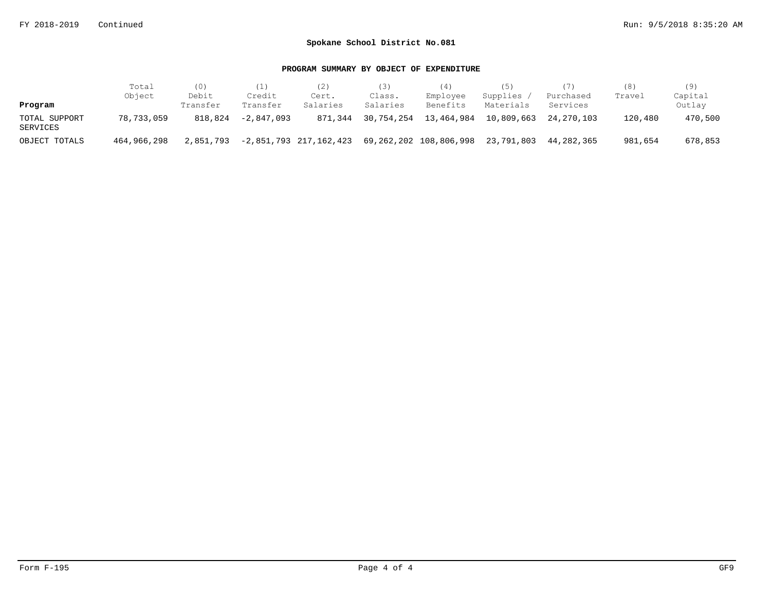|                           | Total       | (0)               | (1)                | (2)                    | 3)                 | (4)                    | (5)                   |                       | (8)     | (9)               |
|---------------------------|-------------|-------------------|--------------------|------------------------|--------------------|------------------------|-----------------------|-----------------------|---------|-------------------|
| Program                   | Object      | Debit<br>Transfer | Credit<br>Transfer | Cert.<br>Salaries      | Class.<br>Salaries | Employee<br>Benefits   | Supplies<br>Materials | Purchased<br>Services | Travel  | Capital<br>Outlay |
| TOTAL SUPPORT<br>SERVICES | 78,733,059  | 818,824           | $-2.847.093$       | 871,344                | 30,754,254         | 13,464,984             | 10,809,663            | 24,270,103            | 120,480 | 470,500           |
| OBJECT TOTALS             | 464,966,298 | 2,851,793         |                    | -2,851,793 217,162,423 |                    | 69,262,202 108,806,998 | 23,791,803            | 44,282,365            | 981,654 | 678,853           |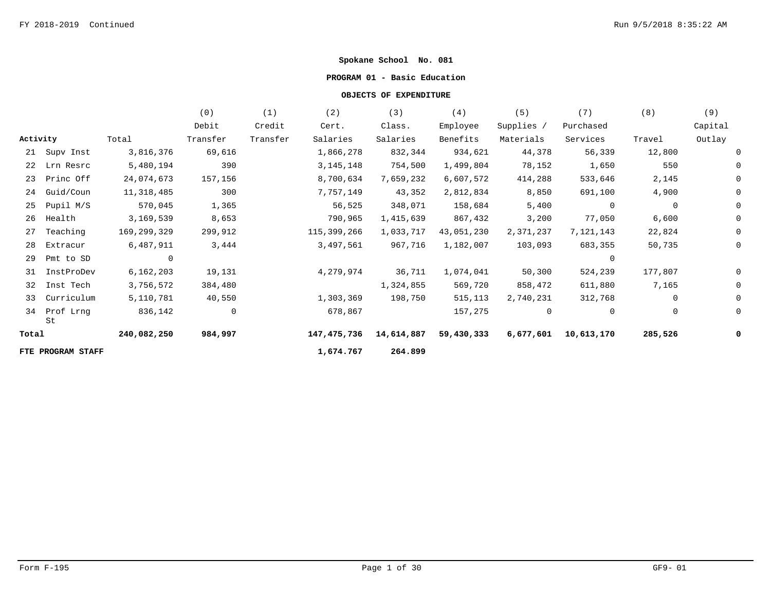### **PROGRAM 01 - Basic Education**

|          |                   |                | (0)      | (1)      | (2)         | (3)        | (4)        | (5)        | (7)            | (8)         | (9)     |
|----------|-------------------|----------------|----------|----------|-------------|------------|------------|------------|----------------|-------------|---------|
|          |                   |                | Debit    | Credit   | Cert.       | Class.     | Employee   | Supplies / | Purchased      |             | Capital |
| Activity |                   | Total          | Transfer | Transfer | Salaries    | Salaries   | Benefits   | Materials  | Services       | Travel      | Outlay  |
|          | 21 Supv Inst      | 3,816,376      | 69,616   |          | 1,866,278   | 832,344    | 934,621    | 44,378     | 56,339         | 12,800      |         |
|          | 22 Lrn Resrc      | 5,480,194      | 390      |          | 3, 145, 148 | 754,500    | 1,499,804  | 78,152     | 1,650          | 550         |         |
| 23       | Princ Off         | 24,074,673     | 157,156  |          | 8,700,634   | 7,659,232  | 6,607,572  | 414,288    | 533,646        | 2,145       |         |
| 24       | Guid/Coun         | 11,318,485     | 300      |          | 7,757,149   | 43,352     | 2,812,834  | 8,850      | 691,100        | 4,900       |         |
| 25       | Pupil M/S         | 570,045        | 1,365    |          | 56,525      | 348,071    | 158,684    | 5,400      | $\overline{0}$ | 0           |         |
| 26       | Health            | 3,169,539      | 8,653    |          | 790,965     | 1,415,639  | 867,432    | 3,200      | 77,050         | 6,600       |         |
| 27       | Teaching          | 169,299,329    | 299,912  |          | 115,399,266 | 1,033,717  | 43,051,230 | 2,371,237  | 7,121,143      | 22,824      |         |
| 28       | Extracur          | 6,487,911      | 3,444    |          | 3,497,561   | 967,716    | 1,182,007  | 103,093    | 683,355        | 50,735      |         |
| 29       | Pmt to SD         | $\overline{0}$ |          |          |             |            |            |            |                |             |         |
| 31       | InstProDev        | 6, 162, 203    | 19,131   |          | 4,279,974   | 36,711     | 1,074,041  | 50,300     | 524,239        | 177,807     |         |
| 32       | Inst Tech         | 3,756,572      | 384,480  |          |             | 1,324,855  | 569,720    | 858,472    | 611,880        | 7,165       |         |
| 33       | Curriculum        | 5,110,781      | 40,550   |          | 1,303,369   | 198,750    | 515,113    | 2,740,231  | 312,768        | $\mathbf 0$ |         |
| 34       | Prof Lrng<br>St   | 836,142        | 0        |          | 678,867     |            | 157,275    | 0          | 0              | 0           |         |
| Total    |                   | 240,082,250    | 984,997  |          | 147,475,736 | 14,614,887 | 59,430,333 | 6,677,601  | 10,613,170     | 285,526     |         |
|          | FTE PROGRAM STAFF |                |          |          | 1,674.767   | 264.899    |            |            |                |             |         |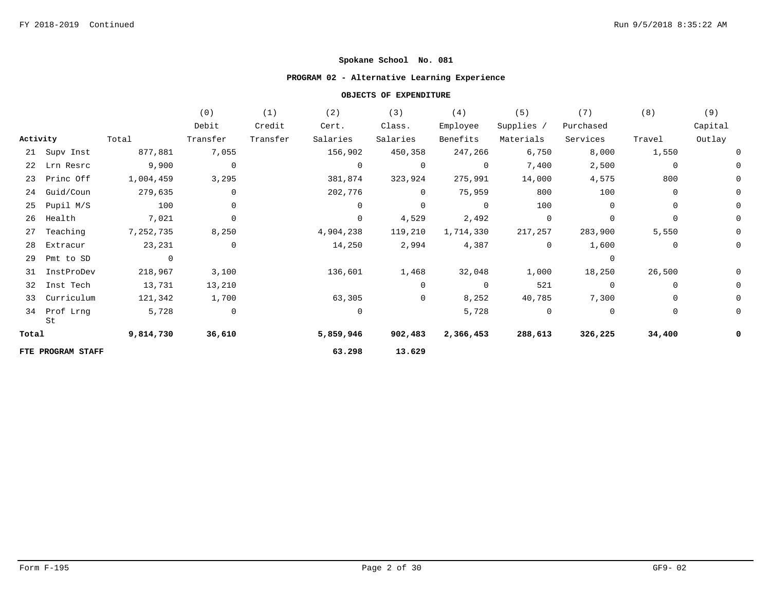## **PROGRAM 02 - Alternative Learning Experience**

|          |                    |           | (0)            | (1)      | (2)            | (3)            | (4)            | (5)            | (7)            | (8)         | (9)     |
|----------|--------------------|-----------|----------------|----------|----------------|----------------|----------------|----------------|----------------|-------------|---------|
|          |                    |           | Debit          | Credit   | Cert.          | Class.         | Employee       | Supplies /     | Purchased      |             | Capital |
| Activity |                    | Total     | Transfer       | Transfer | Salaries       | Salaries       | Benefits       | Materials      | Services       | Travel      | Outlay  |
|          | 21 Supv Inst       | 877,881   | 7,055          |          | 156,902        | 450,358        | 247,266        | 6,750          | 8,000          | 1,550       |         |
|          | 22 Lrn Resrc       | 9,900     | $\overline{0}$ |          | $\overline{0}$ | $\overline{0}$ | $\overline{0}$ | 7,400          | 2,500          | 0           |         |
|          | 23 Princ Off       | 1,004,459 | 3,295          |          | 381,874        | 323,924        | 275,991        | 14,000         | 4,575          | 800         |         |
|          | 24 Guid/Coun       | 279,635   | 0              |          | 202,776        | $\Omega$       | 75,959         | 800            | 100            | 0           |         |
| 25       | Pupil M/S          | 100       | 0              |          | $\Omega$       | $\mathbf 0$    | $\overline{0}$ | 100            | $\Omega$       | 0           |         |
| 26       | Health             | 7,021     | $\mathbf 0$    |          | 0              | 4,529          | 2,492          | 0              |                | 0           |         |
| 27       | Teaching           | 7,252,735 | 8,250          |          | 4,904,238      | 119,210        | 1,714,330      | 217,257        | 283,900        | 5,550       |         |
| 28       | Extracur           | 23,231    | 0              |          | 14,250         | 2,994          | 4,387          | $\overline{0}$ | 1,600          | 0           |         |
| 29       | Pmt to SD          |           |                |          |                |                |                |                |                |             |         |
| 31       | InstProDev         | 218,967   | 3,100          |          | 136,601        | 1,468          | 32,048         | 1,000          | 18,250         | 26,500      |         |
|          | 32 Inst Tech       | 13,731    | 13,210         |          |                | 0              | $\overline{0}$ | 521            |                | 0           |         |
|          | 33 Curriculum      | 121,342   | 1,700          |          | 63,305         | 0              | 8,252          | 40,785         | 7,300          | 0           |         |
|          | 34 Prof Lrng<br>St | 5,728     | $\overline{0}$ |          | $\mathbf 0$    |                | 5,728          | $\mathbf 0$    | $\overline{0}$ | $\mathbf 0$ |         |
| Total    |                    | 9,814,730 | 36,610         |          | 5,859,946      | 902,483        | 2,366,453      | 288,613        | 326,225        | 34,400      |         |
|          | FTE PROGRAM STAFF  |           |                |          | 63.298         | 13.629         |                |                |                |             |         |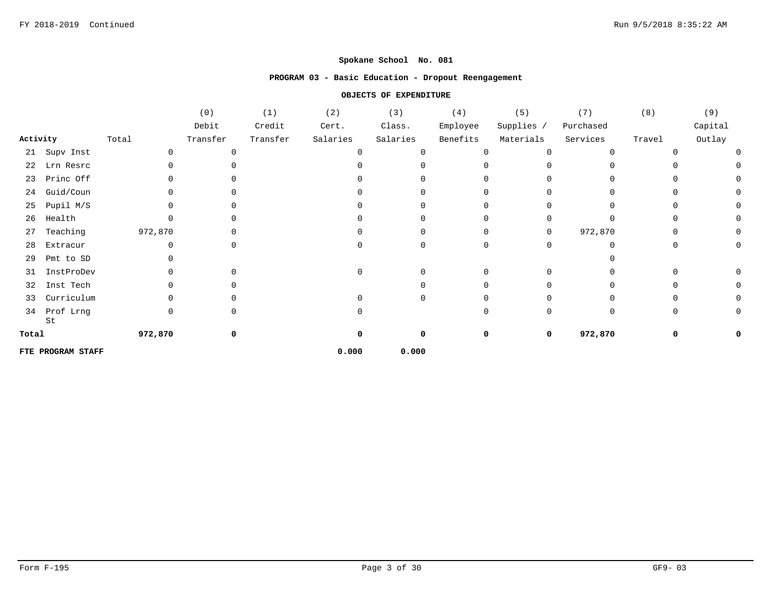### **PROGRAM 03 - Basic Education - Dropout Reengagement**

|          |                   |         | (0)      | (1)      | (2)      | (3)      | (4)      | (5)        | (7)       | (8)      | (9)     |
|----------|-------------------|---------|----------|----------|----------|----------|----------|------------|-----------|----------|---------|
|          |                   |         | Debit    | Credit   | Cert.    | Class.   | Employee | Supplies / | Purchased |          | Capital |
| Activity |                   | Total   | Transfer | Transfer | Salaries | Salaries | Benefits | Materials  | Services  | Travel   | Outlay  |
| 21       | Supv Inst         |         | 0        |          |          |          | O        |            | $\Omega$  | ∩        |         |
| 22       | Lrn Resrc         |         |          |          |          |          |          |            |           |          |         |
| 23       | Princ Off         |         |          |          |          |          |          |            |           |          |         |
| 24       | Guid/Coun         |         |          |          |          |          |          |            |           |          |         |
| 25       | Pupil M/S         |         |          |          |          |          |          |            |           |          |         |
| 26       | Health            |         |          |          |          |          |          |            |           |          |         |
| 27       | Teaching          | 972,870 |          |          |          |          |          | 0          | 972,870   |          |         |
| 28       | Extracur          |         | U        |          |          |          |          |            |           |          |         |
| 29       | Pmt to SD         |         |          |          |          |          |          |            |           |          |         |
| 31       | InstProDev        |         | U        |          |          |          |          |            |           |          |         |
| 32       | Inst Tech         |         | U        |          |          |          |          |            |           |          |         |
| 33       | Curriculum        |         | U        |          |          |          |          |            |           |          |         |
| 34       | Prof Lrng<br>St   |         | 0        |          |          |          | ∩        |            | $\Omega$  | $\Omega$ |         |
| Total    |                   | 972,870 | 0        |          |          |          | 0        | 0          | 972,870   | 0        |         |
|          | FTE PROGRAM STAFF |         |          |          | 0.000    | 0.000    |          |            |           |          |         |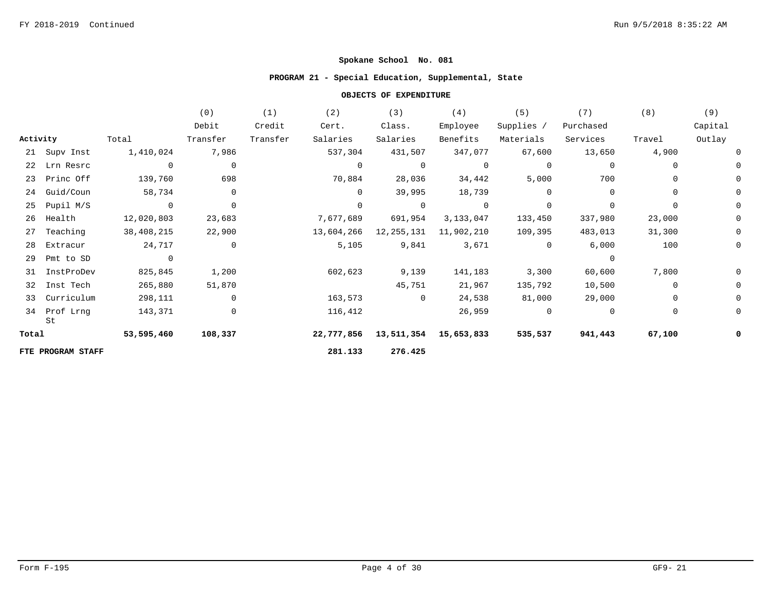## **PROGRAM 21 - Special Education, Supplemental, State**

|          |                    |                | (0)            | (1)      | (2)            | (3)            | (4)            | (5)         | (7)       | (8)         | (9)     |
|----------|--------------------|----------------|----------------|----------|----------------|----------------|----------------|-------------|-----------|-------------|---------|
|          |                    |                | Debit          | Credit   | Cert.          | Class.         | Employee       | Supplies /  | Purchased |             | Capital |
| Activity |                    | Total          | Transfer       | Transfer | Salaries       | Salaries       | Benefits       | Materials   | Services  | Travel      | Outlay  |
|          | 21 Supv Inst       | 1,410,024      | 7,986          |          | 537,304        | 431,507        | 347,077        | 67,600      | 13,650    | 4,900       |         |
|          | 22 Lrn Resrc       | $\overline{0}$ | $\overline{0}$ |          | $\overline{0}$ | $\mathbf 0$    | $\overline{0}$ | $\mathbf 0$ |           | 0           |         |
|          | 23 Princ Off       | 139,760        | 698            |          | 70,884         | 28,036         | 34,442         | 5,000       | 700       | 0           |         |
| 24       | Guid/Coun          | 58,734         | $\mathbf{0}$   |          | $\Omega$       | 39,995         | 18,739         | $\Omega$    | $\Omega$  | 0           |         |
| 25       | Pupil M/S          | $\overline{0}$ | $\overline{0}$ |          | $\Omega$       | $\overline{0}$ | $\overline{0}$ | $\mathbf 0$ | $\Omega$  | $\mathbf 0$ |         |
| 26       | Health             | 12,020,803     | 23,683         |          | 7,677,689      | 691,954        | 3,133,047      | 133,450     | 337,980   | 23,000      |         |
| 27       | Teaching           | 38,408,215     | 22,900         |          | 13,604,266     | 12,255,131     | 11,902,210     | 109,395     | 483,013   | 31,300      |         |
| 28       | Extracur           | 24,717         | $\overline{0}$ |          | 5,105          | 9,841          | 3,671          | $\mathbf 0$ | 6,000     | 100         |         |
| 29       | Pmt to SD          | $\mathbf 0$    |                |          |                |                |                |             |           |             |         |
| 31       | InstProDev         | 825,845        | 1,200          |          | 602,623        | 9,139          | 141,183        | 3,300       | 60,600    | 7,800       |         |
|          | 32 Inst Tech       | 265,880        | 51,870         |          |                | 45,751         | 21,967         | 135,792     | 10,500    | 0           |         |
| 33       | Curriculum         | 298,111        | $\overline{0}$ |          | 163,573        | $\overline{0}$ | 24,538         | 81,000      | 29,000    | $\mathbf 0$ |         |
|          | 34 Prof Lrng<br>St | 143,371        | $\mathbf 0$    |          | 116,412        |                | 26,959         | $\mathbf 0$ | $\Omega$  | $\mathbf 0$ |         |
| Total    |                    | 53,595,460     | 108,337        |          | 22,777,856     | 13,511,354     | 15,653,833     | 535,537     | 941,443   | 67,100      |         |
|          | FTE PROGRAM STAFF  |                |                |          | 281.133        | 276.425        |                |             |           |             |         |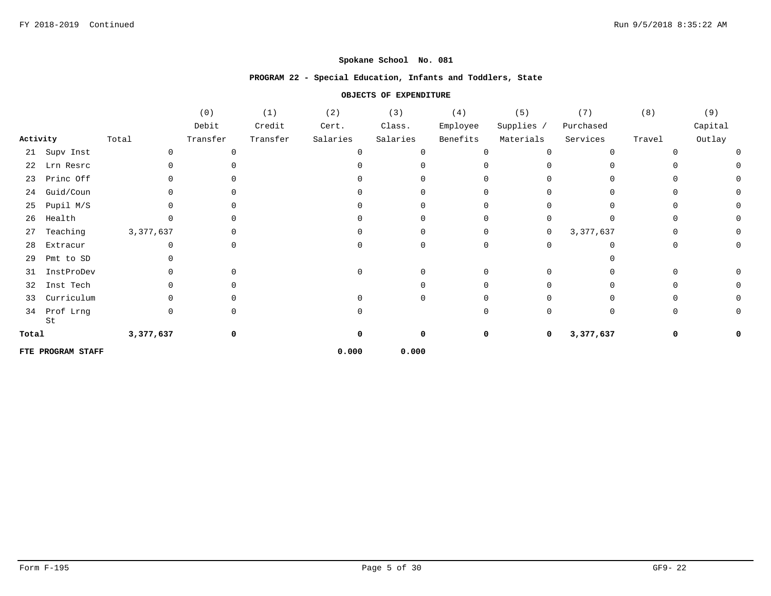### **PROGRAM 22 - Special Education, Infants and Toddlers, State**

|          |                   |           | (0)      | (1)      | (2)      | (3)      | (4)      | (5)            | (7)       | (8)    | (9)     |
|----------|-------------------|-----------|----------|----------|----------|----------|----------|----------------|-----------|--------|---------|
|          |                   |           | Debit    | Credit   | Cert.    | Class.   | Employee | Supplies /     | Purchased |        | Capital |
| Activity |                   | Total     | Transfer | Transfer | Salaries | Salaries | Benefits | Materials      | Services  | Travel | Outlay  |
|          | 21 Supv Inst      |           | O        |          |          |          |          | <sup>n</sup>   |           |        |         |
| 22       | Lrn Resrc         |           |          |          |          |          |          |                |           |        |         |
| 23       | Princ Off         |           |          |          |          |          |          |                |           |        |         |
| 24       | Guid/Coun         |           |          |          |          |          |          |                |           |        |         |
| 25       | Pupil M/S         |           |          |          |          |          |          |                |           |        |         |
| 26       | Health            |           |          |          |          |          |          | U              |           |        |         |
| 27       | Teaching          | 3,377,637 |          |          |          |          |          | $\overline{0}$ | 3,377,637 |        |         |
| 28       | Extracur          |           |          |          |          |          |          | 0              |           |        |         |
| 29       | Pmt to SD         |           |          |          |          |          |          |                |           |        |         |
| 31       | InstProDev        |           | U        |          |          |          |          | <sup>n</sup>   |           |        |         |
| 32       | Inst Tech         |           |          |          |          |          |          |                |           |        |         |
| 33       | Curriculum        |           |          |          |          |          |          |                |           |        |         |
| 34       | Prof Lrng<br>St   | 0         | 0        |          |          |          |          | $\Omega$       | $\Omega$  |        |         |
| Total    |                   | 3,377,637 | 0        |          |          | 0        | 0        | 0              | 3,377,637 |        |         |
|          | FTE PROGRAM STAFF |           |          |          | 0.000    | 0.000    |          |                |           |        |         |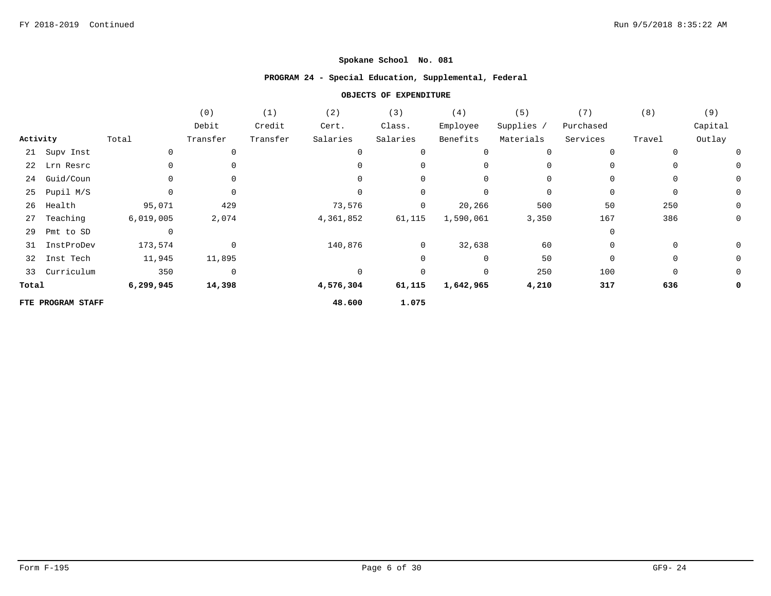### **PROGRAM 24 - Special Education, Supplemental, Federal**

|          |                   |           | (0)            | (1)      | (2)         | (3)            | (4)       | (5)        | (7)         | (8)         | (9)     |
|----------|-------------------|-----------|----------------|----------|-------------|----------------|-----------|------------|-------------|-------------|---------|
|          |                   |           | Debit          | Credit   | Cert.       | Class.         | Employee  | Supplies / | Purchased   |             | Capital |
| Activity |                   | Total     | Transfer       | Transfer | Salaries    | Salaries       | Benefits  | Materials  | Services    | Travel      | Outlay  |
|          | 21 Supv Inst      |           | $\mathbf 0$    |          | 0           |                |           |            | $\Omega$    |             |         |
|          | 22 Lrn Resrc      |           |                |          | 0           |                | $\Omega$  |            | 0           |             |         |
| 24       | Guid/Coun         |           |                |          | $\Omega$    | 0              |           |            | $\Omega$    |             | 0       |
| 25       | Pupil M/S         |           | 0              |          | 0           |                | 0         |            | 0           | 0           | 0       |
| 26       | Health            | 95,071    | 429            |          | 73,576      | 0              | 20,266    | 500        | 50          | 250         | 0       |
| 27       | Teaching          | 6,019,005 | 2,074          |          | 4,361,852   | 61,115         | 1,590,061 | 3,350      | 167         | 386         | 0       |
| 29       | Pmt to SD         |           |                |          |             |                |           |            | $\Omega$    |             |         |
| 31       | InstProDev        | 173,574   | $\mathbf 0$    |          | 140,876     | $\overline{0}$ | 32,638    | 60         | 0           | 0           | 0       |
| 32       | Inst Tech         | 11,945    | 11,895         |          |             | 0              | 0         | 50         | $\mathbf 0$ | $\mathbf 0$ | 0       |
|          | 33 Curriculum     | 350       | $\overline{0}$ |          | $\mathbf 0$ |                | 0         | 250        | 100         | 0           | 0       |
| Total    |                   | 6,299,945 | 14,398         |          | 4,576,304   | 61,115         | 1,642,965 | 4,210      | 317         | 636         | 0       |
|          | FTE PROGRAM STAFF |           |                |          | 48.600      | 1.075          |           |            |             |             |         |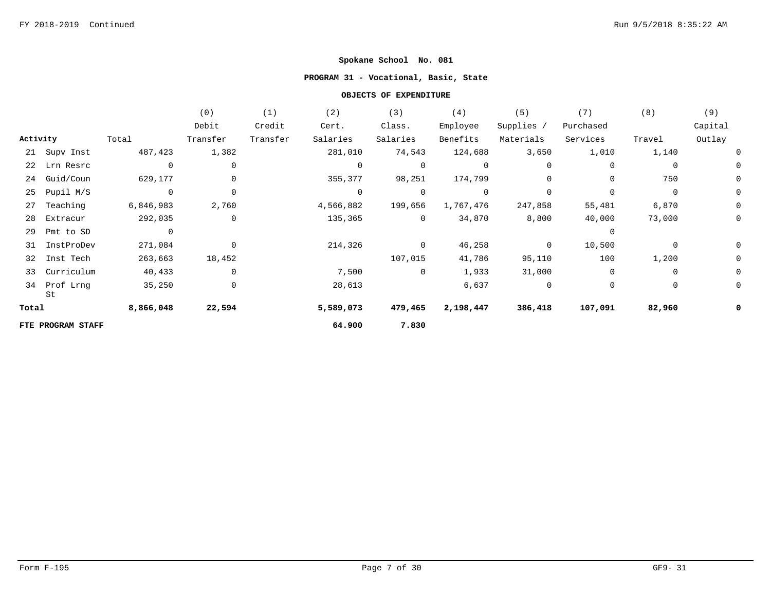## **PROGRAM 31 - Vocational, Basic, State**

|          |                   |                | (0)         | (1)      | (2)            | (3)            | (4)            | (5)            | (7)         | (8)            | (9)         |
|----------|-------------------|----------------|-------------|----------|----------------|----------------|----------------|----------------|-------------|----------------|-------------|
|          |                   |                | Debit       | Credit   | Cert.          | Class.         | Employee       | Supplies /     | Purchased   |                | Capital     |
| Activity |                   | Total          | Transfer    | Transfer | Salaries       | Salaries       | Benefits       | Materials      | Services    | Travel         | Outlay      |
|          | 21 Supv Inst      | 487,423        | 1,382       |          | 281,010        | 74,543         | 124,688        | 3,650          | 1,010       | 1,140          | 0           |
|          | 22 Lrn Resrc      | $\overline{0}$ | 0           |          | 0              | $\overline{0}$ | $\overline{0}$ | 0              | 0           | $\overline{0}$ | 0           |
| 24       | Guid/Coun         | 629,177        | 0           |          | 355,377        | 98,251         | 174,799        | 0              | $\mathbf 0$ | 750            | 0           |
| 25       | Pupil M/S         | $\overline{0}$ | $\mathbf 0$ |          | $\overline{0}$ | $\overline{0}$ | $\overline{0}$ | 0              | $\Omega$    | $\overline{0}$ | $\mathbf 0$ |
| 27       | Teaching          | 6,846,983      | 2,760       |          | 4,566,882      | 199,656        | 1,767,476      | 247,858        | 55,481      | 6,870          | $\mathbf 0$ |
| 28       | Extracur          | 292,035        | $\mathbf 0$ |          | 135,365        | $\overline{0}$ | 34,870         | 8,800          | 40,000      | 73,000         | $\mathbf 0$ |
| 29       | Pmt to SD         | $\overline{0}$ |             |          |                |                |                |                | $\Omega$    |                |             |
| 31       | InstProDev        | 271,084        | $\mathbf 0$ |          | 214,326        | $\Omega$       | 46,258         | $\overline{0}$ | 10,500      | $\mathbf 0$    | 0           |
| 32       | Inst Tech         | 263,663        | 18,452      |          |                | 107,015        | 41,786         | 95,110         | 100         | 1,200          | 0           |
| 33       | Curriculum        | 40,433         | 0           |          | 7,500          | $\overline{0}$ | 1,933          | 31,000         | $\mathbf 0$ | $\mathbf 0$    | 0           |
| 34       | Prof Lrng<br>St   | 35,250         | 0           |          | 28,613         |                | 6,637          | 0              | 0           | 0              | 0           |
| Total    |                   | 8,866,048      | 22,594      |          | 5,589,073      | 479,465        | 2,198,447      | 386,418        | 107,091     | 82,960         | 0           |
|          | FTE PROGRAM STAFF |                |             |          | 64.900         | 7.830          |                |                |             |                |             |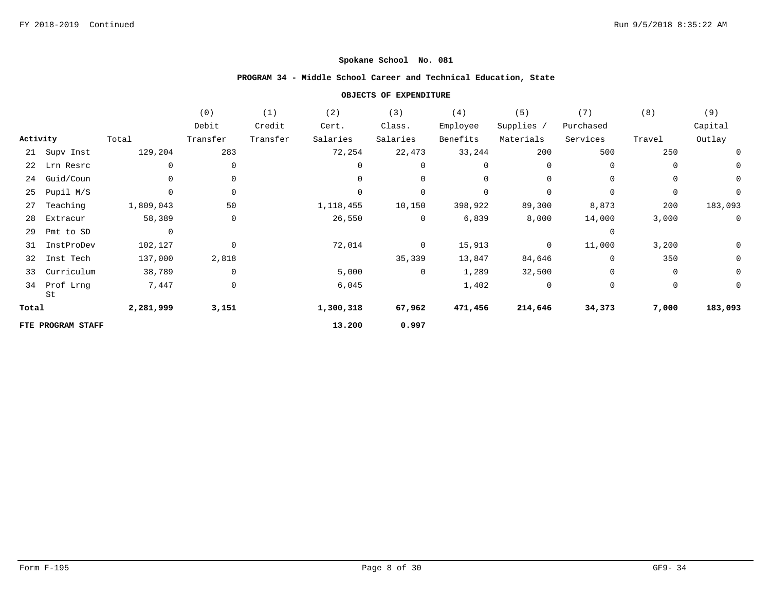# **PROGRAM 34 - Middle School Career and Technical Education, State**

|          |                   |                | (0)         | (1)      | (2)         | (3)            | (4)         | (5)            | (7)         | (8)            | (9)            |
|----------|-------------------|----------------|-------------|----------|-------------|----------------|-------------|----------------|-------------|----------------|----------------|
|          |                   |                | Debit       | Credit   | Cert.       | Class.         | Employee    | Supplies /     | Purchased   |                | Capital        |
| Activity |                   | Total          | Transfer    | Transfer | Salaries    | Salaries       | Benefits    | Materials      | Services    | Travel         | Outlay         |
|          | 21 Supv Inst      | 129,204        | 283         |          | 72,254      | 22,473         | 33,244      | 200            | 500         | 250            | 0              |
|          | 22 Lrn Resrc      | 0              | 0           |          | 0           | $\mathbf{0}$   | 0           | $\mathbf{0}$   | 0           | $\mathbf 0$    | 0              |
| 24       | Guid/Coun         | 0              | 0           |          | $\mathbf 0$ |                | 0           | 0              | 0           | $\mathbf 0$    | $\mathbf 0$    |
| 25       | Pupil M/S         | 0              | $\mathbf 0$ |          | $\Omega$    | 0              | $\mathbf 0$ | 0              | $\mathbf 0$ | $\mathbf 0$    | $\mathbf 0$    |
| 27       | Teaching          | 1,809,043      | 50          |          | 1,118,455   | 10,150         | 398,922     | 89,300         | 8,873       | 200            | 183,093        |
| 28       | Extracur          | 58,389         | $\mathbf 0$ |          | 26,550      | $\overline{0}$ | 6,839       | 8,000          | 14,000      | 3,000          | $\overline{0}$ |
| 29       | Pmt to SD         | $\overline{0}$ |             |          |             |                |             |                | $\mathbf 0$ |                |                |
| 31       | InstProDev        | 102,127        | $\mathbf 0$ |          | 72,014      | $\overline{0}$ | 15,913      | $\overline{0}$ | 11,000      | 3,200          | 0              |
| 32       | Inst Tech         | 137,000        | 2,818       |          |             | 35,339         | 13,847      | 84,646         | 0           | 350            | $\mathbf 0$    |
| 33       | Curriculum        | 38,789         | $\mathbf 0$ |          | 5,000       | $\overline{0}$ | 1,289       | 32,500         | $\mathbf 0$ | $\overline{0}$ | $\mathbf 0$    |
| 34       | Prof Lrng<br>St   | 7,447          | $\mathbf 0$ |          | 6,045       |                | 1,402       | 0              | 0           | 0              | $\mathbf 0$    |
| Total    |                   | 2,281,999      | 3,151       |          | 1,300,318   | 67,962         | 471,456     | 214,646        | 34,373      | 7,000          | 183,093        |
|          | FTE PROGRAM STAFF |                |             |          | 13.200      | 0.997          |             |                |             |                |                |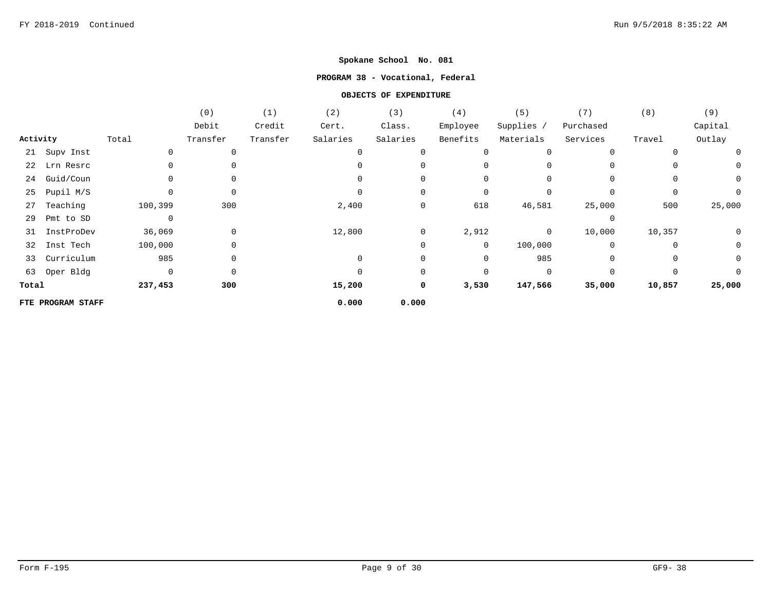### **PROGRAM 38 - Vocational, Federal**

|          |                   |         | (0)      | (1)      | (2)         | (3)            | (4)          | (5)          | (7)         | (8)    | (9)          |
|----------|-------------------|---------|----------|----------|-------------|----------------|--------------|--------------|-------------|--------|--------------|
|          |                   |         | Debit    | Credit   | Cert.       | Class.         | Employee     | Supplies /   | Purchased   |        | Capital      |
| Activity |                   | Total   | Transfer | Transfer | Salaries    | Salaries       | Benefits     | Materials    | Services    | Travel | Outlay       |
|          | 21 Supv Inst      |         | 0        |          | $\mathbf 0$ |                | 0            | $\Omega$     | $\Omega$    |        | 0            |
|          | 22 Lrn Resrc      |         | 0        |          |             |                | $\mathbf 0$  |              | 0           |        | $\mathsf{O}$ |
| 24       | Guid/Coun         |         | 0        |          |             |                | 0            |              | $\Omega$    |        | $\mathsf{O}$ |
| 25       | Pupil M/S         |         | 0        |          |             | 0              | 0            |              | 0           | 0      | 0            |
| 27       | Teaching          | 100,399 | 300      |          | 2,400       | $\mathsf{O}$   | 618          | 46,581       | 25,000      | 500    | 25,000       |
| 29       | Pmt to SD         | 0       |          |          |             |                |              |              | 0           |        |              |
| 31       | InstProDev        | 36,069  | 0        |          | 12,800      | $\overline{0}$ | 2,912        | $\mathbf{0}$ | 10,000      | 10,357 | 0            |
| 32       | Inst Tech         | 100,000 | 0        |          |             | $\mathbf{0}$   | $\mathbf 0$  | 100,000      | $\mathbf 0$ | 0      | $\mathbf 0$  |
| 33       | Curriculum        | 985     | 0        |          | $\Omega$    | 0              | $\mathsf{O}$ | 985          | $\Omega$    | 0      | 0            |
|          | 63 Oper Bldg      | 0       | 0        |          |             | 0              | 0            | $\Omega$     | $\Omega$    | 0      | $\Omega$     |
| Total    |                   | 237,453 | 300      |          | 15,200      | $\mathbf 0$    | 3,530        | 147,566      | 35,000      | 10,857 | 25,000       |
|          | FTE PROGRAM STAFF |         |          |          | 0.000       | 0.000          |              |              |             |        |              |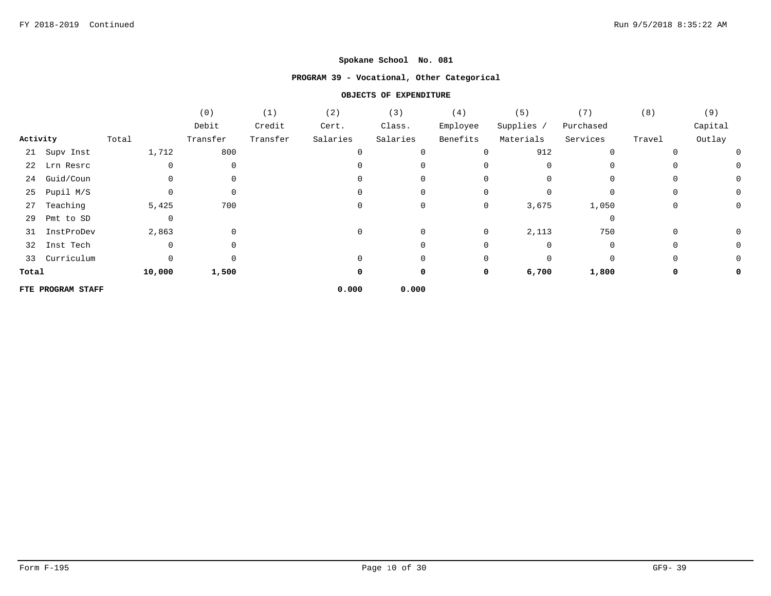## **PROGRAM 39 - Vocational, Other Categorical**

|          |                   |                | (0)         | (1)      | (2)      | (3)      | (4)      | (5)        | (7)         | (8)          | (9)     |
|----------|-------------------|----------------|-------------|----------|----------|----------|----------|------------|-------------|--------------|---------|
|          |                   |                | Debit       | Credit   | Cert.    | Class.   | Employee | Supplies / | Purchased   |              | Capital |
| Activity |                   | Total          | Transfer    | Transfer | Salaries | Salaries | Benefits | Materials  | Services    | Travel       | Outlay  |
|          | 21 Supv Inst      | 1,712          | 800         |          |          |          | 0        | 912        | $\mathbf 0$ | <sup>0</sup> | O       |
|          | 22 Lrn Resrc      |                | 0           |          |          |          | 0        |            |             |              |         |
| 24       | Guid/Coun         |                | $\mathbf 0$ |          |          |          | $\Omega$ | $\Omega$   | $\Omega$    | $\Omega$     | 0       |
| 25       | Pupil M/S         |                | 0           |          |          | 0        | 0        | $\Omega$   | 0           | 0            | 0       |
| 27       | Teaching          | 5,425          | 700         |          |          | 0        | 0        | 3,675      | 1,050       | 0            | 0       |
| 29       | Pmt to SD         | $\overline{0}$ |             |          |          |          |          |            | $\mathbf 0$ |              |         |
| 31       | InstProDev        | 2,863          | 0           |          | $\Omega$ | 0        | 0        | 2,113      | 750         | $\Omega$     | 0       |
| 32       | Inst Tech         |                | 0           |          |          |          | 0        | $\Omega$   | 0           | $\Omega$     | 0       |
|          | 33 Curriculum     | $\Omega$       | 0           |          |          | 0        | 0        | $\Omega$   | $\mathbf 0$ | 0            |         |
| Total    |                   | 10,000         | 1,500       |          | 0        | 0        | 0        | 6,700      | 1,800       | 0            |         |
|          | FTE PROGRAM STAFF |                |             |          | 0.000    | 0.000    |          |            |             |              |         |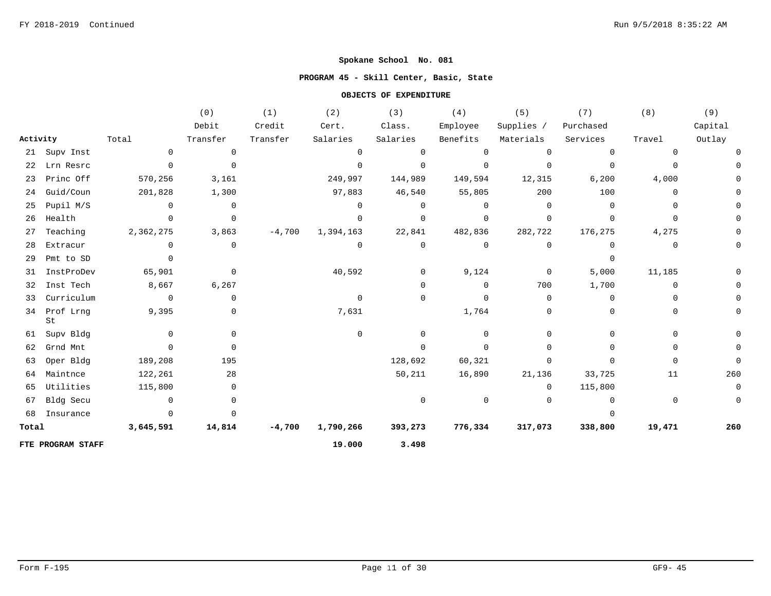## **PROGRAM 45 - Skill Center, Basic, State**

|          |                   |                | (0)            | (1)      | (2)         | (3)            | (4)            | (5)          | (7)         | (8)         | (9)         |
|----------|-------------------|----------------|----------------|----------|-------------|----------------|----------------|--------------|-------------|-------------|-------------|
|          |                   |                | Debit          | Credit   | Cert.       | Class.         | Employee       | Supplies /   | Purchased   |             | Capital     |
| Activity |                   | Total          | Transfer       | Transfer | Salaries    | Salaries       | Benefits       | Materials    | Services    | Travel      | Outlay      |
|          | 21 Supv Inst      | $\mathbf 0$    | $\mathbf 0$    |          | $\mathbf 0$ | $\Omega$       | $\mathbf 0$    | $\mathbf 0$  | $\mathbf 0$ | $\mathbf 0$ |             |
| 22       | Lrn Resrc         | $\mathbf 0$    | $\Omega$       |          | $\mathbf 0$ | $\mathbf 0$    | 0              | 0            | $\mathbf 0$ | $\Omega$    |             |
| 23       | Princ Off         | 570,256        | 3,161          |          | 249,997     | 144,989        | 149,594        | 12,315       | 6,200       | 4,000       |             |
| 24       | Guid/Coun         | 201,828        | 1,300          |          | 97,883      | 46,540         | 55,805         | 200          | 100         | $\Omega$    |             |
| 25       | Pupil M/S         | $\Omega$       | $\mathbf 0$    |          | $\Omega$    | $\Omega$       | $\mathbf 0$    | 0            | $\Omega$    | $\Omega$    |             |
| 26       | Health            | $\Omega$       | $\overline{0}$ |          | $\Omega$    | $\mathbf 0$    | $\mathbf 0$    | $\Omega$     | $\Omega$    | $\Omega$    |             |
| 27       | Teaching          | 2,362,275      | 3,863          | $-4,700$ | 1,394,163   | 22,841         | 482,836        | 282,722      | 176,275     | 4,275       |             |
| 28       | Extracur          | $\mathbf{0}$   | 0              |          | 0           | $\mathbf 0$    | $\overline{0}$ | 0            | 0           | 0           |             |
| 29       | Pmt to SD         | $\Omega$       |                |          |             |                |                |              | $\Omega$    |             |             |
| 31       | InstProDev        | 65,901         | $\mathbf 0$    |          | 40,592      | $\overline{0}$ | 9,124          | $\mathbf{0}$ | 5,000       | 11,185      |             |
| 32       | Inst Tech         | 8,667          | 6,267          |          |             | $\mathbf 0$    | $\mathbf 0$    | 700          | 1,700       | $\Omega$    |             |
| 33       | Curriculum        | $\overline{0}$ | $\Omega$       |          | $\Omega$    | 0              | $\mathbf 0$    | $\Omega$     | $\Omega$    | $\Omega$    |             |
| 34       | Prof Lrng<br>St   | 9,395          | $\mathbf 0$    |          | 7,631       |                | 1,764          | 0            | $\Omega$    | $\Omega$    |             |
| 61       | Supv Bldg         | $\Omega$       | 0              |          | $\Omega$    | $\Omega$       | $\overline{0}$ | $\Omega$     | $\Omega$    | 0           | 0           |
| 62       | Grnd Mnt          | $\Omega$       | $\mathbf 0$    |          |             | $\Omega$       | 0              | 0            | $\Omega$    | 0           |             |
| 63       | Oper Bldg         | 189,208        | 195            |          |             | 128,692        | 60,321         | 0            | $\Omega$    | $\Omega$    | 0           |
| 64       | Maintnce          | 122,261        | 28             |          |             | 50,211         | 16,890         | 21,136       | 33,725      | 11          | 260         |
| 65       | Utilities         | 115,800        | 0              |          |             |                |                | 0            | 115,800     |             | $\mathbf 0$ |
| 67       | Bldg Secu         | $\mathbf 0$    | 0              |          |             | $\mathbf 0$    | 0              | 0            | $\mathbf 0$ | 0           | 0           |
| 68       | Insurance         | $\Omega$       | $\Omega$       |          |             |                |                |              | $\Omega$    |             |             |
| Total    |                   | 3,645,591      | 14,814         | $-4,700$ | 1,790,266   | 393,273        | 776,334        | 317,073      | 338,800     | 19,471      | 260         |
|          | FTE PROGRAM STAFF |                |                |          | 19.000      | 3.498          |                |              |             |             |             |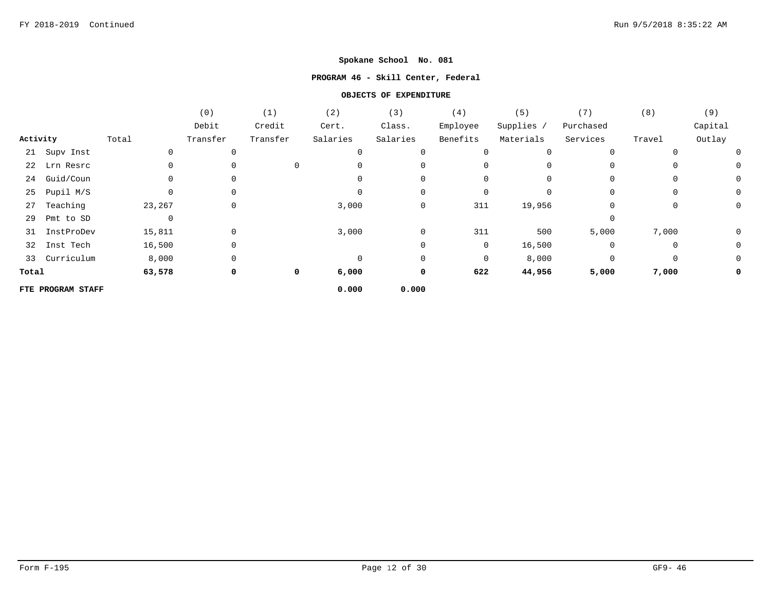## **PROGRAM 46 - Skill Center, Federal**

|          |                   |        | (0)         | (1)      | (2)      | (3)      | (4)         | (5)        | (7)         | (8)         | (9)     |
|----------|-------------------|--------|-------------|----------|----------|----------|-------------|------------|-------------|-------------|---------|
|          |                   |        | Debit       | Credit   | Cert.    | Class.   | Employee    | Supplies / | Purchased   |             | Capital |
| Activity |                   | Total  | Transfer    | Transfer | Salaries | Salaries | Benefits    | Materials  | Services    | Travel      | Outlay  |
|          | 21 Supv Inst      | 0      | $\mathbf 0$ |          | 0        | 0        | 0           | $\Omega$   | $\mathbf 0$ | $\Omega$    |         |
|          | 22 Lrn Resrc      | 0      | 0           | 0        | 0        | 0        | 0           |            | 0           | 0           | 0       |
| 24       | Guid/Coun         | 0      | $\Omega$    |          |          | 0        | 0           |            | $\Omega$    | $\Omega$    | 0       |
| 25       | Pupil M/S         | 0      | 0           |          | $\Omega$ | 0        | $\mathbf 0$ | $\Omega$   | $\mathbf 0$ | $\mathbf 0$ | 0       |
| 27       | Teaching          | 23,267 | 0           |          | 3,000    | 0        | 311         | 19,956     | 0           | 0           | 0       |
| 29       | Pmt to SD         | 0      |             |          |          |          |             |            | $\mathbf 0$ |             |         |
| 31       | InstProDev        | 15,811 | 0           |          | 3,000    | 0        | 311         | 500        | 5,000       | 7,000       | 0       |
| 32       | Inst Tech         | 16,500 | 0           |          |          | 0        | 0           | 16,500     | 0           | 0           | 0       |
|          | 33 Curriculum     | 8,000  | $\mathbf 0$ |          | $\Omega$ | 0        | $\mathbf 0$ | 8,000      | $\mathbf 0$ | $\mathbf 0$ | 0       |
| Total    |                   | 63,578 | 0           | 0        | 6,000    | 0        | 622         | 44,956     | 5,000       | 7,000       | 0       |
|          | FTE PROGRAM STAFF |        |             |          | 0.000    | 0.000    |             |            |             |             |         |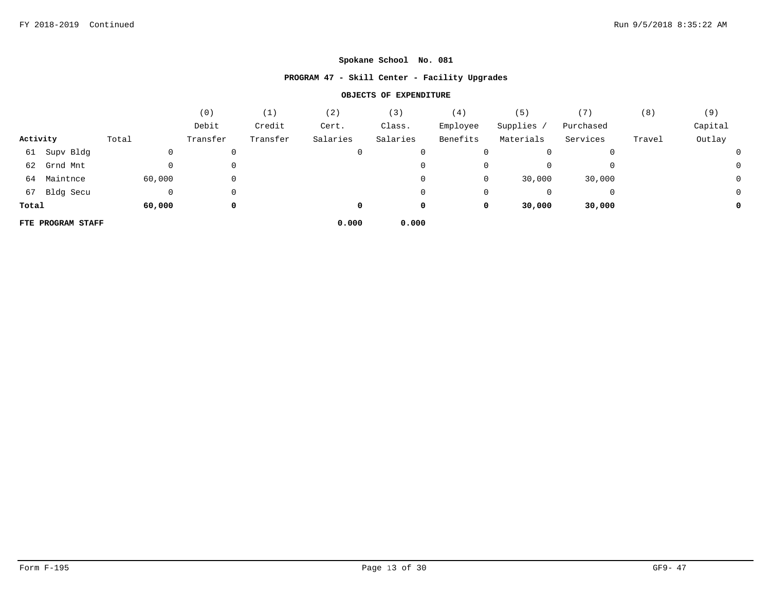## **PROGRAM 47 - Skill Center - Facility Upgrades**

|          |                   |        | (0)      | (1)      | (2)      | (3)      | (4)      | (5)       |           | (8)    | (9)     |
|----------|-------------------|--------|----------|----------|----------|----------|----------|-----------|-----------|--------|---------|
|          |                   |        | Debit    | Credit   | Cert.    | Class.   | Employee | Supplies  | Purchased |        | Capital |
| Activity |                   | Total  | Transfer | Transfer | Salaries | Salaries | Benefits | Materials | Services  | Travel | Outlay  |
|          | 61 Supv Bldg      |        | 0        |          | 0        | 0        | 0        |           |           |        |         |
|          | 62 Grnd Mnt       |        | 0        |          |          | 0        | 0        |           |           |        |         |
|          | 64 Maintnce       | 60,000 | 0        |          |          | 0        | 0        | 30,000    | 30,000    |        | J       |
|          | 67 Bldg Secu      |        | 0        |          |          | 0        | 0        |           |           |        |         |
| Total    |                   | 60,000 | 0        |          | 0        | 0        | 0        | 30,000    | 30,000    |        |         |
|          | FTE PROGRAM STAFF |        |          |          | 0.000    | 0.000    |          |           |           |        |         |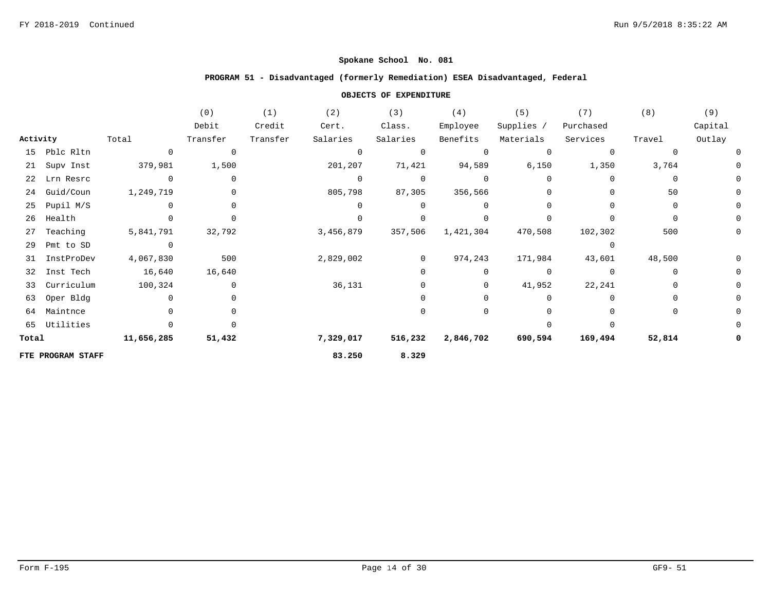### **PROGRAM 51 - Disadvantaged (formerly Remediation) ESEA Disadvantaged, Federal**

|          |                   |            | (0)            | (1)      | (2)          | (3)      | (4)         | (5)          | (7)       | (8)          | (9)     |
|----------|-------------------|------------|----------------|----------|--------------|----------|-------------|--------------|-----------|--------------|---------|
|          |                   |            | Debit          | Credit   | Cert.        | Class.   | Employee    | Supplies /   | Purchased |              | Capital |
| Activity |                   | Total      | Transfer       | Transfer | Salaries     | Salaries | Benefits    | Materials    | Services  | Travel       | Outlay  |
| 15       | Pblc Rltn         | $\Omega$   | $\overline{0}$ |          | $\mathbf 0$  |          | $\Omega$    | $\Omega$     | $\Omega$  | <sup>0</sup> |         |
| 21       | Supv Inst         | 379,981    | 1,500          |          | 201,207      | 71,421   | 94,589      | 6,150        | 1,350     | 3,764        |         |
| 22       | Lrn Resrc         | $\Omega$   | $\mathbf 0$    |          | $\mathbf{0}$ | $\Omega$ | $\Omega$    | <sup>0</sup> | $\cap$    | $\Omega$     |         |
| 24       | Guid/Coun         | 1,249,719  | $\mathbf 0$    |          | 805,798      | 87,305   | 356,566     | $\Omega$     |           | 50           |         |
| 25       | Pupil M/S         |            |                |          | $\Omega$     |          | $\Omega$    |              |           | $\Omega$     |         |
| 26       | Health            |            |                |          | $\Omega$     |          |             |              |           | $\Omega$     |         |
| 27       | Teaching          | 5,841,791  | 32,792         |          | 3,456,879    | 357,506  | 1,421,304   | 470,508      | 102,302   | 500          |         |
| 29       | Pmt to SD         | $\Omega$   |                |          |              |          |             |              | $\Omega$  |              |         |
| 31       | InstProDev        | 4,067,830  | 500            |          | 2,829,002    | $\Omega$ | 974,243     | 171,984      | 43,601    | 48,500       |         |
| 32       | Inst Tech         | 16,640     | 16,640         |          |              | U        | 0           | 0            | $\Omega$  | $\Omega$     |         |
| 33       | Curriculum        | 100,324    | 0              |          | 36,131       | $\Omega$ | $\mathbf 0$ | 41,952       | 22,241    | $\Omega$     |         |
| 63       | Oper Bldg         |            |                |          |              |          |             | 0            | n         | $\Omega$     |         |
| 64       | Maintnce          |            |                |          |              |          |             |              |           | $\Omega$     |         |
|          | 65 Utilities      |            |                |          |              |          |             |              |           |              |         |
| Total    |                   | 11,656,285 | 51,432         |          | 7,329,017    | 516,232  | 2,846,702   | 690,594      | 169,494   | 52,814       |         |
|          | FTE PROGRAM STAFF |            |                |          | 83.250       | 8.329    |             |              |           |              |         |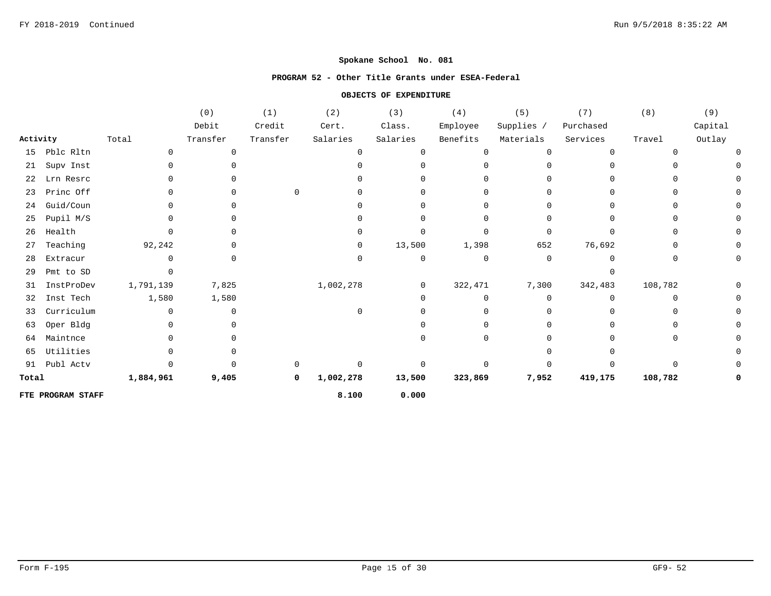#### **PROGRAM 52 - Other Title Grants under ESEA-Federal**

|          |                   |              | (0)         | (1)      | (2)          | (3)      | (4)      | (5)          | (7)       | (8)          | (9)     |
|----------|-------------------|--------------|-------------|----------|--------------|----------|----------|--------------|-----------|--------------|---------|
|          |                   |              | Debit       | Credit   | Cert.        | Class.   | Employee | Supplies /   | Purchased |              | Capital |
| Activity |                   | Total        | Transfer    | Transfer | Salaries     | Salaries | Benefits | Materials    | Services  | Travel       | Outlay  |
| 15       | Pblc Rltn         | $\Omega$     | $\mathbf 0$ |          | $\mathbf 0$  | n        | $\Omega$ | <sup>0</sup> | $\Omega$  | <sup>0</sup> |         |
| 21       | Supv Inst         | <sup>0</sup> |             |          | U            |          |          |              |           |              |         |
| 22       | Lrn Resrc         |              |             |          |              |          |          |              |           |              |         |
| 23       | Princ Off         |              |             | $\Omega$ | O.           |          |          |              |           |              |         |
| 24       | Guid/Coun         |              |             |          | 0            |          |          |              |           |              |         |
| 25       | Pupil M/S         |              |             |          |              |          |          |              |           | $\Omega$     |         |
| 26       | Health            |              |             |          | ∩            |          |          |              |           | $\Omega$     |         |
| 27       | Teaching          | 92,242       |             |          | $\mathbf{0}$ | 13,500   | 1,398    | 652          | 76,692    | O            |         |
| 28       | Extracur          |              |             |          | $\mathbf 0$  | 0        | $\Omega$ | $\Omega$     | ∩         | O            |         |
| 29       | Pmt to SD         |              |             |          |              |          |          |              |           |              |         |
| 31       | InstProDev        | 1,791,139    | 7,825       |          | 1,002,278    | 0        | 322,471  | 7,300        | 342,483   | 108,782      |         |
| 32       | Inst Tech         | 1,580        | 1,580       |          |              |          | U        | <sup>0</sup> | $\Omega$  | $\Omega$     |         |
| 33       | Curriculum        |              | 0           |          | $\Omega$     |          |          |              |           |              |         |
| 63       | Oper Bldg         |              |             |          |              |          |          |              |           |              |         |
| 64       | Maintnce          |              |             |          |              |          |          |              |           | 0            |         |
| 65       | Utilities         |              |             |          |              |          |          |              |           |              |         |
| 91       | Publ Actv         |              |             |          | $\Omega$     |          |          |              |           | U            |         |
| Total    |                   | 1,884,961    | 9,405       | 0        | 1,002,278    | 13,500   | 323,869  | 7,952        | 419,175   | 108,782      |         |
|          | FTE PROGRAM STAFF |              |             |          | 8.100        | 0.000    |          |              |           |              |         |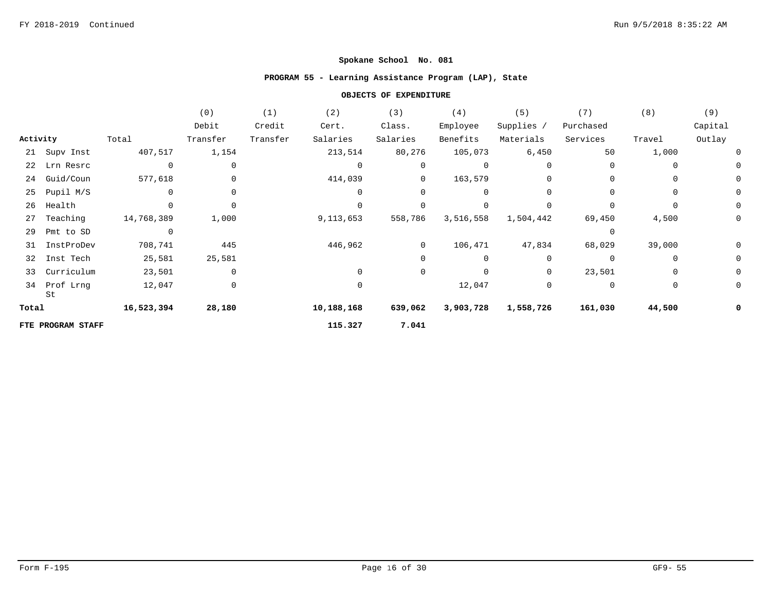## **PROGRAM 55 - Learning Assistance Program (LAP), State**

|          |                   |             | (0)         | (1)      | (2)          | (3)            | (4)         | (5)          | (7)       | (8)      | (9)         |
|----------|-------------------|-------------|-------------|----------|--------------|----------------|-------------|--------------|-----------|----------|-------------|
|          |                   |             | Debit       | Credit   | Cert.        | Class.         | Employee    | Supplies /   | Purchased |          | Capital     |
| Activity |                   | Total       | Transfer    | Transfer | Salaries     | Salaries       | Benefits    | Materials    | Services  | Travel   | Outlay      |
|          | 21 Supv Inst      | 407,517     | 1,154       |          | 213,514      | 80,276         | 105,073     | 6,450        | 50        | 1,000    | 0           |
|          | 22 Lrn Resrc      | $\mathbf 0$ | 0           |          | $\mathbf{0}$ | $\mathbf{0}$   | 0           | $\Omega$     | 0         | $\Omega$ | 0           |
| 24       | Guid/Coun         | 577,618     | 0           |          | 414,039      | $\overline{0}$ | 163,579     | 0            | $\Omega$  | 0        | 0           |
| 25       | Pupil M/S         | $\Omega$    | $\Omega$    |          | $\mathbf 0$  | $\Omega$       | $\mathbf 0$ | $\Omega$     | $\Omega$  | $\Omega$ | 0           |
| 26       | Health            |             | $\Omega$    |          | $\Omega$     |                | $\Omega$    | $\Omega$     | $\Omega$  |          | $\mathbf 0$ |
| 27       | Teaching          | 14,768,389  | 1,000       |          | 9,113,653    | 558,786        | 3,516,558   | 1,504,442    | 69,450    | 4,500    | 0           |
| 29       | Pmt to SD         | $\Omega$    |             |          |              |                |             |              | $\Omega$  |          |             |
| 31       | InstProDev        | 708,741     | 445         |          | 446,962      | $\overline{0}$ | 106,471     | 47,834       | 68,029    | 39,000   | 0           |
| 32       | Inst Tech         | 25,581      | 25,581      |          |              | $\Omega$       | 0           | 0            | 0         | $\Omega$ | 0           |
| 33       | Curriculum        | 23,501      | $\mathbf 0$ |          | $\Omega$     | $\mathbf 0$    | 0           | $\mathbf{0}$ | 23,501    | 0        | 0           |
| 34       | Prof Lrng<br>St   | 12,047      | 0           |          | 0            |                | 12,047      | 0            | 0         | 0        | 0           |
| Total    |                   | 16,523,394  | 28,180      |          | 10,188,168   | 639,062        | 3,903,728   | 1,558,726    | 161,030   | 44,500   | 0           |
|          | FTE PROGRAM STAFF |             |             |          | 115.327      | 7.041          |             |              |           |          |             |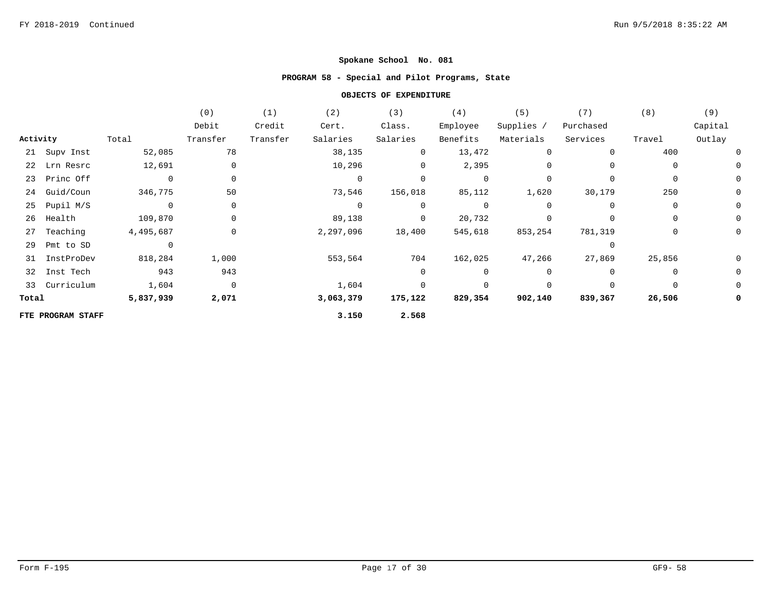## **PROGRAM 58 - Special and Pilot Programs, State**

|          |                   |                | (0)            | (1)      | (2)            | (3)            | (4)            | (5)        | (7)         | (8)         | (9)     |
|----------|-------------------|----------------|----------------|----------|----------------|----------------|----------------|------------|-------------|-------------|---------|
|          |                   |                | Debit          | Credit   | Cert.          | Class.         | Employee       | Supplies / | Purchased   |             | Capital |
| Activity |                   | Total          | Transfer       | Transfer | Salaries       | Salaries       | Benefits       | Materials  | Services    | Travel      | Outlay  |
|          | 21 Supv Inst      | 52,085         | 78             |          | 38,135         | 0              | 13,472         | 0          | $\mathbf 0$ | 400         |         |
|          | 22 Lrn Resrc      | 12,691         | $\mathbf 0$    |          | 10,296         | $\mathbf 0$    | 2,395          | 0          | $\Omega$    | 0           |         |
|          | 23 Princ Off      | $\overline{0}$ | $\mathbf 0$    |          | $\overline{0}$ | $\Omega$       | 0              | 0          | $\Omega$    |             | 0       |
|          | 24 Guid/Coun      | 346,775        | 50             |          | 73,546         | 156,018        | 85,112         | 1,620      | 30,179      | 250         | 0       |
|          | 25 Pupil M/S      | $\overline{0}$ | $\mathbf 0$    |          | $\overline{0}$ | $\overline{0}$ | $\overline{0}$ | 0          | $\Omega$    | $\mathbf 0$ | 0       |
| 26       | Health            | 109,870        | $\mathbf 0$    |          | 89,138         | $\overline{0}$ | 20,732         | 0          | $\Omega$    | 0           |         |
| 27       | Teaching          | 4,495,687      | 0              |          | 2,297,096      | 18,400         | 545,618        | 853,254    | 781,319     | $\mathbf 0$ | 0       |
| 29       | Pmt to SD         | $\overline{0}$ |                |          |                |                |                |            | $\Omega$    |             |         |
|          | 31 InstProDev     | 818,284        | 1,000          |          | 553,564        | 704            | 162,025        | 47,266     | 27,869      | 25,856      |         |
|          | 32 Inst Tech      | 943            | 943            |          |                | 0              | $\mathbf{0}$   | 0          | $\Omega$    | $\Omega$    | 0       |
|          | 33 Curriculum     | 1,604          | $\overline{0}$ |          | 1,604          | $\Omega$       | $\mathbf 0$    | 0          | $\mathbf 0$ |             | 0       |
| Total    |                   | 5,837,939      | 2,071          |          | 3,063,379      | 175,122        | 829,354        | 902,140    | 839,367     | 26,506      | 0       |
|          | FTE PROGRAM STAFF |                |                |          | 3.150          | 2.568          |                |            |             |             |         |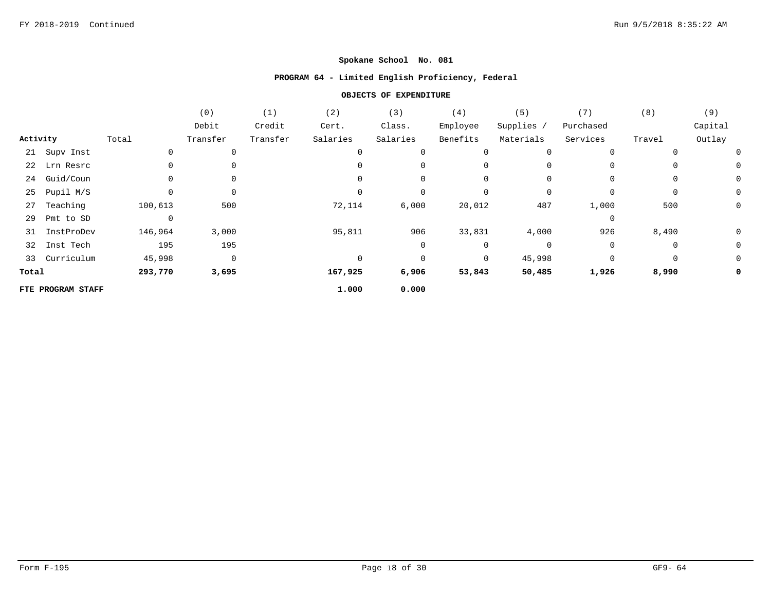## **PROGRAM 64 - Limited English Proficiency, Federal**

|          |                   |          | (0)            | (1)      | (2)          | (3)      | (4)      | (5)        | (7)       | (8)    | (9)     |
|----------|-------------------|----------|----------------|----------|--------------|----------|----------|------------|-----------|--------|---------|
|          |                   |          | Debit          | Credit   | Cert.        | Class.   | Employee | Supplies / | Purchased |        | Capital |
| Activity |                   | Total    | Transfer       | Transfer | Salaries     | Salaries | Benefits | Materials  | Services  | Travel | Outlay  |
|          | 21 Supv Inst      | 0        |                |          | $\mathbf{0}$ | 0        | 0        | 0          | 0         | 0      | 0       |
| 22       | Lrn Resrc         |          |                |          | <sup>0</sup> | 0        | 0        | 0          | 0         | 0      | 0       |
| 24       | Guid/Coun         | 0        | 0              |          | 0            | 0        | 0        | 0          | 0         | 0      | 0       |
| 25       | Pupil M/S         | 0        | 0              |          | $\Omega$     | 0        | 0        | 0          | 0         | 0      | 0       |
| 27       | Teaching          | 100,613  | 500            |          | 72,114       | 6,000    | 20,012   | 487        | 1,000     | 500    | 0       |
| 29       | Pmt to SD         | $\Omega$ |                |          |              |          |          |            | 0         |        |         |
| 31       | InstProDev        | 146,964  | 3,000          |          | 95,811       | 906      | 33,831   | 4,000      | 926       | 8,490  | 0       |
| 32       | Inst Tech         | 195      | 195            |          |              | 0        | 0        | $\Omega$   | 0         | 0      | 0       |
|          | 33 Curriculum     | 45,998   | $\overline{0}$ |          | $\Omega$     | $\Omega$ | 0        | 45,998     | 0         | 0      | 0       |
| Total    |                   | 293,770  | 3,695          |          | 167,925      | 6,906    | 53,843   | 50,485     | 1,926     | 8,990  | 0       |
|          | FTE PROGRAM STAFF |          |                |          | 1.000        | 0.000    |          |            |           |        |         |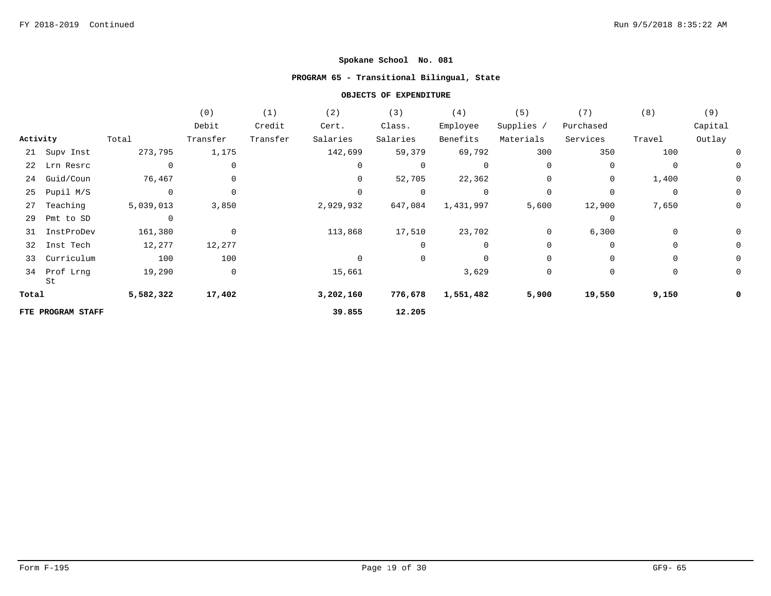## **PROGRAM 65 - Transitional Bilingual, State**

|          |                    |              | (0)          | (1)      | (2)       | (3)         | (4)            | (5)        | (7)         | (8)         | (9)     |
|----------|--------------------|--------------|--------------|----------|-----------|-------------|----------------|------------|-------------|-------------|---------|
|          |                    |              | Debit        | Credit   | Cert.     | Class.      | Employee       | Supplies / | Purchased   |             | Capital |
| Activity |                    | Total        | Transfer     | Transfer | Salaries  | Salaries    | Benefits       | Materials  | Services    | Travel      | Outlay  |
|          | 21 Supv Inst       | 273,795      | 1,175        |          | 142,699   | 59,379      | 69,792         | 300        | 350         | 100         |         |
| 22       | Lrn Resrc          | $\mathbf 0$  | 0            |          | $\Omega$  | 0           | $\mathbf 0$    | $\Omega$   | 0           | 0           | 0       |
| 24       | Guid/Coun          | 76,467       | 0            |          | 0         | 52,705      | 22,362         | 0          | 0           | 1,400       | 0       |
| 25       | Pupil M/S          | $\mathsf{O}$ | $\mathbf 0$  |          | $\Omega$  | $\mathbf 0$ | $\overline{0}$ | $\Omega$   | $\mathbf 0$ | $\mathbf 0$ | 0       |
| 27       | Teaching           | 5,039,013    | 3,850        |          | 2,929,932 | 647,084     | 1,431,997      | 5,600      | 12,900      | 7,650       | 0       |
| 29       | Pmt to SD          | $\mathbf 0$  |              |          |           |             |                |            | $\mathbf 0$ |             |         |
| 31       | InstProDev         | 161,380      | $\mathbf 0$  |          | 113,868   | 17,510      | 23,702         | 0          | 6,300       | $\mathbf 0$ |         |
| 32       | Inst Tech          | 12,277       | 12,277       |          |           | 0           | 0              | $\Omega$   | $\mathbf 0$ | $\mathbf 0$ | 0       |
| 33       | Curriculum         | 100          | 100          |          | $\Omega$  | 0           | $\mathbf 0$    | $\Omega$   | $\Omega$    | $\mathbf 0$ | 0       |
|          | 34 Prof Lrng<br>St | 19,290       | $\mathsf{O}$ |          | 15,661    |             | 3,629          | $\Omega$   | 0           | 0           | 0       |
| Total    |                    | 5,582,322    | 17,402       |          | 3,202,160 | 776,678     | 1,551,482      | 5,900      | 19,550      | 9,150       | 0       |
|          | FTE PROGRAM STAFF  |              |              |          | 39.855    | 12.205      |                |            |             |             |         |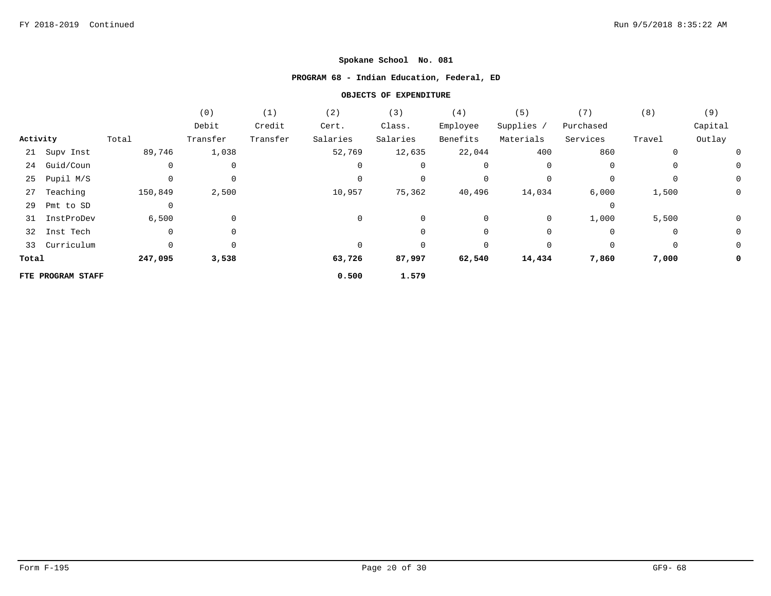# **PROGRAM 68 - Indian Education, Federal, ED**

|          |                   |             | (0)         | (1)      | (2)      | (3)      | (4)      | (5)        | (7)         | (8)         | (9)     |
|----------|-------------------|-------------|-------------|----------|----------|----------|----------|------------|-------------|-------------|---------|
|          |                   |             | Debit       | Credit   | Cert.    | Class.   | Employee | Supplies / | Purchased   |             | Capital |
| Activity |                   | Total       | Transfer    | Transfer | Salaries | Salaries | Benefits | Materials  | Services    | Travel      | Outlay  |
|          | 21 Supv Inst      | 89,746      | 1,038       |          | 52,769   | 12,635   | 22,044   | 400        | 860         | 0           |         |
| 24       | Guid/Coun         |             | 0           |          | 0        |          | 0        | 0          | 0           | 0           | 0       |
| 25       | Pupil M/S         |             | $\mathbf 0$ |          | $\Omega$ |          | 0        |            | $\mathbf 0$ | 0           | 0       |
| 27       | Teaching          | 150,849     | 2,500       |          | 10,957   | 75,362   | 40,496   | 14,034     | 6,000       | 1,500       | 0       |
| 29       | Pmt to SD         | $\mathbf 0$ |             |          |          |          |          |            | $\Omega$    |             |         |
| 31       | InstProDev        | 6,500       | $\mathbf 0$ |          | 0        | $\Omega$ | 0        | 0          | 1,000       | 5,500       | 0       |
| 32       | Inst Tech         | $\mathbf 0$ | $\mathbf 0$ |          |          | $\Omega$ | 0        | 0          | 0           | $\mathbf 0$ | 0       |
|          | 33 Curriculum     |             | 0           |          | $\Omega$ |          | 0        | 0          | 0           | 0           | 0       |
| Total    |                   | 247,095     | 3,538       |          | 63,726   | 87,997   | 62,540   | 14,434     | 7,860       | 7,000       | 0       |
|          | FTE PROGRAM STAFF |             |             |          | 0.500    | 1.579    |          |            |             |             |         |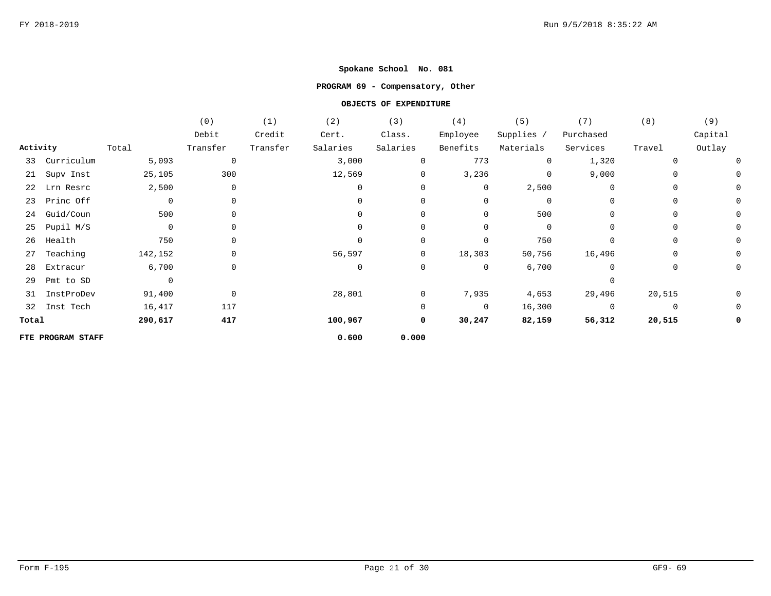## **PROGRAM 69 - Compensatory, Other**

|          |                   |                | (0)          | (1)      | (2)          | (3)            | (4)          | (5)        | (7)            | (8)         | (9)     |
|----------|-------------------|----------------|--------------|----------|--------------|----------------|--------------|------------|----------------|-------------|---------|
|          |                   |                | Debit        | Credit   | Cert.        | Class.         | Employee     | Supplies / | Purchased      |             | Capital |
| Activity |                   | Total          | Transfer     | Transfer | Salaries     | Salaries       | Benefits     | Materials  | Services       | Travel      | Outlay  |
|          | 33 Curriculum     | 5,093          | 0            |          | 3,000        |                | 773          | $\Omega$   | 1,320          | 0           |         |
|          | 21 Supv Inst      | 25,105         | 300          |          | 12,569       | 0              | 3,236        | $\Omega$   | 9,000          | 0           |         |
| 22       | Lrn Resrc         | 2,500          | 0            |          | $\mathbf{0}$ | 0              | 0            | 2,500      | $\mathbf 0$    | 0           |         |
| 23       | Princ Off         | $\mathbf 0$    | 0            |          | $\Omega$     | $\Omega$       | $\mathbf{0}$ | $\Omega$   | $\Omega$       | $\mathbf 0$ |         |
| 24       | Guid/Coun         | 500            | 0            |          | $\Omega$     | $\Omega$       | 0            | 500        | $\Omega$       | 0           |         |
| 25       | Pupil M/S         | $\mathbf 0$    | 0            |          |              |                | 0            | $\Omega$   |                | 0           |         |
| 26       | Health            | 750            | 0            |          |              | $\Omega$       | 0            | 750        | 0              | 0           |         |
| 27       | Teaching          | 142,152        | 0            |          | 56,597       | $\overline{0}$ | 18,303       | 50,756     | 16,496         | 0           |         |
| 28       | Extracur          | 6,700          | $\mathsf{O}$ |          | $\mathbf 0$  | $\mathbf 0$    | $\mathbf 0$  | 6,700      | $\Omega$       | $\mathbf 0$ |         |
| 29       | Pmt to SD         | $\overline{0}$ |              |          |              |                |              |            | $\Omega$       |             |         |
| 31       | InstProDev        | 91,400         | $\mathsf{O}$ |          | 28,801       | $\Omega$       | 7,935        | 4,653      | 29,496         | 20,515      |         |
|          | 32 Inst Tech      | 16,417         | 117          |          |              | 0              | $\mathbf 0$  | 16,300     | $\overline{0}$ | $\mathbf 0$ | 0       |
| Total    |                   | 290,617        | 417          |          | 100,967      | 0              | 30,247       | 82,159     | 56,312         | 20,515      |         |
|          | FTE PROGRAM STAFF |                |              |          | 0.600        | 0.000          |              |            |                |             |         |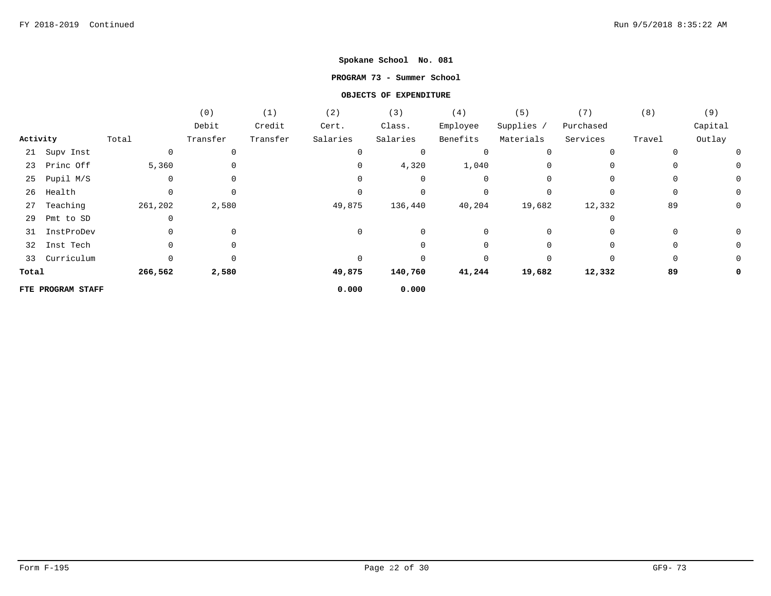### **PROGRAM 73 - Summer School**

|          |                   |          | (0)      | (1)      | (2)      | (3)      | (4)      | (5)        | (7)       | (8)    | (9)     |
|----------|-------------------|----------|----------|----------|----------|----------|----------|------------|-----------|--------|---------|
|          |                   |          | Debit    | Credit   | Cert.    | Class.   | Employee | Supplies / | Purchased |        | Capital |
| Activity |                   | Total    | Transfer | Transfer | Salaries | Salaries | Benefits | Materials  | Services  | Travel | Outlay  |
|          | 21 Supv Inst      | 0        | 0        |          | $\Omega$ | 0        | 0        | 0          |           |        |         |
|          | 23 Princ Off      | 5,360    | 0        |          |          | 4,320    | 1,040    | $\Omega$   |           |        |         |
| 25       | Pupil M/S         | $\Omega$ | 0        |          |          | 0        | 0        | $\Omega$   |           |        |         |
| 26       | Health            |          | 0        |          |          |          | 0        |            |           |        |         |
| 27       | Teaching          | 261,202  | 2,580    |          | 49,875   | 136,440  | 40,204   | 19,682     | 12,332    | 89     |         |
| 29       | Pmt to SD         |          |          |          |          |          |          |            |           |        |         |
| 31       | InstProDev        |          | 0        |          | $\Omega$ |          | 0        | 0          |           |        |         |
| 32       | Inst Tech         |          | 0        |          |          |          |          |            |           |        |         |
|          | 33 Curriculum     | 0        | $\Omega$ |          |          |          | $\Omega$ | $\Omega$   | $\Omega$  |        |         |
| Total    |                   | 266,562  | 2,580    |          | 49,875   | 140,760  | 41,244   | 19,682     | 12,332    | 89     |         |
|          | FTE PROGRAM STAFF |          |          |          | 0.000    | 0.000    |          |            |           |        |         |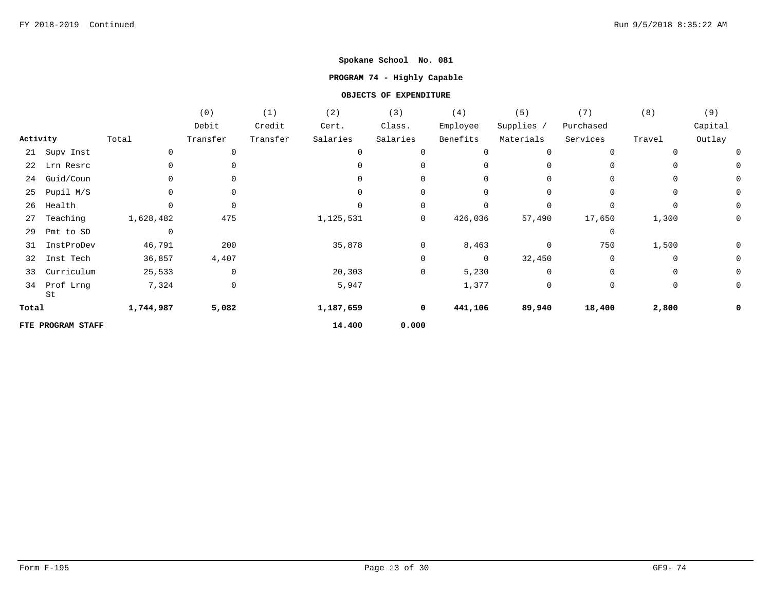## **PROGRAM 74 - Highly Capable**

|          |                   |                | (0)      | (1)      | (2)       | (3)         | (4)          | (5)        | (7)       | (8)      | (9)     |
|----------|-------------------|----------------|----------|----------|-----------|-------------|--------------|------------|-----------|----------|---------|
|          |                   |                | Debit    | Credit   | Cert.     | Class.      | Employee     | Supplies / | Purchased |          | Capital |
| Activity |                   | Total          | Transfer | Transfer | Salaries  | Salaries    | Benefits     | Materials  | Services  | Travel   | Outlay  |
| 21       | Supv Inst         | $\Omega$       | 0        |          |           | $\Omega$    | $\Omega$     | 0          | $\Omega$  |          |         |
| 22       | Lrn Resrc         |                |          |          |           | 0           | <sup>0</sup> |            | 0         |          |         |
| 24       | Guid/Coun         |                | 0        |          |           | 0           | $\Omega$     | 0          | $\Omega$  | $\Omega$ |         |
| 25       | Pupil M/S         |                | 0        |          | $\cap$    | 0           | $\Omega$     | 0          | $\Omega$  | $\Omega$ |         |
| 26       | Health            |                | 0        |          |           | 0           | $\Omega$     |            | $\Omega$  |          | 0       |
| 27       | Teaching          | 1,628,482      | 475      |          | 1,125,531 | 0           | 426,036      | 57,490     | 17,650    | 1,300    | 0       |
| 29       | Pmt to SD         | $\overline{0}$ |          |          |           |             |              |            | 0         |          |         |
| 31       | InstProDev        | 46,791         | 200      |          | 35,878    | 0           | 8,463        | $\Omega$   | 750       | 1,500    |         |
| 32       | Inst Tech         | 36,857         | 4,407    |          |           | 0           | 0            | 32,450     | 0         | $\Omega$ | 0       |
| 33       | Curriculum        | 25,533         | 0        |          | 20,303    | 0           | 5,230        | 0          | 0         | 0        | 0       |
| 34       | Prof Lrng<br>St   | 7,324          | 0        |          | 5,947     |             | 1,377        | 0          | 0         | 0        | 0       |
| Total    |                   | 1,744,987      | 5,082    |          | 1,187,659 | $\mathbf 0$ | 441,106      | 89,940     | 18,400    | 2,800    | 0       |
|          | FTE PROGRAM STAFF |                |          |          | 14.400    | 0.000       |              |            |           |          |         |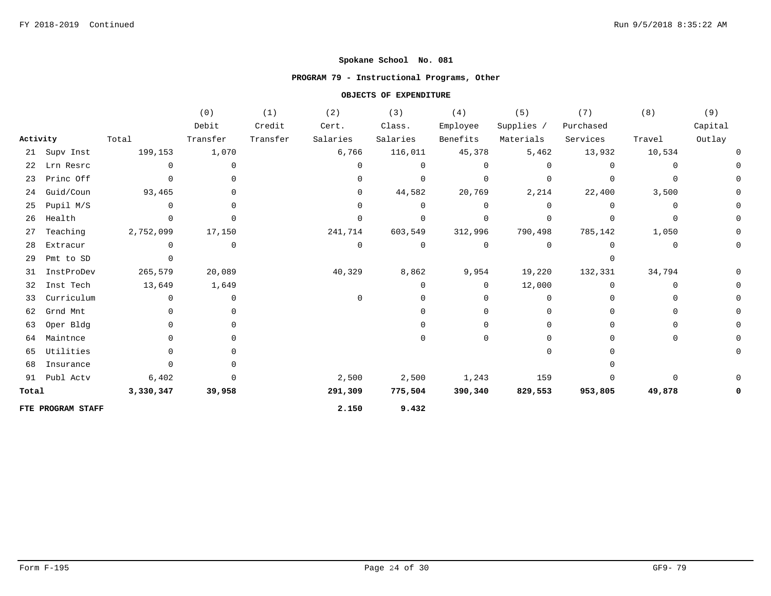## **PROGRAM 79 - Instructional Programs, Other**

|          |                   |           | (0)            | (1)      | (2)          | (3)         | (4)         | (5)         | (7)       | (8)          | (9)     |
|----------|-------------------|-----------|----------------|----------|--------------|-------------|-------------|-------------|-----------|--------------|---------|
|          |                   |           | Debit          | Credit   | Cert.        | Class.      | Employee    | Supplies /  | Purchased |              | Capital |
| Activity |                   | Total     | Transfer       | Transfer | Salaries     | Salaries    | Benefits    | Materials   | Services  | Travel       | Outlay  |
|          | 21 Supv Inst      | 199,153   | 1,070          |          | 6,766        | 116,011     | 45,378      | 5,462       | 13,932    | 10,534       |         |
| 22       | Lrn Resrc         | $\Omega$  | $\Omega$       |          | $\Omega$     | $\cap$      | $\Omega$    | $\Omega$    |           | 0            |         |
|          | 23 Princ Off      | $\Omega$  | $\Omega$       |          | $\Omega$     | $\Omega$    | $\mathbf 0$ | $\Omega$    |           | $\Omega$     |         |
| 24       | Guid/Coun         | 93,465    | $\Omega$       |          | $\mathbf{0}$ | 44,582      | 20,769      | 2,214       | 22,400    | 3,500        |         |
| 25       | Pupil M/S         | $\Omega$  | $\Omega$       |          | $\Omega$     | $\Omega$    | $\mathbf 0$ | $\Omega$    |           | $\mathbf 0$  |         |
| 26       | Health            | 0         | $\Omega$       |          | $\Omega$     | $\Omega$    | $\mathbf 0$ | $\Omega$    |           | 0            |         |
| 27       | Teaching          | 2,752,099 | 17,150         |          | 241,714      | 603,549     | 312,996     | 790,498     | 785,142   | 1,050        |         |
| 28       | Extracur          | 0         | $\mathbf{0}$   |          | $\mathbf 0$  | $\mathbf 0$ | $\mathbf 0$ | $\mathbf 0$ |           | 0            |         |
| 29       | Pmt to SD         | 0         |                |          |              |             |             |             |           |              |         |
| 31       | InstProDev        | 265,579   | 20,089         |          | 40,329       | 8,862       | 9,954       | 19,220      | 132,331   | 34,794       |         |
| 32       | Inst Tech         | 13,649    | 1,649          |          |              | O           | $\mathbf 0$ | 12,000      | $\Omega$  | 0            |         |
| 33       | Curriculum        | 0         | $\overline{0}$ |          | $\Omega$     |             | $\mathbf 0$ | $\Omega$    |           | n            |         |
| 62       | Grnd Mnt          | $\Omega$  | $\Omega$       |          |              |             | $\Omega$    | $\Omega$    |           | <sup>0</sup> |         |
| 63       | Oper Bldg         | 0         | 0              |          |              |             | $\Omega$    |             |           |              |         |
| 64       | Maintnce          | $\Omega$  | <sup>0</sup>   |          |              |             | $\Omega$    |             |           | <sup>0</sup> |         |
| 65       | Utilities         | 0         |                |          |              |             |             | n           |           |              |         |
| 68       | Insurance         | 0         |                |          |              |             |             |             |           |              |         |
|          | 91 Publ Actv      | 6,402     | $\Omega$       |          | 2,500        | 2,500       | 1,243       | 159         |           | $\Omega$     |         |
| Total    |                   | 3,330,347 | 39,958         |          | 291,309      | 775,504     | 390,340     | 829,553     | 953,805   | 49,878       |         |
|          | FTE PROGRAM STAFF |           |                |          | 2.150        | 9.432       |             |             |           |              |         |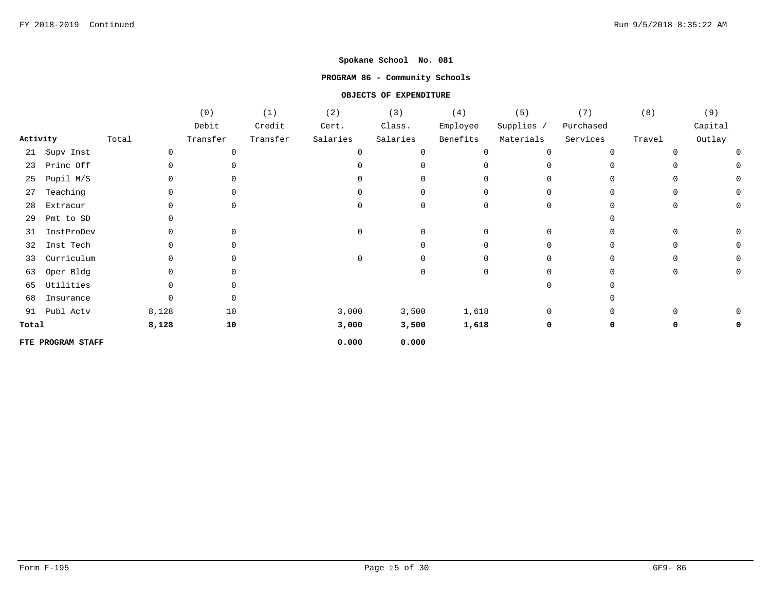## **PROGRAM 86 - Community Schools**

|          |                   |       |       | (0)         | (1)      | (2)      | (3)          | (4)         | (5)        | (7)       | (8)          | (9)     |
|----------|-------------------|-------|-------|-------------|----------|----------|--------------|-------------|------------|-----------|--------------|---------|
|          |                   |       |       | Debit       | Credit   | Cert.    | Class.       | Employee    | Supplies / | Purchased |              | Capital |
| Activity |                   | Total |       | Transfer    | Transfer | Salaries | Salaries     | Benefits    | Materials  | Services  | Travel       | Outlay  |
| 21       | Supv Inst         |       | 0     | 0           |          | $\Omega$ |              | $\mathbf 0$ | $\Omega$   |           |              |         |
| 23       | Princ Off         |       |       | 0           |          |          |              | $\Omega$    | n          |           |              |         |
| 25       | Pupil M/S         |       |       | $\mathbf 0$ |          |          |              | $\Omega$    | $\Omega$   |           |              |         |
| 27       | Teaching          |       |       | 0           |          |          | <sup>0</sup> | $\Omega$    | $\Omega$   |           | $\Omega$     |         |
| 28       | Extracur          |       |       | 0           |          |          | <sup>0</sup> | $\Omega$    | $\Omega$   |           |              |         |
| 29       | Pmt to SD         |       |       |             |          |          |              |             |            |           |              |         |
| 31       | InstProDev        |       |       | 0           |          |          |              | $\Omega$    | $\Omega$   |           |              |         |
| 32       | Inst Tech         |       |       | 0           |          |          |              | $\Omega$    | O          |           |              |         |
| 33       | Curriculum        |       |       | 0           |          | $\Omega$ |              | $\mathbf 0$ | $\Omega$   |           | <sup>0</sup> |         |
| 63       | Oper Bldg         |       |       | 0           |          |          |              | $\mathbf 0$ | $\cap$     |           |              |         |
| 65       | Utilities         |       |       | 0           |          |          |              |             | $\Omega$   |           |              |         |
| 68       | Insurance         |       |       | 0           |          |          |              |             |            |           |              |         |
| 91       | Publ Actv         |       | 8,128 | 10          |          | 3,000    | 3,500        | 1,618       | $\Omega$   |           |              |         |
| Total    |                   |       | 8,128 | 10          |          | 3,000    | 3,500        | 1,618       | 0          |           |              |         |
|          | FTE PROGRAM STAFF |       |       |             |          | 0.000    | 0.000        |             |            |           |              |         |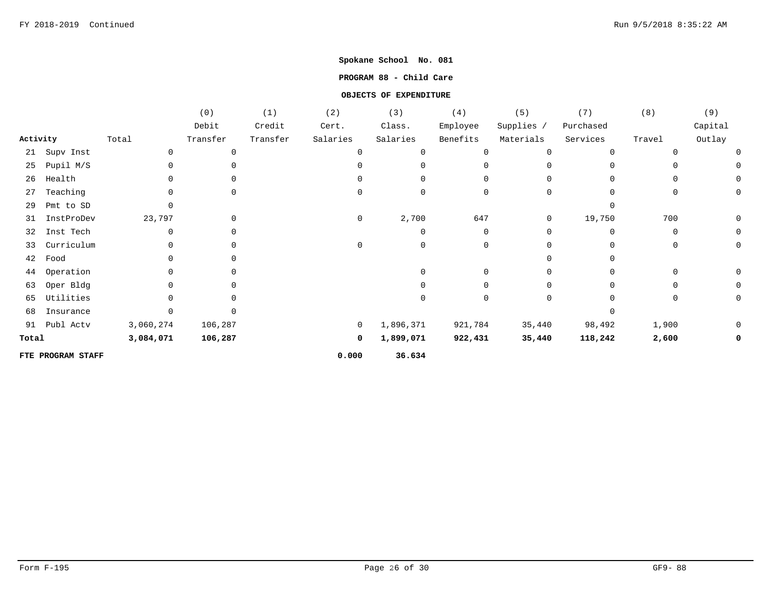### **PROGRAM 88 - Child Care**

|          |                   |           | (0)         | (1)      | (2)         | (3)       | (4)      | (5)          | (7)       | (8)      | (9)     |
|----------|-------------------|-----------|-------------|----------|-------------|-----------|----------|--------------|-----------|----------|---------|
|          |                   |           | Debit       | Credit   | Cert.       | Class.    | Employee | Supplies /   | Purchased |          | Capital |
| Activity |                   | Total     | Transfer    | Transfer | Salaries    | Salaries  | Benefits | Materials    | Services  | Travel   | Outlay  |
| 21       | Supv Inst         | 0         | 0           |          | 0           |           | 0        | $\Omega$     | $\Omega$  |          |         |
| 25       | Pupil M/S         | 0         | $\mathbf 0$ |          | $\cap$      |           | $\Omega$ | <sup>n</sup> | $\Omega$  |          |         |
| 26       | Health            |           | $\Omega$    |          | U           |           | $\Omega$ |              |           |          |         |
| 27       | Teaching          |           | $\Omega$    |          | $\Omega$    |           | 0        | $\Omega$     |           |          |         |
| 29       | Pmt to SD         |           |             |          |             |           |          |              |           |          |         |
| 31       | InstProDev        | 23,797    | $\mathbf 0$ |          | 0           | 2,700     | 647      | 0            | 19,750    | 700      |         |
| 32       | Inst Tech         |           | $\Omega$    |          |             |           | 0        | $\Omega$     | $\Omega$  | $\Omega$ |         |
| 33       | Currichum         |           | $\Omega$    |          | 0           |           | 0        |              | $\Omega$  | $\Omega$ |         |
| 42       | Food              |           |             |          |             |           |          |              |           |          |         |
| 44       | Operation         |           | $\Omega$    |          |             |           | $\Omega$ |              |           |          |         |
| 63       | Oper Bldg         |           | $\Omega$    |          |             |           |          |              |           |          |         |
| 65       | Utilities         |           | $\cap$      |          |             |           | $\Omega$ | $\Omega$     |           |          |         |
| 68       | Insurance         |           |             |          |             |           |          |              |           |          |         |
| 91       | Publ Actv         | 3,060,274 | 106,287     |          | $\mathbf 0$ | 1,896,371 | 921,784  | 35,440       | 98,492    | 1,900    |         |
| Total    |                   | 3,084,071 | 106,287     |          | 0           | 1,899,071 | 922,431  | 35,440       | 118,242   | 2,600    |         |
|          | FTE PROGRAM STAFF |           |             |          | 0.000       | 36.634    |          |              |           |          |         |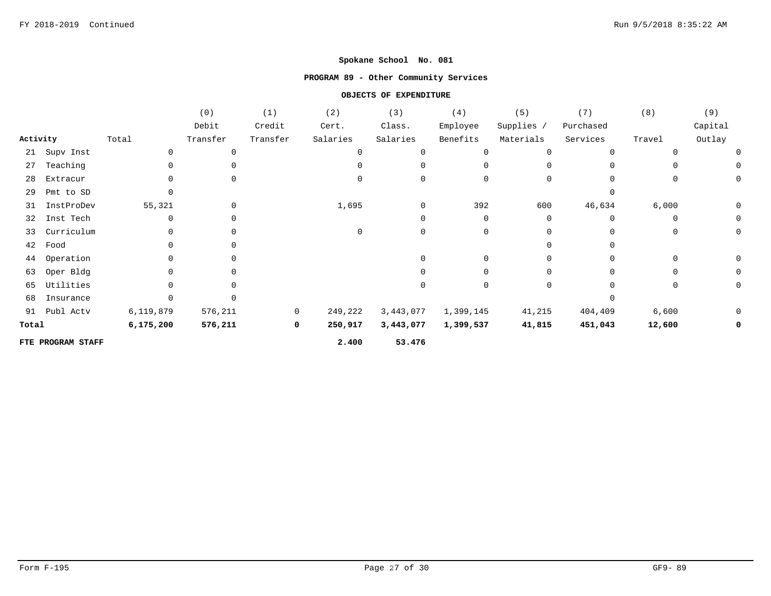## **PROGRAM 89 - Other Community Services**

|          |                   |             | (0)          | (1)            | (2)         | (3)       | (4)         | (5)          | (7)         | (8)      | (9)         |
|----------|-------------------|-------------|--------------|----------------|-------------|-----------|-------------|--------------|-------------|----------|-------------|
|          |                   |             | Debit        | Credit         | Cert.       | Class.    | Employee    | Supplies /   | Purchased   |          | Capital     |
| Activity |                   | Total       | Transfer     | Transfer       | Salaries    | Salaries  | Benefits    | Materials    | Services    | Travel   | Outlay      |
| 21       | Supv Inst         | $\mathbf 0$ | 0            |                | $\mathbf 0$ |           | $\mathbf 0$ | $\mathbf 0$  | $\mathbf 0$ |          |             |
| 27       | Teaching          | $\Omega$    |              |                |             |           | $\Omega$    | $\Omega$     | $\Omega$    |          |             |
| 28       | Extracur          | $\Omega$    | $\Omega$     |                | 0           | 0         | $\mathbf 0$ | 0            | $\Omega$    | 0        | 0           |
| 29       | Pmt to SD         | $\Omega$    |              |                |             |           |             |              | $\Omega$    |          |             |
| 31       | InstProDev        | 55,321      | $\mathbf 0$  |                | 1,695       | 0         | 392         | 600          | 46,634      | 6,000    | 0           |
| 32       | Inst Tech         | $\Omega$    | 0            |                |             | $\Omega$  | 0           | $\Omega$     | $\Omega$    | $\Omega$ | $\mathbf 0$ |
| 33       | Curriculum        | $\Omega$    | $\mathbf 0$  |                | $\Omega$    | $\Omega$  | $\mathbf 0$ | $\Omega$     | $\Omega$    | $\Omega$ | 0           |
| 42       | Food              | $\Omega$    | <sup>0</sup> |                |             |           |             | <sup>n</sup> | $\Omega$    |          |             |
| 44       | Operation         | $\Omega$    |              |                |             |           | $\mathbf 0$ | 0            | $\Omega$    | 0        | 0           |
| 63       | Oper Bldg         | $\Omega$    | 0            |                |             |           | $\Omega$    | 0            | $\Omega$    | 0        | 0           |
| 65       | Utilities         |             |              |                |             |           | $\Omega$    | 0            | 0           | $\Omega$ | 0           |
| 68       | Insurance         |             |              |                |             |           |             |              |             |          |             |
| 91       | Publ Actv         | 6,119,879   | 576,211      | $\overline{0}$ | 249,222     | 3,443,077 | 1,399,145   | 41,215       | 404,409     | 6,600    | 0           |
| Total    |                   | 6, 175, 200 | 576,211      | 0              | 250,917     | 3,443,077 | 1,399,537   | 41,815       | 451,043     | 12,600   | 0           |
|          | FTE PROGRAM STAFF |             |              |                | 2.400       | 53.476    |             |              |             |          |             |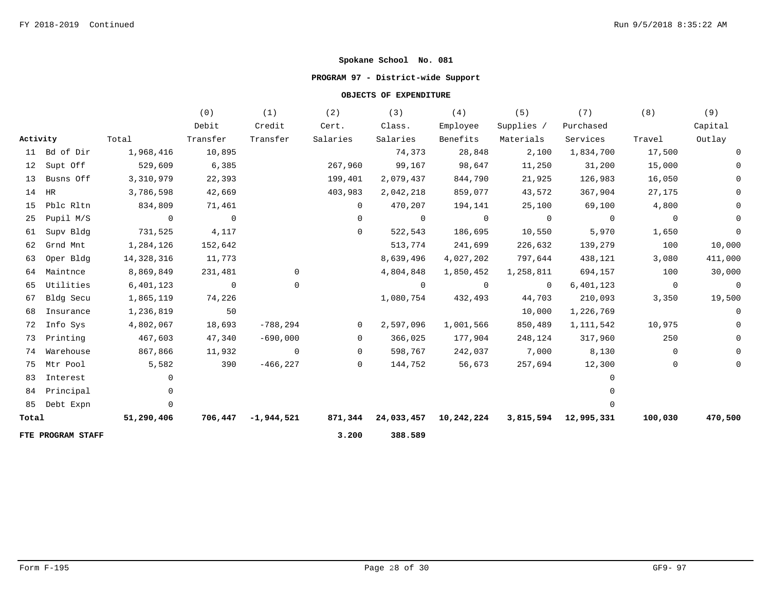## **PROGRAM 97 - District-wide Support**

|          |                   |                | (0)            | (1)                | (2)            | (3)                           | (4)            | (5)        | (7)                  | (8)            | (9)            |
|----------|-------------------|----------------|----------------|--------------------|----------------|-------------------------------|----------------|------------|----------------------|----------------|----------------|
|          |                   |                | Debit          | Credit             | Cert.          | Class.                        | Employee       | Supplies / | Purchased            |                | Capital        |
| Activity |                   | Total          | Transfer       | Transfer           | Salaries       | Salaries                      | Benefits       | Materials  | Services             | Travel         | Outlay         |
|          | 11 Bd of Dir      | 1,968,416      | 10,895         |                    |                | 74,373                        | 28,848         | 2,100      | 1,834,700            | 17,500         | 0              |
|          | 12 Supt Off       | 529,609        | 6,385          |                    | 267,960        | 99,167                        | 98,647         | 11,250     | 31,200               | 15,000         | $\Omega$       |
| 13       | Busns Off         | 3,310,979      | 22,393         |                    | 199,401        | 2,079,437                     | 844,790        | 21,925     | 126,983              | 16,050         | 0              |
| 14       | HR                | 3,786,598      | 42,669         |                    | 403,983        | 2,042,218                     | 859,077        | 43,572     | 367,904              | 27,175         | $\Omega$       |
| 15       | Pblc Rltn         | 834,809        | 71,461         |                    | $\Omega$       | 470,207                       | 194,141        | 25,100     | 69,100               | 4,800          |                |
| 25       | Pupil M/S         | $\overline{0}$ | $\overline{0}$ |                    | $\overline{0}$ | $\overline{0}$                | $\overline{0}$ | $\sim$ 0   | $\overline{0}$       | $\overline{0}$ | $\Omega$       |
| 61       | Supv Bldg         | 731,525        | 4,117          |                    | $\Omega$       | 522,543                       | 186,695        | 10,550     | 5,970                | 1,650          | 0              |
| 62       | Grnd Mnt          | 1,284,126      | 152,642        |                    |                | 513,774                       | 241,699        | 226,632    | 139,279              | 100            | 10,000         |
| 63       | Oper Bldg         | 14,328,316     | 11,773         |                    |                | 8,639,496                     | 4,027,202      | 797,644    | 438,121              | 3,080          | 411,000        |
| 64       | Maintnce          | 8,869,849      | 231,481        | 0                  |                | 4,804,848                     | 1,850,452      | 1,258,811  | 694,157              | 100            | 30,000         |
| 65       | Utilities         | 6,401,123      | $\overline{0}$ | 0                  |                | $\overline{0}$                | $\overline{0}$ | $\sim$ 0   | 6,401,123            | $\overline{0}$ | $\overline{0}$ |
| 67       | Bldg Secu         | 1,865,119      | 74,226         |                    |                | 1,080,754                     | 432,493        | 44,703     | 210,093              | 3,350          | 19,500         |
| 68       | Insurance         | 1,236,819      | 50             |                    |                |                               |                | 10,000     | 1,226,769            |                | 0              |
| 72       | Info Sys          | 4,802,067      | 18,693         | $-788, 294$        | $\overline{0}$ | 2,597,096                     | 1,001,566      | 850,489    | 1,111,542            | 10,975         | $\overline{0}$ |
| 73       | Printing          | 467,603        | 47,340         | $-690,000$         | $\overline{0}$ | 366,025                       | 177,904        | 248,124    | 317,960              | 250            | $\mathbf 0$    |
| 74       | Warehouse         | 867,866        | 11,932         | $\overline{0}$     | $\Omega$       | 598,767                       | 242,037        | 7,000      | 8,130                | $\Omega$       | $\Omega$       |
| 75       | Mtr Pool          | 5,582          | 390            | $-466, 227$        | $\overline{0}$ | 144,752                       | 56,673         | 257,694    | 12,300               | $\mathbf{0}$   | 0              |
| 83       | Interest          | $\Omega$       |                |                    |                |                               |                |            | $\Omega$             |                |                |
|          | 84 Principal      |                |                |                    |                |                               |                |            |                      |                |                |
| 85       | Debt Expn         | $\Omega$       |                |                    |                |                               |                |            |                      |                |                |
| Total    |                   | 51,290,406     |                | 706,447 -1,944,521 |                | 871,344 24,033,457 10,242,224 |                |            | 3,815,594 12,995,331 | 100,030        | 470,500        |
|          | FTE PROGRAM STAFF |                |                |                    | 3.200          | 388.589                       |                |            |                      |                |                |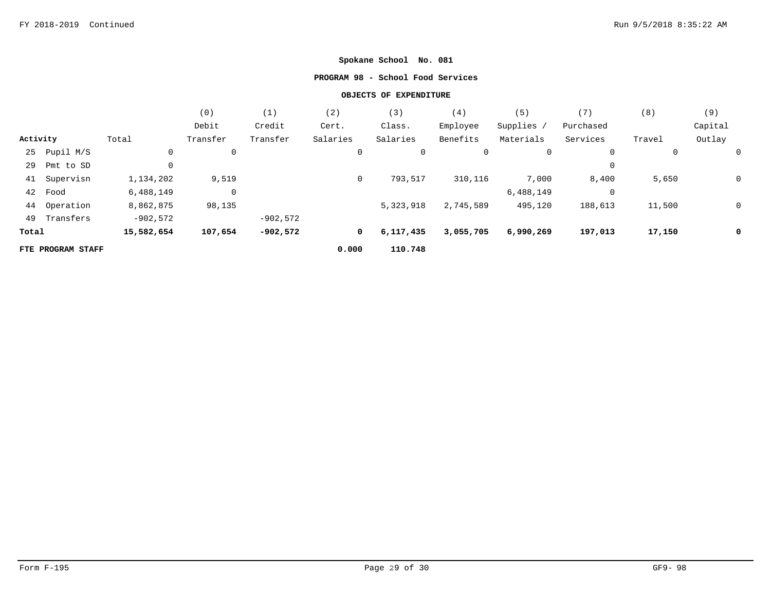### **PROGRAM 98 - School Food Services**

|          |                   |            | (0)            | (1)        | (2)      | (3)       | (4)       | (5)         | (7)       | (8)    | (9)     |
|----------|-------------------|------------|----------------|------------|----------|-----------|-----------|-------------|-----------|--------|---------|
|          |                   |            | Debit          | Credit     | Cert.    | Class.    | Employee  | Supplies /  | Purchased |        | Capital |
| Activity |                   | Total      | Transfer       | Transfer   | Salaries | Salaries  | Benefits  | Materials   | Services  | Travel | Outlay  |
| 25       | Pupil M/S         | 0          | 0              |            | 0        | 0         | 0         | $\mathbf 0$ | 0         | 0      |         |
| 29       | Pmt to SD         |            |                |            |          |           |           |             | 0         |        |         |
| 41       | Supervisn         | 1,134,202  | 9,519          |            | 0        | 793,517   | 310,116   | 7,000       | 8,400     | 5,650  | 0       |
| 42       | Food              | 6,488,149  | $\overline{0}$ |            |          |           |           | 6,488,149   | 0         |        |         |
| 44       | Operation         | 8,862,875  | 98,135         |            |          | 5,323,918 | 2,745,589 | 495,120     | 188,613   | 11,500 | 0       |
| 49       | Transfers         | $-902,572$ |                | $-902,572$ |          |           |           |             |           |        |         |
| Total    |                   | 15,582,654 | 107,654        | $-902,572$ | 0        | 6,117,435 | 3,055,705 | 6,990,269   | 197,013   | 17,150 | 0       |
|          | FTE PROGRAM STAFF |            |                |            | 0.000    | 110.748   |           |             |           |        |         |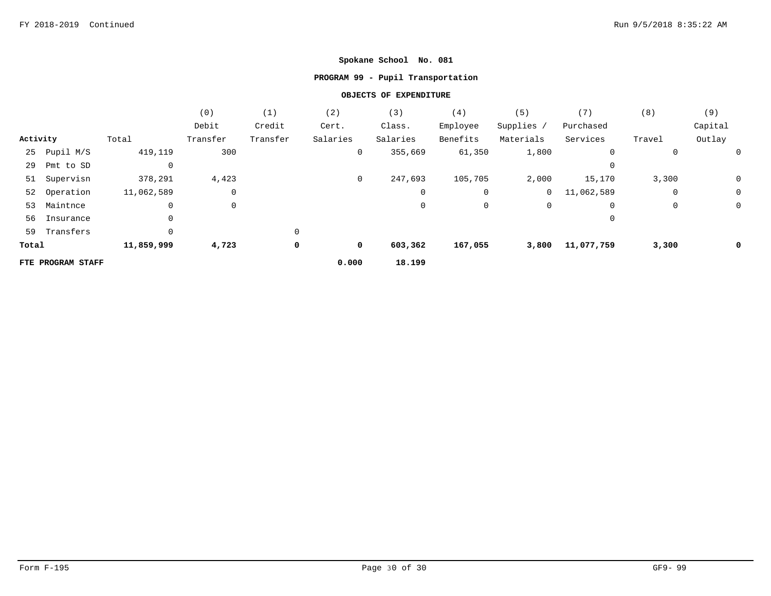## **PROGRAM 99 - Pupil Transportation**

|          |                   |            | (0)      | (1)      | (2)         | (3)      | (4)      | (5)            | (7)         | (8)    | (9)     |
|----------|-------------------|------------|----------|----------|-------------|----------|----------|----------------|-------------|--------|---------|
|          |                   |            | Debit    | Credit   | Cert.       | Class.   | Employee | Supplies /     | Purchased   |        | Capital |
| Activity |                   | Total      | Transfer | Transfer | Salaries    | Salaries | Benefits | Materials      | Services    | Travel | Outlay  |
| 25       | Pupil M/S         | 419,119    | 300      |          | 0           | 355,669  | 61,350   | 1,800          | 0           | 0      | 0       |
| 29       | Pmt to SD         | 0          |          |          |             |          |          |                | 0           |        |         |
|          | 51 Supervisn      | 378,291    | 4,423    |          | $\mathbf 0$ | 247,693  | 105,705  | 2,000          | 15,170      | 3,300  | 0       |
|          | 52 Operation      | 11,062,589 | 0        |          |             | 0        | 0        | $\overline{0}$ | 11,062,589  | 0      | 0       |
| 53       | Maintnce          | 0          | 0        |          |             | 0        | 0        | 0              | $\mathbf 0$ | 0      | 0       |
| 56       | Insurance         | 0          |          |          |             |          |          |                | $\Omega$    |        |         |
| 59       | Transfers         | 0          |          | 0        |             |          |          |                |             |        |         |
| Total    |                   | 11,859,999 | 4,723    | 0        | 0           | 603,362  | 167,055  | 3,800          | 11,077,759  | 3,300  | 0       |
|          | FTE PROGRAM STAFF |            |          |          | 0.000       | 18.199   |          |                |             |        |         |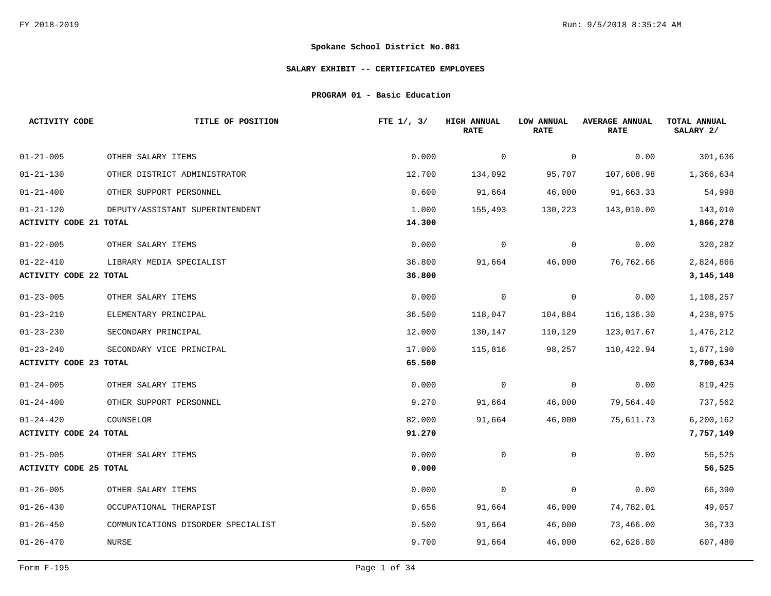### **SALARY EXHIBIT -- CERTIFICATED EMPLOYEES**

**PROGRAM 01 - Basic Education**

| <b>ACTIVITY CODE</b>          | TITLE OF POSITION                  | FTE $1/$ , $3/$ | <b>HIGH ANNUAL</b><br><b>RATE</b> | LOW ANNUAL<br><b>RATE</b> | <b>AVERAGE ANNUAL</b><br><b>RATE</b> | TOTAL ANNUAL<br>SALARY 2/ |
|-------------------------------|------------------------------------|-----------------|-----------------------------------|---------------------------|--------------------------------------|---------------------------|
| $01 - 21 - 005$               | OTHER SALARY ITEMS                 | 0.000           | $\mathbf 0$                       | $\mathbf 0$               | 0.00                                 | 301,636                   |
| $01 - 21 - 130$               | OTHER DISTRICT ADMINISTRATOR       | 12.700          | 134,092                           | 95,707                    | 107,608.98                           | 1,366,634                 |
| $01 - 21 - 400$               | OTHER SUPPORT PERSONNEL            | 0.600           | 91,664                            | 46,000                    | 91,663.33                            | 54,998                    |
| $01 - 21 - 120$               | DEPUTY/ASSISTANT SUPERINTENDENT    | 1.000           | 155,493                           | 130,223                   | 143,010.00                           | 143,010                   |
| <b>ACTIVITY CODE 21 TOTAL</b> |                                    | 14.300          |                                   |                           |                                      | 1,866,278                 |
| $01 - 22 - 005$               | OTHER SALARY ITEMS                 | 0.000           | $\mathbf 0$                       | $\mathbf 0$               | 0.00                                 | 320,282                   |
| $01 - 22 - 410$               | LIBRARY MEDIA SPECIALIST           | 36.800          | 91,664                            | 46,000                    | 76,762.66                            | 2,824,866                 |
| <b>ACTIVITY CODE 22 TOTAL</b> |                                    | 36.800          |                                   |                           |                                      | 3, 145, 148               |
| $01 - 23 - 005$               | OTHER SALARY ITEMS                 | 0.000           | 0                                 | $\mathbf 0$               | 0.00                                 | 1,108,257                 |
| $01 - 23 - 210$               | ELEMENTARY PRINCIPAL               | 36.500          | 118,047                           | 104,884                   | 116,136.30                           | 4,238,975                 |
| $01 - 23 - 230$               | SECONDARY PRINCIPAL                | 12.000          | 130,147                           | 110,129                   | 123,017.67                           | 1,476,212                 |
| $01 - 23 - 240$               | SECONDARY VICE PRINCIPAL           | 17.000          | 115,816                           | 98,257                    | 110,422.94                           | 1,877,190                 |
| <b>ACTIVITY CODE 23 TOTAL</b> |                                    | 65.500          |                                   |                           |                                      | 8,700,634                 |
| $01 - 24 - 005$               | OTHER SALARY ITEMS                 | 0.000           | 0                                 | 0                         | 0.00                                 | 819,425                   |
| $01 - 24 - 400$               | OTHER SUPPORT PERSONNEL            | 9.270           | 91,664                            | 46,000                    | 79,564.40                            | 737,562                   |
| $01 - 24 - 420$               | COUNSELOR                          | 82.000          | 91,664                            | 46,000                    | 75,611.73                            | 6, 200, 162               |
| <b>ACTIVITY CODE 24 TOTAL</b> |                                    | 91.270          |                                   |                           |                                      | 7,757,149                 |
| $01 - 25 - 005$               | OTHER SALARY ITEMS                 | 0.000           | 0                                 | $\mathbf{0}$              | 0.00                                 | 56,525                    |
| <b>ACTIVITY CODE 25 TOTAL</b> |                                    | 0.000           |                                   |                           |                                      | 56,525                    |
| $01 - 26 - 005$               | OTHER SALARY ITEMS                 | 0.000           | 0                                 | $\mathbf 0$               | 0.00                                 | 66,390                    |
| $01 - 26 - 430$               | OCCUPATIONAL THERAPIST             | 0.656           | 91,664                            | 46,000                    | 74,782.01                            | 49,057                    |
| $01 - 26 - 450$               | COMMUNICATIONS DISORDER SPECIALIST | 0.500           | 91,664                            | 46,000                    | 73,466.00                            | 36,733                    |
| $01 - 26 - 470$               | NURSE                              | 9.700           | 91,664                            | 46,000                    | 62,626.80                            | 607,480                   |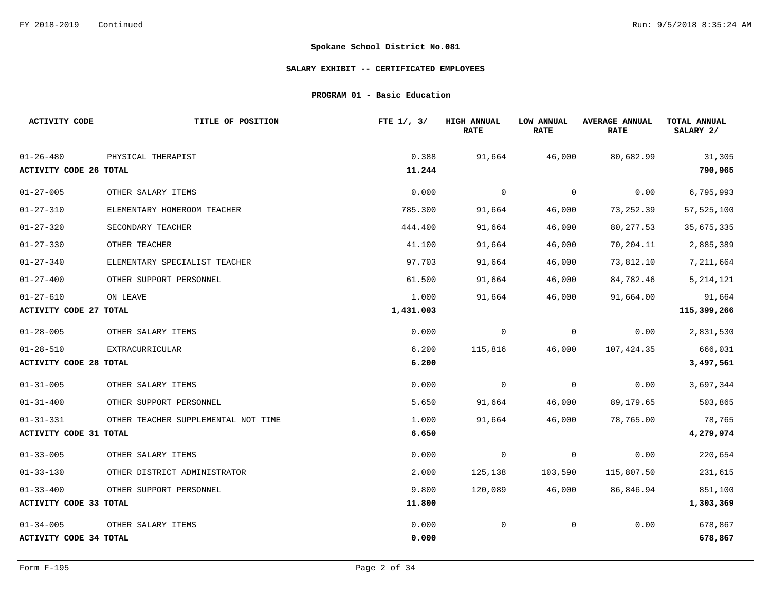### **SALARY EXHIBIT -- CERTIFICATED EMPLOYEES**

**PROGRAM 01 - Basic Education**

| <b>ACTIVITY CODE</b>          | TITLE OF POSITION                   | FTE $1/$ , $3/$ | <b>HIGH ANNUAL</b><br><b>RATE</b> | LOW ANNUAL<br><b>RATE</b> | <b>AVERAGE ANNUAL</b><br><b>RATE</b> | TOTAL ANNUAL<br>SALARY 2/ |
|-------------------------------|-------------------------------------|-----------------|-----------------------------------|---------------------------|--------------------------------------|---------------------------|
| $01 - 26 - 480$               | PHYSICAL THERAPIST                  | 0.388           | 91,664                            | 46,000                    | 80,682.99                            | 31,305                    |
| ACTIVITY CODE 26 TOTAL        |                                     | 11.244          |                                   |                           |                                      | 790,965                   |
| $01 - 27 - 005$               | OTHER SALARY ITEMS                  | 0.000           | $\overline{0}$                    | $\mathbf 0$               | 0.00                                 | 6,795,993                 |
| $01 - 27 - 310$               | ELEMENTARY HOMEROOM TEACHER         | 785.300         | 91,664                            | 46,000                    | 73,252.39                            | 57, 525, 100              |
| $01 - 27 - 320$               | SECONDARY TEACHER                   | 444.400         | 91,664                            | 46,000                    | 80, 277.53                           | 35,675,335                |
| $01 - 27 - 330$               | OTHER TEACHER                       | 41.100          | 91,664                            | 46,000                    | 70,204.11                            | 2,885,389                 |
| $01 - 27 - 340$               | ELEMENTARY SPECIALIST TEACHER       | 97.703          | 91,664                            | 46,000                    | 73,812.10                            | 7,211,664                 |
| $01 - 27 - 400$               | OTHER SUPPORT PERSONNEL             | 61.500          | 91,664                            | 46,000                    | 84,782.46                            | 5, 214, 121               |
| $01 - 27 - 610$               | ON LEAVE                            | 1.000           | 91,664                            | 46,000                    | 91,664.00                            | 91,664                    |
| <b>ACTIVITY CODE 27 TOTAL</b> |                                     | 1,431.003       |                                   |                           |                                      | 115, 399, 266             |
| $01 - 28 - 005$               | OTHER SALARY ITEMS                  | 0.000           | $\mathbf 0$                       | $\mathbf 0$               | 0.00                                 | 2,831,530                 |
| $01 - 28 - 510$               | EXTRACURRICULAR                     | 6.200           | 115,816                           | 46,000                    | 107,424.35                           | 666,031                   |
| <b>ACTIVITY CODE 28 TOTAL</b> |                                     | 6.200           |                                   |                           |                                      | 3,497,561                 |
| $01 - 31 - 005$               | OTHER SALARY ITEMS                  | 0.000           | $\overline{0}$                    | $\mathbf 0$               | 0.00                                 | 3,697,344                 |
| $01 - 31 - 400$               | OTHER SUPPORT PERSONNEL             | 5.650           | 91,664                            | 46,000                    | 89,179.65                            | 503,865                   |
| $01 - 31 - 331$               | OTHER TEACHER SUPPLEMENTAL NOT TIME | 1.000           | 91,664                            | 46,000                    | 78,765.00                            | 78,765                    |
| <b>ACTIVITY CODE 31 TOTAL</b> |                                     | 6.650           |                                   |                           |                                      | 4,279,974                 |
| $01 - 33 - 005$               | OTHER SALARY ITEMS                  | 0.000           | $\overline{0}$                    | 0                         | 0.00                                 | 220,654                   |
| $01 - 33 - 130$               | OTHER DISTRICT ADMINISTRATOR        | 2.000           | 125,138                           | 103,590                   | 115,807.50                           | 231,615                   |
| $01 - 33 - 400$               | OTHER SUPPORT PERSONNEL             | 9.800           | 120,089                           | 46,000                    | 86,846.94                            | 851,100                   |
| <b>ACTIVITY CODE 33 TOTAL</b> |                                     | 11.800          |                                   |                           |                                      | 1,303,369                 |
| $01 - 34 - 005$               | OTHER SALARY ITEMS                  | 0.000           | 0                                 | $\mathbf 0$               | 0.00                                 | 678,867                   |
| <b>ACTIVITY CODE 34 TOTAL</b> |                                     | 0.000           |                                   |                           |                                      | 678,867                   |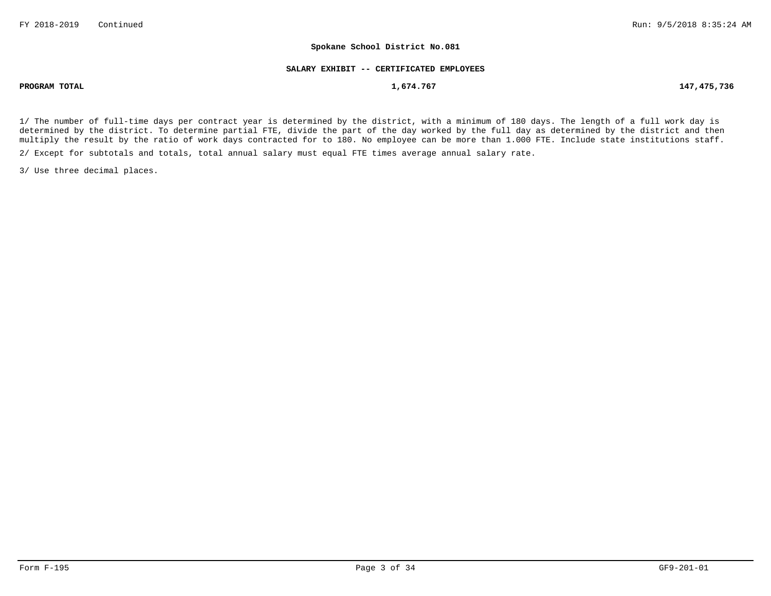#### **SALARY EXHIBIT -- CERTIFICATED EMPLOYEES**

**PROGRAM TOTAL 1,674.767 147,475,736**

1/ The number of full-time days per contract year is determined by the district, with a minimum of 180 days. The length of a full work day is determined by the district. To determine partial FTE, divide the part of the day worked by the full day as determined by the district and then multiply the result by the ratio of work days contracted for to 180. No employee can be more than 1.000 FTE. Include state institutions staff.

2/ Except for subtotals and totals, total annual salary must equal FTE times average annual salary rate.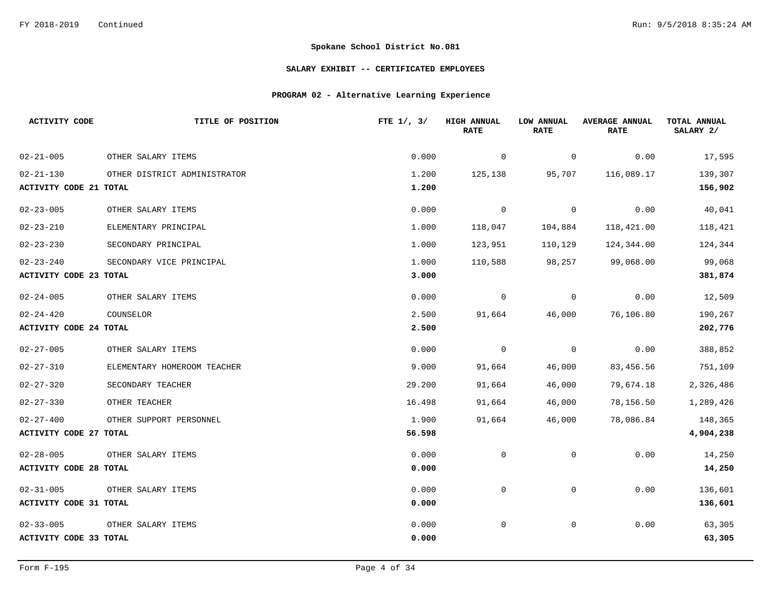### **SALARY EXHIBIT -- CERTIFICATED EMPLOYEES**

## **PROGRAM 02 - Alternative Learning Experience**

| <b>ACTIVITY CODE</b>          | TITLE OF POSITION            | FTE $1/$ , $3/$ | <b>HIGH ANNUAL</b><br><b>RATE</b> | LOW ANNUAL<br><b>RATE</b> | <b>AVERAGE ANNUAL</b><br><b>RATE</b> | TOTAL ANNUAL<br>SALARY 2/ |
|-------------------------------|------------------------------|-----------------|-----------------------------------|---------------------------|--------------------------------------|---------------------------|
| $02 - 21 - 005$               | OTHER SALARY ITEMS           | 0.000           | 0                                 | 0                         | 0.00                                 | 17,595                    |
| $02 - 21 - 130$               | OTHER DISTRICT ADMINISTRATOR | 1.200           | 125,138                           | 95,707                    | 116,089.17                           | 139,307                   |
| <b>ACTIVITY CODE 21 TOTAL</b> |                              | 1.200           |                                   |                           |                                      | 156,902                   |
| $02 - 23 - 005$               | OTHER SALARY ITEMS           | 0.000           | $\mathbf 0$                       | $\mathbf 0$               | 0.00                                 | 40,041                    |
| $02 - 23 - 210$               | ELEMENTARY PRINCIPAL         | 1.000           | 118,047                           | 104,884                   | 118,421.00                           | 118,421                   |
| $02 - 23 - 230$               | SECONDARY PRINCIPAL          | 1.000           | 123,951                           | 110,129                   | 124,344.00                           | 124,344                   |
| $02 - 23 - 240$               | SECONDARY VICE PRINCIPAL     | 1.000           | 110,588                           | 98,257                    | 99,068.00                            | 99,068                    |
| <b>ACTIVITY CODE 23 TOTAL</b> |                              | 3.000           |                                   |                           |                                      | 381,874                   |
| $02 - 24 - 005$               | OTHER SALARY ITEMS           | 0.000           | $\mathbf 0$                       | $\mathbf 0$               | 0.00                                 | 12,509                    |
| $02 - 24 - 420$               | COUNSELOR                    | 2.500           | 91,664                            | 46,000                    | 76,106.80                            | 190,267                   |
| <b>ACTIVITY CODE 24 TOTAL</b> |                              | 2.500           |                                   |                           |                                      | 202,776                   |
| $02 - 27 - 005$               | OTHER SALARY ITEMS           | 0.000           | $\mathbf 0$                       | 0                         | 0.00                                 | 388,852                   |
| $02 - 27 - 310$               | ELEMENTARY HOMEROOM TEACHER  | 9.000           | 91,664                            | 46,000                    | 83,456.56                            | 751,109                   |
| $02 - 27 - 320$               | SECONDARY TEACHER            | 29.200          | 91,664                            | 46,000                    | 79,674.18                            | 2,326,486                 |
| $02 - 27 - 330$               | OTHER TEACHER                | 16.498          | 91,664                            | 46,000                    | 78,156.50                            | 1,289,426                 |
| $02 - 27 - 400$               | OTHER SUPPORT PERSONNEL      | 1.900           | 91,664                            | 46,000                    | 78,086.84                            | 148,365                   |
| ACTIVITY CODE 27 TOTAL        |                              | 56.598          |                                   |                           |                                      | 4,904,238                 |
| $02 - 28 - 005$               | OTHER SALARY ITEMS           | 0.000           | $\mathbf 0$                       | $\mathbf 0$               | 0.00                                 | 14,250                    |
| <b>ACTIVITY CODE 28 TOTAL</b> |                              | 0.000           |                                   |                           |                                      | 14,250                    |
| $02 - 31 - 005$               | OTHER SALARY ITEMS           | 0.000           | $\mathbf 0$                       | $\mathsf{O}$              | 0.00                                 | 136,601                   |
| <b>ACTIVITY CODE 31 TOTAL</b> |                              | 0.000           |                                   |                           |                                      | 136,601                   |
| $02 - 33 - 005$               | OTHER SALARY ITEMS           | 0.000           | $\mathbf 0$                       | 0                         | 0.00                                 | 63,305                    |
| <b>ACTIVITY CODE 33 TOTAL</b> |                              | 0.000           |                                   |                           |                                      | 63,305                    |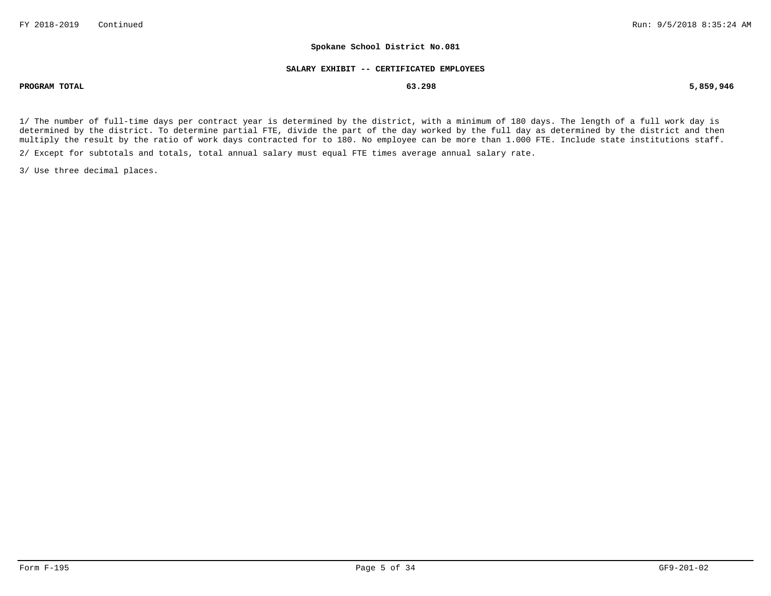#### **SALARY EXHIBIT -- CERTIFICATED EMPLOYEES**

**PROGRAM TOTAL 63.298 5,859,946**

1/ The number of full-time days per contract year is determined by the district, with a minimum of 180 days. The length of a full work day is determined by the district. To determine partial FTE, divide the part of the day worked by the full day as determined by the district and then multiply the result by the ratio of work days contracted for to 180. No employee can be more than 1.000 FTE. Include state institutions staff.

2/ Except for subtotals and totals, total annual salary must equal FTE times average annual salary rate.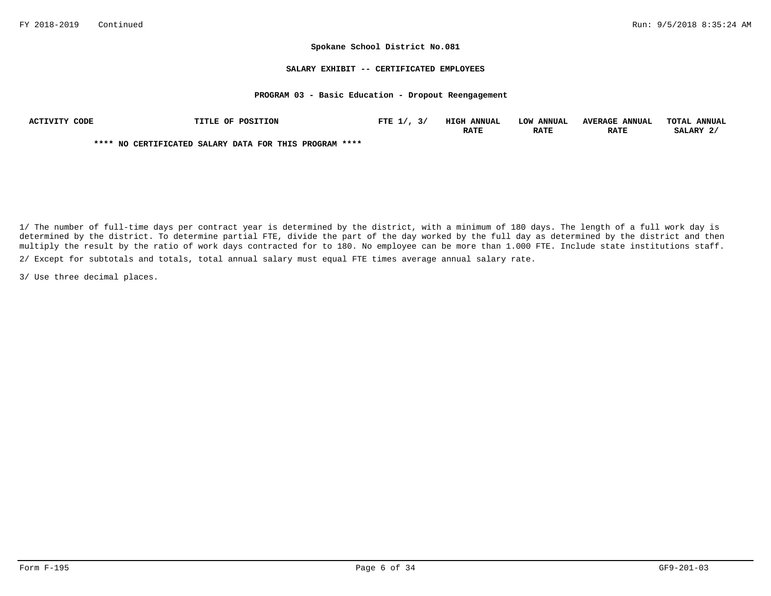#### **SALARY EXHIBIT -- CERTIFICATED EMPLOYEES**

#### **PROGRAM 03 - Basic Education - Dropout Reengagement**

| ACTIVITY CODE | <b>TITLE OF POSITION</b>                               | FTE $1/$ , $3/$ | <b>HIGH ANNUAL</b> | LOW ANNUAL  | <b>AVERAGE ANNUAL</b> | TOTAL ANNUAL |
|---------------|--------------------------------------------------------|-----------------|--------------------|-------------|-----------------------|--------------|
|               |                                                        |                 | <b>RATE</b>        | <b>RATE</b> | <b>RATE</b>           | SALARY 2/    |
|               | **** NO CERTIFICATED SALARY DATA FOR THIS PROGRAM **** |                 |                    |             |                       |              |

2/ Except for subtotals and totals, total annual salary must equal FTE times average annual salary rate. 1/ The number of full-time days per contract year is determined by the district, with a minimum of 180 days. The length of a full work day is determined by the district. To determine partial FTE, divide the part of the day worked by the full day as determined by the district and then multiply the result by the ratio of work days contracted for to 180. No employee can be more than 1.000 FTE. Include state institutions staff.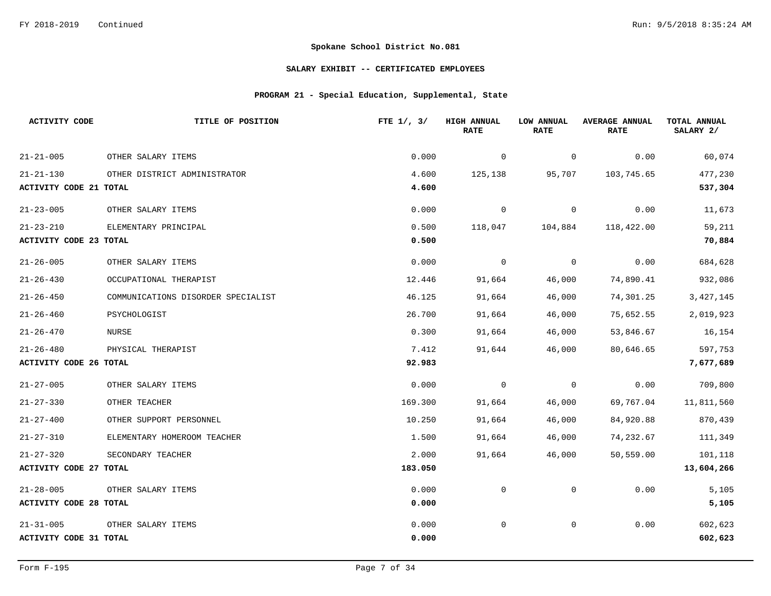### **SALARY EXHIBIT -- CERTIFICATED EMPLOYEES**

## **PROGRAM 21 - Special Education, Supplemental, State**

| <b>ACTIVITY CODE</b>          | TITLE OF POSITION                  | FTE $1/$ , $3/$ | <b>HIGH ANNUAL</b><br><b>RATE</b> | LOW ANNUAL<br><b>RATE</b> | <b>AVERAGE ANNUAL</b><br><b>RATE</b> | TOTAL ANNUAL<br>SALARY 2/ |
|-------------------------------|------------------------------------|-----------------|-----------------------------------|---------------------------|--------------------------------------|---------------------------|
| $21 - 21 - 005$               | OTHER SALARY ITEMS                 | 0.000           | 0                                 | 0                         | 0.00                                 | 60,074                    |
| $21 - 21 - 130$               | OTHER DISTRICT ADMINISTRATOR       | 4.600           | 125,138                           | 95,707                    | 103,745.65                           | 477,230                   |
| <b>ACTIVITY CODE 21 TOTAL</b> |                                    | 4.600           |                                   |                           |                                      | 537,304                   |
| $21 - 23 - 005$               | OTHER SALARY ITEMS                 | 0.000           | 0                                 | $\overline{0}$            | 0.00                                 | 11,673                    |
| $21 - 23 - 210$               | ELEMENTARY PRINCIPAL               | 0.500           | 118,047                           | 104,884                   | 118,422.00                           | 59,211                    |
| ACTIVITY CODE 23 TOTAL        |                                    | 0.500           |                                   |                           |                                      | 70,884                    |
| $21 - 26 - 005$               | OTHER SALARY ITEMS                 | 0.000           | 0                                 | $\overline{0}$            | 0.00                                 | 684,628                   |
| $21 - 26 - 430$               | OCCUPATIONAL THERAPIST             | 12.446          | 91,664                            | 46,000                    | 74,890.41                            | 932,086                   |
| $21 - 26 - 450$               | COMMUNICATIONS DISORDER SPECIALIST | 46.125          | 91,664                            | 46,000                    | 74,301.25                            | 3, 427, 145               |
| $21 - 26 - 460$               | PSYCHOLOGIST                       | 26.700          | 91,664                            | 46,000                    | 75,652.55                            | 2,019,923                 |
| $21 - 26 - 470$               | NURSE                              | 0.300           | 91,664                            | 46,000                    | 53,846.67                            | 16,154                    |
| $21 - 26 - 480$               | PHYSICAL THERAPIST                 | 7.412           | 91,644                            | 46,000                    | 80,646.65                            | 597,753                   |
| <b>ACTIVITY CODE 26 TOTAL</b> |                                    | 92.983          |                                   |                           |                                      | 7,677,689                 |
| $21 - 27 - 005$               | OTHER SALARY ITEMS                 | 0.000           | 0                                 | $\overline{0}$            | 0.00                                 | 709,800                   |
| $21 - 27 - 330$               | OTHER TEACHER                      | 169.300         | 91,664                            | 46,000                    | 69,767.04                            | 11,811,560                |
| $21 - 27 - 400$               | OTHER SUPPORT PERSONNEL            | 10.250          | 91,664                            | 46,000                    | 84,920.88                            | 870,439                   |
| $21 - 27 - 310$               | ELEMENTARY HOMEROOM TEACHER        | 1.500           | 91,664                            | 46,000                    | 74,232.67                            | 111,349                   |
| $21 - 27 - 320$               | SECONDARY TEACHER                  | 2.000           | 91,664                            | 46,000                    | 50,559.00                            | 101,118                   |
| <b>ACTIVITY CODE 27 TOTAL</b> |                                    | 183.050         |                                   |                           |                                      | 13,604,266                |
| $21 - 28 - 005$               | OTHER SALARY ITEMS                 | 0.000           | $\mathbf 0$                       | 0                         | 0.00                                 | 5,105                     |
| <b>ACTIVITY CODE 28 TOTAL</b> |                                    | 0.000           |                                   |                           |                                      | 5,105                     |
| $21 - 31 - 005$               | OTHER SALARY ITEMS                 | 0.000           | $\mathbf 0$                       | $\mathsf{O}$              | 0.00                                 | 602,623                   |
| ACTIVITY CODE 31 TOTAL        |                                    | 0.000           |                                   |                           |                                      | 602,623                   |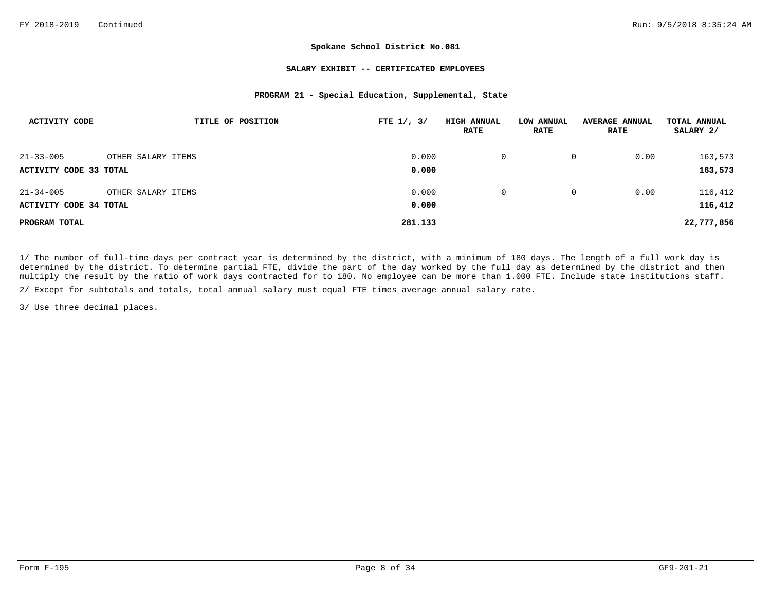#### **SALARY EXHIBIT -- CERTIFICATED EMPLOYEES**

### **PROGRAM 21 - Special Education, Supplemental, State**

| ACTIVITY CODE          |                    | TITLE OF POSITION | FTE $1/$ , $3/$ | <b>HIGH ANNUAL</b><br><b>RATE</b> | LOW ANNUAL<br><b>RATE</b> | <b>AVERAGE ANNUAL</b><br><b>RATE</b> | TOTAL ANNUAL<br>SALARY 2/ |
|------------------------|--------------------|-------------------|-----------------|-----------------------------------|---------------------------|--------------------------------------|---------------------------|
| $21 - 33 - 005$        | OTHER SALARY ITEMS |                   | 0.000           | $\Omega$                          | 0                         | 0.00                                 | 163,573                   |
| ACTIVITY CODE 33 TOTAL |                    |                   | 0.000           |                                   |                           |                                      | 163,573                   |
| $21 - 34 - 005$        | OTHER SALARY ITEMS |                   | 0.000           | 0                                 | $\mathbf{0}$              | 0.00                                 | 116,412                   |
| ACTIVITY CODE 34 TOTAL |                    |                   | 0.000           |                                   |                           |                                      | 116,412                   |
| PROGRAM TOTAL          |                    |                   | 281.133         |                                   |                           |                                      | 22,777,856                |

1/ The number of full-time days per contract year is determined by the district, with a minimum of 180 days. The length of a full work day is determined by the district. To determine partial FTE, divide the part of the day worked by the full day as determined by the district and then multiply the result by the ratio of work days contracted for to 180. No employee can be more than 1.000 FTE. Include state institutions staff.

2/ Except for subtotals and totals, total annual salary must equal FTE times average annual salary rate.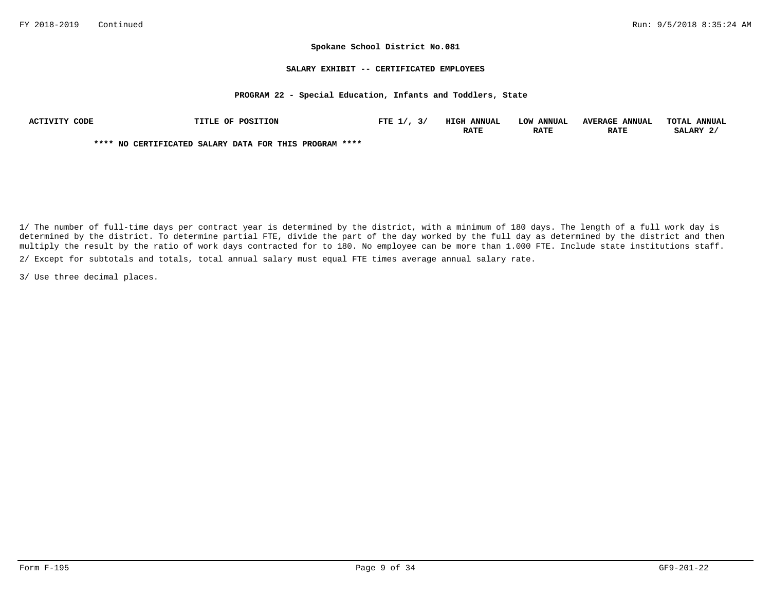#### **SALARY EXHIBIT -- CERTIFICATED EMPLOYEES**

#### **PROGRAM 22 - Special Education, Infants and Toddlers, State**

| ACTIVITY CODE | <b>TITLE OF POSITION</b>                               | FTE $1/$ , $3/$ | <b>HIGH ANNUAL</b> | LOW ANNUAL  | <b>AVERAGE ANNUAL</b> | TOTAL ANNUAL |
|---------------|--------------------------------------------------------|-----------------|--------------------|-------------|-----------------------|--------------|
|               |                                                        |                 | <b>RATE</b>        | <b>RATE</b> | <b>RATE</b>           | SALARY 2/    |
|               | **** NO CERTIFICATED SALARY DATA FOR THIS PROGRAM **** |                 |                    |             |                       |              |

2/ Except for subtotals and totals, total annual salary must equal FTE times average annual salary rate. 1/ The number of full-time days per contract year is determined by the district, with a minimum of 180 days. The length of a full work day is determined by the district. To determine partial FTE, divide the part of the day worked by the full day as determined by the district and then multiply the result by the ratio of work days contracted for to 180. No employee can be more than 1.000 FTE. Include state institutions staff.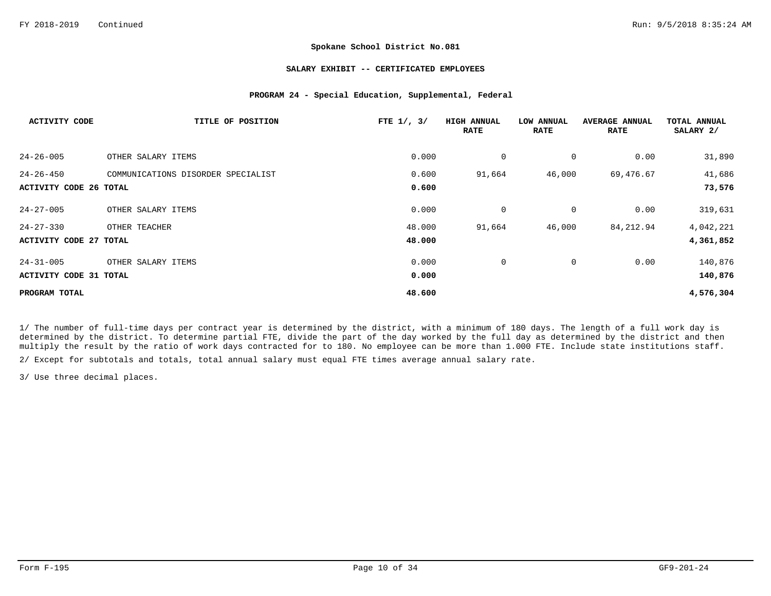#### **SALARY EXHIBIT -- CERTIFICATED EMPLOYEES**

### **PROGRAM 24 - Special Education, Supplemental, Federal**

| <b>ACTIVITY CODE</b>          | TITLE OF POSITION                  | FTE $1/$ , $3/$ | <b>HIGH ANNUAL</b><br><b>RATE</b> | LOW ANNUAL<br><b>RATE</b> | <b>AVERAGE ANNUAL</b><br><b>RATE</b> | TOTAL ANNUAL<br>SALARY 2/ |
|-------------------------------|------------------------------------|-----------------|-----------------------------------|---------------------------|--------------------------------------|---------------------------|
| $24 - 26 - 005$               | OTHER SALARY ITEMS                 | 0.000           | 0                                 | 0                         | 0.00                                 | 31,890                    |
| $24 - 26 - 450$               | COMMUNICATIONS DISORDER SPECIALIST | 0.600           | 91,664                            | 46,000                    | 69,476.67                            | 41,686                    |
| <b>ACTIVITY CODE 26 TOTAL</b> |                                    | 0.600           |                                   |                           |                                      | 73,576                    |
| $24 - 27 - 005$               | OTHER SALARY ITEMS                 | 0.000           | 0                                 | $\mathbf 0$               | 0.00                                 | 319,631                   |
| $24 - 27 - 330$               | OTHER TEACHER                      | 48.000          | 91,664                            | 46,000                    | 84,212.94                            | 4,042,221                 |
| <b>ACTIVITY CODE 27 TOTAL</b> |                                    | 48.000          |                                   |                           |                                      | 4,361,852                 |
| $24 - 31 - 005$               | OTHER SALARY ITEMS                 | 0.000           | 0                                 | 0                         | 0.00                                 | 140,876                   |
| <b>ACTIVITY CODE 31 TOTAL</b> |                                    | 0.000           |                                   |                           |                                      | 140,876                   |
| PROGRAM TOTAL                 |                                    | 48.600          |                                   |                           |                                      | 4,576,304                 |

1/ The number of full-time days per contract year is determined by the district, with a minimum of 180 days. The length of a full work day is determined by the district. To determine partial FTE, divide the part of the day worked by the full day as determined by the district and then multiply the result by the ratio of work days contracted for to 180. No employee can be more than 1.000 FTE. Include state institutions staff.

2/ Except for subtotals and totals, total annual salary must equal FTE times average annual salary rate.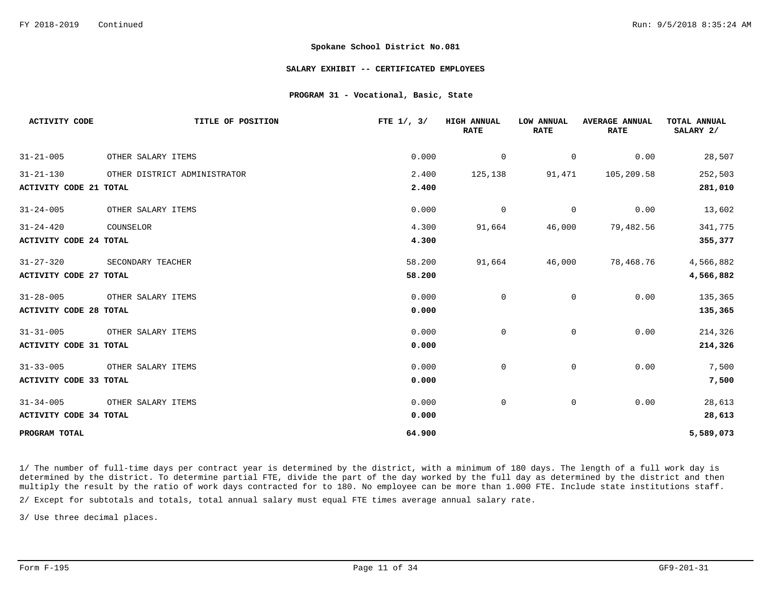#### **SALARY EXHIBIT -- CERTIFICATED EMPLOYEES**

#### **PROGRAM 31 - Vocational, Basic, State**

| <b>ACTIVITY CODE</b>          | TITLE OF POSITION            | FTE $1/$ , $3/$ | <b>HIGH ANNUAL</b><br><b>RATE</b> | LOW ANNUAL<br><b>RATE</b> | <b>AVERAGE ANNUAL</b><br><b>RATE</b> | TOTAL ANNUAL<br>SALARY 2/ |
|-------------------------------|------------------------------|-----------------|-----------------------------------|---------------------------|--------------------------------------|---------------------------|
| $31 - 21 - 005$               | OTHER SALARY ITEMS           | 0.000           | $\overline{0}$                    | $\overline{0}$            | 0.00                                 | 28,507                    |
| $31 - 21 - 130$               | OTHER DISTRICT ADMINISTRATOR | 2.400           | 125,138                           | 91,471                    | 105,209.58                           | 252,503                   |
| <b>ACTIVITY CODE 21 TOTAL</b> |                              | 2.400           |                                   |                           |                                      | 281,010                   |
| $31 - 24 - 005$               | OTHER SALARY ITEMS           | 0.000           | $\Omega$                          | $\Omega$                  | 0.00                                 | 13,602                    |
| $31 - 24 - 420$               | COUNSELOR                    | 4.300           | 91,664                            | 46,000                    | 79,482.56                            | 341,775                   |
| <b>ACTIVITY CODE 24 TOTAL</b> |                              | 4.300           |                                   |                           |                                      | 355,377                   |
| $31 - 27 - 320$               | SECONDARY TEACHER            | 58.200          | 91,664                            | 46,000                    | 78,468.76                            | 4,566,882                 |
| <b>ACTIVITY CODE 27 TOTAL</b> |                              | 58.200          |                                   |                           |                                      | 4,566,882                 |
| $31 - 28 - 005$               | OTHER SALARY ITEMS           | 0.000           | 0                                 | 0                         | 0.00                                 | 135,365                   |
| <b>ACTIVITY CODE 28 TOTAL</b> |                              | 0.000           |                                   |                           |                                      | 135,365                   |
| $31 - 31 - 005$               | OTHER SALARY ITEMS           | 0.000           | 0                                 | $\mathbf 0$               | 0.00                                 | 214,326                   |
| ACTIVITY CODE 31 TOTAL        |                              | 0.000           |                                   |                           |                                      | 214,326                   |
| $31 - 33 - 005$               | OTHER SALARY ITEMS           | 0.000           | $\mathbf 0$                       | $\overline{0}$            | 0.00                                 | 7,500                     |
| ACTIVITY CODE 33 TOTAL        |                              | 0.000           |                                   |                           |                                      | 7,500                     |
| $31 - 34 - 005$               | OTHER SALARY ITEMS           | 0.000           | $\mathbf 0$                       | 0                         | 0.00                                 | 28,613                    |
| <b>ACTIVITY CODE 34 TOTAL</b> |                              | 0.000           |                                   |                           |                                      | 28,613                    |
| PROGRAM TOTAL                 |                              | 64.900          |                                   |                           |                                      | 5,589,073                 |

1/ The number of full-time days per contract year is determined by the district, with a minimum of 180 days. The length of a full work day is determined by the district. To determine partial FTE, divide the part of the day worked by the full day as determined by the district and then multiply the result by the ratio of work days contracted for to 180. No employee can be more than 1.000 FTE. Include state institutions staff.

2/ Except for subtotals and totals, total annual salary must equal FTE times average annual salary rate.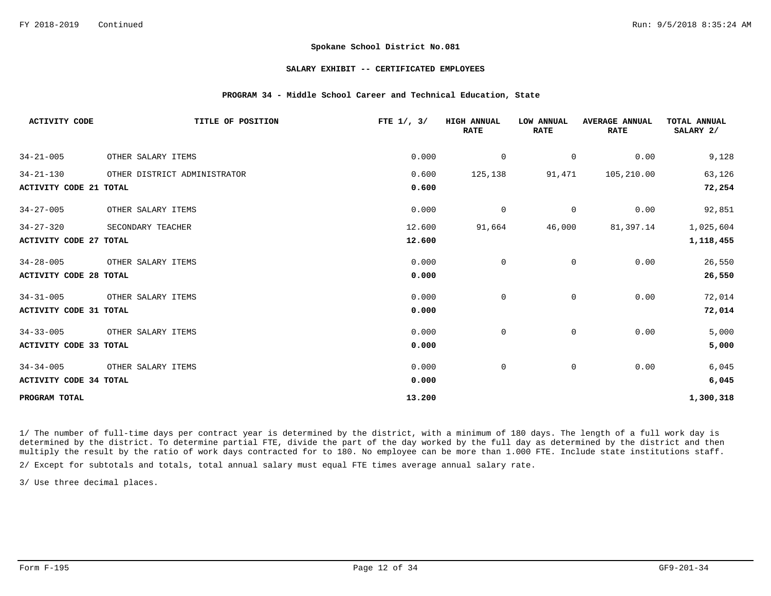#### **SALARY EXHIBIT -- CERTIFICATED EMPLOYEES**

### **PROGRAM 34 - Middle School Career and Technical Education, State**

| <b>ACTIVITY CODE</b>          | TITLE OF POSITION            | FTE $1/$ , $3/$ | <b>HIGH ANNUAL</b><br><b>RATE</b> | LOW ANNUAL<br><b>RATE</b> | <b>AVERAGE ANNUAL</b><br><b>RATE</b> | TOTAL ANNUAL<br>SALARY 2/ |
|-------------------------------|------------------------------|-----------------|-----------------------------------|---------------------------|--------------------------------------|---------------------------|
| $34 - 21 - 005$               | OTHER SALARY ITEMS           | 0.000           | $\mathbf 0$                       | 0                         | 0.00                                 | 9,128                     |
| $34 - 21 - 130$               | OTHER DISTRICT ADMINISTRATOR | 0.600           | 125,138                           | 91,471                    | 105,210.00                           | 63,126                    |
| <b>ACTIVITY CODE 21 TOTAL</b> |                              | 0.600           |                                   |                           |                                      | 72,254                    |
| $34 - 27 - 005$               | OTHER SALARY ITEMS           | 0.000           | $\overline{0}$                    | $\mathsf{O}$              | 0.00                                 | 92,851                    |
| $34 - 27 - 320$               | SECONDARY TEACHER            | 12.600          | 91,664                            | 46,000                    | 81,397.14                            | 1,025,604                 |
| <b>ACTIVITY CODE 27 TOTAL</b> |                              | 12.600          |                                   |                           |                                      | 1,118,455                 |
| $34 - 28 - 005$               | OTHER SALARY ITEMS           | 0.000           | 0                                 | 0                         | 0.00                                 | 26,550                    |
| <b>ACTIVITY CODE 28 TOTAL</b> |                              | 0.000           |                                   |                           |                                      | 26,550                    |
| $34 - 31 - 005$               | OTHER SALARY ITEMS           | 0.000           | $\mathbf 0$                       | $\mathbf 0$               | 0.00                                 | 72,014                    |
| <b>ACTIVITY CODE 31 TOTAL</b> |                              | 0.000           |                                   |                           |                                      | 72,014                    |
| $34 - 33 - 005$               | OTHER SALARY ITEMS           | 0.000           | 0                                 | $\mathbf{0}$              | 0.00                                 | 5,000                     |
| <b>ACTIVITY CODE 33 TOTAL</b> |                              | 0.000           |                                   |                           |                                      | 5,000                     |
| $34 - 34 - 005$               | OTHER SALARY ITEMS           | 0.000           | 0                                 | 0                         | 0.00                                 | 6,045                     |
| ACTIVITY CODE 34 TOTAL        |                              | 0.000           |                                   |                           |                                      | 6,045                     |
| PROGRAM TOTAL                 |                              | 13.200          |                                   |                           |                                      | 1,300,318                 |

1/ The number of full-time days per contract year is determined by the district, with a minimum of 180 days. The length of a full work day is determined by the district. To determine partial FTE, divide the part of the day worked by the full day as determined by the district and then multiply the result by the ratio of work days contracted for to 180. No employee can be more than 1.000 FTE. Include state institutions staff.

2/ Except for subtotals and totals, total annual salary must equal FTE times average annual salary rate.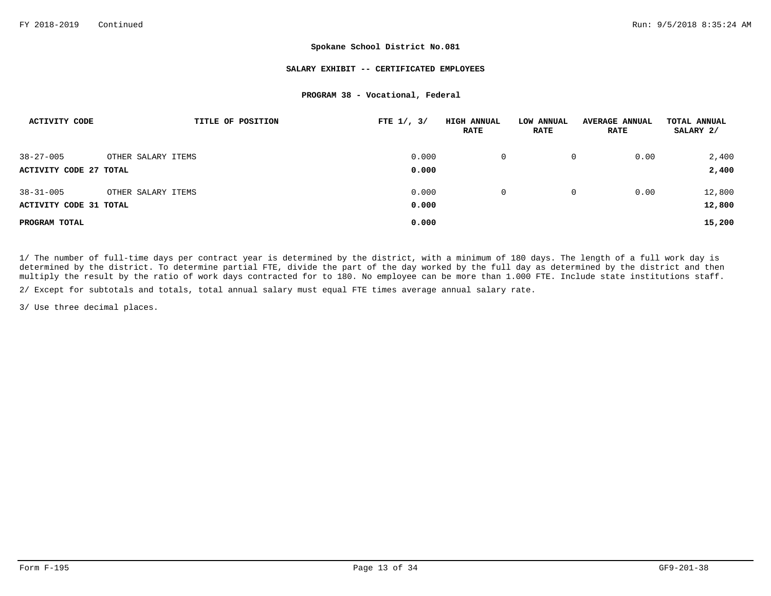#### **SALARY EXHIBIT -- CERTIFICATED EMPLOYEES**

#### **PROGRAM 38 - Vocational, Federal**

| <b>ACTIVITY CODE</b>          | TITLE OF POSITION  | FTE $1/$ , $3/$ | <b>HIGH ANNUAL</b><br><b>RATE</b> | LOW ANNUAL<br><b>RATE</b> | <b>AVERAGE ANNUAL</b><br><b>RATE</b> | TOTAL ANNUAL<br>SALARY 2/ |
|-------------------------------|--------------------|-----------------|-----------------------------------|---------------------------|--------------------------------------|---------------------------|
| $38 - 27 - 005$               | OTHER SALARY ITEMS | 0.000           | 0                                 | 0                         | 0.00                                 | 2,400                     |
| <b>ACTIVITY CODE 27 TOTAL</b> |                    | 0.000           |                                   |                           |                                      | 2,400                     |
| $38 - 31 - 005$               | OTHER SALARY ITEMS | 0.000           | $\Omega$                          | 0                         | 0.00                                 | 12,800                    |
| <b>ACTIVITY CODE 31 TOTAL</b> |                    | 0.000           |                                   |                           |                                      | 12,800                    |
| PROGRAM TOTAL                 |                    | 0.000           |                                   |                           |                                      | 15,200                    |

1/ The number of full-time days per contract year is determined by the district, with a minimum of 180 days. The length of a full work day is determined by the district. To determine partial FTE, divide the part of the day worked by the full day as determined by the district and then multiply the result by the ratio of work days contracted for to 180. No employee can be more than 1.000 FTE. Include state institutions staff.

2/ Except for subtotals and totals, total annual salary must equal FTE times average annual salary rate.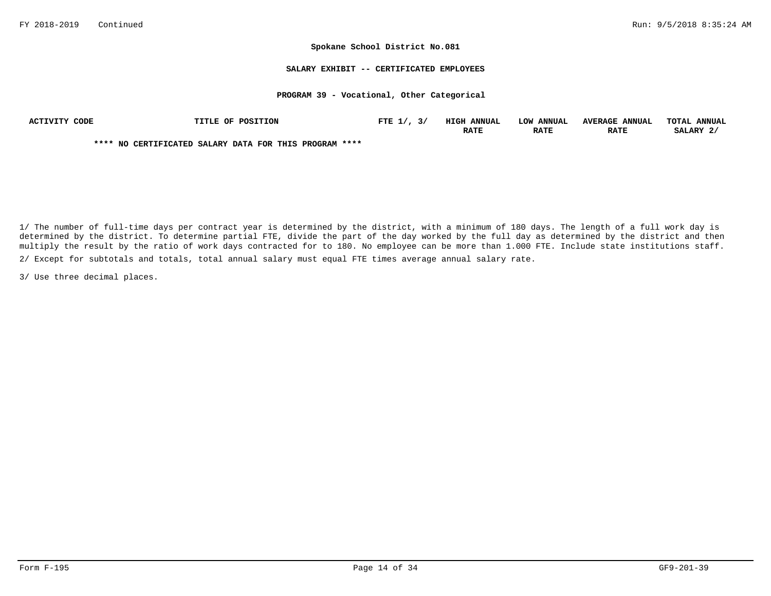#### **SALARY EXHIBIT -- CERTIFICATED EMPLOYEES**

#### **PROGRAM 39 - Vocational, Other Categorical**

| ACTIVITY CODE | <b>TITLE OF POSITION</b>                               | FTE $1/$ , $3/$ | <b>HIGH ANNUAL</b> | LOW ANNUAL  | <b>AVERAGE ANNUAL</b> | TOTAL ANNUAL |
|---------------|--------------------------------------------------------|-----------------|--------------------|-------------|-----------------------|--------------|
|               |                                                        |                 | <b>RATE</b>        | <b>RATE</b> | <b>RATE</b>           | SALARY 2/    |
|               | **** NO CERTIFICATED SALARY DATA FOR THIS PROGRAM **** |                 |                    |             |                       |              |

2/ Except for subtotals and totals, total annual salary must equal FTE times average annual salary rate. 1/ The number of full-time days per contract year is determined by the district, with a minimum of 180 days. The length of a full work day is determined by the district. To determine partial FTE, divide the part of the day worked by the full day as determined by the district and then multiply the result by the ratio of work days contracted for to 180. No employee can be more than 1.000 FTE. Include state institutions staff.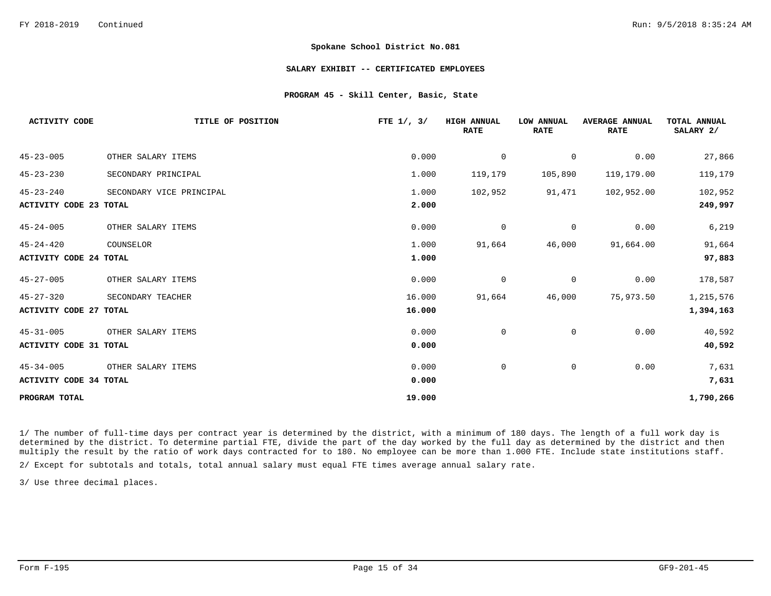#### **SALARY EXHIBIT -- CERTIFICATED EMPLOYEES**

### **PROGRAM 45 - Skill Center, Basic, State**

| $45 - 23 - 005$<br>0.000<br>0.00<br>OTHER SALARY ITEMS<br>$\mathbf 0$<br>$\mathbf 0$<br>$45 - 23 - 230$<br>1.000<br>105,890<br>119,179.00<br>119,179<br>SECONDARY PRINCIPAL<br>$45 - 23 - 240$<br>1.000<br>91,471<br>102,952.00<br>102,952<br>SECONDARY VICE PRINCIPAL<br>2.000<br><b>ACTIVITY CODE 23 TOTAL</b><br>$45 - 24 - 005$<br>OTHER SALARY ITEMS<br>0.000<br>0.00<br>$\mathbf 0$<br>0<br>$45 - 24 - 420$<br>1.000<br>46,000<br>91,664.00<br>91,664<br>COUNSELOR<br>1.000<br><b>ACTIVITY CODE 24 TOTAL</b><br>$45 - 27 - 005$<br>0.00<br>OTHER SALARY ITEMS<br>0.000<br>0<br>0<br>$45 - 27 - 320$<br>75,973.50<br>16.000<br>91,664<br>46,000<br>SECONDARY TEACHER<br>16.000<br><b>ACTIVITY CODE 27 TOTAL</b><br>0.000<br>$45 - 31 - 005$<br>$\mathsf{O}$<br>0.00<br>OTHER SALARY ITEMS<br>$\mathbf 0$<br>0.000<br><b>ACTIVITY CODE 31 TOTAL</b><br>$45 - 34 - 005$<br>0.000<br>$\mathbf 0$<br>0<br>0.00<br>OTHER SALARY ITEMS<br><b>ACTIVITY CODE 34 TOTAL</b><br>0.000<br>19.000<br>PROGRAM TOTAL | <b>ACTIVITY CODE</b> | TITLE OF POSITION | FTE $1/$ , $3/$ | <b>HIGH ANNUAL</b><br><b>RATE</b> | LOW ANNUAL<br><b>RATE</b> | <b>AVERAGE ANNUAL</b><br><b>RATE</b> | TOTAL ANNUAL<br>SALARY 2/ |
|------------------------------------------------------------------------------------------------------------------------------------------------------------------------------------------------------------------------------------------------------------------------------------------------------------------------------------------------------------------------------------------------------------------------------------------------------------------------------------------------------------------------------------------------------------------------------------------------------------------------------------------------------------------------------------------------------------------------------------------------------------------------------------------------------------------------------------------------------------------------------------------------------------------------------------------------------------------------------------------------------------|----------------------|-------------------|-----------------|-----------------------------------|---------------------------|--------------------------------------|---------------------------|
|                                                                                                                                                                                                                                                                                                                                                                                                                                                                                                                                                                                                                                                                                                                                                                                                                                                                                                                                                                                                            |                      |                   |                 |                                   |                           |                                      | 27,866                    |
|                                                                                                                                                                                                                                                                                                                                                                                                                                                                                                                                                                                                                                                                                                                                                                                                                                                                                                                                                                                                            |                      |                   |                 |                                   |                           |                                      | 119,179                   |
|                                                                                                                                                                                                                                                                                                                                                                                                                                                                                                                                                                                                                                                                                                                                                                                                                                                                                                                                                                                                            |                      |                   |                 |                                   |                           |                                      | 102,952                   |
|                                                                                                                                                                                                                                                                                                                                                                                                                                                                                                                                                                                                                                                                                                                                                                                                                                                                                                                                                                                                            |                      |                   |                 |                                   |                           |                                      | 249,997                   |
|                                                                                                                                                                                                                                                                                                                                                                                                                                                                                                                                                                                                                                                                                                                                                                                                                                                                                                                                                                                                            |                      |                   |                 |                                   |                           |                                      | 6,219                     |
|                                                                                                                                                                                                                                                                                                                                                                                                                                                                                                                                                                                                                                                                                                                                                                                                                                                                                                                                                                                                            |                      |                   |                 |                                   |                           |                                      | 91,664                    |
|                                                                                                                                                                                                                                                                                                                                                                                                                                                                                                                                                                                                                                                                                                                                                                                                                                                                                                                                                                                                            |                      |                   |                 |                                   |                           |                                      | 97,883                    |
|                                                                                                                                                                                                                                                                                                                                                                                                                                                                                                                                                                                                                                                                                                                                                                                                                                                                                                                                                                                                            |                      |                   |                 |                                   |                           |                                      | 178,587                   |
|                                                                                                                                                                                                                                                                                                                                                                                                                                                                                                                                                                                                                                                                                                                                                                                                                                                                                                                                                                                                            |                      |                   |                 |                                   |                           |                                      | 1,215,576                 |
|                                                                                                                                                                                                                                                                                                                                                                                                                                                                                                                                                                                                                                                                                                                                                                                                                                                                                                                                                                                                            |                      |                   |                 |                                   |                           |                                      | 1,394,163                 |
|                                                                                                                                                                                                                                                                                                                                                                                                                                                                                                                                                                                                                                                                                                                                                                                                                                                                                                                                                                                                            |                      |                   |                 |                                   |                           |                                      | 40,592                    |
|                                                                                                                                                                                                                                                                                                                                                                                                                                                                                                                                                                                                                                                                                                                                                                                                                                                                                                                                                                                                            |                      |                   |                 |                                   |                           |                                      | 40,592                    |
|                                                                                                                                                                                                                                                                                                                                                                                                                                                                                                                                                                                                                                                                                                                                                                                                                                                                                                                                                                                                            |                      |                   |                 |                                   |                           |                                      | 7,631                     |
|                                                                                                                                                                                                                                                                                                                                                                                                                                                                                                                                                                                                                                                                                                                                                                                                                                                                                                                                                                                                            |                      |                   |                 |                                   |                           |                                      | 7,631                     |
|                                                                                                                                                                                                                                                                                                                                                                                                                                                                                                                                                                                                                                                                                                                                                                                                                                                                                                                                                                                                            |                      |                   |                 |                                   |                           |                                      | 1,790,266                 |

1/ The number of full-time days per contract year is determined by the district, with a minimum of 180 days. The length of a full work day is determined by the district. To determine partial FTE, divide the part of the day worked by the full day as determined by the district and then multiply the result by the ratio of work days contracted for to 180. No employee can be more than 1.000 FTE. Include state institutions staff.

2/ Except for subtotals and totals, total annual salary must equal FTE times average annual salary rate.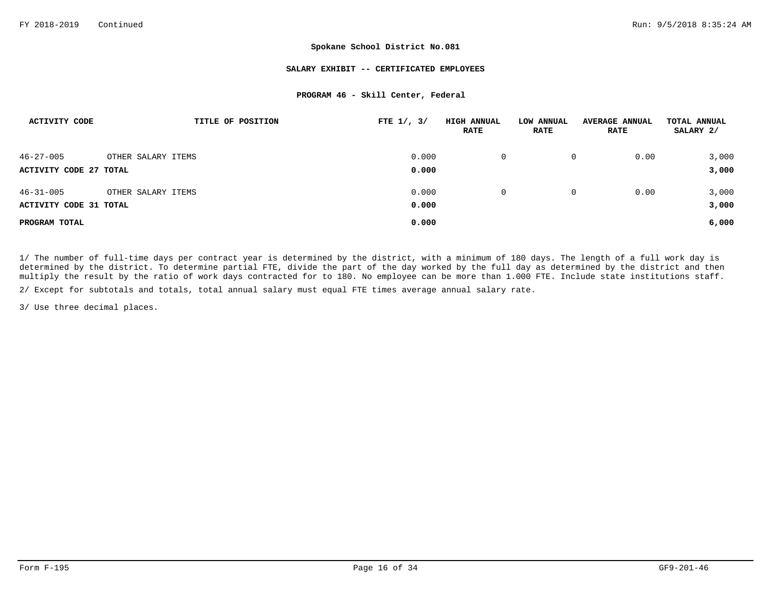#### **SALARY EXHIBIT -- CERTIFICATED EMPLOYEES**

#### **PROGRAM 46 - Skill Center, Federal**

| ACTIVITY CODE                 | TITLE OF POSITION  | FTE $1/$ , $3/$ | <b>HIGH ANNUAL</b><br><b>RATE</b> | LOW ANNUAL<br><b>RATE</b> | <b>AVERAGE ANNUAL</b><br><b>RATE</b> | TOTAL ANNUAL<br>SALARY 2/ |
|-------------------------------|--------------------|-----------------|-----------------------------------|---------------------------|--------------------------------------|---------------------------|
| $46 - 27 - 005$               | OTHER SALARY ITEMS | 0.000           | 0                                 | 0                         | 0.00                                 | 3,000                     |
| <b>ACTIVITY CODE 27 TOTAL</b> |                    | 0.000           |                                   |                           |                                      | 3,000                     |
| $46 - 31 - 005$               | OTHER SALARY ITEMS | 0.000           | $\Omega$                          | 0                         | 0.00                                 | 3,000                     |
| <b>ACTIVITY CODE 31 TOTAL</b> |                    | 0.000           |                                   |                           |                                      | 3,000                     |
| PROGRAM TOTAL                 |                    | 0.000           |                                   |                           |                                      | 6,000                     |

1/ The number of full-time days per contract year is determined by the district, with a minimum of 180 days. The length of a full work day is determined by the district. To determine partial FTE, divide the part of the day worked by the full day as determined by the district and then multiply the result by the ratio of work days contracted for to 180. No employee can be more than 1.000 FTE. Include state institutions staff.

2/ Except for subtotals and totals, total annual salary must equal FTE times average annual salary rate.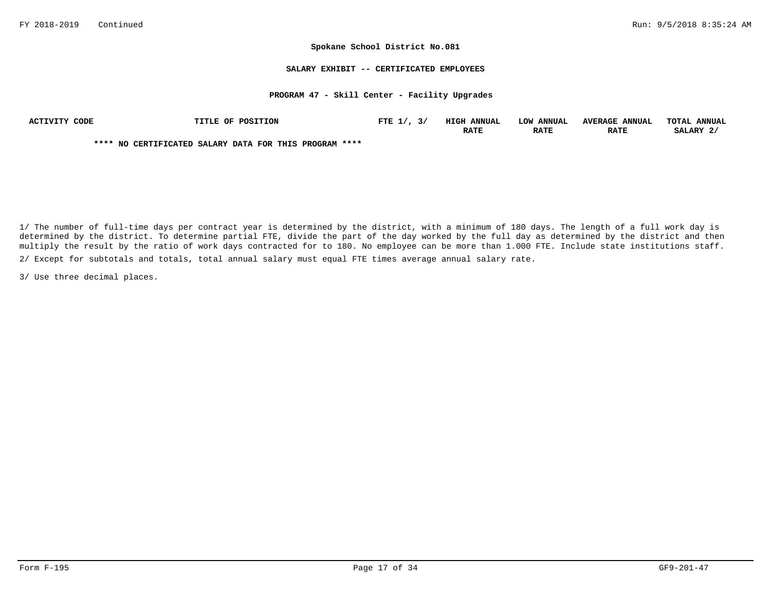#### **SALARY EXHIBIT -- CERTIFICATED EMPLOYEES**

#### **PROGRAM 47 - Skill Center - Facility Upgrades**

| ACTIVITY CODE | TITLE OF POSITION                                      | FTE $1/7$ , $3/7$ | <b>HIGH ANNUAL</b> | LOW ANNUAL  | <b>AVERAGE ANNUAL</b> | TOTAL ANNUAL |
|---------------|--------------------------------------------------------|-------------------|--------------------|-------------|-----------------------|--------------|
|               |                                                        |                   | <b>RATE</b>        | <b>RATE</b> | <b>RATE</b>           | SALARY 2/    |
|               | **** NO CERTIFICATED SALARY DATA FOR THIS PROGRAM **** |                   |                    |             |                       |              |

2/ Except for subtotals and totals, total annual salary must equal FTE times average annual salary rate. 1/ The number of full-time days per contract year is determined by the district, with a minimum of 180 days. The length of a full work day is determined by the district. To determine partial FTE, divide the part of the day worked by the full day as determined by the district and then multiply the result by the ratio of work days contracted for to 180. No employee can be more than 1.000 FTE. Include state institutions staff.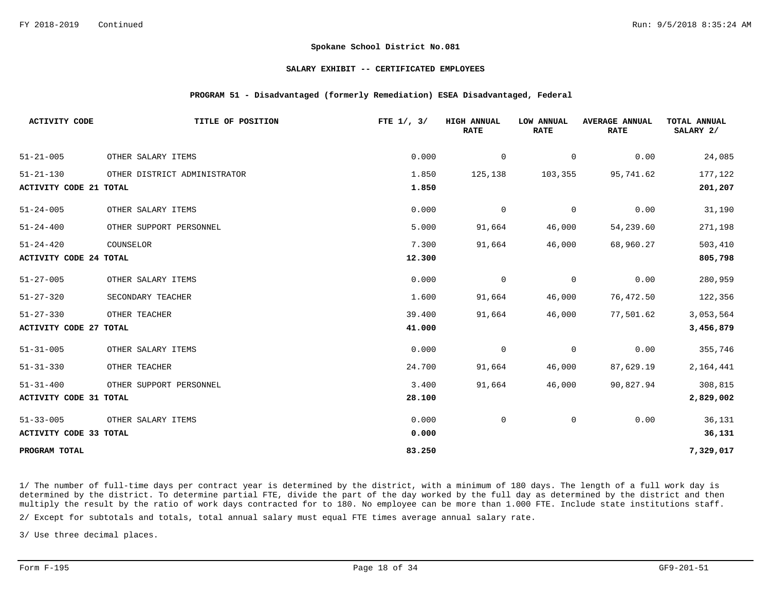#### **SALARY EXHIBIT -- CERTIFICATED EMPLOYEES**

### **PROGRAM 51 - Disadvantaged (formerly Remediation) ESEA Disadvantaged, Federal**

| <b>ACTIVITY CODE</b>          | TITLE OF POSITION            | FTE $1/$ , $3/$ | <b>HIGH ANNUAL</b><br><b>RATE</b> | LOW ANNUAL<br><b>RATE</b> | <b>AVERAGE ANNUAL</b><br><b>RATE</b> | TOTAL ANNUAL<br>SALARY 2/ |
|-------------------------------|------------------------------|-----------------|-----------------------------------|---------------------------|--------------------------------------|---------------------------|
| $51 - 21 - 005$               | OTHER SALARY ITEMS           | 0.000           | 0                                 | 0                         | 0.00                                 | 24,085                    |
| $51 - 21 - 130$               | OTHER DISTRICT ADMINISTRATOR | 1.850           | 125,138                           | 103,355                   | 95,741.62                            | 177,122                   |
| <b>ACTIVITY CODE 21 TOTAL</b> |                              | 1.850           |                                   |                           |                                      | 201,207                   |
| $51 - 24 - 005$               | OTHER SALARY ITEMS           | 0.000           | $\mathbf 0$                       | 0                         | 0.00                                 | 31,190                    |
| $51 - 24 - 400$               | OTHER SUPPORT PERSONNEL      | 5.000           | 91,664                            | 46,000                    | 54,239.60                            | 271,198                   |
| $51 - 24 - 420$               | COUNSELOR                    | 7.300           | 91,664                            | 46,000                    | 68,960.27                            | 503,410                   |
| <b>ACTIVITY CODE 24 TOTAL</b> |                              | 12.300          |                                   |                           |                                      | 805,798                   |
| $51 - 27 - 005$               | OTHER SALARY ITEMS           | 0.000           | 0                                 | 0                         | 0.00                                 | 280,959                   |
| $51 - 27 - 320$               | SECONDARY TEACHER            | 1.600           | 91,664                            | 46,000                    | 76,472.50                            | 122,356                   |
| $51 - 27 - 330$               | OTHER TEACHER                | 39.400          | 91,664                            | 46,000                    | 77,501.62                            | 3,053,564                 |
| <b>ACTIVITY CODE 27 TOTAL</b> |                              | 41.000          |                                   |                           |                                      | 3,456,879                 |
| $51 - 31 - 005$               | OTHER SALARY ITEMS           | 0.000           | $\overline{0}$                    | $\mathbf 0$               | 0.00                                 | 355,746                   |
| $51 - 31 - 330$               | OTHER TEACHER                | 24.700          | 91,664                            | 46,000                    | 87,629.19                            | 2,164,441                 |
| $51 - 31 - 400$               | OTHER SUPPORT PERSONNEL      | 3.400           | 91,664                            | 46,000                    | 90,827.94                            | 308,815                   |
| <b>ACTIVITY CODE 31 TOTAL</b> |                              | 28.100          |                                   |                           |                                      | 2,829,002                 |
| $51 - 33 - 005$               | OTHER SALARY ITEMS           | 0.000           | $\mathbf 0$                       | 0                         | 0.00                                 | 36,131                    |
| ACTIVITY CODE 33 TOTAL        |                              | 0.000           |                                   |                           |                                      | 36,131                    |
| PROGRAM TOTAL                 |                              | 83.250          |                                   |                           |                                      | 7,329,017                 |

1/ The number of full-time days per contract year is determined by the district, with a minimum of 180 days. The length of a full work day is determined by the district. To determine partial FTE, divide the part of the day worked by the full day as determined by the district and then multiply the result by the ratio of work days contracted for to 180. No employee can be more than 1.000 FTE. Include state institutions staff.

2/ Except for subtotals and totals, total annual salary must equal FTE times average annual salary rate.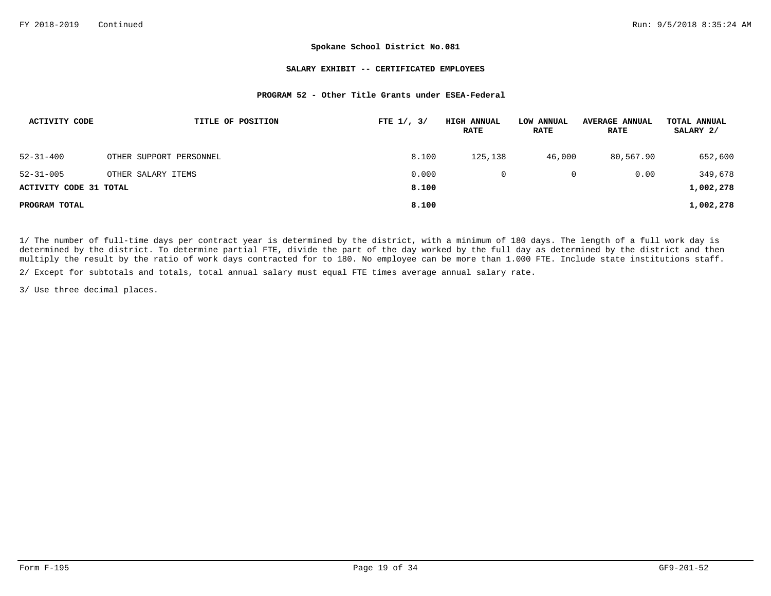#### **SALARY EXHIBIT -- CERTIFICATED EMPLOYEES**

### **PROGRAM 52 - Other Title Grants under ESEA-Federal**

| ACTIVITY CODE                 | TITLE OF POSITION       | FTE $1/$ , $3/$ | <b>HIGH ANNUAL</b><br><b>RATE</b> | LOW ANNUAL<br><b>RATE</b> | <b>AVERAGE ANNUAL</b><br><b>RATE</b> | TOTAL ANNUAL<br>SALARY 2/ |
|-------------------------------|-------------------------|-----------------|-----------------------------------|---------------------------|--------------------------------------|---------------------------|
| $52 - 31 - 400$               | OTHER SUPPORT PERSONNEL | 8.100           | 125,138                           | 46,000                    | 80,567.90                            | 652,600                   |
| $52 - 31 - 005$               | OTHER SALARY ITEMS      | 0.000           |                                   | 0                         | 0.00                                 | 349,678                   |
| <b>ACTIVITY CODE 31 TOTAL</b> |                         | 8.100           |                                   |                           |                                      | 1,002,278                 |
| PROGRAM TOTAL                 |                         | 8,100           |                                   |                           |                                      | 1,002,278                 |

1/ The number of full-time days per contract year is determined by the district, with a minimum of 180 days. The length of a full work day is determined by the district. To determine partial FTE, divide the part of the day worked by the full day as determined by the district and then multiply the result by the ratio of work days contracted for to 180. No employee can be more than 1.000 FTE. Include state institutions staff.

2/ Except for subtotals and totals, total annual salary must equal FTE times average annual salary rate.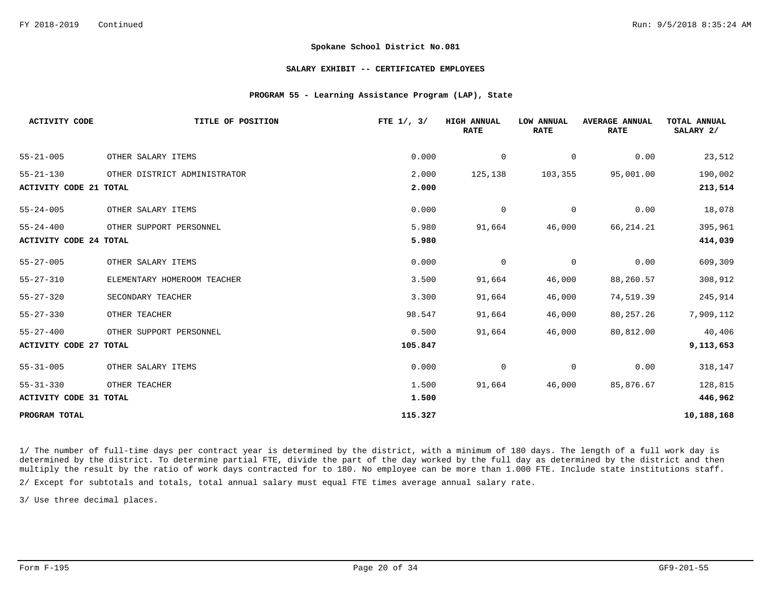#### **SALARY EXHIBIT -- CERTIFICATED EMPLOYEES**

### **PROGRAM 55 - Learning Assistance Program (LAP), State**

| <b>ACTIVITY CODE</b>          | TITLE OF POSITION            | FTE $1/$ , $3/$ | <b>HIGH ANNUAL</b><br><b>RATE</b> | LOW ANNUAL<br><b>RATE</b> | <b>AVERAGE ANNUAL</b><br><b>RATE</b> | TOTAL ANNUAL<br>SALARY 2/ |
|-------------------------------|------------------------------|-----------------|-----------------------------------|---------------------------|--------------------------------------|---------------------------|
| $55 - 21 - 005$               | OTHER SALARY ITEMS           | 0.000           | 0                                 | 0                         | 0.00                                 | 23,512                    |
| $55 - 21 - 130$               | OTHER DISTRICT ADMINISTRATOR | 2.000           | 125,138                           | 103,355                   | 95,001.00                            | 190,002                   |
| ACTIVITY CODE 21 TOTAL        |                              | 2.000           |                                   |                           |                                      | 213,514                   |
| $55 - 24 - 005$               | OTHER SALARY ITEMS           | 0.000           | 0                                 | 0                         | 0.00                                 | 18,078                    |
| $55 - 24 - 400$               | OTHER SUPPORT PERSONNEL      | 5.980           | 91,664                            | 46,000                    | 66,214.21                            | 395,961                   |
| <b>ACTIVITY CODE 24 TOTAL</b> |                              | 5.980           |                                   |                           |                                      | 414,039                   |
| $55 - 27 - 005$               | OTHER SALARY ITEMS           | 0.000           | $\mathbf 0$                       | 0                         | 0.00                                 | 609,309                   |
| $55 - 27 - 310$               | ELEMENTARY HOMEROOM TEACHER  | 3.500           | 91,664                            | 46,000                    | 88,260.57                            | 308,912                   |
| $55 - 27 - 320$               | SECONDARY TEACHER            | 3.300           | 91,664                            | 46,000                    | 74,519.39                            | 245,914                   |
| $55 - 27 - 330$               | OTHER TEACHER                | 98.547          | 91,664                            | 46,000                    | 80,257.26                            | 7,909,112                 |
| $55 - 27 - 400$               | OTHER SUPPORT PERSONNEL      | 0.500           | 91,664                            | 46,000                    | 80,812.00                            | 40,406                    |
| <b>ACTIVITY CODE 27 TOTAL</b> |                              | 105.847         |                                   |                           |                                      | 9,113,653                 |
| $55 - 31 - 005$               | OTHER SALARY ITEMS           | 0.000           | 0                                 | 0                         | 0.00                                 | 318,147                   |
| $55 - 31 - 330$               | OTHER TEACHER                | 1.500           | 91,664                            | 46,000                    | 85,876.67                            | 128,815                   |
| ACTIVITY CODE 31 TOTAL        |                              | 1.500           |                                   |                           |                                      | 446,962                   |
| PROGRAM TOTAL                 |                              | 115.327         |                                   |                           |                                      | 10,188,168                |

1/ The number of full-time days per contract year is determined by the district, with a minimum of 180 days. The length of a full work day is determined by the district. To determine partial FTE, divide the part of the day worked by the full day as determined by the district and then multiply the result by the ratio of work days contracted for to 180. No employee can be more than 1.000 FTE. Include state institutions staff.

2/ Except for subtotals and totals, total annual salary must equal FTE times average annual salary rate.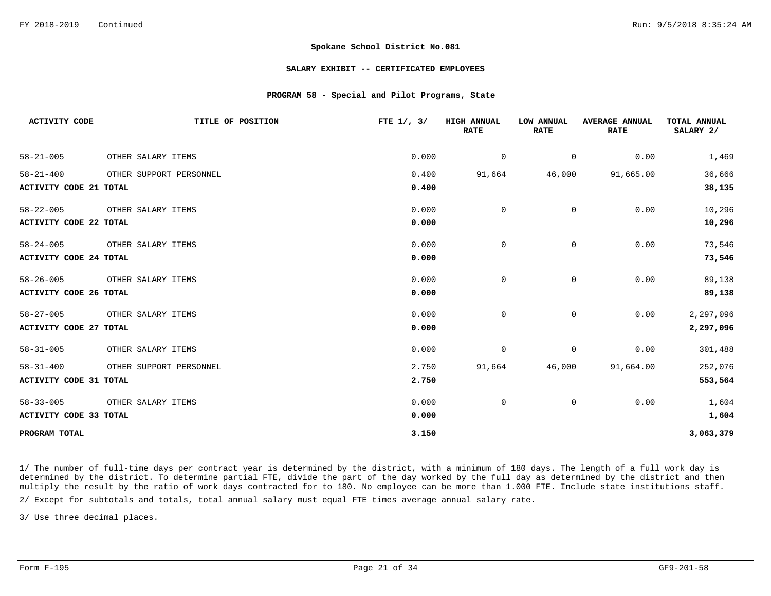#### **SALARY EXHIBIT -- CERTIFICATED EMPLOYEES**

### **PROGRAM 58 - Special and Pilot Programs, State**

| <b>ACTIVITY CODE</b>          | TITLE OF POSITION       | FTE $1/$ , $3/$ | <b>HIGH ANNUAL</b><br><b>RATE</b> | LOW ANNUAL<br><b>RATE</b> | <b>AVERAGE ANNUAL</b><br><b>RATE</b> | <b>TOTAL ANNUAL</b><br>SALARY 2/ |
|-------------------------------|-------------------------|-----------------|-----------------------------------|---------------------------|--------------------------------------|----------------------------------|
| $58 - 21 - 005$               | OTHER SALARY ITEMS      | 0.000           | $\overline{0}$                    | $\overline{0}$            | 0.00                                 | 1,469                            |
| $58 - 21 - 400$               | OTHER SUPPORT PERSONNEL | 0.400           | 91,664                            | 46,000                    | 91,665.00                            | 36,666                           |
| <b>ACTIVITY CODE 21 TOTAL</b> |                         | 0.400           |                                   |                           |                                      | 38,135                           |
| $58 - 22 - 005$               | OTHER SALARY ITEMS      | 0.000           | $\Omega$                          | $\Omega$                  | 0.00                                 | 10,296                           |
| <b>ACTIVITY CODE 22 TOTAL</b> |                         | 0.000           |                                   |                           |                                      | 10,296                           |
| $58 - 24 - 005$               | OTHER SALARY ITEMS      | 0.000           | 0                                 | 0                         | 0.00                                 | 73,546                           |
| <b>ACTIVITY CODE 24 TOTAL</b> |                         | 0.000           |                                   |                           |                                      | 73,546                           |
| $58 - 26 - 005$               | OTHER SALARY ITEMS      | 0.000           | $\mathbf 0$                       | $\mathbf 0$               | 0.00                                 | 89,138                           |
| <b>ACTIVITY CODE 26 TOTAL</b> |                         | 0.000           |                                   |                           |                                      | 89,138                           |
| $58 - 27 - 005$               | OTHER SALARY ITEMS      | 0.000           | $\mathbf 0$                       | 0                         | 0.00                                 | 2,297,096                        |
| <b>ACTIVITY CODE 27 TOTAL</b> |                         | 0.000           |                                   |                           |                                      | 2,297,096                        |
| $58 - 31 - 005$               | OTHER SALARY ITEMS      | 0.000           | 0                                 | $\mathsf{O}$              | 0.00                                 | 301,488                          |
| $58 - 31 - 400$               | OTHER SUPPORT PERSONNEL | 2.750           | 91,664                            | 46,000                    | 91,664.00                            | 252,076                          |
| ACTIVITY CODE 31 TOTAL        |                         | 2.750           |                                   |                           |                                      | 553,564                          |
| $58 - 33 - 005$               | OTHER SALARY ITEMS      | 0.000           | $\mathbf 0$                       | $\mathsf{O}$              | 0.00                                 | 1,604                            |
| <b>ACTIVITY CODE 33 TOTAL</b> |                         | 0.000           |                                   |                           |                                      | 1,604                            |
| PROGRAM TOTAL                 |                         | 3.150           |                                   |                           |                                      | 3,063,379                        |

1/ The number of full-time days per contract year is determined by the district, with a minimum of 180 days. The length of a full work day is determined by the district. To determine partial FTE, divide the part of the day worked by the full day as determined by the district and then multiply the result by the ratio of work days contracted for to 180. No employee can be more than 1.000 FTE. Include state institutions staff.

2/ Except for subtotals and totals, total annual salary must equal FTE times average annual salary rate.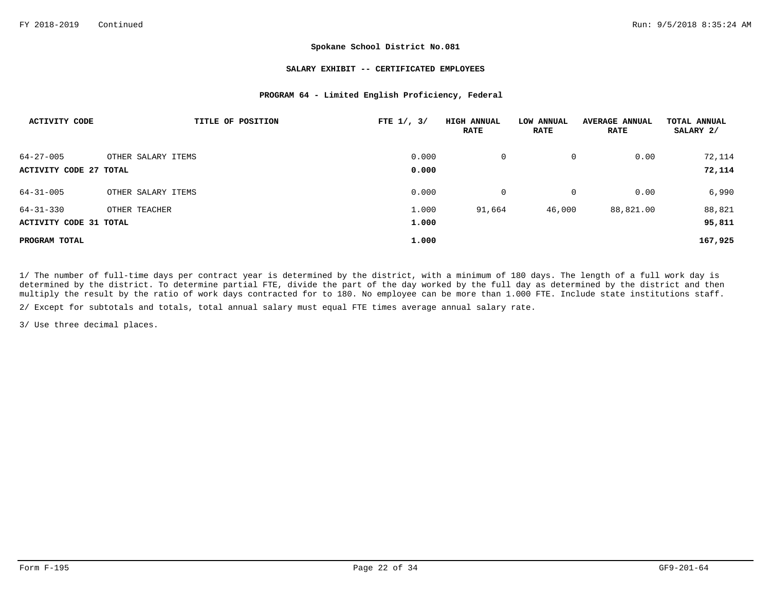## **SALARY EXHIBIT -- CERTIFICATED EMPLOYEES**

## **PROGRAM 64 - Limited English Proficiency, Federal**

| <b>ACTIVITY CODE</b>   | TITLE OF POSITION  | FTE $1/$ , $3/$ | <b>HIGH ANNUAL</b><br><b>RATE</b> | <b>LOW ANNUAL</b><br><b>RATE</b> | <b>AVERAGE ANNUAL</b><br><b>RATE</b> | TOTAL ANNUAL<br>SALARY 2/ |
|------------------------|--------------------|-----------------|-----------------------------------|----------------------------------|--------------------------------------|---------------------------|
| $64 - 27 - 005$        | OTHER SALARY ITEMS | 0.000           | $\mathsf{O}$                      | 0                                | 0.00                                 | 72,114                    |
| ACTIVITY CODE 27 TOTAL |                    | 0.000           |                                   |                                  |                                      | 72,114                    |
| $64 - 31 - 005$        | OTHER SALARY ITEMS | 0.000           | $\mathsf{O}$                      | 0                                | 0.00                                 | 6,990                     |
| $64 - 31 - 330$        | OTHER TEACHER      | 1.000           | 91,664                            | 46,000                           | 88,821.00                            | 88,821                    |
| ACTIVITY CODE 31 TOTAL |                    | 1.000           |                                   |                                  |                                      | 95,811                    |
| PROGRAM TOTAL          |                    | 1,000           |                                   |                                  |                                      | 167,925                   |

1/ The number of full-time days per contract year is determined by the district, with a minimum of 180 days. The length of a full work day is determined by the district. To determine partial FTE, divide the part of the day worked by the full day as determined by the district and then multiply the result by the ratio of work days contracted for to 180. No employee can be more than 1.000 FTE. Include state institutions staff. 2/ Except for subtotals and totals, total annual salary must equal FTE times average annual salary rate.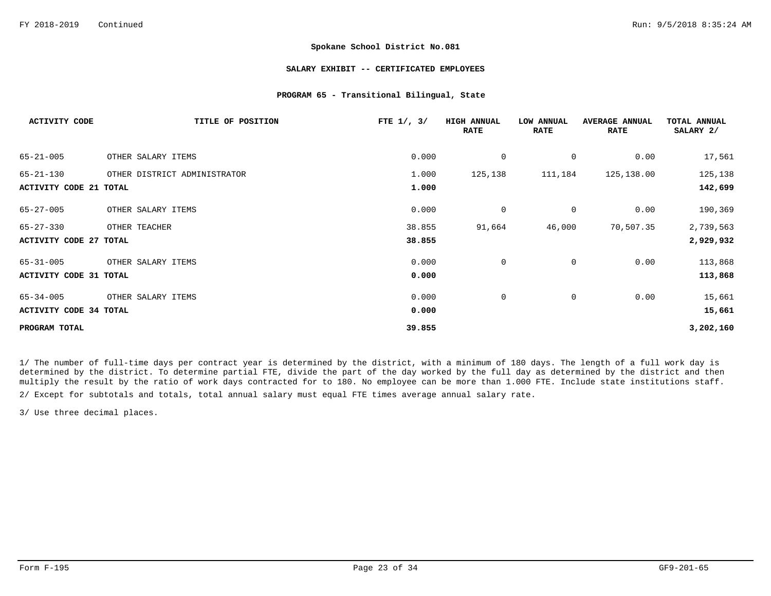### **SALARY EXHIBIT -- CERTIFICATED EMPLOYEES**

## **PROGRAM 65 - Transitional Bilingual, State**

| <b>ACTIVITY CODE</b>          | TITLE OF POSITION            | FTE $1/$ , $3/$ | <b>HIGH ANNUAL</b><br><b>RATE</b> | <b>LOW ANNUAL</b><br><b>RATE</b> | <b>AVERAGE ANNUAL</b><br><b>RATE</b> | TOTAL ANNUAL<br>SALARY 2/ |
|-------------------------------|------------------------------|-----------------|-----------------------------------|----------------------------------|--------------------------------------|---------------------------|
| $65 - 21 - 005$               | OTHER SALARY ITEMS           | 0.000           | 0                                 | 0                                | 0.00                                 | 17,561                    |
| $65 - 21 - 130$               | OTHER DISTRICT ADMINISTRATOR | 1.000           | 125,138                           | 111,184                          | 125,138.00                           | 125,138                   |
| <b>ACTIVITY CODE 21 TOTAL</b> |                              | 1.000           |                                   |                                  |                                      | 142,699                   |
| $65 - 27 - 005$               | OTHER SALARY ITEMS           | 0.000           | 0                                 | 0                                | 0.00                                 | 190,369                   |
| $65 - 27 - 330$               | OTHER TEACHER                | 38.855          | 91,664                            | 46,000                           | 70,507.35                            | 2,739,563                 |
| <b>ACTIVITY CODE 27 TOTAL</b> |                              | 38.855          |                                   |                                  |                                      | 2,929,932                 |
| $65 - 31 - 005$               | OTHER SALARY ITEMS           | 0.000           | $\mathbf 0$                       | 0                                | 0.00                                 | 113,868                   |
| <b>ACTIVITY CODE 31 TOTAL</b> |                              | 0.000           |                                   |                                  |                                      | 113,868                   |
| $65 - 34 - 005$               | OTHER SALARY ITEMS           | 0.000           | 0                                 | 0                                | 0.00                                 | 15,661                    |
| <b>ACTIVITY CODE 34 TOTAL</b> |                              | 0.000           |                                   |                                  |                                      | 15,661                    |
| PROGRAM TOTAL                 |                              | 39.855          |                                   |                                  |                                      | 3,202,160                 |

1/ The number of full-time days per contract year is determined by the district, with a minimum of 180 days. The length of a full work day is determined by the district. To determine partial FTE, divide the part of the day worked by the full day as determined by the district and then multiply the result by the ratio of work days contracted for to 180. No employee can be more than 1.000 FTE. Include state institutions staff.

2/ Except for subtotals and totals, total annual salary must equal FTE times average annual salary rate.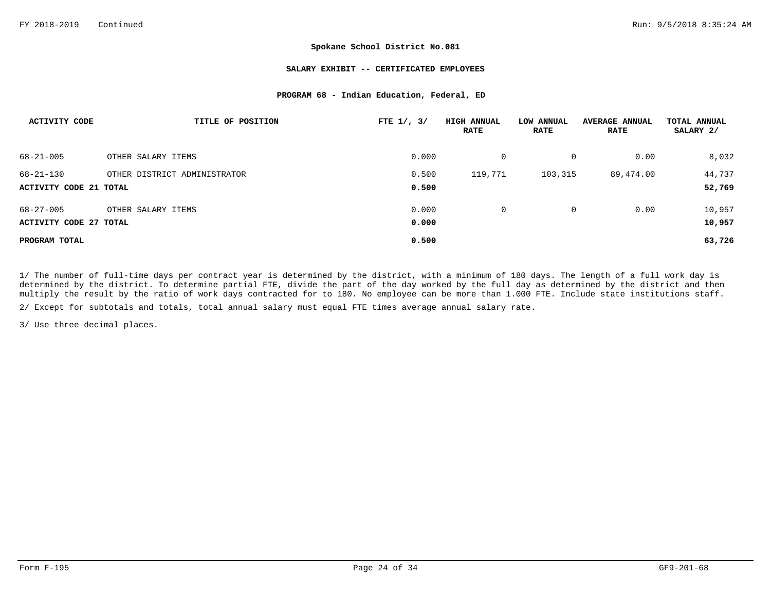## **SALARY EXHIBIT -- CERTIFICATED EMPLOYEES**

## **PROGRAM 68 - Indian Education, Federal, ED**

| ACTIVITY CODE          | TITLE OF POSITION            | FTE $1/$ , $3/$ | <b>HIGH ANNUAL</b><br>RATE | LOW ANNUAL<br>RATE | <b>AVERAGE ANNUAL</b><br>RATE | TOTAL ANNUAL<br>SALARY 2/ |
|------------------------|------------------------------|-----------------|----------------------------|--------------------|-------------------------------|---------------------------|
| $68 - 21 - 005$        | OTHER SALARY ITEMS           | 0.000           | 0                          | 0                  | 0.00                          | 8,032                     |
| $68 - 21 - 130$        | OTHER DISTRICT ADMINISTRATOR | 0.500           | 119,771                    | 103,315            | 89,474.00                     | 44,737                    |
| ACTIVITY CODE 21 TOTAL |                              | 0.500           |                            |                    |                               | 52,769                    |
| $68 - 27 - 005$        | OTHER SALARY ITEMS           | 0.000           | $\Omega$                   | 0                  | 0.00                          | 10,957                    |
| ACTIVITY CODE 27 TOTAL |                              | 0.000           |                            |                    |                               | 10,957                    |
| PROGRAM TOTAL          |                              | 0.500           |                            |                    |                               | 63,726                    |

2/ Except for subtotals and totals, total annual salary must equal FTE times average annual salary rate. 1/ The number of full-time days per contract year is determined by the district, with a minimum of 180 days. The length of a full work day is determined by the district. To determine partial FTE, divide the part of the day worked by the full day as determined by the district and then multiply the result by the ratio of work days contracted for to 180. No employee can be more than 1.000 FTE. Include state institutions staff.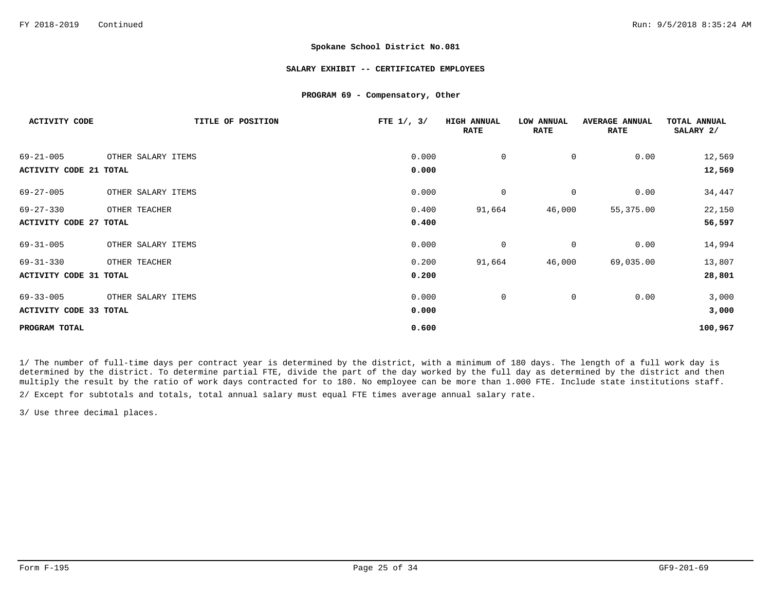### **SALARY EXHIBIT -- CERTIFICATED EMPLOYEES**

### **PROGRAM 69 - Compensatory, Other**

| <b>ACTIVITY CODE</b>   | TITLE OF POSITION  | FTE $1/$ , $3/$ | <b>HIGH ANNUAL</b><br><b>RATE</b> | <b>LOW ANNUAL</b><br><b>RATE</b> | <b>AVERAGE ANNUAL</b><br><b>RATE</b> | TOTAL ANNUAL<br>SALARY 2/ |
|------------------------|--------------------|-----------------|-----------------------------------|----------------------------------|--------------------------------------|---------------------------|
| $69 - 21 - 005$        | OTHER SALARY ITEMS | 0.000           | $\mathbf 0$                       | 0                                | 0.00                                 | 12,569                    |
| ACTIVITY CODE 21 TOTAL |                    | 0.000           |                                   |                                  |                                      | 12,569                    |
| $69 - 27 - 005$        | OTHER SALARY ITEMS | 0.000           | $\mathbf 0$                       | 0                                | 0.00                                 | 34,447                    |
| $69 - 27 - 330$        | OTHER TEACHER      | 0.400           | 91,664                            | 46,000                           | 55,375.00                            | 22,150                    |
| ACTIVITY CODE 27 TOTAL |                    | 0.400           |                                   |                                  |                                      | 56,597                    |
| $69 - 31 - 005$        | OTHER SALARY ITEMS | 0.000           | 0                                 | 0                                | 0.00                                 | 14,994                    |
| $69 - 31 - 330$        | OTHER TEACHER      | 0.200           | 91,664                            | 46,000                           | 69,035.00                            | 13,807                    |
| ACTIVITY CODE 31 TOTAL |                    | 0.200           |                                   |                                  |                                      | 28,801                    |
| $69 - 33 - 005$        | OTHER SALARY ITEMS | 0.000           | 0                                 | 0                                | 0.00                                 | 3,000                     |
| ACTIVITY CODE 33 TOTAL |                    | 0.000           |                                   |                                  |                                      | 3,000                     |
| PROGRAM TOTAL          |                    | 0.600           |                                   |                                  |                                      | 100,967                   |

1/ The number of full-time days per contract year is determined by the district, with a minimum of 180 days. The length of a full work day is determined by the district. To determine partial FTE, divide the part of the day worked by the full day as determined by the district and then multiply the result by the ratio of work days contracted for to 180. No employee can be more than 1.000 FTE. Include state institutions staff.

2/ Except for subtotals and totals, total annual salary must equal FTE times average annual salary rate.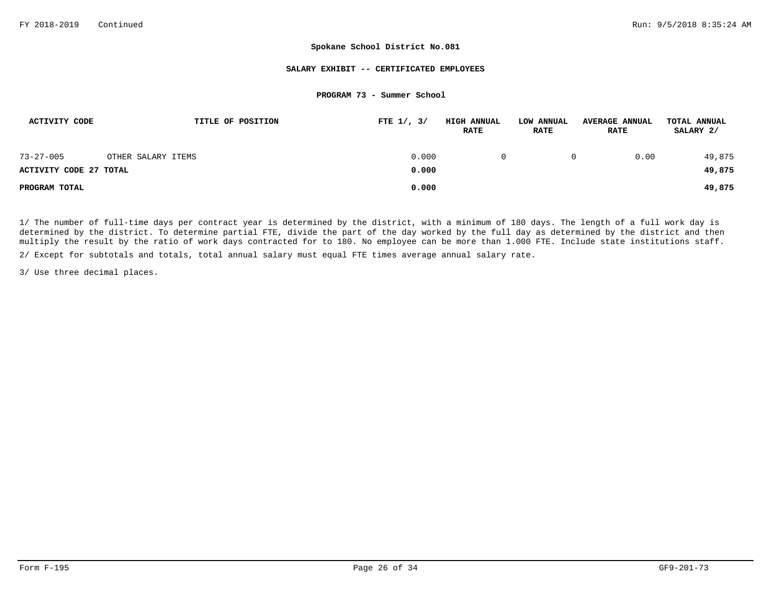### **SALARY EXHIBIT -- CERTIFICATED EMPLOYEES**

### **PROGRAM 73 - Summer School**

| ACTIVITY CODE                 | TITLE OF POSITION  | FTE $1/$ , $3/$ | <b>HIGH ANNUAL</b><br><b>RATE</b> | LOW ANNUAL<br><b>RATE</b> | <b>AVERAGE ANNUAL</b><br><b>RATE</b> | TOTAL ANNUAL<br>SALARY 2/ |
|-------------------------------|--------------------|-----------------|-----------------------------------|---------------------------|--------------------------------------|---------------------------|
| $73 - 27 - 005$               | OTHER SALARY ITEMS | 0.000           | $\Omega$                          | 0                         | 0.00                                 | 49,875                    |
| <b>ACTIVITY CODE 27 TOTAL</b> |                    | 0.000           |                                   |                           |                                      | 49,875                    |
| PROGRAM TOTAL                 |                    | 0.000           |                                   |                           |                                      | 49,875                    |

1/ The number of full-time days per contract year is determined by the district, with a minimum of 180 days. The length of a full work day is determined by the district. To determine partial FTE, divide the part of the day worked by the full day as determined by the district and then multiply the result by the ratio of work days contracted for to 180. No employee can be more than 1.000 FTE. Include state institutions staff.

2/ Except for subtotals and totals, total annual salary must equal FTE times average annual salary rate.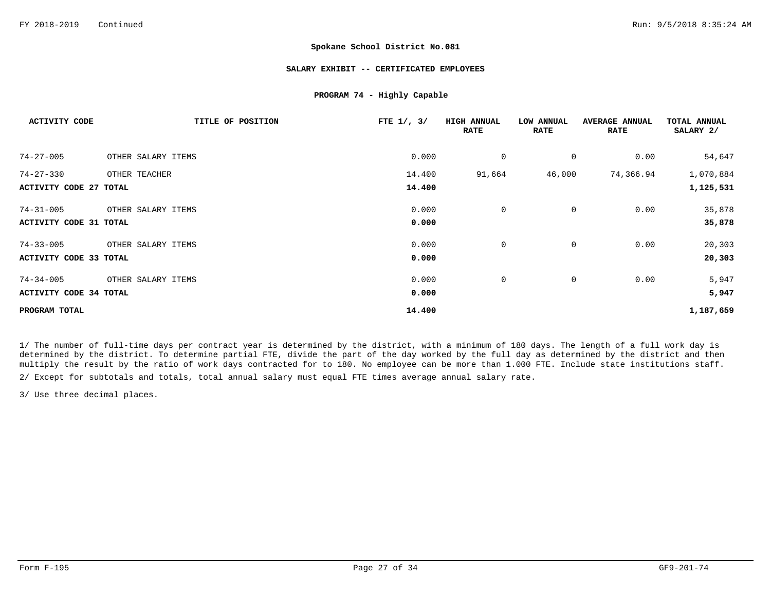### **SALARY EXHIBIT -- CERTIFICATED EMPLOYEES**

## **PROGRAM 74 - Highly Capable**

| <b>ACTIVITY CODE</b>          | TITLE OF POSITION  | FTE $1/$ , $3/$ | <b>HIGH ANNUAL</b><br><b>RATE</b> | LOW ANNUAL<br><b>RATE</b> | <b>AVERAGE ANNUAL</b><br><b>RATE</b> | TOTAL ANNUAL<br>SALARY 2/ |
|-------------------------------|--------------------|-----------------|-----------------------------------|---------------------------|--------------------------------------|---------------------------|
| $74 - 27 - 005$               | OTHER SALARY ITEMS | 0.000           | 0                                 | 0                         | 0.00                                 | 54,647                    |
| $74 - 27 - 330$               | OTHER TEACHER      | 14.400          | 91,664                            | 46,000                    | 74,366.94                            | 1,070,884                 |
| <b>ACTIVITY CODE 27 TOTAL</b> |                    | 14,400          |                                   |                           |                                      | 1,125,531                 |
| $74 - 31 - 005$               | OTHER SALARY ITEMS | 0.000           | $\mathbf 0$                       | 0                         | 0.00                                 | 35,878                    |
| <b>ACTIVITY CODE 31 TOTAL</b> |                    | 0.000           |                                   |                           |                                      | 35,878                    |
| $74 - 33 - 005$               | OTHER SALARY ITEMS | 0.000           | 0                                 | 0                         | 0.00                                 | 20,303                    |
| ACTIVITY CODE 33 TOTAL        |                    | 0.000           |                                   |                           |                                      | 20,303                    |
| $74 - 34 - 005$               | OTHER SALARY ITEMS | 0.000           | 0                                 | 0                         | 0.00                                 | 5,947                     |
| <b>ACTIVITY CODE 34 TOTAL</b> |                    | 0.000           |                                   |                           |                                      | 5,947                     |
| PROGRAM TOTAL                 |                    | 14.400          |                                   |                           |                                      | 1,187,659                 |

1/ The number of full-time days per contract year is determined by the district, with a minimum of 180 days. The length of a full work day is determined by the district. To determine partial FTE, divide the part of the day worked by the full day as determined by the district and then multiply the result by the ratio of work days contracted for to 180. No employee can be more than 1.000 FTE. Include state institutions staff.

2/ Except for subtotals and totals, total annual salary must equal FTE times average annual salary rate.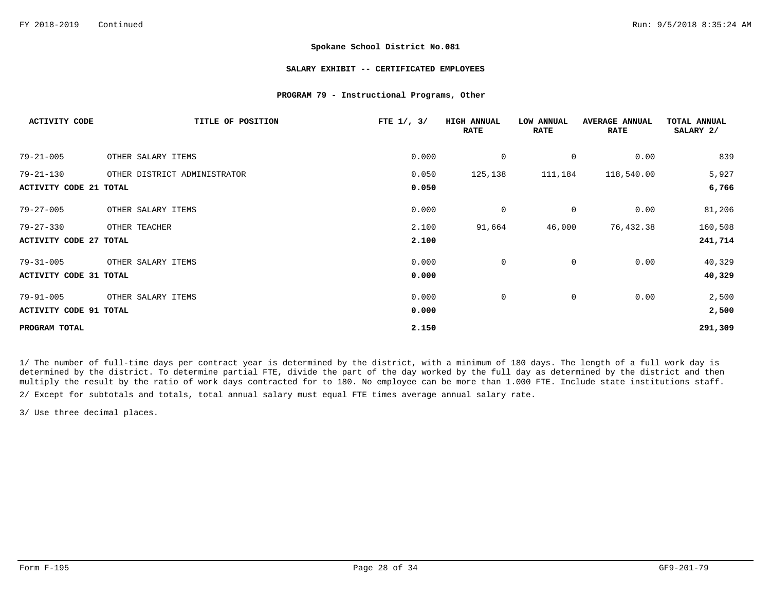## **SALARY EXHIBIT -- CERTIFICATED EMPLOYEES**

## **PROGRAM 79 - Instructional Programs, Other**

| <b>ACTIVITY CODE</b>          | TITLE OF POSITION            | FTE $1/$ , $3/$ | <b>HIGH ANNUAL</b><br><b>RATE</b> | LOW ANNUAL<br><b>RATE</b> | <b>AVERAGE ANNUAL</b><br><b>RATE</b> | TOTAL ANNUAL<br>SALARY 2/ |
|-------------------------------|------------------------------|-----------------|-----------------------------------|---------------------------|--------------------------------------|---------------------------|
| $79 - 21 - 005$               | OTHER SALARY ITEMS           | 0.000           | $\mathbf 0$                       | 0                         | 0.00                                 | 839                       |
| $79 - 21 - 130$               | OTHER DISTRICT ADMINISTRATOR | 0.050           | 125,138                           | 111,184                   | 118,540.00                           | 5,927                     |
| <b>ACTIVITY CODE 21 TOTAL</b> |                              | 0.050           |                                   |                           |                                      | 6,766                     |
| $79 - 27 - 005$               | OTHER SALARY ITEMS           | 0.000           | $\mathbf 0$                       | $\mathbf 0$               | 0.00                                 | 81,206                    |
| $79 - 27 - 330$               | OTHER TEACHER                | 2.100           | 91,664                            | 46,000                    | 76,432.38                            | 160,508                   |
| <b>ACTIVITY CODE 27 TOTAL</b> |                              | 2.100           |                                   |                           |                                      | 241,714                   |
| $79 - 31 - 005$               | OTHER SALARY ITEMS           | 0.000           | $\mathbf 0$                       | $\mathbf{0}$              | 0.00                                 | 40,329                    |
| <b>ACTIVITY CODE 31 TOTAL</b> |                              | 0.000           |                                   |                           |                                      | 40,329                    |
| $79 - 91 - 005$               | OTHER SALARY ITEMS           | 0.000           | 0                                 | 0                         | 0.00                                 | 2,500                     |
| ACTIVITY CODE 91 TOTAL        |                              | 0.000           |                                   |                           |                                      | 2,500                     |
| PROGRAM TOTAL                 |                              | 2.150           |                                   |                           |                                      | 291,309                   |

1/ The number of full-time days per contract year is determined by the district, with a minimum of 180 days. The length of a full work day is determined by the district. To determine partial FTE, divide the part of the day worked by the full day as determined by the district and then multiply the result by the ratio of work days contracted for to 180. No employee can be more than 1.000 FTE. Include state institutions staff.

2/ Except for subtotals and totals, total annual salary must equal FTE times average annual salary rate.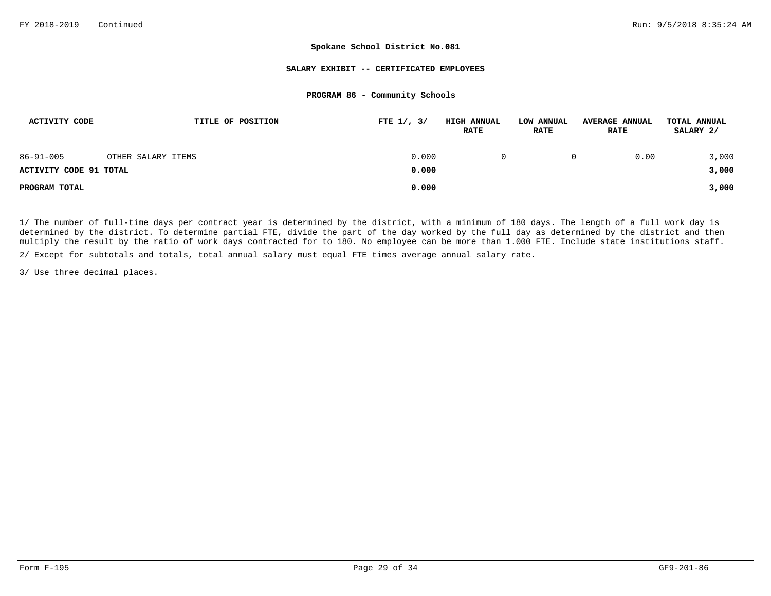### **SALARY EXHIBIT -- CERTIFICATED EMPLOYEES**

## **PROGRAM 86 - Community Schools**

| <b>ACTIVITY CODE</b>   | TITLE OF POSITION  | FTE $1/$ , $3/$ | <b>HIGH ANNUAL</b><br><b>RATE</b> | LOW ANNUAL<br><b>RATE</b> | <b>AVERAGE ANNUAL</b><br><b>RATE</b> | TOTAL ANNUAL<br>SALARY 2/ |
|------------------------|--------------------|-----------------|-----------------------------------|---------------------------|--------------------------------------|---------------------------|
| $86 - 91 - 005$        | OTHER SALARY ITEMS | 0.000           |                                   | 0                         | 0.00                                 | 3,000                     |
| ACTIVITY CODE 91 TOTAL |                    | 0.000           |                                   |                           |                                      | 3,000                     |
| PROGRAM TOTAL          |                    | 0.000           |                                   |                           |                                      | 3,000                     |

1/ The number of full-time days per contract year is determined by the district, with a minimum of 180 days. The length of a full work day is determined by the district. To determine partial FTE, divide the part of the day worked by the full day as determined by the district and then multiply the result by the ratio of work days contracted for to 180. No employee can be more than 1.000 FTE. Include state institutions staff.

2/ Except for subtotals and totals, total annual salary must equal FTE times average annual salary rate.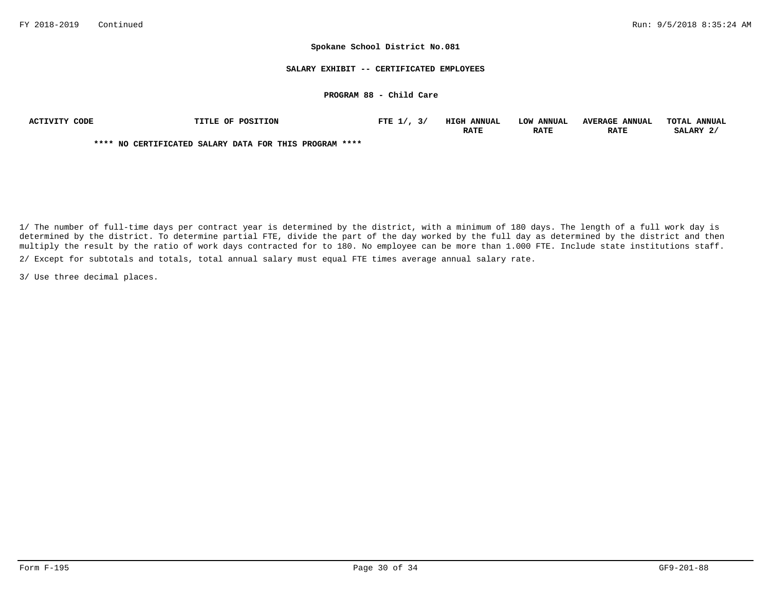### **SALARY EXHIBIT -- CERTIFICATED EMPLOYEES**

## **PROGRAM 88 - Child Care**

| ACTIVITY CODE | <b>TITLE OF POSITION</b>                               | FTE $1/$ , $3/$ | <b>HIGH ANNUAL</b> | LOW ANNUAL  | <b>AVERAGE ANNUAL</b> | TOTAL ANNUAL |
|---------------|--------------------------------------------------------|-----------------|--------------------|-------------|-----------------------|--------------|
|               |                                                        |                 | <b>RATE</b>        | <b>RATE</b> | <b>RATE</b>           | SALARY 2.    |
|               | **** NO CERTIFICATED SALARY DATA FOR THIS PROGRAM **** |                 |                    |             |                       |              |

2/ Except for subtotals and totals, total annual salary must equal FTE times average annual salary rate. 1/ The number of full-time days per contract year is determined by the district, with a minimum of 180 days. The length of a full work day is determined by the district. To determine partial FTE, divide the part of the day worked by the full day as determined by the district and then multiply the result by the ratio of work days contracted for to 180. No employee can be more than 1.000 FTE. Include state institutions staff.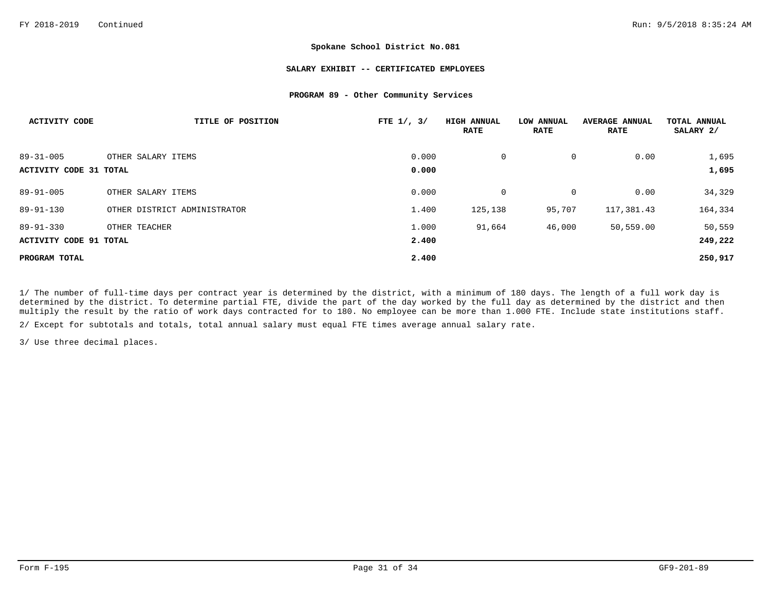## **SALARY EXHIBIT -- CERTIFICATED EMPLOYEES**

## **PROGRAM 89 - Other Community Services**

| <b>ACTIVITY CODE</b>   | TITLE OF POSITION            | FTE $1/$ , $3/$ | <b>HIGH ANNUAL</b><br><b>RATE</b> | LOW ANNUAL<br><b>RATE</b> | <b>AVERAGE ANNUAL</b><br><b>RATE</b> | <b>TOTAL ANNUAL</b><br>SALARY 2/ |
|------------------------|------------------------------|-----------------|-----------------------------------|---------------------------|--------------------------------------|----------------------------------|
| $89 - 31 - 005$        | OTHER SALARY ITEMS           | 0.000           | 0                                 | 0                         | 0.00                                 | 1,695                            |
| ACTIVITY CODE 31 TOTAL |                              | 0.000           |                                   |                           |                                      | 1,695                            |
| $89 - 91 - 005$        | OTHER SALARY ITEMS           | 0.000           | 0                                 | 0                         | 0.00                                 | 34,329                           |
| $89 - 91 - 130$        | OTHER DISTRICT ADMINISTRATOR | 1.400           | 125,138                           | 95,707                    | 117,381.43                           | 164,334                          |
| $89 - 91 - 330$        | OTHER TEACHER                | 1.000           | 91,664                            | 46,000                    | 50,559.00                            | 50,559                           |
| ACTIVITY CODE 91 TOTAL |                              | 2.400           |                                   |                           |                                      | 249,222                          |
| PROGRAM TOTAL          |                              | 2.400           |                                   |                           |                                      | 250,917                          |

1/ The number of full-time days per contract year is determined by the district, with a minimum of 180 days. The length of a full work day is determined by the district. To determine partial FTE, divide the part of the day worked by the full day as determined by the district and then multiply the result by the ratio of work days contracted for to 180. No employee can be more than 1.000 FTE. Include state institutions staff.

2/ Except for subtotals and totals, total annual salary must equal FTE times average annual salary rate.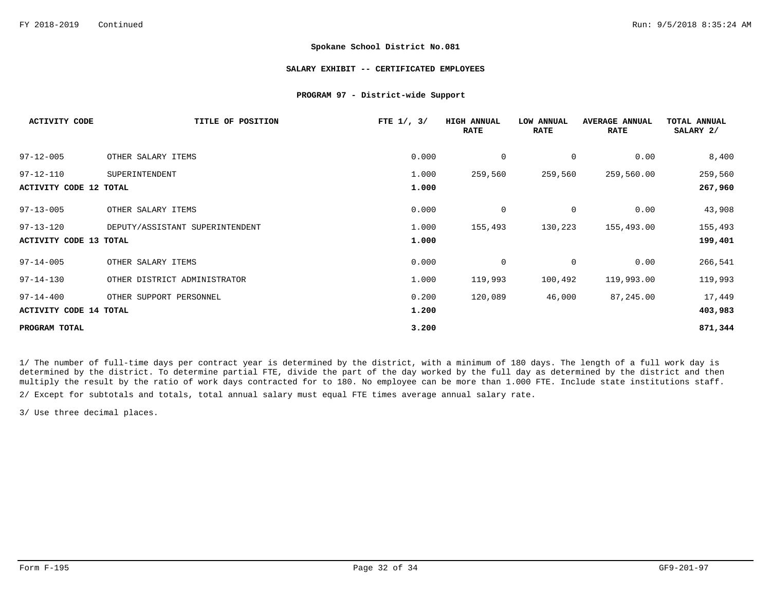### **SALARY EXHIBIT -- CERTIFICATED EMPLOYEES**

### **PROGRAM 97 - District-wide Support**

| <b>ACTIVITY CODE</b>          | TITLE OF POSITION               | FTE $1/$ , $3/$ | <b>HIGH ANNUAL</b><br><b>RATE</b> | LOW ANNUAL<br><b>RATE</b> | <b>AVERAGE ANNUAL</b><br><b>RATE</b> | TOTAL ANNUAL<br>SALARY 2/ |
|-------------------------------|---------------------------------|-----------------|-----------------------------------|---------------------------|--------------------------------------|---------------------------|
| $97 - 12 - 005$               | OTHER SALARY ITEMS              | 0.000           | 0                                 | 0                         | 0.00                                 | 8,400                     |
| $97 - 12 - 110$               | SUPERINTENDENT                  | 1.000           | 259,560                           | 259,560                   | 259,560.00                           | 259,560                   |
| <b>ACTIVITY CODE 12 TOTAL</b> |                                 | 1.000           |                                   |                           |                                      | 267,960                   |
| $97 - 13 - 005$               | OTHER SALARY ITEMS              | 0.000           | 0                                 | $\mathbf 0$               | 0.00                                 | 43,908                    |
| $97 - 13 - 120$               | DEPUTY/ASSISTANT SUPERINTENDENT | 1.000           | 155,493                           | 130,223                   | 155,493.00                           | 155,493                   |
| <b>ACTIVITY CODE 13 TOTAL</b> |                                 | 1.000           |                                   |                           |                                      | 199,401                   |
| $97 - 14 - 005$               | OTHER SALARY ITEMS              | 0.000           | 0                                 | $\mathbf 0$               | 0.00                                 | 266,541                   |
| $97 - 14 - 130$               | OTHER DISTRICT ADMINISTRATOR    | 1.000           | 119,993                           | 100,492                   | 119,993.00                           | 119,993                   |
| $97 - 14 - 400$               | OTHER SUPPORT PERSONNEL         | 0.200           | 120,089                           | 46,000                    | 87,245.00                            | 17,449                    |
| <b>ACTIVITY CODE 14 TOTAL</b> |                                 | 1.200           |                                   |                           |                                      | 403,983                   |
| PROGRAM TOTAL                 |                                 | 3.200           |                                   |                           |                                      | 871,344                   |

1/ The number of full-time days per contract year is determined by the district, with a minimum of 180 days. The length of a full work day is determined by the district. To determine partial FTE, divide the part of the day worked by the full day as determined by the district and then multiply the result by the ratio of work days contracted for to 180. No employee can be more than 1.000 FTE. Include state institutions staff.

2/ Except for subtotals and totals, total annual salary must equal FTE times average annual salary rate.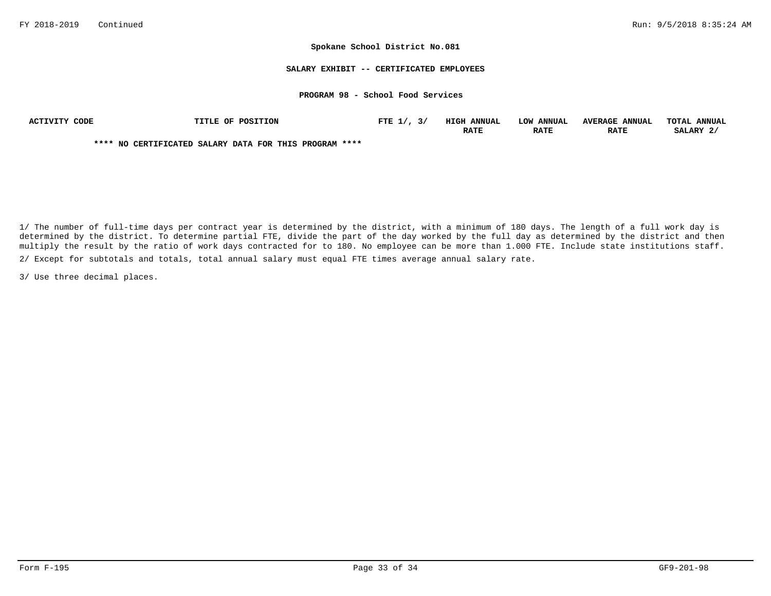### **SALARY EXHIBIT -- CERTIFICATED EMPLOYEES**

## **PROGRAM 98 - School Food Services**

| ACTIVITY CODE | TITLE OF POSITION                                      | FTE $1/7$ , $3/7$ | <b>HIGH ANNUAL</b> | LOW ANNUAL  | <b>AVERAGE ANNUAL</b> | TOTAL ANNUAL |
|---------------|--------------------------------------------------------|-------------------|--------------------|-------------|-----------------------|--------------|
|               |                                                        |                   | <b>RATE</b>        | <b>RATE</b> | <b>RATE</b>           | SALARY 2/    |
|               | **** NO CERTIFICATED SALARY DATA FOR THIS PROGRAM **** |                   |                    |             |                       |              |

1/ The number of full-time days per contract year is determined by the district, with a minimum of 180 days. The length of a full work day is determined by the district. To determine partial FTE, divide the part of the day worked by the full day as determined by the district and then multiply the result by the ratio of work days contracted for to 180. No employee can be more than 1.000 FTE. Include state institutions staff. 2/ Except for subtotals and totals, total annual salary must equal FTE times average annual salary rate.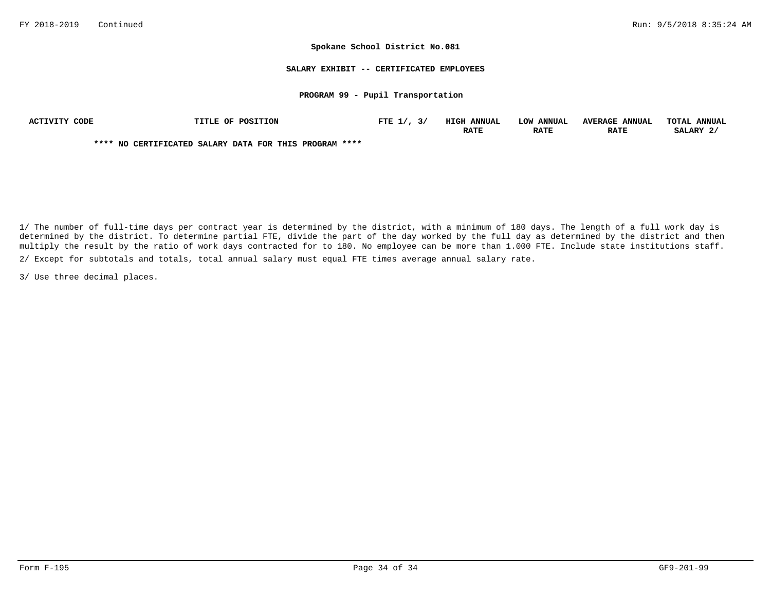### **SALARY EXHIBIT -- CERTIFICATED EMPLOYEES**

## **PROGRAM 99 - Pupil Transportation**

| CODE<br>ACTIVITY | TITLE OF POSITION                                      | FTE $1/$ | HIGH<br><b>ANNUAI</b> | <b>LOW ANNUAL</b> | <b>AVERAGE</b><br><b>ANNUAL</b> | <b>TOTAT.</b><br><b>ANNUAL</b> |
|------------------|--------------------------------------------------------|----------|-----------------------|-------------------|---------------------------------|--------------------------------|
|                  |                                                        |          | RATE                  | <b>RATE</b>       | <b>RATE</b>                     | SALARY                         |
|                  | **** NO CERTIFICATED SALARY DATA FOR THIS PROGRAM **** |          |                       |                   |                                 |                                |

1/ The number of full-time days per contract year is determined by the district, with a minimum of 180 days. The length of a full work day is determined by the district. To determine partial FTE, divide the part of the day worked by the full day as determined by the district and then multiply the result by the ratio of work days contracted for to 180. No employee can be more than 1.000 FTE. Include state institutions staff. 2/ Except for subtotals and totals, total annual salary must equal FTE times average annual salary rate.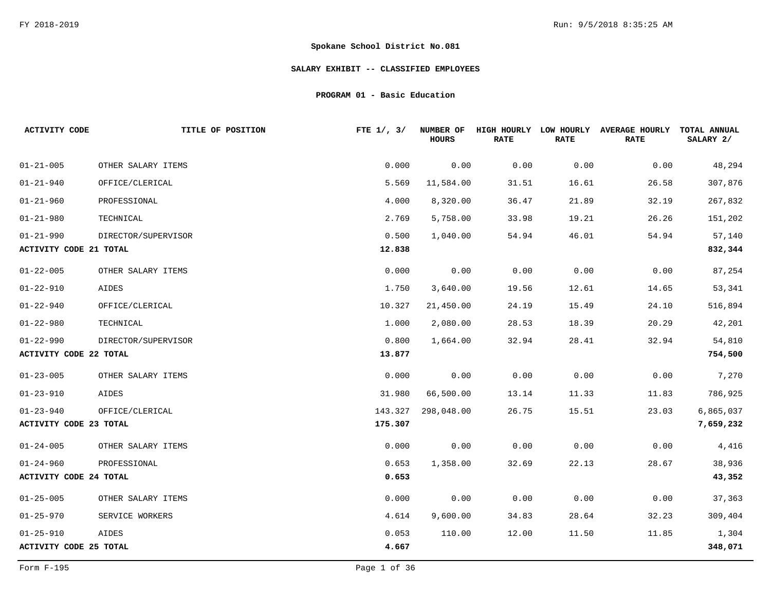# **SALARY EXHIBIT -- CLASSIFIED EMPLOYEES**

**PROGRAM 01 - Basic Education**

| <b>ACTIVITY CODE</b>          | TITLE OF POSITION   | FTE $1/$ , $3/$ | <b>NUMBER OF</b><br><b>HOURS</b> | HIGH HOURLY LOW HOURLY<br><b>RATE</b> | <b>RATE</b> | <b>AVERAGE HOURLY</b><br><b>RATE</b> | TOTAL ANNUAL<br>SALARY 2/ |
|-------------------------------|---------------------|-----------------|----------------------------------|---------------------------------------|-------------|--------------------------------------|---------------------------|
| $01 - 21 - 005$               | OTHER SALARY ITEMS  | 0.000           | 0.00                             | 0.00                                  | 0.00        | 0.00                                 | 48,294                    |
| $01 - 21 - 940$               | OFFICE/CLERICAL     | 5.569           | 11,584.00                        | 31.51                                 | 16.61       | 26.58                                | 307,876                   |
| $01 - 21 - 960$               | PROFESSIONAL        | 4.000           | 8,320.00                         | 36.47                                 | 21.89       | 32.19                                | 267,832                   |
| $01 - 21 - 980$               | TECHNICAL           | 2.769           | 5,758.00                         | 33.98                                 | 19.21       | 26.26                                | 151,202                   |
| $01 - 21 - 990$               | DIRECTOR/SUPERVISOR | 0.500           | 1,040.00                         | 54.94                                 | 46.01       | 54.94                                | 57,140                    |
| <b>ACTIVITY CODE 21 TOTAL</b> |                     | 12.838          |                                  |                                       |             |                                      | 832,344                   |
| $01 - 22 - 005$               | OTHER SALARY ITEMS  | 0.000           | 0.00                             | 0.00                                  | 0.00        | 0.00                                 | 87,254                    |
| $01 - 22 - 910$               | AIDES               | 1.750           | 3,640.00                         | 19.56                                 | 12.61       | 14.65                                | 53,341                    |
| $01 - 22 - 940$               | OFFICE/CLERICAL     | 10.327          | 21,450.00                        | 24.19                                 | 15.49       | 24.10                                | 516,894                   |
| $01 - 22 - 980$               | TECHNICAL           | 1.000           | 2,080.00                         | 28.53                                 | 18.39       | 20.29                                | 42,201                    |
| $01 - 22 - 990$               | DIRECTOR/SUPERVISOR | 0.800           | 1,664.00                         | 32.94                                 | 28.41       | 32.94                                | 54,810                    |
| <b>ACTIVITY CODE 22 TOTAL</b> |                     | 13.877          |                                  |                                       |             |                                      | 754,500                   |
| $01 - 23 - 005$               | OTHER SALARY ITEMS  | 0.000           | 0.00                             | 0.00                                  | 0.00        | 0.00                                 | 7,270                     |
| $01 - 23 - 910$               | AIDES               | 31.980          | 66,500.00                        | 13.14                                 | 11.33       | 11.83                                | 786,925                   |
| $01 - 23 - 940$               | OFFICE/CLERICAL     | 143.327         | 298,048.00                       | 26.75                                 | 15.51       | 23.03                                | 6,865,037                 |
| <b>ACTIVITY CODE 23 TOTAL</b> |                     | 175.307         |                                  |                                       |             |                                      | 7,659,232                 |
| $01 - 24 - 005$               | OTHER SALARY ITEMS  | 0.000           | 0.00                             | 0.00                                  | 0.00        | 0.00                                 | 4,416                     |
| $01 - 24 - 960$               | PROFESSIONAL        | 0.653           | 1,358.00                         | 32.69                                 | 22.13       | 28.67                                | 38,936                    |
| <b>ACTIVITY CODE 24 TOTAL</b> |                     | 0.653           |                                  |                                       |             |                                      | 43,352                    |
| $01 - 25 - 005$               | OTHER SALARY ITEMS  | 0.000           | 0.00                             | 0.00                                  | 0.00        | 0.00                                 | 37,363                    |
| $01 - 25 - 970$               | SERVICE WORKERS     | 4.614           | 9,600.00                         | 34.83                                 | 28.64       | 32.23                                | 309,404                   |
| $01 - 25 - 910$               | AIDES               | 0.053           | 110.00                           | 12.00                                 | 11.50       | 11.85                                | 1,304                     |
| <b>ACTIVITY CODE 25 TOTAL</b> |                     | 4.667           |                                  |                                       |             |                                      | 348,071                   |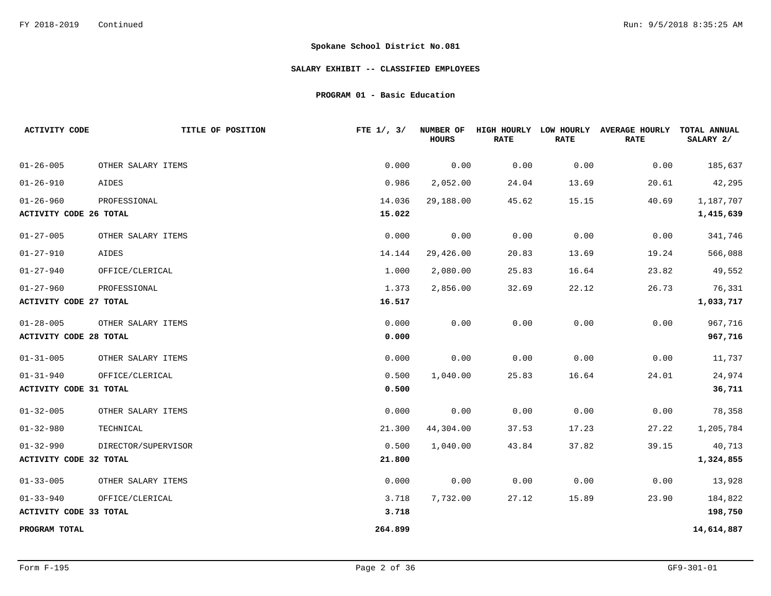# **SALARY EXHIBIT -- CLASSIFIED EMPLOYEES**

**PROGRAM 01 - Basic Education**

| <b>ACTIVITY CODE</b>          | TITLE OF POSITION   | FTE $1/$ , $3/$ | NUMBER OF<br><b>HOURS</b> | HIGH HOURLY<br><b>RATE</b> | LOW HOURLY<br><b>RATE</b> | <b>AVERAGE HOURLY</b><br><b>RATE</b> | TOTAL ANNUAL<br>SALARY 2/ |
|-------------------------------|---------------------|-----------------|---------------------------|----------------------------|---------------------------|--------------------------------------|---------------------------|
| $01 - 26 - 005$               | OTHER SALARY ITEMS  | 0.000           | 0.00                      | 0.00                       | 0.00                      | 0.00                                 | 185,637                   |
| $01 - 26 - 910$               | AIDES               | 0.986           | 2,052.00                  | 24.04                      | 13.69                     | 20.61                                | 42,295                    |
| $01 - 26 - 960$               | PROFESSIONAL        | 14.036          | 29,188.00                 | 45.62                      | 15.15                     | 40.69                                | 1,187,707                 |
| ACTIVITY CODE 26 TOTAL        |                     | 15.022          |                           |                            |                           |                                      | 1,415,639                 |
| $01 - 27 - 005$               | OTHER SALARY ITEMS  | 0.000           | 0.00                      | 0.00                       | 0.00                      | 0.00                                 | 341,746                   |
| $01 - 27 - 910$               | AIDES               | 14.144          | 29,426.00                 | 20.83                      | 13.69                     | 19.24                                | 566,088                   |
| $01 - 27 - 940$               | OFFICE/CLERICAL     | 1.000           | 2,080.00                  | 25.83                      | 16.64                     | 23.82                                | 49,552                    |
| $01 - 27 - 960$               | PROFESSIONAL        | 1.373           | 2,856.00                  | 32.69                      | 22.12                     | 26.73                                | 76,331                    |
| <b>ACTIVITY CODE 27 TOTAL</b> |                     | 16.517          |                           |                            |                           |                                      | 1,033,717                 |
| $01 - 28 - 005$               | OTHER SALARY ITEMS  | 0.000           | 0.00                      | 0.00                       | 0.00                      | 0.00                                 | 967,716                   |
| <b>ACTIVITY CODE 28 TOTAL</b> |                     | 0.000           |                           |                            |                           |                                      | 967,716                   |
| $01 - 31 - 005$               | OTHER SALARY ITEMS  | 0.000           | 0.00                      | 0.00                       | 0.00                      | 0.00                                 | 11,737                    |
| $01 - 31 - 940$               | OFFICE/CLERICAL     | 0.500           | 1,040.00                  | 25.83                      | 16.64                     | 24.01                                | 24,974                    |
| <b>ACTIVITY CODE 31 TOTAL</b> |                     | 0.500           |                           |                            |                           |                                      | 36,711                    |
| $01 - 32 - 005$               | OTHER SALARY ITEMS  | 0.000           | 0.00                      | 0.00                       | 0.00                      | 0.00                                 | 78,358                    |
| $01 - 32 - 980$               | TECHNICAL           | 21.300          | 44,304.00                 | 37.53                      | 17.23                     | 27.22                                | 1,205,784                 |
| $01 - 32 - 990$               | DIRECTOR/SUPERVISOR | 0.500           | 1,040.00                  | 43.84                      | 37.82                     | 39.15                                | 40,713                    |
| ACTIVITY CODE 32 TOTAL        |                     | 21.800          |                           |                            |                           |                                      | 1,324,855                 |
| $01 - 33 - 005$               | OTHER SALARY ITEMS  | 0.000           | 0.00                      | 0.00                       | 0.00                      | 0.00                                 | 13,928                    |
| $01 - 33 - 940$               | OFFICE/CLERICAL     | 3.718           | 7,732.00                  | 27.12                      | 15.89                     | 23.90                                | 184,822                   |
| ACTIVITY CODE 33 TOTAL        |                     | 3.718           |                           |                            |                           |                                      | 198,750                   |
| PROGRAM TOTAL                 |                     | 264.899         |                           |                            |                           |                                      | 14,614,887                |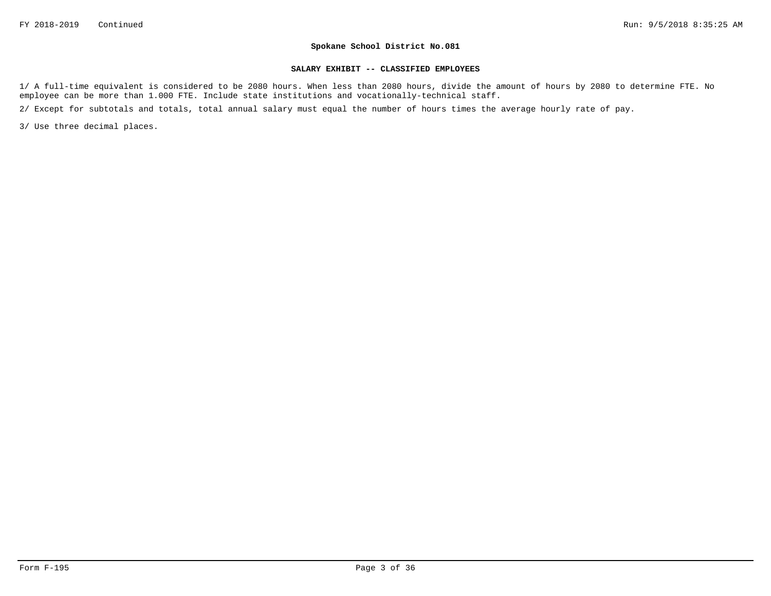#### **SALARY EXHIBIT -- CLASSIFIED EMPLOYEES**

1/ A full-time equivalent is considered to be 2080 hours. When less than 2080 hours, divide the amount of hours by 2080 to determine FTE. No employee can be more than 1.000 FTE. Include state institutions and vocationally-technical staff.

2/ Except for subtotals and totals, total annual salary must equal the number of hours times the average hourly rate of pay.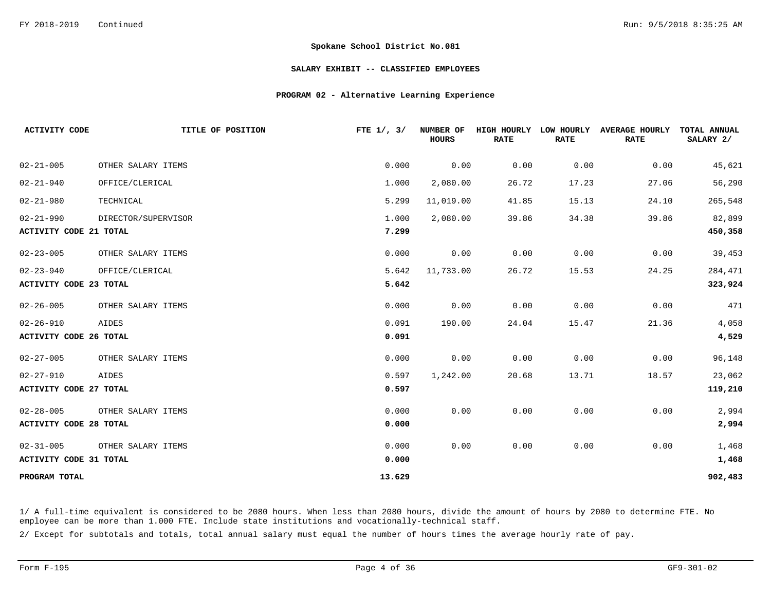### **SALARY EXHIBIT -- CLASSIFIED EMPLOYEES**

## **PROGRAM 02 - Alternative Learning Experience**

| <b>ACTIVITY CODE</b>          | TITLE OF POSITION   | FTE $1/$ , $3/$ | <b>NUMBER OF</b><br><b>HOURS</b> | HIGH HOURLY<br><b>RATE</b> | LOW HOURLY<br><b>RATE</b> | <b>AVERAGE HOURLY</b><br><b>RATE</b> | <b>TOTAL ANNUAL</b><br>SALARY 2/ |
|-------------------------------|---------------------|-----------------|----------------------------------|----------------------------|---------------------------|--------------------------------------|----------------------------------|
| $02 - 21 - 005$               | OTHER SALARY ITEMS  | 0.000           | 0.00                             | 0.00                       | 0.00                      | 0.00                                 | 45,621                           |
| $02 - 21 - 940$               | OFFICE/CLERICAL     | 1.000           | 2,080.00                         | 26.72                      | 17.23                     | 27.06                                | 56,290                           |
| $02 - 21 - 980$               | TECHNICAL           | 5.299           | 11,019.00                        | 41.85                      | 15.13                     | 24.10                                | 265,548                          |
| $02 - 21 - 990$               | DIRECTOR/SUPERVISOR | 1.000           | 2,080.00                         | 39.86                      | 34.38                     | 39.86                                | 82,899                           |
| <b>ACTIVITY CODE 21 TOTAL</b> |                     | 7.299           |                                  |                            |                           |                                      | 450,358                          |
| $02 - 23 - 005$               | OTHER SALARY ITEMS  | 0.000           | 0.00                             | 0.00                       | 0.00                      | 0.00                                 | 39,453                           |
| $02 - 23 - 940$               | OFFICE/CLERICAL     | 5.642           | 11,733.00                        | 26.72                      | 15.53                     | 24.25                                | 284,471                          |
| <b>ACTIVITY CODE 23 TOTAL</b> |                     | 5.642           |                                  |                            |                           |                                      | 323,924                          |
| $02 - 26 - 005$               | OTHER SALARY ITEMS  | 0.000           | 0.00                             | 0.00                       | 0.00                      | 0.00                                 | 471                              |
| $02 - 26 - 910$               | AIDES               | 0.091           | 190.00                           | 24.04                      | 15.47                     | 21.36                                | 4,058                            |
| ACTIVITY CODE 26 TOTAL        |                     | 0.091           |                                  |                            |                           |                                      | 4,529                            |
| $02 - 27 - 005$               | OTHER SALARY ITEMS  | 0.000           | 0.00                             | 0.00                       | 0.00                      | 0.00                                 | 96,148                           |
| $02 - 27 - 910$               | AIDES               | 0.597           | 1,242.00                         | 20.68                      | 13.71                     | 18.57                                | 23,062                           |
| <b>ACTIVITY CODE 27 TOTAL</b> |                     | 0.597           |                                  |                            |                           |                                      | 119,210                          |
| $02 - 28 - 005$               | OTHER SALARY ITEMS  | 0.000           | 0.00                             | 0.00                       | 0.00                      | 0.00                                 | 2,994                            |
| <b>ACTIVITY CODE 28 TOTAL</b> |                     | 0.000           |                                  |                            |                           |                                      | 2,994                            |
| $02 - 31 - 005$               | OTHER SALARY ITEMS  | 0.000           | 0.00                             | 0.00                       | 0.00                      | 0.00                                 | 1,468                            |
| <b>ACTIVITY CODE 31 TOTAL</b> |                     | 0.000           |                                  |                            |                           |                                      | 1,468                            |
| PROGRAM TOTAL                 |                     | 13.629          |                                  |                            |                           |                                      | 902,483                          |

1/ A full-time equivalent is considered to be 2080 hours. When less than 2080 hours, divide the amount of hours by 2080 to determine FTE. No employee can be more than 1.000 FTE. Include state institutions and vocationally-technical staff.

2/ Except for subtotals and totals, total annual salary must equal the number of hours times the average hourly rate of pay.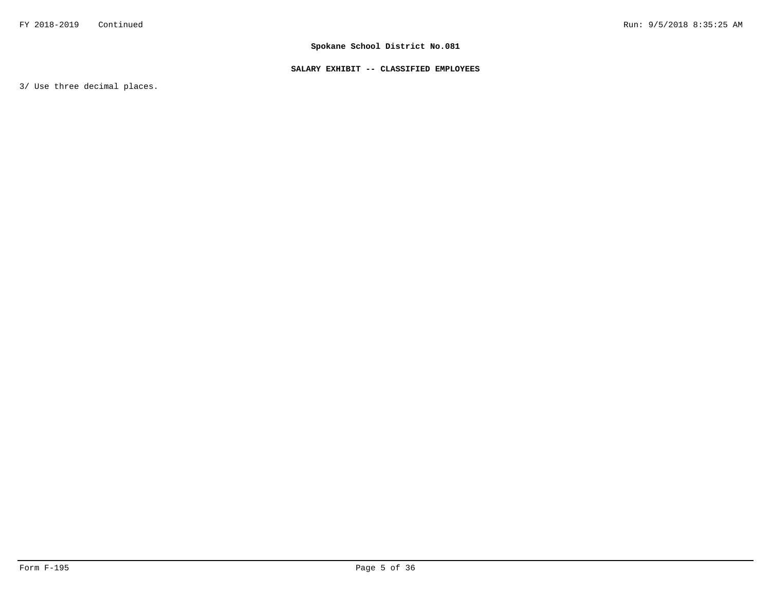# **SALARY EXHIBIT -- CLASSIFIED EMPLOYEES**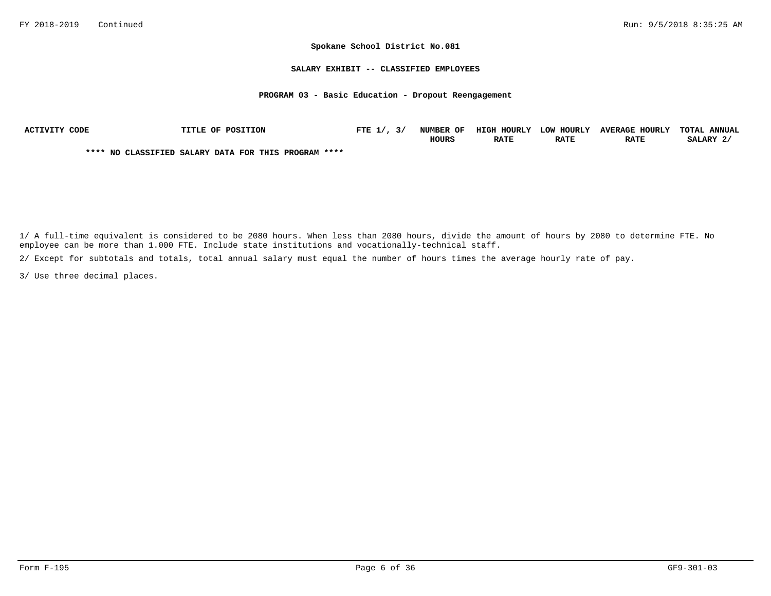### **SALARY EXHIBIT -- CLASSIFIED EMPLOYEES**

### **PROGRAM 03 - Basic Education - Dropout Reengagement**

| ACTIVITY CODE | TITLE OF POSITION                                    | FTE $1/$ , $3/$ | NUMBER OF    | HIGH HOURLY | LOW HOURLY  | <b>AVERAGE HOURLY</b> | TOTAL ANNUAL |
|---------------|------------------------------------------------------|-----------------|--------------|-------------|-------------|-----------------------|--------------|
|               |                                                      |                 | <b>HOURS</b> | <b>RATE</b> | <b>RATE</b> | <b>RATE</b>           | SALARY 2/    |
|               | **** NO CLASSIFIED SALARY DATA FOR THIS PROGRAM **** |                 |              |             |             |                       |              |

1/ A full-time equivalent is considered to be 2080 hours. When less than 2080 hours, divide the amount of hours by 2080 to determine FTE. No employee can be more than 1.000 FTE. Include state institutions and vocationally-technical staff.

2/ Except for subtotals and totals, total annual salary must equal the number of hours times the average hourly rate of pay.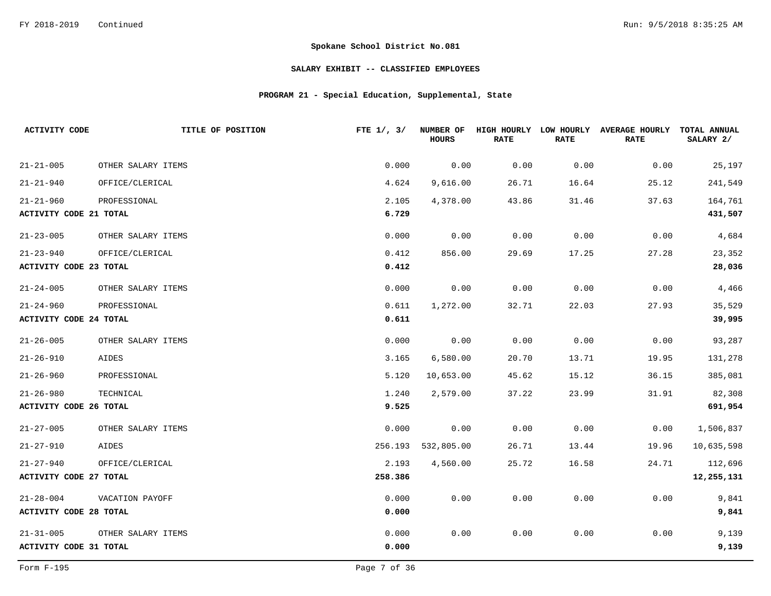# **SALARY EXHIBIT -- CLASSIFIED EMPLOYEES**

# **PROGRAM 21 - Special Education, Supplemental, State**

| <b>ACTIVITY CODE</b>          | TITLE OF POSITION  | FTE $1/$ , $3/$ | <b>NUMBER OF</b><br>HOURS | HIGH HOURLY LOW HOURLY<br><b>RATE</b> | <b>RATE</b> | <b>AVERAGE HOURLY</b><br><b>RATE</b> | TOTAL ANNUAL<br>SALARY 2/ |
|-------------------------------|--------------------|-----------------|---------------------------|---------------------------------------|-------------|--------------------------------------|---------------------------|
| $21 - 21 - 005$               | OTHER SALARY ITEMS | 0.000           | 0.00                      | 0.00                                  | 0.00        | 0.00                                 | 25,197                    |
| $21 - 21 - 940$               | OFFICE/CLERICAL    | 4.624           | 9,616.00                  | 26.71                                 | 16.64       | 25.12                                | 241,549                   |
| $21 - 21 - 960$               | PROFESSIONAL       | 2.105           | 4,378.00                  | 43.86                                 | 31.46       | 37.63                                | 164,761                   |
| <b>ACTIVITY CODE 21 TOTAL</b> |                    | 6.729           |                           |                                       |             |                                      | 431,507                   |
| $21 - 23 - 005$               | OTHER SALARY ITEMS | 0.000           | 0.00                      | 0.00                                  | 0.00        | 0.00                                 | 4,684                     |
| $21 - 23 - 940$               | OFFICE/CLERICAL    | 0.412           | 856.00                    | 29.69                                 | 17.25       | 27.28                                | 23,352                    |
| <b>ACTIVITY CODE 23 TOTAL</b> |                    | 0.412           |                           |                                       |             |                                      | 28,036                    |
| $21 - 24 - 005$               | OTHER SALARY ITEMS | 0.000           | 0.00                      | 0.00                                  | 0.00        | 0.00                                 | 4,466                     |
| $21 - 24 - 960$               | PROFESSIONAL       | 0.611           | 1,272.00                  | 32.71                                 | 22.03       | 27.93                                | 35,529                    |
| <b>ACTIVITY CODE 24 TOTAL</b> |                    | 0.611           |                           |                                       |             |                                      | 39,995                    |
| $21 - 26 - 005$               | OTHER SALARY ITEMS | 0.000           | 0.00                      | 0.00                                  | 0.00        | 0.00                                 | 93,287                    |
| $21 - 26 - 910$               | AIDES              | 3.165           | 6,580.00                  | 20.70                                 | 13.71       | 19.95                                | 131,278                   |
| $21 - 26 - 960$               | PROFESSIONAL       | 5.120           | 10,653.00                 | 45.62                                 | 15.12       | 36.15                                | 385,081                   |
| $21 - 26 - 980$               | TECHNICAL          | 1.240           | 2,579.00                  | 37.22                                 | 23.99       | 31.91                                | 82,308                    |
| <b>ACTIVITY CODE 26 TOTAL</b> |                    | 9.525           |                           |                                       |             |                                      | 691,954                   |
| $21 - 27 - 005$               | OTHER SALARY ITEMS | 0.000           | 0.00                      | 0.00                                  | 0.00        | 0.00                                 | 1,506,837                 |
| $21 - 27 - 910$               | AIDES              | 256.193         | 532,805.00                | 26.71                                 | 13.44       | 19.96                                | 10,635,598                |
| $21 - 27 - 940$               | OFFICE/CLERICAL    | 2.193           | 4,560.00                  | 25.72                                 | 16.58       | 24.71                                | 112,696                   |
| <b>ACTIVITY CODE 27 TOTAL</b> |                    | 258.386         |                           |                                       |             |                                      | 12, 255, 131              |
| $21 - 28 - 004$               | VACATION PAYOFF    | 0.000           | 0.00                      | 0.00                                  | 0.00        | 0.00                                 | 9,841                     |
| <b>ACTIVITY CODE 28 TOTAL</b> |                    | 0.000           |                           |                                       |             |                                      | 9,841                     |
| $21 - 31 - 005$               | OTHER SALARY ITEMS | 0.000           | 0.00                      | 0.00                                  | 0.00        | 0.00                                 | 9,139                     |
| <b>ACTIVITY CODE 31 TOTAL</b> |                    | 0.000           |                           |                                       |             |                                      | 9,139                     |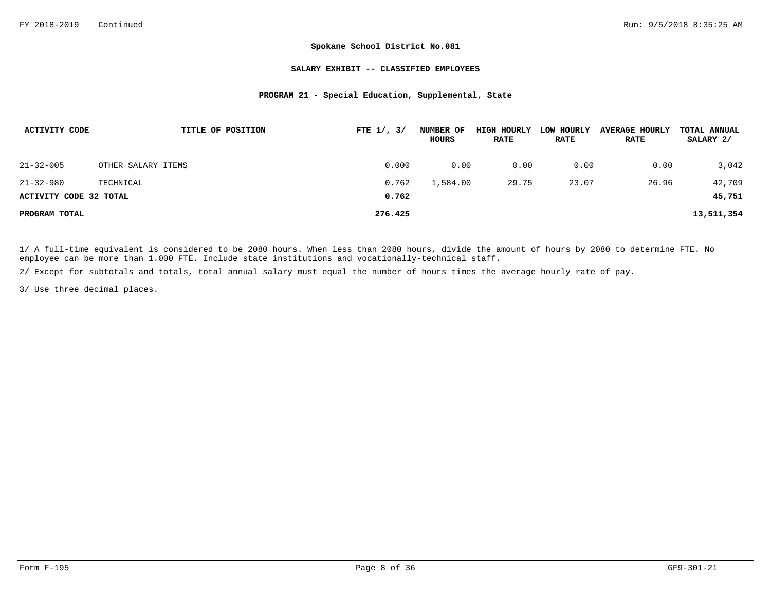### **SALARY EXHIBIT -- CLASSIFIED EMPLOYEES**

## **PROGRAM 21 - Special Education, Supplemental, State**

| ACTIVITY CODE          | TITLE OF POSITION  | FTE $1/$ , $3/$ | NUMBER OF<br>HOURS | HIGH HOURLY<br><b>RATE</b> | LOW HOURLY<br><b>RATE</b> | <b>AVERAGE HOURLY</b><br><b>RATE</b> | TOTAL ANNUAL<br>SALARY 2/ |
|------------------------|--------------------|-----------------|--------------------|----------------------------|---------------------------|--------------------------------------|---------------------------|
| $21 - 32 - 005$        | OTHER SALARY ITEMS | 0.000           | 0.00               | 0.00                       | 0.00                      | 0.00                                 | 3,042                     |
| $21 - 32 - 980$        | TECHNICAL          | 0.762           | 1,584.00           | 29.75                      | 23.07                     | 26.96                                | 42,709                    |
| ACTIVITY CODE 32 TOTAL |                    | 0.762           |                    |                            |                           |                                      | 45,751                    |
| PROGRAM TOTAL          |                    | 276.425         |                    |                            |                           |                                      | 13,511,354                |

1/ A full-time equivalent is considered to be 2080 hours. When less than 2080 hours, divide the amount of hours by 2080 to determine FTE. No employee can be more than 1.000 FTE. Include state institutions and vocationally-technical staff.

2/ Except for subtotals and totals, total annual salary must equal the number of hours times the average hourly rate of pay.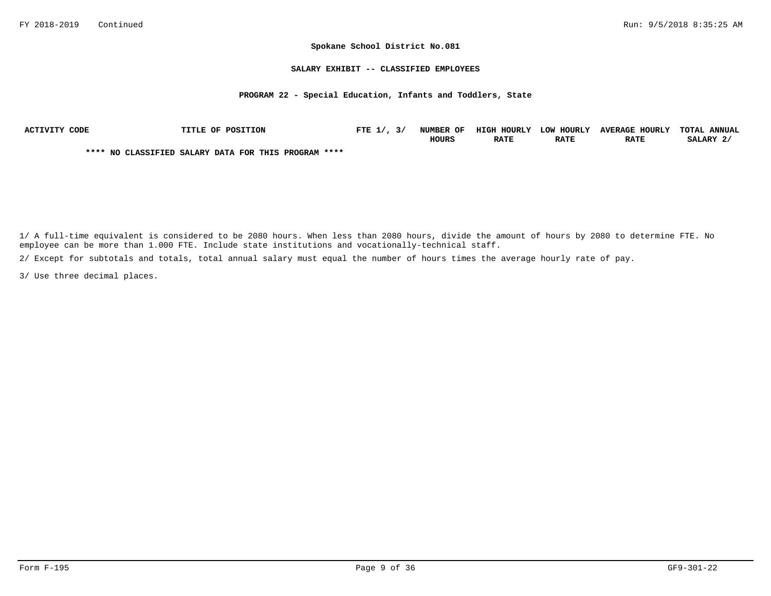### **SALARY EXHIBIT -- CLASSIFIED EMPLOYEES**

## **PROGRAM 22 - Special Education, Infants and Toddlers, State**

| ACTIVITY CODE | <b>TITLE OF POSITION</b>                             | FTE $1/$ , $3/$ | NUMBER OF    | HIGH HOURLY | LOW HOURLY  | <b>AVERAGE HOURLY</b> | TOTAL ANNUAL |
|---------------|------------------------------------------------------|-----------------|--------------|-------------|-------------|-----------------------|--------------|
|               |                                                      |                 | <b>HOURS</b> | <b>RATE</b> | <b>RATE</b> | <b>RATE</b>           | SALARY 2     |
|               | **** NO CLASSIFIED SALARY DATA FOR THIS PROGRAM **** |                 |              |             |             |                       |              |

1/ A full-time equivalent is considered to be 2080 hours. When less than 2080 hours, divide the amount of hours by 2080 to determine FTE. No employee can be more than 1.000 FTE. Include state institutions and vocationally-technical staff.

2/ Except for subtotals and totals, total annual salary must equal the number of hours times the average hourly rate of pay.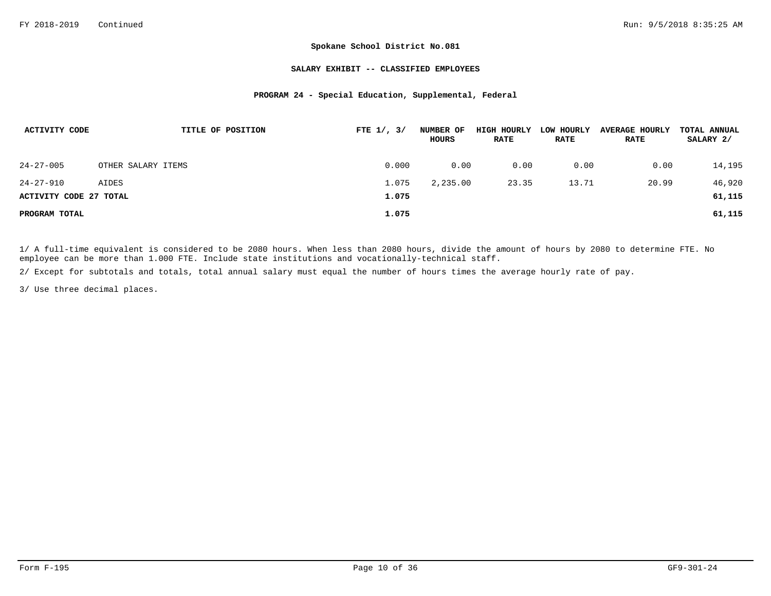### **SALARY EXHIBIT -- CLASSIFIED EMPLOYEES**

## **PROGRAM 24 - Special Education, Supplemental, Federal**

| ACTIVITY CODE                 | TITLE OF POSITION  | FTE $1/$ , $3/$ | NUMBER OF<br>HOURS | HIGH HOURLY<br><b>RATE</b> | LOW HOURLY<br><b>RATE</b> | <b>AVERAGE HOURLY</b><br><b>RATE</b> | TOTAL ANNUAL<br>SALARY 2/ |
|-------------------------------|--------------------|-----------------|--------------------|----------------------------|---------------------------|--------------------------------------|---------------------------|
| $24 - 27 - 005$               | OTHER SALARY ITEMS | 0.000           | 0.00               | 0.00                       | 0.00                      | 0.00                                 | 14,195                    |
| $24 - 27 - 910$               | AIDES              | 1.075           | 2,235.00           | 23.35                      | 13.71                     | 20.99                                | 46,920                    |
| <b>ACTIVITY CODE 27 TOTAL</b> |                    | 1.075           |                    |                            |                           |                                      | 61,115                    |
| PROGRAM TOTAL                 |                    | 1.075           |                    |                            |                           |                                      | 61,115                    |

1/ A full-time equivalent is considered to be 2080 hours. When less than 2080 hours, divide the amount of hours by 2080 to determine FTE. No employee can be more than 1.000 FTE. Include state institutions and vocationally-technical staff.

2/ Except for subtotals and totals, total annual salary must equal the number of hours times the average hourly rate of pay.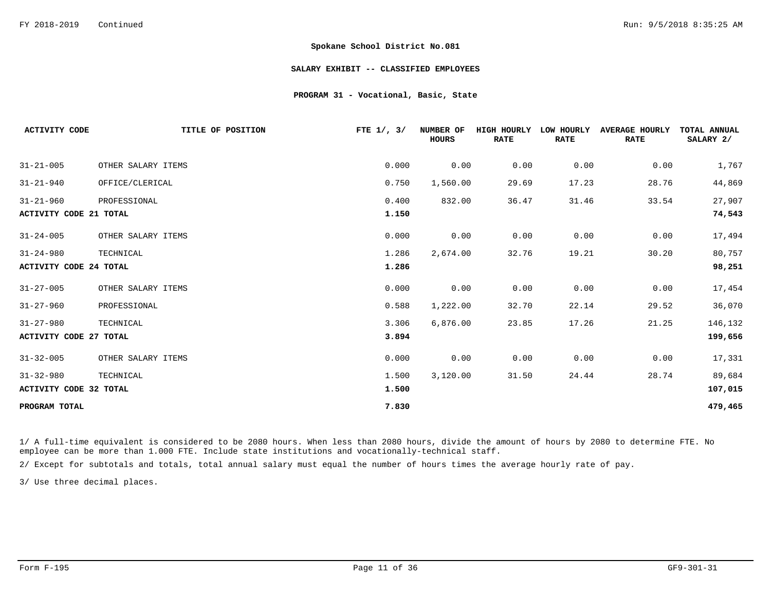### **SALARY EXHIBIT -- CLASSIFIED EMPLOYEES**

## **PROGRAM 31 - Vocational, Basic, State**

| <b>ACTIVITY CODE</b>          | TITLE OF POSITION  | FTE $1/$ , $3/$ | NUMBER OF<br><b>HOURS</b> | <b>HIGH HOURLY</b><br><b>RATE</b> | LOW HOURLY<br><b>RATE</b> | <b>AVERAGE HOURLY</b><br><b>RATE</b> | TOTAL ANNUAL<br>SALARY 2/ |
|-------------------------------|--------------------|-----------------|---------------------------|-----------------------------------|---------------------------|--------------------------------------|---------------------------|
|                               |                    |                 |                           |                                   |                           |                                      |                           |
| $31 - 21 - 005$               | OTHER SALARY ITEMS | 0.000           | 0.00                      | 0.00                              | 0.00                      | 0.00                                 | 1,767                     |
| $31 - 21 - 940$               | OFFICE/CLERICAL    | 0.750           | 1,560.00                  | 29.69                             | 17.23                     | 28.76                                | 44,869                    |
| $31 - 21 - 960$               | PROFESSIONAL       | 0.400           | 832.00                    | 36.47                             | 31.46                     | 33.54                                | 27,907                    |
| <b>ACTIVITY CODE 21 TOTAL</b> |                    | 1.150           |                           |                                   |                           |                                      | 74,543                    |
| $31 - 24 - 005$               | OTHER SALARY ITEMS | 0.000           | 0.00                      | 0.00                              | 0.00                      | 0.00                                 | 17,494                    |
| $31 - 24 - 980$               | TECHNICAL          | 1.286           | 2,674.00                  | 32.76                             | 19.21                     | 30.20                                | 80,757                    |
| <b>ACTIVITY CODE 24 TOTAL</b> |                    | 1.286           |                           |                                   |                           |                                      | 98,251                    |
| $31 - 27 - 005$               | OTHER SALARY ITEMS | 0.000           | 0.00                      | 0.00                              | 0.00                      | 0.00                                 | 17,454                    |
| $31 - 27 - 960$               | PROFESSIONAL       | 0.588           | 1,222.00                  | 32.70                             | 22.14                     | 29.52                                | 36,070                    |
| $31 - 27 - 980$               | TECHNICAL          | 3.306           | 6,876.00                  | 23.85                             | 17.26                     | 21.25                                | 146,132                   |
| <b>ACTIVITY CODE 27 TOTAL</b> |                    | 3.894           |                           |                                   |                           |                                      | 199,656                   |
| $31 - 32 - 005$               | OTHER SALARY ITEMS | 0.000           | 0.00                      | 0.00                              | 0.00                      | 0.00                                 | 17,331                    |
| $31 - 32 - 980$               | TECHNICAL          | 1.500           | 3,120.00                  | 31.50                             | 24.44                     | 28.74                                | 89,684                    |
| <b>ACTIVITY CODE 32 TOTAL</b> |                    | 1.500           |                           |                                   |                           |                                      | 107,015                   |
| PROGRAM TOTAL                 |                    | 7.830           |                           |                                   |                           |                                      | 479,465                   |

1/ A full-time equivalent is considered to be 2080 hours. When less than 2080 hours, divide the amount of hours by 2080 to determine FTE. No employee can be more than 1.000 FTE. Include state institutions and vocationally-technical staff.

2/ Except for subtotals and totals, total annual salary must equal the number of hours times the average hourly rate of pay.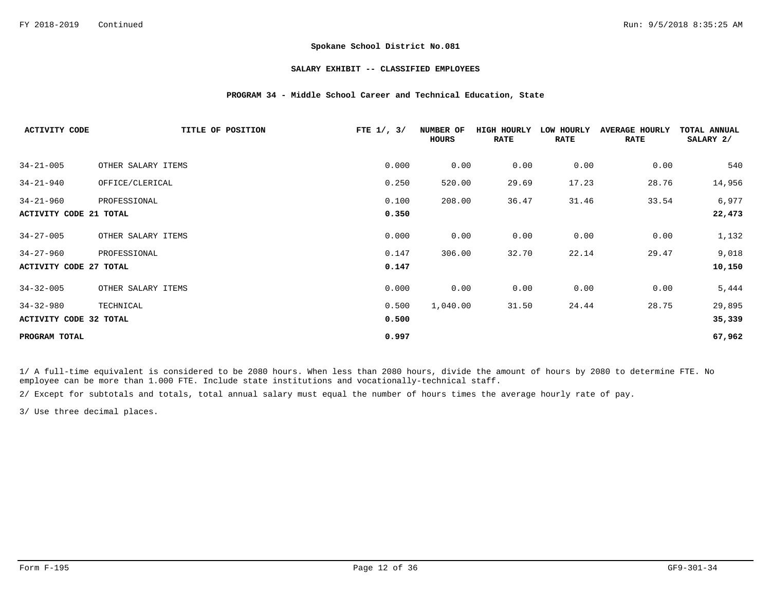### **SALARY EXHIBIT -- CLASSIFIED EMPLOYEES**

## **PROGRAM 34 - Middle School Career and Technical Education, State**

| <b>ACTIVITY CODE</b>          | TITLE OF POSITION  | FTE $1/$ , $3/$ | NUMBER OF<br>HOURS | HIGH HOURLY<br><b>RATE</b> | LOW HOURLY<br><b>RATE</b> | <b>AVERAGE HOURLY</b><br><b>RATE</b> | TOTAL ANNUAL<br>SALARY 2/ |
|-------------------------------|--------------------|-----------------|--------------------|----------------------------|---------------------------|--------------------------------------|---------------------------|
| $34 - 21 - 005$               | OTHER SALARY ITEMS | 0.000           | 0.00               | 0.00                       | 0.00                      | 0.00                                 | 540                       |
| $34 - 21 - 940$               | OFFICE/CLERICAL    | 0.250           | 520.00             | 29.69                      | 17.23                     | 28.76                                | 14,956                    |
| $34 - 21 - 960$               | PROFESSIONAL       | 0.100           | 208.00             | 36.47                      | 31.46                     | 33.54                                | 6,977                     |
| <b>ACTIVITY CODE 21 TOTAL</b> |                    | 0.350           |                    |                            |                           |                                      | 22,473                    |
| $34 - 27 - 005$               | OTHER SALARY ITEMS | 0.000           | 0.00               | 0.00                       | 0.00                      | 0.00                                 | 1,132                     |
| $34 - 27 - 960$               | PROFESSIONAL       | 0.147           | 306.00             | 32.70                      | 22.14                     | 29.47                                | 9,018                     |
| <b>ACTIVITY CODE 27 TOTAL</b> |                    | 0.147           |                    |                            |                           |                                      | 10,150                    |
| $34 - 32 - 005$               | OTHER SALARY ITEMS | 0.000           | 0.00               | 0.00                       | 0.00                      | 0.00                                 | 5,444                     |
| $34 - 32 - 980$               | TECHNICAL          | 0.500           | 1,040.00           | 31.50                      | 24.44                     | 28.75                                | 29,895                    |
| ACTIVITY CODE 32 TOTAL        |                    | 0.500           |                    |                            |                           |                                      | 35,339                    |
| PROGRAM TOTAL                 |                    | 0.997           |                    |                            |                           |                                      | 67,962                    |

1/ A full-time equivalent is considered to be 2080 hours. When less than 2080 hours, divide the amount of hours by 2080 to determine FTE. No employee can be more than 1.000 FTE. Include state institutions and vocationally-technical staff.

2/ Except for subtotals and totals, total annual salary must equal the number of hours times the average hourly rate of pay.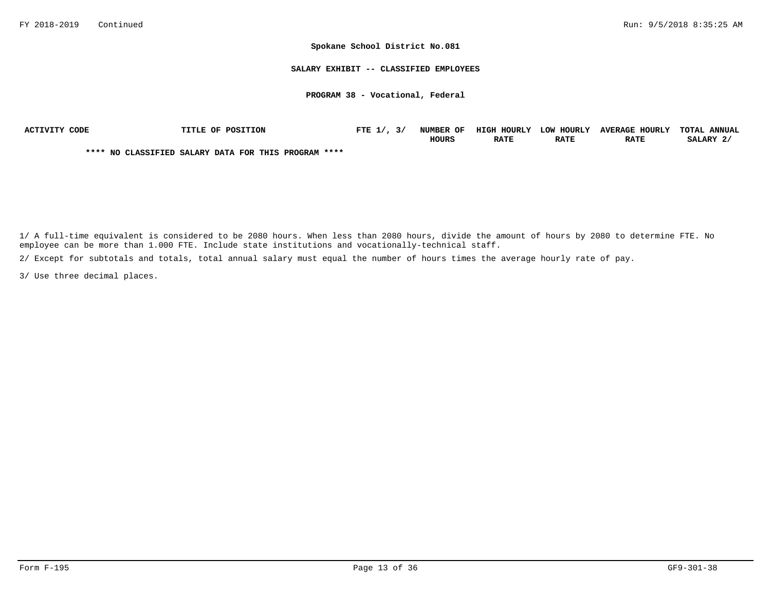**SALARY EXHIBIT -- CLASSIFIED EMPLOYEES**

**PROGRAM 38 - Vocational, Federal**

| ACTIVITY CODE | <b>TITLE OF POSITION</b>                             | FTE $1/$ , $3/$ | <b>NUMBER OF</b> | <b>HIGH HOURLY</b> | LOW HOURLY  | <b>AVERAGE HOURLY</b> | TOTAL ANNUAL |
|---------------|------------------------------------------------------|-----------------|------------------|--------------------|-------------|-----------------------|--------------|
|               |                                                      |                 | <b>HOURS</b>     | <b>RATE</b>        | <b>RATE</b> | <b>RATE</b>           | SALARY 2/    |
|               | **** NO CLASSIFIED SALARY DATA FOR THIS PROGRAM **** |                 |                  |                    |             |                       |              |

1/ A full-time equivalent is considered to be 2080 hours. When less than 2080 hours, divide the amount of hours by 2080 to determine FTE. No employee can be more than 1.000 FTE. Include state institutions and vocationally-technical staff.

2/ Except for subtotals and totals, total annual salary must equal the number of hours times the average hourly rate of pay.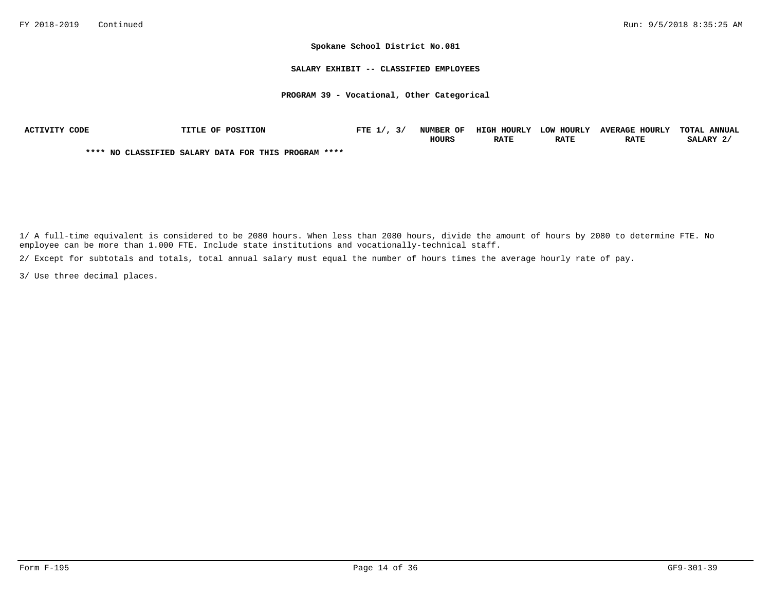#### **SALARY EXHIBIT -- CLASSIFIED EMPLOYEES**

## **PROGRAM 39 - Vocational, Other Categorical**

| ACTIVITY CODE | TITLE OF POSITION                                    | FTE $1/$ , $3/$ | NUMBER OF    | HIGH HOURLY | LOW HOURLY  | <b>AVERAGE HOURLY</b> | TOTAL ANNUAL |
|---------------|------------------------------------------------------|-----------------|--------------|-------------|-------------|-----------------------|--------------|
|               |                                                      |                 | <b>HOURS</b> | <b>RATE</b> | <b>RATE</b> | <b>RATE</b>           | SALARY 2/    |
|               | **** NO CLASSIFIED SALARY DATA FOR THIS PROGRAM **** |                 |              |             |             |                       |              |

1/ A full-time equivalent is considered to be 2080 hours. When less than 2080 hours, divide the amount of hours by 2080 to determine FTE. No employee can be more than 1.000 FTE. Include state institutions and vocationally-technical staff.

2/ Except for subtotals and totals, total annual salary must equal the number of hours times the average hourly rate of pay.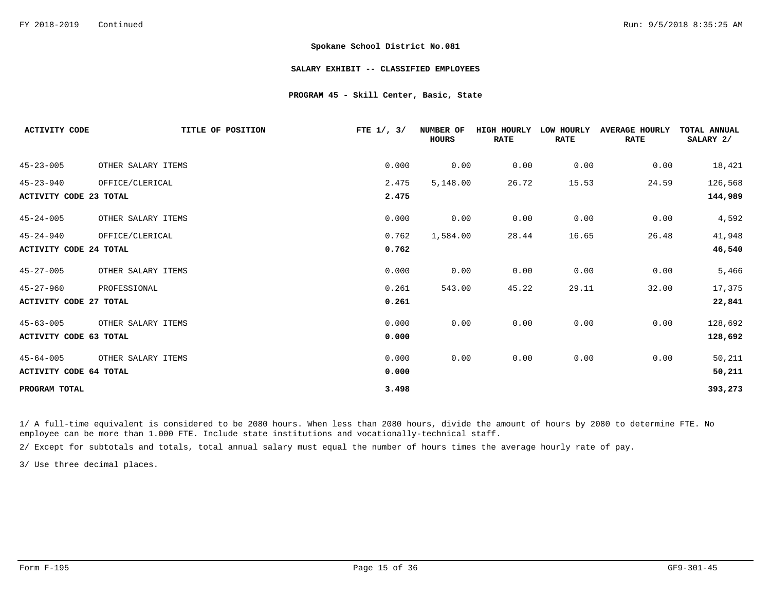### **SALARY EXHIBIT -- CLASSIFIED EMPLOYEES**

## **PROGRAM 45 - Skill Center, Basic, State**

| <b>ACTIVITY CODE</b>          | TITLE OF POSITION  | FTE $1/$ , $3/$ | NUMBER OF<br><b>HOURS</b> | <b>HIGH HOURLY</b><br><b>RATE</b> | LOW HOURLY<br><b>RATE</b> | <b>AVERAGE HOURLY</b><br><b>RATE</b> | TOTAL ANNUAL<br>SALARY 2/ |
|-------------------------------|--------------------|-----------------|---------------------------|-----------------------------------|---------------------------|--------------------------------------|---------------------------|
| $45 - 23 - 005$               | OTHER SALARY ITEMS | 0.000           | 0.00                      | 0.00                              | 0.00                      | 0.00                                 | 18,421                    |
| $45 - 23 - 940$               | OFFICE/CLERICAL    | 2.475           | 5,148.00                  | 26.72                             | 15.53                     | 24.59                                | 126,568                   |
| ACTIVITY CODE 23 TOTAL        |                    | 2.475           |                           |                                   |                           |                                      | 144,989                   |
| $45 - 24 - 005$               | OTHER SALARY ITEMS | 0.000           | 0.00                      | 0.00                              | 0.00                      | 0.00                                 | 4,592                     |
| $45 - 24 - 940$               | OFFICE/CLERICAL    | 0.762           | 1,584.00                  | 28.44                             | 16.65                     | 26.48                                | 41,948                    |
| <b>ACTIVITY CODE 24 TOTAL</b> |                    | 0.762           |                           |                                   |                           |                                      | 46,540                    |
| $45 - 27 - 005$               | OTHER SALARY ITEMS | 0.000           | 0.00                      | 0.00                              | 0.00                      | 0.00                                 | 5,466                     |
| $45 - 27 - 960$               | PROFESSIONAL       | 0.261           | 543.00                    | 45.22                             | 29.11                     | 32.00                                | 17,375                    |
| <b>ACTIVITY CODE 27 TOTAL</b> |                    | 0.261           |                           |                                   |                           |                                      | 22,841                    |
| $45 - 63 - 005$               | OTHER SALARY ITEMS | 0.000           | 0.00                      | 0.00                              | 0.00                      | 0.00                                 | 128,692                   |
| <b>ACTIVITY CODE 63 TOTAL</b> |                    | 0.000           |                           |                                   |                           |                                      | 128,692                   |
| $45 - 64 - 005$               | OTHER SALARY ITEMS | 0.000           | 0.00                      | 0.00                              | 0.00                      | 0.00                                 | 50,211                    |
| <b>ACTIVITY CODE 64 TOTAL</b> |                    | 0.000           |                           |                                   |                           |                                      | 50,211                    |
| PROGRAM TOTAL                 |                    | 3.498           |                           |                                   |                           |                                      | 393,273                   |

1/ A full-time equivalent is considered to be 2080 hours. When less than 2080 hours, divide the amount of hours by 2080 to determine FTE. No employee can be more than 1.000 FTE. Include state institutions and vocationally-technical staff.

2/ Except for subtotals and totals, total annual salary must equal the number of hours times the average hourly rate of pay.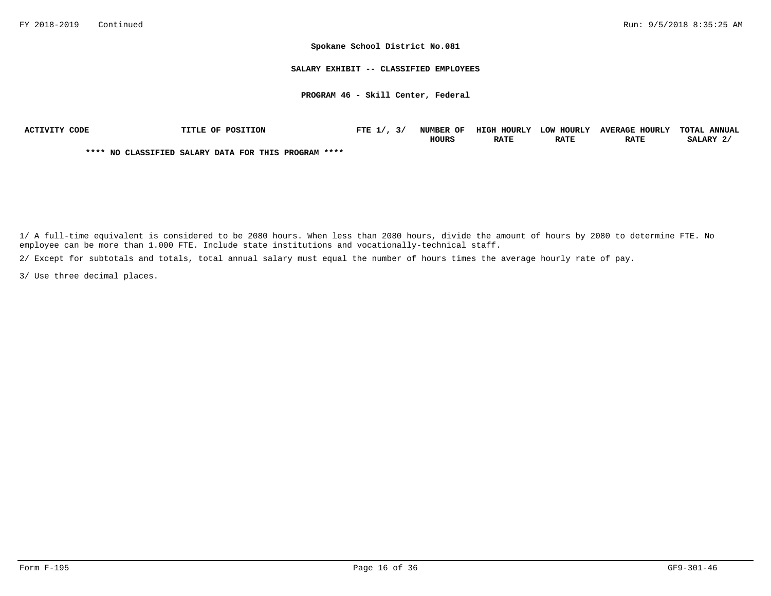**SALARY EXHIBIT -- CLASSIFIED EMPLOYEES**

**PROGRAM 46 - Skill Center, Federal**

| ACTIVITY CODE | <b>TITLE OF POSITION</b>                             | FTE $1/7$ , $3/$ | NUMBER OF    | HIGH HOURLY | LOW HOURLY  | <b>AVERAGE HOURLY</b> | <b>TOTAL ANNUAL</b> |
|---------------|------------------------------------------------------|------------------|--------------|-------------|-------------|-----------------------|---------------------|
|               |                                                      |                  | <b>HOURS</b> | <b>RATE</b> | <b>RATE</b> | <b>RATE</b>           | SALARY 2/           |
|               | **** NO CLASSIFIED SALARY DATA FOR THIS PROGRAM **** |                  |              |             |             |                       |                     |

1/ A full-time equivalent is considered to be 2080 hours. When less than 2080 hours, divide the amount of hours by 2080 to determine FTE. No employee can be more than 1.000 FTE. Include state institutions and vocationally-technical staff.

2/ Except for subtotals and totals, total annual salary must equal the number of hours times the average hourly rate of pay.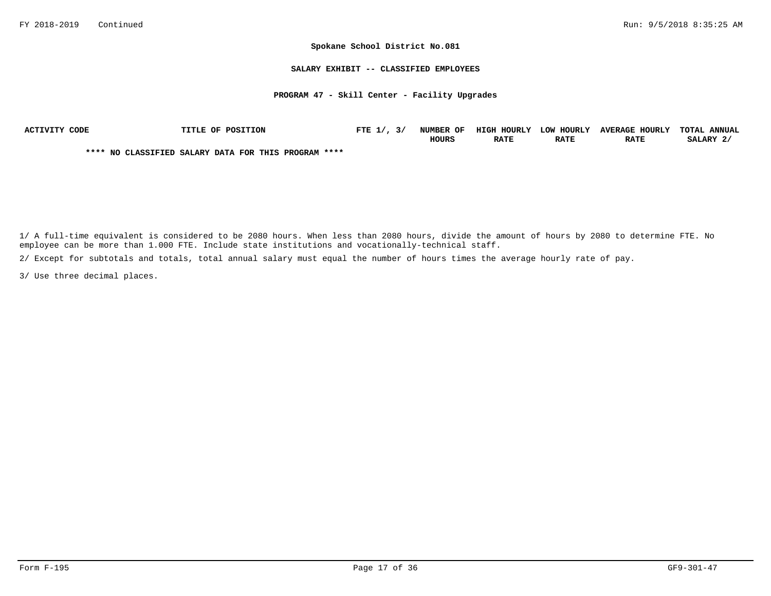#### **SALARY EXHIBIT -- CLASSIFIED EMPLOYEES**

### **PROGRAM 47 - Skill Center - Facility Upgrades**

| ACTIVITY CODE | TITLE OF POSITION                                    | FTE $1/$ , $3/$ | NUMBER OF    | HIGH HOURLY | LOW HOURLY  | <b>AVERAGE HOURLY</b> | TOTAL ANNUAL |
|---------------|------------------------------------------------------|-----------------|--------------|-------------|-------------|-----------------------|--------------|
|               |                                                      |                 | <b>HOURS</b> | <b>RATE</b> | <b>RATE</b> | <b>RATE</b>           | SALARY 2/    |
|               | **** NO CLASSIFIED SALARY DATA FOR THIS PROGRAM **** |                 |              |             |             |                       |              |

1/ A full-time equivalent is considered to be 2080 hours. When less than 2080 hours, divide the amount of hours by 2080 to determine FTE. No employee can be more than 1.000 FTE. Include state institutions and vocationally-technical staff.

2/ Except for subtotals and totals, total annual salary must equal the number of hours times the average hourly rate of pay.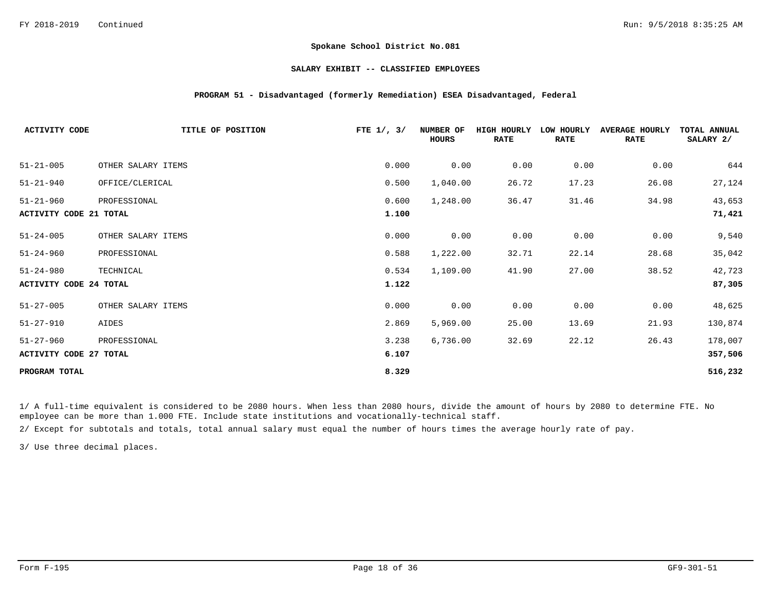### **SALARY EXHIBIT -- CLASSIFIED EMPLOYEES**

## **PROGRAM 51 - Disadvantaged (formerly Remediation) ESEA Disadvantaged, Federal**

| <b>ACTIVITY CODE</b>          | TITLE OF POSITION  | FTE $1/$ , $3/$ | NUMBER OF<br><b>HOURS</b> | <b>HIGH HOURLY</b><br><b>RATE</b> | LOW HOURLY<br><b>RATE</b> | <b>AVERAGE HOURLY</b><br><b>RATE</b> | TOTAL ANNUAL<br>SALARY 2/ |
|-------------------------------|--------------------|-----------------|---------------------------|-----------------------------------|---------------------------|--------------------------------------|---------------------------|
| $51 - 21 - 005$               | OTHER SALARY ITEMS | 0.000           | 0.00                      | 0.00                              | 0.00                      | 0.00                                 | 644                       |
| $51 - 21 - 940$               | OFFICE/CLERICAL    | 0.500           | 1,040.00                  | 26.72                             | 17.23                     | 26.08                                | 27,124                    |
| $51 - 21 - 960$               | PROFESSIONAL       | 0.600           | 1,248.00                  | 36.47                             | 31.46                     | 34.98                                | 43,653                    |
| <b>ACTIVITY CODE 21 TOTAL</b> |                    | 1.100           |                           |                                   |                           |                                      | 71,421                    |
| $51 - 24 - 005$               | OTHER SALARY ITEMS | 0.000           | 0.00                      | 0.00                              | 0.00                      | 0.00                                 | 9,540                     |
| $51 - 24 - 960$               | PROFESSIONAL       | 0.588           | 1,222.00                  | 32.71                             | 22.14                     | 28.68                                | 35,042                    |
| $51 - 24 - 980$               | TECHNICAL          | 0.534           | 1,109.00                  | 41.90                             | 27.00                     | 38.52                                | 42,723                    |
| <b>ACTIVITY CODE 24 TOTAL</b> |                    | 1.122           |                           |                                   |                           |                                      | 87,305                    |
| $51 - 27 - 005$               | OTHER SALARY ITEMS | 0.000           | 0.00                      | 0.00                              | 0.00                      | 0.00                                 | 48,625                    |
| $51 - 27 - 910$               | AIDES              | 2.869           | 5,969.00                  | 25.00                             | 13.69                     | 21.93                                | 130,874                   |
| $51 - 27 - 960$               | PROFESSIONAL       | 3.238           | 6,736.00                  | 32.69                             | 22.12                     | 26.43                                | 178,007                   |
| <b>ACTIVITY CODE 27 TOTAL</b> |                    | 6.107           |                           |                                   |                           |                                      | 357,506                   |
| PROGRAM TOTAL                 |                    | 8.329           |                           |                                   |                           |                                      | 516,232                   |

1/ A full-time equivalent is considered to be 2080 hours. When less than 2080 hours, divide the amount of hours by 2080 to determine FTE. No employee can be more than 1.000 FTE. Include state institutions and vocationally-technical staff.

2/ Except for subtotals and totals, total annual salary must equal the number of hours times the average hourly rate of pay.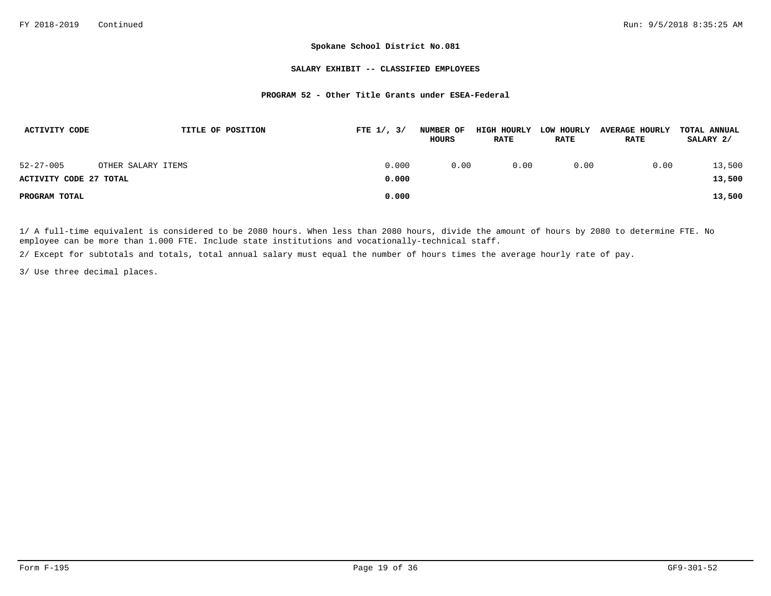### **SALARY EXHIBIT -- CLASSIFIED EMPLOYEES**

## **PROGRAM 52 - Other Title Grants under ESEA-Federal**

| ACTIVITY CODE                 | TITLE OF POSITION  | FTE $1/$ , $3/$ | <b>NUMBER OF</b><br>HOURS | HIGH HOURLY<br><b>RATE</b> | LOW HOURLY<br><b>RATE</b> | <b>AVERAGE HOURLY</b><br><b>RATE</b> | <b>TOTAL ANNUAL</b><br>SALARY 2/ |
|-------------------------------|--------------------|-----------------|---------------------------|----------------------------|---------------------------|--------------------------------------|----------------------------------|
| $52 - 27 - 005$               | OTHER SALARY ITEMS | 0.000           | 0.00                      | 0.00                       | 0.00                      | 0.00                                 | 13,500                           |
| <b>ACTIVITY CODE 27 TOTAL</b> |                    | 0.000           |                           |                            |                           |                                      | 13,500                           |
| PROGRAM TOTAL                 |                    | 0.000           |                           |                            |                           |                                      | 13,500                           |

1/ A full-time equivalent is considered to be 2080 hours. When less than 2080 hours, divide the amount of hours by 2080 to determine FTE. No employee can be more than 1.000 FTE. Include state institutions and vocationally-technical staff.

2/ Except for subtotals and totals, total annual salary must equal the number of hours times the average hourly rate of pay.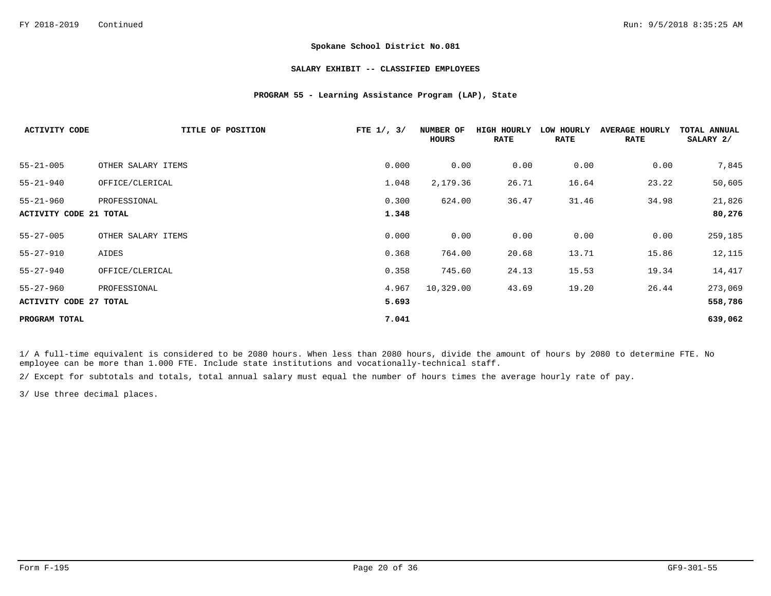### **SALARY EXHIBIT -- CLASSIFIED EMPLOYEES**

## **PROGRAM 55 - Learning Assistance Program (LAP), State**

| <b>ACTIVITY CODE</b>          | TITLE OF POSITION  | FTE $1/$ , $3/$ | NUMBER OF<br>HOURS | HIGH HOURLY<br><b>RATE</b> | LOW HOURLY<br><b>RATE</b> | <b>AVERAGE HOURLY</b><br><b>RATE</b> | TOTAL ANNUAL<br>SALARY 2/ |
|-------------------------------|--------------------|-----------------|--------------------|----------------------------|---------------------------|--------------------------------------|---------------------------|
| $55 - 21 - 005$               | OTHER SALARY ITEMS | 0.000           | 0.00               | 0.00                       | 0.00                      | 0.00                                 | 7,845                     |
| $55 - 21 - 940$               | OFFICE/CLERICAL    | 1.048           | 2,179.36           | 26.71                      | 16.64                     | 23.22                                | 50,605                    |
| $55 - 21 - 960$               | PROFESSIONAL       | 0.300           | 624.00             | 36.47                      | 31.46                     | 34.98                                | 21,826                    |
| ACTIVITY CODE 21 TOTAL        |                    | 1.348           |                    |                            |                           |                                      | 80,276                    |
| $55 - 27 - 005$               | OTHER SALARY ITEMS | 0.000           | 0.00               | 0.00                       | 0.00                      | 0.00                                 | 259,185                   |
| $55 - 27 - 910$               | AIDES              | 0.368           | 764.00             | 20.68                      | 13.71                     | 15.86                                | 12,115                    |
| $55 - 27 - 940$               | OFFICE/CLERICAL    | 0.358           | 745.60             | 24.13                      | 15.53                     | 19.34                                | 14,417                    |
| $55 - 27 - 960$               | PROFESSIONAL       | 4.967           | 10,329.00          | 43.69                      | 19.20                     | 26.44                                | 273,069                   |
| <b>ACTIVITY CODE 27 TOTAL</b> |                    | 5.693           |                    |                            |                           |                                      | 558,786                   |
| PROGRAM TOTAL                 |                    | 7.041           |                    |                            |                           |                                      | 639,062                   |

1/ A full-time equivalent is considered to be 2080 hours. When less than 2080 hours, divide the amount of hours by 2080 to determine FTE. No employee can be more than 1.000 FTE. Include state institutions and vocationally-technical staff.

2/ Except for subtotals and totals, total annual salary must equal the number of hours times the average hourly rate of pay.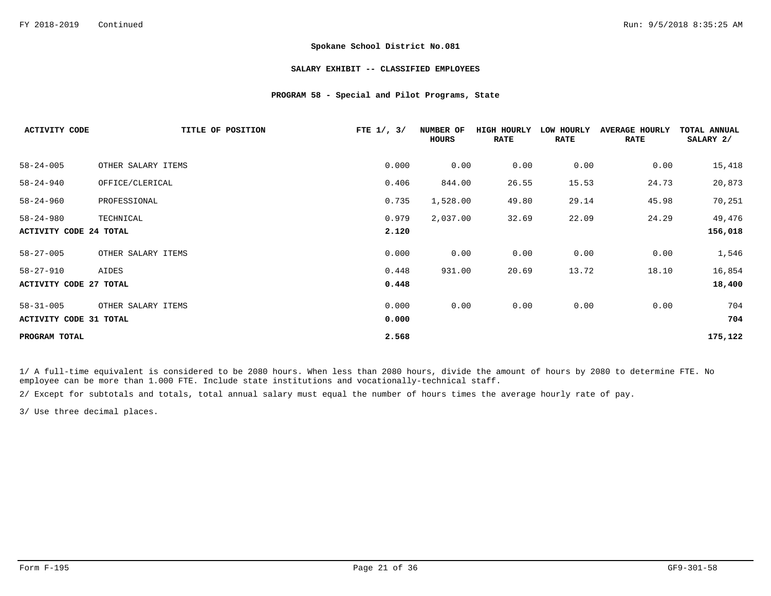### **SALARY EXHIBIT -- CLASSIFIED EMPLOYEES**

## **PROGRAM 58 - Special and Pilot Programs, State**

| <b>ACTIVITY CODE</b>          | TITLE OF POSITION  | FTE $1/$ , $3/$ | NUMBER OF<br>HOURS | HIGH HOURLY<br><b>RATE</b> | LOW HOURLY<br><b>RATE</b> | <b>AVERAGE HOURLY</b><br><b>RATE</b> | TOTAL ANNUAL<br>SALARY 2/ |
|-------------------------------|--------------------|-----------------|--------------------|----------------------------|---------------------------|--------------------------------------|---------------------------|
| $58 - 24 - 005$               | OTHER SALARY ITEMS | 0.000           | 0.00               | 0.00                       | 0.00                      | 0.00                                 | 15,418                    |
| $58 - 24 - 940$               | OFFICE/CLERICAL    | 0.406           | 844.00             | 26.55                      | 15.53                     | 24.73                                | 20,873                    |
| $58 - 24 - 960$               | PROFESSIONAL       | 0.735           | 1,528.00           | 49.80                      | 29.14                     | 45.98                                | 70,251                    |
| $58 - 24 - 980$               | TECHNICAL          | 0.979           | 2,037.00           | 32.69                      | 22.09                     | 24.29                                | 49,476                    |
| <b>ACTIVITY CODE 24 TOTAL</b> |                    | 2.120           |                    |                            |                           |                                      | 156,018                   |
| $58 - 27 - 005$               | OTHER SALARY ITEMS | 0.000           | 0.00               | 0.00                       | 0.00                      | 0.00                                 | 1,546                     |
| $58 - 27 - 910$               | AIDES              | 0.448           | 931.00             | 20.69                      | 13.72                     | 18.10                                | 16,854                    |
| <b>ACTIVITY CODE 27 TOTAL</b> |                    | 0.448           |                    |                            |                           |                                      | 18,400                    |
| $58 - 31 - 005$               | OTHER SALARY ITEMS | 0.000           | 0.00               | 0.00                       | 0.00                      | 0.00                                 | 704                       |
| <b>ACTIVITY CODE 31 TOTAL</b> |                    | 0.000           |                    |                            |                           |                                      | 704                       |
| PROGRAM TOTAL                 |                    | 2.568           |                    |                            |                           |                                      | 175,122                   |

1/ A full-time equivalent is considered to be 2080 hours. When less than 2080 hours, divide the amount of hours by 2080 to determine FTE. No employee can be more than 1.000 FTE. Include state institutions and vocationally-technical staff.

2/ Except for subtotals and totals, total annual salary must equal the number of hours times the average hourly rate of pay.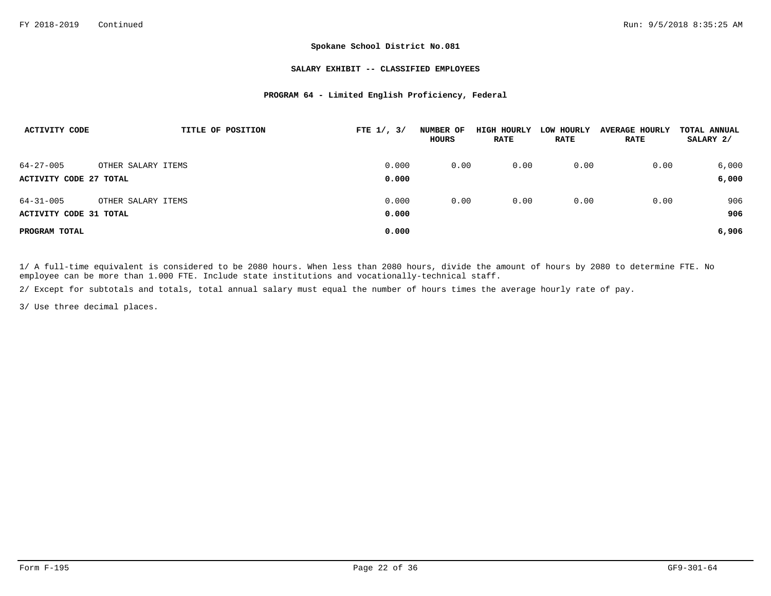### **SALARY EXHIBIT -- CLASSIFIED EMPLOYEES**

## **PROGRAM 64 - Limited English Proficiency, Federal**

| ACTIVITY CODE          | TITLE OF POSITION  | FTE $1/$ , $3/$ | NUMBER OF<br><b>HOURS</b> | HIGH HOURLY<br><b>RATE</b> | LOW HOURLY<br><b>RATE</b> | <b>AVERAGE HOURLY</b><br><b>RATE</b> | TOTAL ANNUAL<br>SALARY 2/ |
|------------------------|--------------------|-----------------|---------------------------|----------------------------|---------------------------|--------------------------------------|---------------------------|
| $64 - 27 - 005$        | OTHER SALARY ITEMS | 0.000           | 0.00                      | 0.00                       | 0.00                      | 0.00                                 | 6,000                     |
| ACTIVITY CODE 27 TOTAL |                    | 0.000           |                           |                            |                           |                                      | 6,000                     |
| $64 - 31 - 005$        | OTHER SALARY ITEMS | 0.000           | 0.00                      | 0.00                       | 0.00                      | 0.00                                 | 906                       |
| ACTIVITY CODE 31 TOTAL |                    | 0.000           |                           |                            |                           |                                      | 906                       |
| PROGRAM TOTAL          |                    | 0.000           |                           |                            |                           |                                      | 6,906                     |

1/ A full-time equivalent is considered to be 2080 hours. When less than 2080 hours, divide the amount of hours by 2080 to determine FTE. No employee can be more than 1.000 FTE. Include state institutions and vocationally-technical staff.

2/ Except for subtotals and totals, total annual salary must equal the number of hours times the average hourly rate of pay.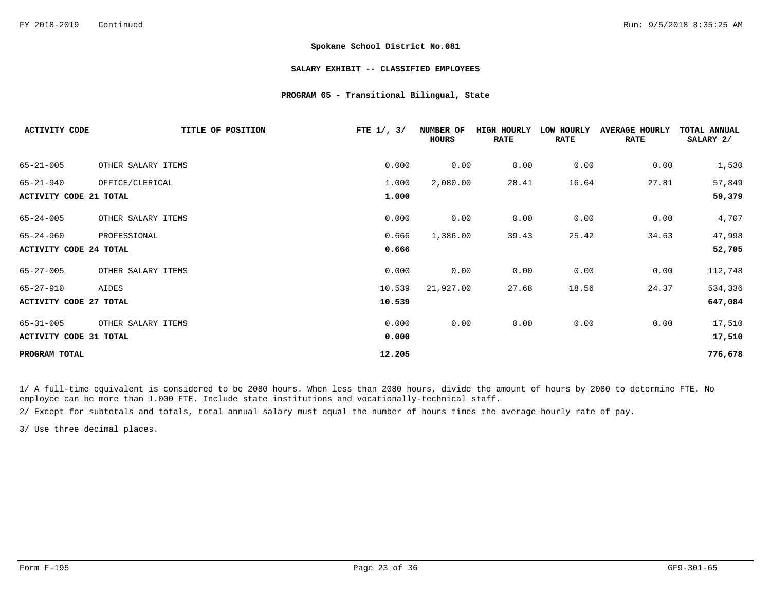### **SALARY EXHIBIT -- CLASSIFIED EMPLOYEES**

## **PROGRAM 65 - Transitional Bilingual, State**

| <b>ACTIVITY CODE</b>          | TITLE OF POSITION  | FTE $1/$ , $3/$ | NUMBER OF<br><b>HOURS</b> | <b>HIGH HOURLY</b><br><b>RATE</b> | LOW HOURLY<br><b>RATE</b> | <b>AVERAGE</b><br>HOURLY<br><b>RATE</b> | TOTAL ANNUAL<br>SALARY 2/ |
|-------------------------------|--------------------|-----------------|---------------------------|-----------------------------------|---------------------------|-----------------------------------------|---------------------------|
| $65 - 21 - 005$               | OTHER SALARY ITEMS | 0.000           | 0.00                      | 0.00                              | 0.00                      | 0.00                                    | 1,530                     |
| $65 - 21 - 940$               | OFFICE/CLERICAL    | 1.000           | 2,080.00                  | 28.41                             | 16.64                     | 27.81                                   | 57,849                    |
| <b>ACTIVITY CODE 21 TOTAL</b> |                    | 1.000           |                           |                                   |                           |                                         | 59,379                    |
| $65 - 24 - 005$               | OTHER SALARY ITEMS | 0.000           | 0.00                      | 0.00                              | 0.00                      | 0.00                                    | 4,707                     |
| $65 - 24 - 960$               | PROFESSIONAL       | 0.666           | 1,386.00                  | 39.43                             | 25.42                     | 34.63                                   | 47,998                    |
| <b>ACTIVITY CODE 24 TOTAL</b> |                    | 0.666           |                           |                                   |                           |                                         | 52,705                    |
| $65 - 27 - 005$               | OTHER SALARY ITEMS | 0.000           | 0.00                      | 0.00                              | 0.00                      | 0.00                                    | 112,748                   |
| $65 - 27 - 910$               | AIDES              | 10.539          | 21,927.00                 | 27.68                             | 18.56                     | 24.37                                   | 534,336                   |
| <b>ACTIVITY CODE 27 TOTAL</b> |                    | 10.539          |                           |                                   |                           |                                         | 647,084                   |
| $65 - 31 - 005$               | OTHER SALARY ITEMS | 0.000           | 0.00                      | 0.00                              | 0.00                      | 0.00                                    | 17,510                    |
| <b>ACTIVITY CODE 31 TOTAL</b> |                    | 0.000           |                           |                                   |                           |                                         | 17,510                    |
| PROGRAM TOTAL                 |                    | 12.205          |                           |                                   |                           |                                         | 776,678                   |

1/ A full-time equivalent is considered to be 2080 hours. When less than 2080 hours, divide the amount of hours by 2080 to determine FTE. No employee can be more than 1.000 FTE. Include state institutions and vocationally-technical staff.

2/ Except for subtotals and totals, total annual salary must equal the number of hours times the average hourly rate of pay.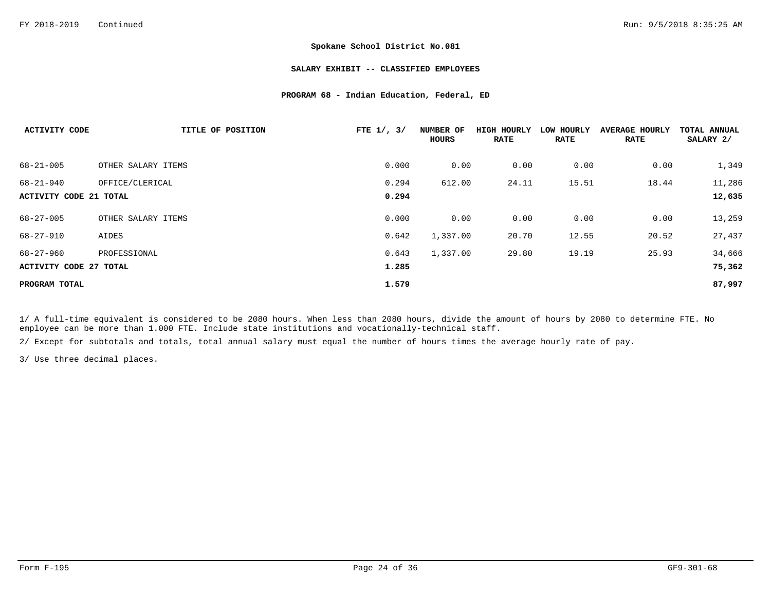#### **SALARY EXHIBIT -- CLASSIFIED EMPLOYEES**

### **PROGRAM 68 - Indian Education, Federal, ED**

| <b>ACTIVITY CODE</b>   | TITLE OF POSITION  | FTE $1/$ , $3/$ | NUMBER OF<br>HOURS | HIGH HOURLY<br><b>RATE</b> | LOW HOURLY<br><b>RATE</b> | <b>AVERAGE HOURLY</b><br><b>RATE</b> | TOTAL ANNUAL<br>SALARY 2/ |
|------------------------|--------------------|-----------------|--------------------|----------------------------|---------------------------|--------------------------------------|---------------------------|
| $68 - 21 - 005$        | OTHER SALARY ITEMS | 0.000           | 0.00               | 0.00                       | 0.00                      | 0.00                                 | 1,349                     |
| $68 - 21 - 940$        | OFFICE/CLERICAL    | 0.294           | 612.00             | 24.11                      | 15.51                     | 18.44                                | 11,286                    |
| ACTIVITY CODE 21 TOTAL |                    | 0.294           |                    |                            |                           |                                      | 12,635                    |
| $68 - 27 - 005$        | OTHER SALARY ITEMS | 0.000           | 0.00               | 0.00                       | 0.00                      | 0.00                                 | 13,259                    |
| $68 - 27 - 910$        | AIDES              | 0.642           | 1,337.00           | 20.70                      | 12.55                     | 20.52                                | 27,437                    |
| $68 - 27 - 960$        | PROFESSIONAL       | 0.643           | 1,337.00           | 29.80                      | 19.19                     | 25.93                                | 34,666                    |
| ACTIVITY CODE 27 TOTAL |                    | 1.285           |                    |                            |                           |                                      | 75,362                    |
| PROGRAM TOTAL          |                    | 1.579           |                    |                            |                           |                                      | 87,997                    |

1/ A full-time equivalent is considered to be 2080 hours. When less than 2080 hours, divide the amount of hours by 2080 to determine FTE. No employee can be more than 1.000 FTE. Include state institutions and vocationally-technical staff.

2/ Except for subtotals and totals, total annual salary must equal the number of hours times the average hourly rate of pay.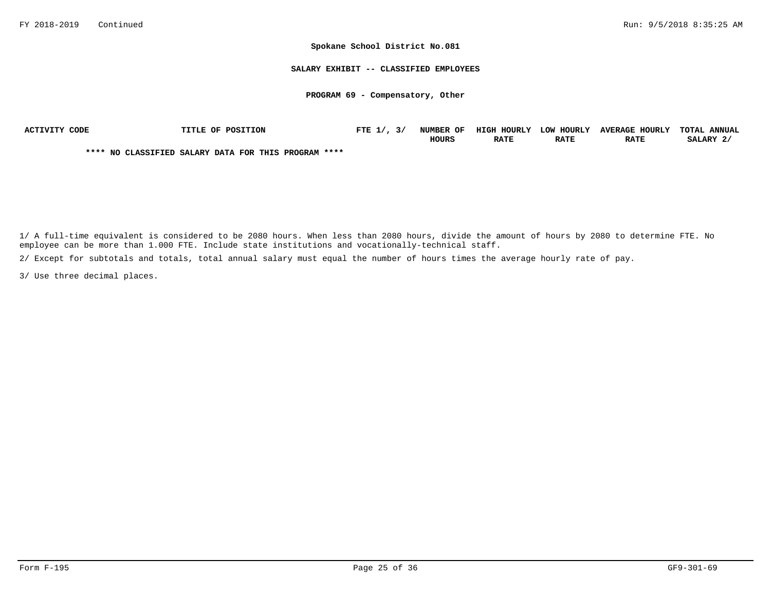#### **SALARY EXHIBIT -- CLASSIFIED EMPLOYEES**

#### **PROGRAM 69 - Compensatory, Other**

| ACTIVITY CODE | TITLE OF POSITION                                    | FTE $1/$ , $3/$ | <b>NUMBER OF</b> | HIGH HOURLY LOW HOURLY |             | <b>AVERAGE HOURLY</b> | TOTAL ANNUAL |
|---------------|------------------------------------------------------|-----------------|------------------|------------------------|-------------|-----------------------|--------------|
|               |                                                      |                 | <b>HOURS</b>     | <b>RATE</b>            | <b>RATE</b> | <b>RATE</b>           | SALARY 2     |
|               | **** NO CLASSIFIED SALARY DATA FOR THIS PROGRAM **** |                 |                  |                        |             |                       |              |

1/ A full-time equivalent is considered to be 2080 hours. When less than 2080 hours, divide the amount of hours by 2080 to determine FTE. No employee can be more than 1.000 FTE. Include state institutions and vocationally-technical staff.

2/ Except for subtotals and totals, total annual salary must equal the number of hours times the average hourly rate of pay.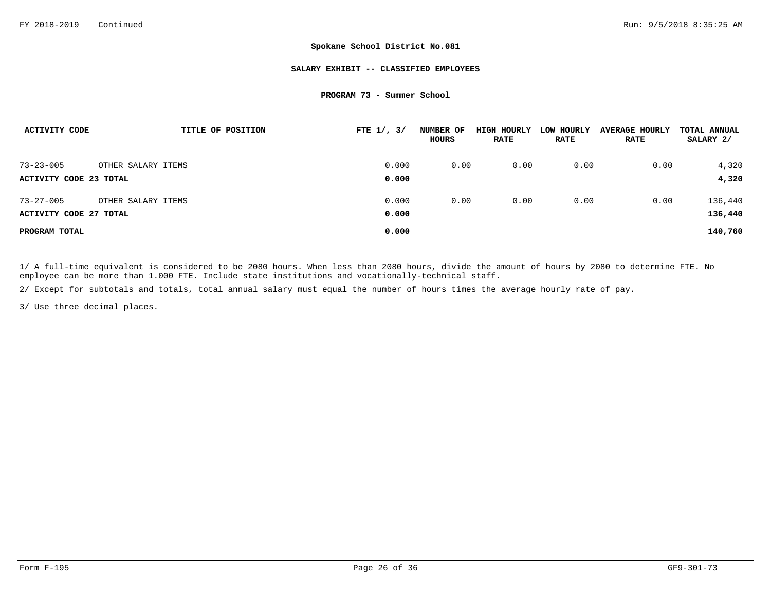#### **SALARY EXHIBIT -- CLASSIFIED EMPLOYEES**

#### **PROGRAM 73 - Summer School**

| ACTIVITY CODE          | TITLE OF POSITION  | FTE $1/$ , $3/$ | NUMBER OF<br>HOURS | HIGH HOURLY<br><b>RATE</b> | LOW HOURLY<br><b>RATE</b> | <b>AVERAGE HOURLY</b><br><b>RATE</b> | TOTAL ANNUAL<br>SALARY 2/ |
|------------------------|--------------------|-----------------|--------------------|----------------------------|---------------------------|--------------------------------------|---------------------------|
| $73 - 23 - 005$        | OTHER SALARY ITEMS | 0.000           | 0.00               | 0.00                       | 0.00                      | 0.00                                 | 4,320                     |
| ACTIVITY CODE 23 TOTAL |                    | 0.000           |                    |                            |                           |                                      | 4,320                     |
| $73 - 27 - 005$        | OTHER SALARY ITEMS | 0.000           | 0.00               | 0.00                       | 0.00                      | 0.00                                 | 136,440                   |
| ACTIVITY CODE 27 TOTAL |                    | 0.000           |                    |                            |                           |                                      | 136,440                   |
| PROGRAM TOTAL          |                    | 0.000           |                    |                            |                           |                                      | 140,760                   |

1/ A full-time equivalent is considered to be 2080 hours. When less than 2080 hours, divide the amount of hours by 2080 to determine FTE. No employee can be more than 1.000 FTE. Include state institutions and vocationally-technical staff.

2/ Except for subtotals and totals, total annual salary must equal the number of hours times the average hourly rate of pay.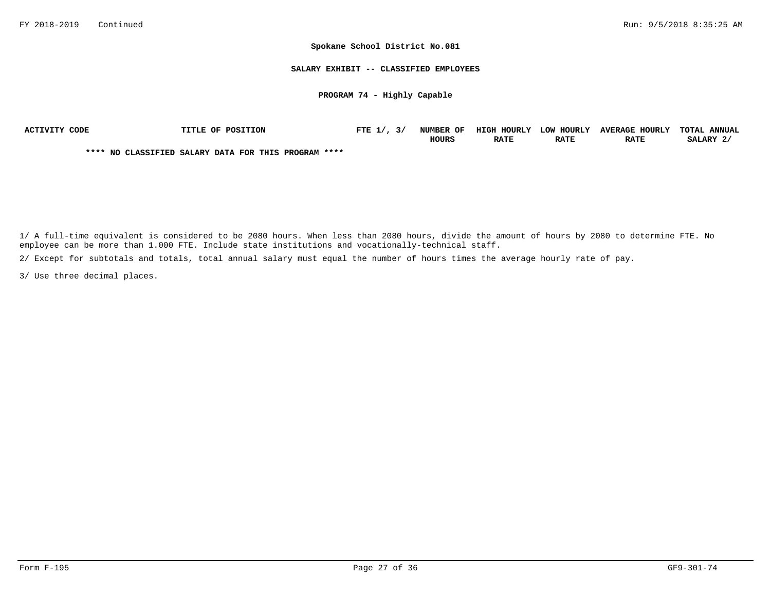**SALARY EXHIBIT -- CLASSIFIED EMPLOYEES**

**PROGRAM 74 - Highly Capable**

| ACTIVITY CODE | <b>TITLE OF POSITION</b>                             | FTE $1/7$ , $3/$ | <b>NUMBER OF</b> | HIGH HOURLY | LOW HOURLY  | <b>AVERAGE HOURLY</b> | TOTAL ANNUAL |
|---------------|------------------------------------------------------|------------------|------------------|-------------|-------------|-----------------------|--------------|
|               |                                                      |                  | <b>HOURS</b>     | <b>RATE</b> | <b>RATE</b> | <b>RATE</b>           | SALARY 2/    |
|               | **** NO CLASSIFIED SALARY DATA FOR THIS PROGRAM **** |                  |                  |             |             |                       |              |

1/ A full-time equivalent is considered to be 2080 hours. When less than 2080 hours, divide the amount of hours by 2080 to determine FTE. No employee can be more than 1.000 FTE. Include state institutions and vocationally-technical staff.

2/ Except for subtotals and totals, total annual salary must equal the number of hours times the average hourly rate of pay.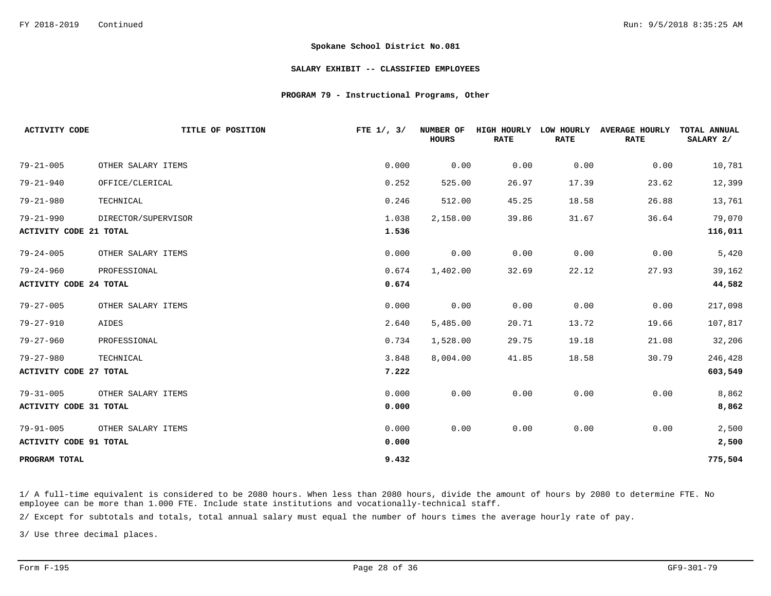#### **SALARY EXHIBIT -- CLASSIFIED EMPLOYEES**

#### **PROGRAM 79 - Instructional Programs, Other**

| <b>ACTIVITY CODE</b>          | TITLE OF POSITION   | FTE $1/$ , $3/$ | NUMBER OF<br><b>HOURS</b> | HIGH HOURLY<br><b>RATE</b> | LOW HOURLY<br><b>RATE</b> | <b>AVERAGE HOURLY</b><br><b>RATE</b> | TOTAL ANNUAL<br>SALARY 2/ |
|-------------------------------|---------------------|-----------------|---------------------------|----------------------------|---------------------------|--------------------------------------|---------------------------|
| $79 - 21 - 005$               | OTHER SALARY ITEMS  | 0.000           | 0.00                      | 0.00                       | 0.00                      | 0.00                                 | 10,781                    |
| $79 - 21 - 940$               | OFFICE/CLERICAL     | 0.252           | 525.00                    | 26.97                      | 17.39                     | 23.62                                | 12,399                    |
| $79 - 21 - 980$               | TECHNICAL           | 0.246           | 512.00                    | 45.25                      | 18.58                     | 26.88                                | 13,761                    |
| $79 - 21 - 990$               | DIRECTOR/SUPERVISOR | 1.038           | 2,158.00                  | 39.86                      | 31.67                     | 36.64                                | 79,070                    |
| <b>ACTIVITY CODE 21 TOTAL</b> |                     | 1.536           |                           |                            |                           |                                      | 116,011                   |
| $79 - 24 - 005$               | OTHER SALARY ITEMS  | 0.000           | 0.00                      | 0.00                       | 0.00                      | 0.00                                 | 5,420                     |
| $79 - 24 - 960$               | PROFESSIONAL        | 0.674           | 1,402.00                  | 32.69                      | 22.12                     | 27.93                                | 39,162                    |
| <b>ACTIVITY CODE 24 TOTAL</b> |                     | 0.674           |                           |                            |                           |                                      | 44,582                    |
| $79 - 27 - 005$               | OTHER SALARY ITEMS  | 0.000           | 0.00                      | 0.00                       | 0.00                      | 0.00                                 | 217,098                   |
| $79 - 27 - 910$               | AIDES               | 2.640           | 5,485.00                  | 20.71                      | 13.72                     | 19.66                                | 107,817                   |
| $79 - 27 - 960$               | PROFESSIONAL        | 0.734           | 1,528.00                  | 29.75                      | 19.18                     | 21.08                                | 32,206                    |
| $79 - 27 - 980$               | TECHNICAL           | 3.848           | 8,004.00                  | 41.85                      | 18.58                     | 30.79                                | 246,428                   |
| <b>ACTIVITY CODE 27 TOTAL</b> |                     | 7.222           |                           |                            |                           |                                      | 603,549                   |
| $79 - 31 - 005$               | OTHER SALARY ITEMS  | 0.000           | 0.00                      | 0.00                       | 0.00                      | 0.00                                 | 8,862                     |
| <b>ACTIVITY CODE 31 TOTAL</b> |                     | 0.000           |                           |                            |                           |                                      | 8,862                     |
| $79 - 91 - 005$               | OTHER SALARY ITEMS  | 0.000           | 0.00                      | 0.00                       | 0.00                      | 0.00                                 | 2,500                     |
| ACTIVITY CODE 91 TOTAL        |                     | 0.000           |                           |                            |                           |                                      | 2,500                     |
| PROGRAM TOTAL                 |                     | 9.432           |                           |                            |                           |                                      | 775,504                   |

1/ A full-time equivalent is considered to be 2080 hours. When less than 2080 hours, divide the amount of hours by 2080 to determine FTE. No employee can be more than 1.000 FTE. Include state institutions and vocationally-technical staff.

2/ Except for subtotals and totals, total annual salary must equal the number of hours times the average hourly rate of pay.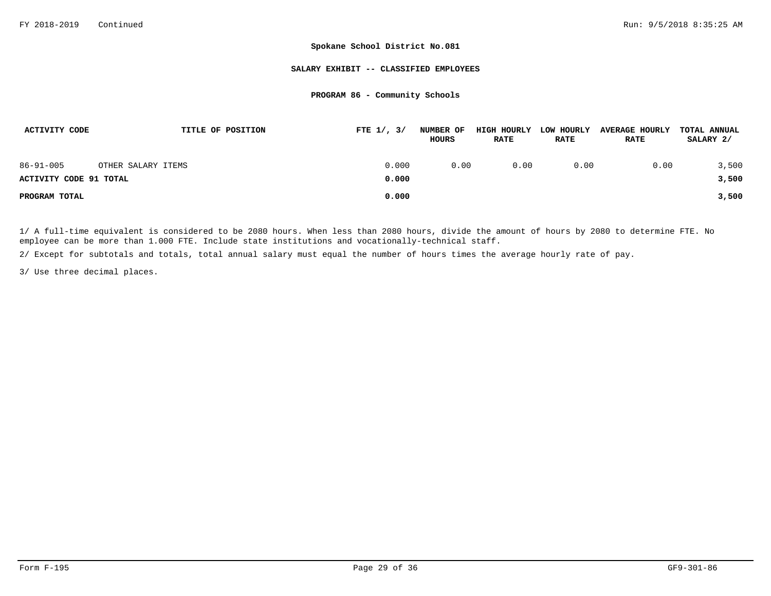#### **SALARY EXHIBIT -- CLASSIFIED EMPLOYEES**

### **PROGRAM 86 - Community Schools**

| ACTIVITY CODE          | TITLE OF POSITION  | FTE $1/$ , $3/$ | <b>NUMBER OF</b><br>HOURS | HIGH HOURLY<br><b>RATE</b> | LOW HOURLY<br><b>RATE</b> | <b>AVERAGE HOURLY</b><br><b>RATE</b> | TOTAL ANNUAL<br>SALARY 2/ |
|------------------------|--------------------|-----------------|---------------------------|----------------------------|---------------------------|--------------------------------------|---------------------------|
| $86 - 91 - 005$        | OTHER SALARY ITEMS | 0.000           | 0.00                      | 0.00                       | 0.00                      | 0.00                                 | 3,500                     |
| ACTIVITY CODE 91 TOTAL |                    | 0.000           |                           |                            |                           |                                      | 3,500                     |
| PROGRAM TOTAL          |                    | 0.000           |                           |                            |                           |                                      | 3,500                     |

1/ A full-time equivalent is considered to be 2080 hours. When less than 2080 hours, divide the amount of hours by 2080 to determine FTE. No employee can be more than 1.000 FTE. Include state institutions and vocationally-technical staff.

2/ Except for subtotals and totals, total annual salary must equal the number of hours times the average hourly rate of pay.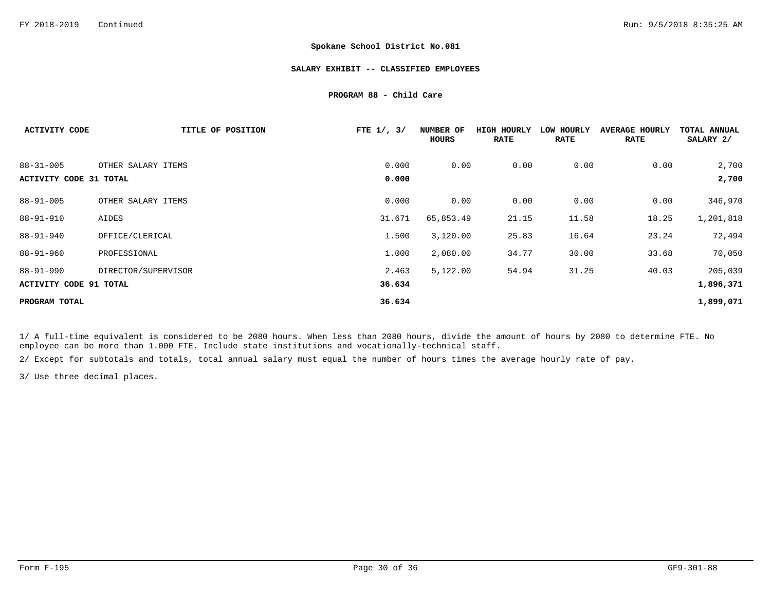#### **SALARY EXHIBIT -- CLASSIFIED EMPLOYEES**

**PROGRAM 88 - Child Care**

| <b>ACTIVITY CODE</b>                      | TITLE OF POSITION   | FTE $1/$ , $3/$ | NUMBER OF<br>HOURS | HIGH HOURLY<br><b>RATE</b> | LOW HOURLY<br><b>RATE</b> | <b>AVERAGE HOURLY</b><br><b>RATE</b> | TOTAL ANNUAL<br>SALARY 2/ |
|-------------------------------------------|---------------------|-----------------|--------------------|----------------------------|---------------------------|--------------------------------------|---------------------------|
| $88 - 31 - 005$<br>ACTIVITY CODE 31 TOTAL | OTHER SALARY ITEMS  | 0.000<br>0.000  | 0.00               | 0.00                       | 0.00                      | 0.00                                 | 2,700<br>2,700            |
| $88 - 91 - 005$                           | OTHER SALARY ITEMS  | 0.000           | 0.00               | 0.00                       | 0.00                      | 0.00                                 | 346,970                   |
| $88 - 91 - 910$                           | AIDES               | 31.671          | 65,853.49          | 21.15                      | 11.58                     | 18.25                                | 1,201,818                 |
| $88 - 91 - 940$                           | OFFICE/CLERICAL     | 1.500           | 3,120.00           | 25.83                      | 16.64                     | 23.24                                | 72,494                    |
| $88 - 91 - 960$                           | PROFESSIONAL        | 1.000           | 2,080.00           | 34.77                      | 30.00                     | 33.68                                | 70,050                    |
| $88 - 91 - 990$                           | DIRECTOR/SUPERVISOR | 2.463           | 5,122.00           | 54.94                      | 31.25                     | 40.03                                | 205,039                   |
| ACTIVITY CODE 91 TOTAL                    |                     | 36.634          |                    |                            |                           |                                      | 1,896,371                 |
| PROGRAM TOTAL                             |                     | 36.634          |                    |                            |                           |                                      | 1,899,071                 |

1/ A full-time equivalent is considered to be 2080 hours. When less than 2080 hours, divide the amount of hours by 2080 to determine FTE. No employee can be more than 1.000 FTE. Include state institutions and vocationally-technical staff.

2/ Except for subtotals and totals, total annual salary must equal the number of hours times the average hourly rate of pay.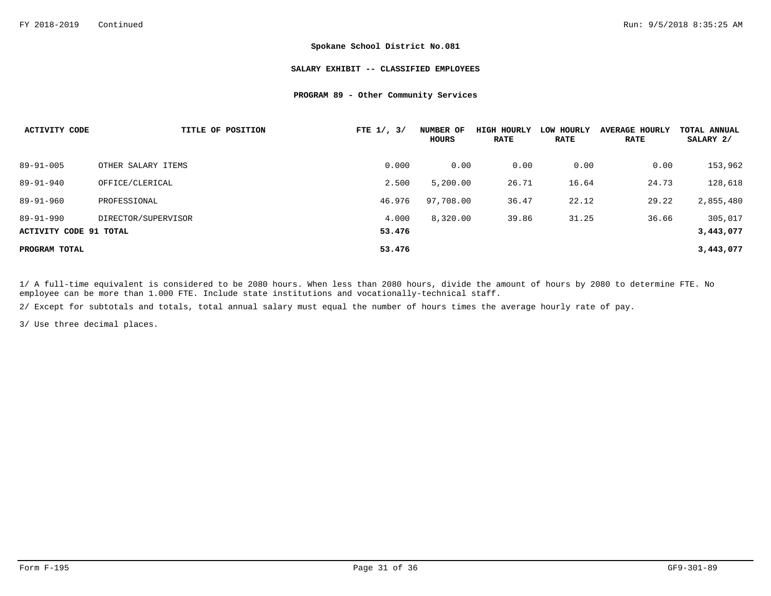#### **SALARY EXHIBIT -- CLASSIFIED EMPLOYEES**

### **PROGRAM 89 - Other Community Services**

| <b>ACTIVITY CODE</b>   | TITLE OF POSITION   | FTE $1/$ , $3/$ | NUMBER OF<br>HOURS | <b>HIGH HOURLY</b><br><b>RATE</b> | LOW HOURLY<br><b>RATE</b> | <b>AVERAGE HOURLY</b><br><b>RATE</b> | TOTAL ANNUAL<br>SALARY 2/ |
|------------------------|---------------------|-----------------|--------------------|-----------------------------------|---------------------------|--------------------------------------|---------------------------|
| $89 - 91 - 005$        | OTHER SALARY ITEMS  | 0.000           | 0.00               | 0.00                              | 0.00                      | 0.00                                 | 153,962                   |
| $89 - 91 - 940$        | OFFICE/CLERICAL     | 2.500           | 5,200.00           | 26.71                             | 16.64                     | 24.73                                | 128,618                   |
| $89 - 91 - 960$        | PROFESSIONAL        | 46.976          | 97,708.00          | 36.47                             | 22.12                     | 29.22                                | 2,855,480                 |
| $89 - 91 - 990$        | DIRECTOR/SUPERVISOR | 4.000           | 8,320.00           | 39.86                             | 31.25                     | 36.66                                | 305,017                   |
| ACTIVITY CODE 91 TOTAL |                     | 53.476          |                    |                                   |                           |                                      | 3,443,077                 |
| PROGRAM TOTAL          |                     | 53.476          |                    |                                   |                           |                                      | 3,443,077                 |

1/ A full-time equivalent is considered to be 2080 hours. When less than 2080 hours, divide the amount of hours by 2080 to determine FTE. No employee can be more than 1.000 FTE. Include state institutions and vocationally-technical staff.

2/ Except for subtotals and totals, total annual salary must equal the number of hours times the average hourly rate of pay.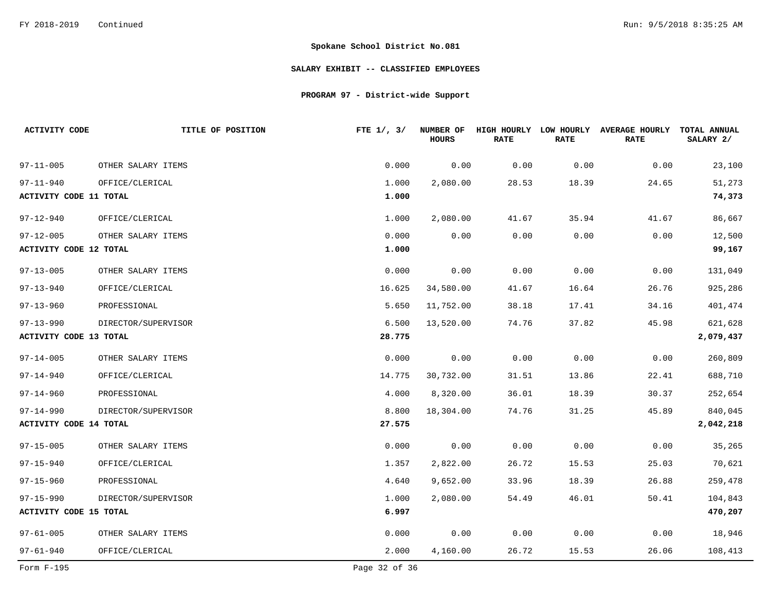### **SALARY EXHIBIT -- CLASSIFIED EMPLOYEES**

# **PROGRAM 97 - District-wide Support**

| <b>ACTIVITY CODE</b>          | TITLE OF POSITION   | FTE $1/$ , $3/$ | NUMBER OF<br><b>HOURS</b> | <b>RATE</b> | <b>RATE</b> | HIGH HOURLY LOW HOURLY AVERAGE HOURLY<br><b>RATE</b> | TOTAL ANNUAL<br>SALARY 2/ |
|-------------------------------|---------------------|-----------------|---------------------------|-------------|-------------|------------------------------------------------------|---------------------------|
| $97 - 11 - 005$               | OTHER SALARY ITEMS  | 0.000           | 0.00                      | 0.00        | 0.00        | 0.00                                                 | 23,100                    |
| $97 - 11 - 940$               | OFFICE/CLERICAL     | 1.000           | 2,080.00                  | 28.53       | 18.39       | 24.65                                                | 51,273                    |
| <b>ACTIVITY CODE 11 TOTAL</b> |                     | 1.000           |                           |             |             |                                                      | 74,373                    |
| $97 - 12 - 940$               | OFFICE/CLERICAL     | 1.000           | 2,080.00                  | 41.67       | 35.94       | 41.67                                                | 86,667                    |
| $97 - 12 - 005$               | OTHER SALARY ITEMS  | 0.000           | 0.00                      | 0.00        | 0.00        | 0.00                                                 | 12,500                    |
| <b>ACTIVITY CODE 12 TOTAL</b> |                     | 1.000           |                           |             |             |                                                      | 99,167                    |
| $97 - 13 - 005$               | OTHER SALARY ITEMS  | 0.000           | 0.00                      | 0.00        | 0.00        | 0.00                                                 | 131,049                   |
| $97 - 13 - 940$               | OFFICE/CLERICAL     | 16.625          | 34,580.00                 | 41.67       | 16.64       | 26.76                                                | 925,286                   |
| $97 - 13 - 960$               | PROFESSIONAL        | 5.650           | 11,752.00                 | 38.18       | 17.41       | 34.16                                                | 401,474                   |
| $97 - 13 - 990$               | DIRECTOR/SUPERVISOR | 6.500           | 13,520.00                 | 74.76       | 37.82       | 45.98                                                | 621,628                   |
| <b>ACTIVITY CODE 13 TOTAL</b> |                     | 28.775          |                           |             |             |                                                      | 2,079,437                 |
| $97 - 14 - 005$               | OTHER SALARY ITEMS  | 0.000           | 0.00                      | 0.00        | 0.00        | 0.00                                                 | 260,809                   |
| $97 - 14 - 940$               | OFFICE/CLERICAL     | 14.775          | 30,732.00                 | 31.51       | 13.86       | 22.41                                                | 688,710                   |
| $97 - 14 - 960$               | PROFESSIONAL        | 4.000           | 8,320.00                  | 36.01       | 18.39       | 30.37                                                | 252,654                   |
| $97 - 14 - 990$               | DIRECTOR/SUPERVISOR | 8.800           | 18,304.00                 | 74.76       | 31.25       | 45.89                                                | 840,045                   |
| <b>ACTIVITY CODE 14 TOTAL</b> |                     | 27.575          |                           |             |             |                                                      | 2,042,218                 |
| $97 - 15 - 005$               | OTHER SALARY ITEMS  | 0.000           | 0.00                      | 0.00        | 0.00        | 0.00                                                 | 35,265                    |
| $97 - 15 - 940$               | OFFICE/CLERICAL     | 1.357           | 2,822.00                  | 26.72       | 15.53       | 25.03                                                | 70,621                    |
| $97 - 15 - 960$               | PROFESSIONAL        | 4.640           | 9,652.00                  | 33.96       | 18.39       | 26.88                                                | 259,478                   |
| $97 - 15 - 990$               | DIRECTOR/SUPERVISOR | 1.000           | 2,080.00                  | 54.49       | 46.01       | 50.41                                                | 104,843                   |
| <b>ACTIVITY CODE 15 TOTAL</b> |                     | 6.997           |                           |             |             |                                                      | 470,207                   |
| $97 - 61 - 005$               | OTHER SALARY ITEMS  | 0.000           | 0.00                      | 0.00        | 0.00        | 0.00                                                 | 18,946                    |
| $97 - 61 - 940$               | OFFICE/CLERICAL     | 2.000           | 4,160.00                  | 26.72       | 15.53       | 26.06                                                | 108,413                   |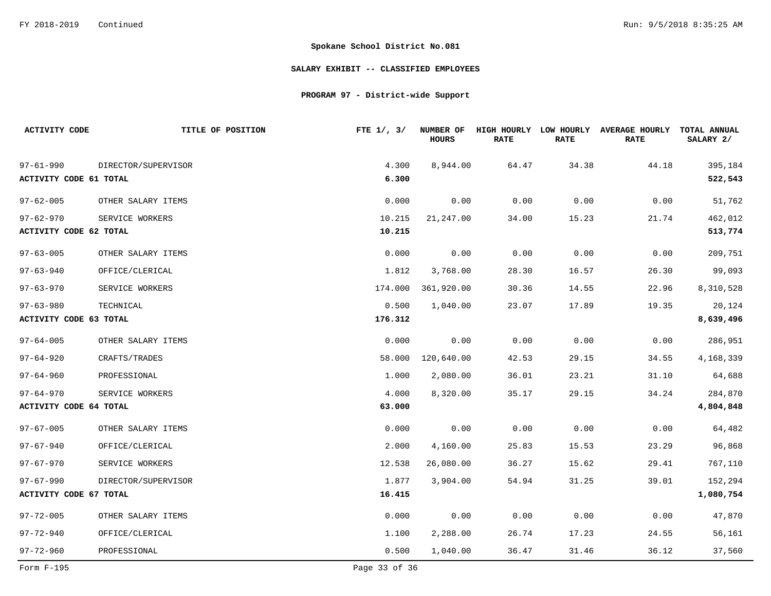### **SALARY EXHIBIT -- CLASSIFIED EMPLOYEES**

# **PROGRAM 97 - District-wide Support**

| <b>ACTIVITY CODE</b>          | TITLE OF POSITION   | FTE $1/$ , $3/$ | <b>NUMBER OF</b><br><b>HOURS</b> | HIGH HOURLY LOW HOURLY<br><b>RATE</b> | <b>RATE</b> | <b>AVERAGE HOURLY</b><br><b>RATE</b> | TOTAL ANNUAL<br>SALARY 2/ |
|-------------------------------|---------------------|-----------------|----------------------------------|---------------------------------------|-------------|--------------------------------------|---------------------------|
| $97 - 61 - 990$               | DIRECTOR/SUPERVISOR | 4.300           | 8,944.00                         | 64.47                                 | 34.38       | 44.18                                | 395,184                   |
| <b>ACTIVITY CODE 61 TOTAL</b> |                     | 6.300           |                                  |                                       |             |                                      | 522,543                   |
| $97 - 62 - 005$               | OTHER SALARY ITEMS  | 0.000           | 0.00                             | 0.00                                  | 0.00        | 0.00                                 | 51,762                    |
| $97 - 62 - 970$               | SERVICE WORKERS     | 10.215          | 21,247.00                        | 34.00                                 | 15.23       | 21.74                                | 462,012                   |
| ACTIVITY CODE 62 TOTAL        |                     | 10.215          |                                  |                                       |             |                                      | 513,774                   |
| $97 - 63 - 005$               | OTHER SALARY ITEMS  | 0.000           | 0.00                             | 0.00                                  | 0.00        | 0.00                                 | 209,751                   |
| $97 - 63 - 940$               | OFFICE/CLERICAL     | 1.812           | 3,768.00                         | 28.30                                 | 16.57       | 26.30                                | 99,093                    |
| $97 - 63 - 970$               | SERVICE WORKERS     | 174.000         | 361,920.00                       | 30.36                                 | 14.55       | 22.96                                | 8,310,528                 |
| $97 - 63 - 980$               | TECHNICAL           | 0.500           | 1,040.00                         | 23.07                                 | 17.89       | 19.35                                | 20,124                    |
| <b>ACTIVITY CODE 63 TOTAL</b> |                     | 176.312         |                                  |                                       |             |                                      | 8,639,496                 |
| $97 - 64 - 005$               | OTHER SALARY ITEMS  | 0.000           | 0.00                             | 0.00                                  | 0.00        | 0.00                                 | 286,951                   |
| $97 - 64 - 920$               | CRAFTS/TRADES       | 58.000          | 120,640.00                       | 42.53                                 | 29.15       | 34.55                                | 4,168,339                 |
| $97 - 64 - 960$               | PROFESSIONAL        | 1.000           | 2,080.00                         | 36.01                                 | 23.21       | 31.10                                | 64,688                    |
| $97 - 64 - 970$               | SERVICE WORKERS     | 4.000           | 8,320.00                         | 35.17                                 | 29.15       | 34.24                                | 284,870                   |
| <b>ACTIVITY CODE 64 TOTAL</b> |                     | 63.000          |                                  |                                       |             |                                      | 4,804,848                 |
| $97 - 67 - 005$               | OTHER SALARY ITEMS  | 0.000           | 0.00                             | 0.00                                  | 0.00        | 0.00                                 | 64,482                    |
| $97 - 67 - 940$               | OFFICE/CLERICAL     | 2.000           | 4,160.00                         | 25.83                                 | 15.53       | 23.29                                | 96,868                    |
| 97-67-970                     | SERVICE WORKERS     | 12.538          | 26,080.00                        | 36.27                                 | 15.62       | 29.41                                | 767,110                   |
| $97 - 67 - 990$               | DIRECTOR/SUPERVISOR | 1.877           | 3,904.00                         | 54.94                                 | 31.25       | 39.01                                | 152,294                   |
| <b>ACTIVITY CODE 67 TOTAL</b> |                     | 16.415          |                                  |                                       |             |                                      | 1,080,754                 |
| $97 - 72 - 005$               | OTHER SALARY ITEMS  | 0.000           | 0.00                             | 0.00                                  | 0.00        | 0.00                                 | 47,870                    |
| $97 - 72 - 940$               | OFFICE/CLERICAL     | 1,100           | 2,288.00                         | 26.74                                 | 17.23       | 24.55                                | 56,161                    |
| $97 - 72 - 960$               | PROFESSIONAL        | 0.500           | 1,040.00                         | 36.47                                 | 31.46       | 36.12                                | 37,560                    |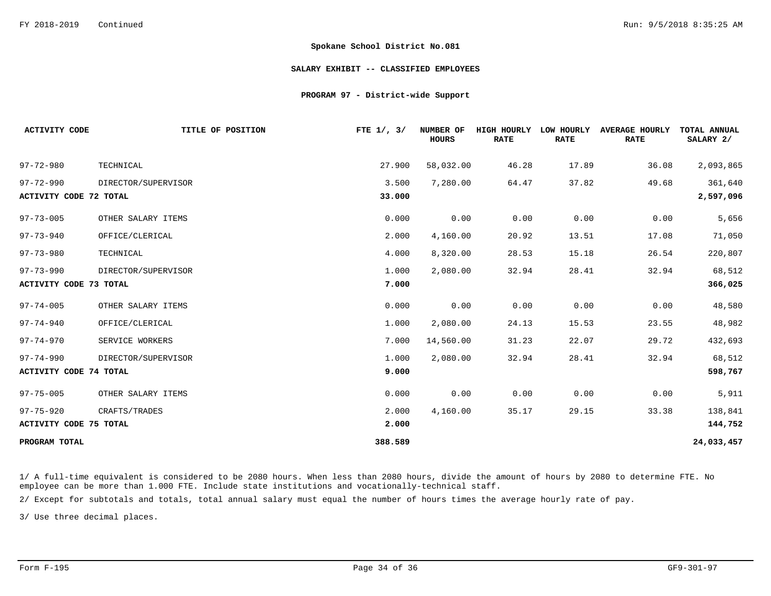#### **SALARY EXHIBIT -- CLASSIFIED EMPLOYEES**

#### **PROGRAM 97 - District-wide Support**

| <b>ACTIVITY CODE</b>          | TITLE OF POSITION   | FTE $1/$ , $3/$ | NUMBER OF<br><b>HOURS</b> | HIGH HOURLY<br><b>RATE</b> | LOW HOURLY<br><b>RATE</b> | <b>AVERAGE HOURLY</b><br><b>RATE</b> | TOTAL ANNUAL<br>SALARY 2/ |
|-------------------------------|---------------------|-----------------|---------------------------|----------------------------|---------------------------|--------------------------------------|---------------------------|
| $97 - 72 - 980$               | TECHNICAL           | 27.900          | 58,032.00                 | 46.28                      | 17.89                     | 36.08                                | 2,093,865                 |
| $97 - 72 - 990$               | DIRECTOR/SUPERVISOR | 3.500           | 7,280.00                  | 64.47                      | 37.82                     | 49.68                                | 361,640                   |
| ACTIVITY CODE 72 TOTAL        |                     | 33.000          |                           |                            |                           |                                      | 2,597,096                 |
| $97 - 73 - 005$               | OTHER SALARY ITEMS  | 0.000           | 0.00                      | 0.00                       | 0.00                      | 0.00                                 | 5,656                     |
| $97 - 73 - 940$               | OFFICE/CLERICAL     | 2.000           | 4,160.00                  | 20.92                      | 13.51                     | 17.08                                | 71,050                    |
| $97 - 73 - 980$               | TECHNICAL           | 4.000           | 8,320.00                  | 28.53                      | 15.18                     | 26.54                                | 220,807                   |
| $97 - 73 - 990$               | DIRECTOR/SUPERVISOR | 1.000           | 2,080.00                  | 32.94                      | 28.41                     | 32.94                                | 68,512                    |
| ACTIVITY CODE 73 TOTAL        |                     | 7.000           |                           |                            |                           |                                      | 366,025                   |
| $97 - 74 - 005$               | OTHER SALARY ITEMS  | 0.000           | 0.00                      | 0.00                       | 0.00                      | 0.00                                 | 48,580                    |
| $97 - 74 - 940$               | OFFICE/CLERICAL     | 1.000           | 2,080.00                  | 24.13                      | 15.53                     | 23.55                                | 48,982                    |
| $97 - 74 - 970$               | SERVICE WORKERS     | 7.000           | 14,560.00                 | 31.23                      | 22.07                     | 29.72                                | 432,693                   |
| $97 - 74 - 990$               | DIRECTOR/SUPERVISOR | 1.000           | 2,080.00                  | 32.94                      | 28.41                     | 32.94                                | 68,512                    |
| <b>ACTIVITY CODE 74 TOTAL</b> |                     | 9.000           |                           |                            |                           |                                      | 598,767                   |
| $97 - 75 - 005$               | OTHER SALARY ITEMS  | 0.000           | 0.00                      | 0.00                       | 0.00                      | 0.00                                 | 5,911                     |
| $97 - 75 - 920$               | CRAFTS/TRADES       | 2.000           | 4,160.00                  | 35.17                      | 29.15                     | 33.38                                | 138,841                   |
| <b>ACTIVITY CODE 75 TOTAL</b> |                     | 2.000           |                           |                            |                           |                                      | 144,752                   |
| PROGRAM TOTAL                 |                     | 388.589         |                           |                            |                           |                                      | 24,033,457                |

1/ A full-time equivalent is considered to be 2080 hours. When less than 2080 hours, divide the amount of hours by 2080 to determine FTE. No employee can be more than 1.000 FTE. Include state institutions and vocationally-technical staff.

2/ Except for subtotals and totals, total annual salary must equal the number of hours times the average hourly rate of pay.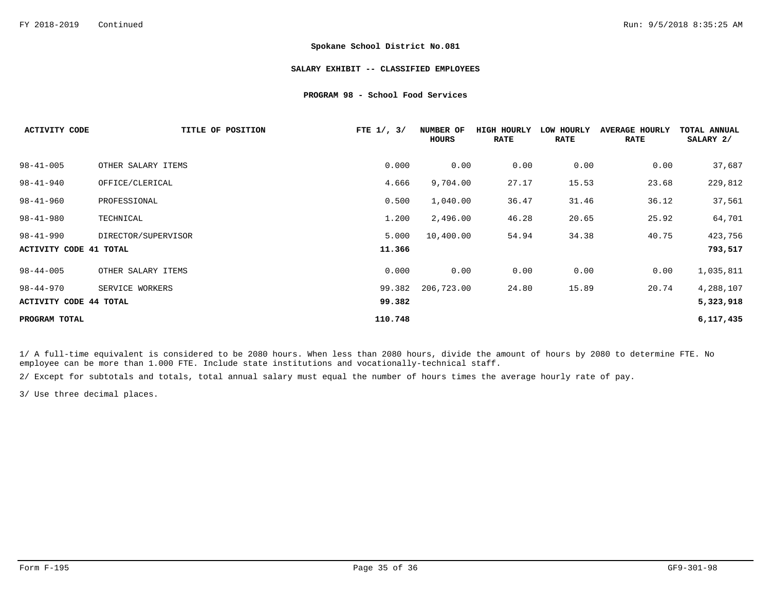#### **SALARY EXHIBIT -- CLASSIFIED EMPLOYEES**

#### **PROGRAM 98 - School Food Services**

| <b>ACTIVITY CODE</b>   | TITLE OF POSITION   | FTE $1/$ , $3/$ | NUMBER OF<br>HOURS | HIGH HOURLY<br><b>RATE</b> | LOW HOURLY<br><b>RATE</b> | <b>AVERAGE HOURLY</b><br><b>RATE</b> | TOTAL ANNUAL<br>SALARY 2/ |
|------------------------|---------------------|-----------------|--------------------|----------------------------|---------------------------|--------------------------------------|---------------------------|
| $98 - 41 - 005$        | OTHER SALARY ITEMS  | 0.000           | 0.00               | 0.00                       | 0.00                      | 0.00                                 | 37,687                    |
| $98 - 41 - 940$        | OFFICE/CLERICAL     | 4.666           | 9,704.00           | 27.17                      | 15.53                     | 23.68                                | 229,812                   |
| $98 - 41 - 960$        | PROFESSIONAL        | 0.500           | 1,040.00           | 36.47                      | 31.46                     | 36.12                                | 37,561                    |
| $98 - 41 - 980$        | TECHNICAL           | 1,200           | 2,496.00           | 46.28                      | 20.65                     | 25.92                                | 64,701                    |
| $98 - 41 - 990$        | DIRECTOR/SUPERVISOR | 5.000           | 10,400.00          | 54.94                      | 34.38                     | 40.75                                | 423,756                   |
| ACTIVITY CODE 41 TOTAL |                     | 11.366          |                    |                            |                           |                                      | 793,517                   |
| $98 - 44 - 005$        | OTHER SALARY ITEMS  | 0.000           | 0.00               | 0.00                       | 0.00                      | 0.00                                 | 1,035,811                 |
| 98-44-970              | SERVICE WORKERS     | 99.382          | 206,723.00         | 24.80                      | 15.89                     | 20.74                                | 4,288,107                 |
| ACTIVITY CODE 44 TOTAL |                     | 99.382          |                    |                            |                           |                                      | 5,323,918                 |
| PROGRAM TOTAL          |                     | 110.748         |                    |                            |                           |                                      | 6, 117, 435               |

1/ A full-time equivalent is considered to be 2080 hours. When less than 2080 hours, divide the amount of hours by 2080 to determine FTE. No employee can be more than 1.000 FTE. Include state institutions and vocationally-technical staff.

2/ Except for subtotals and totals, total annual salary must equal the number of hours times the average hourly rate of pay.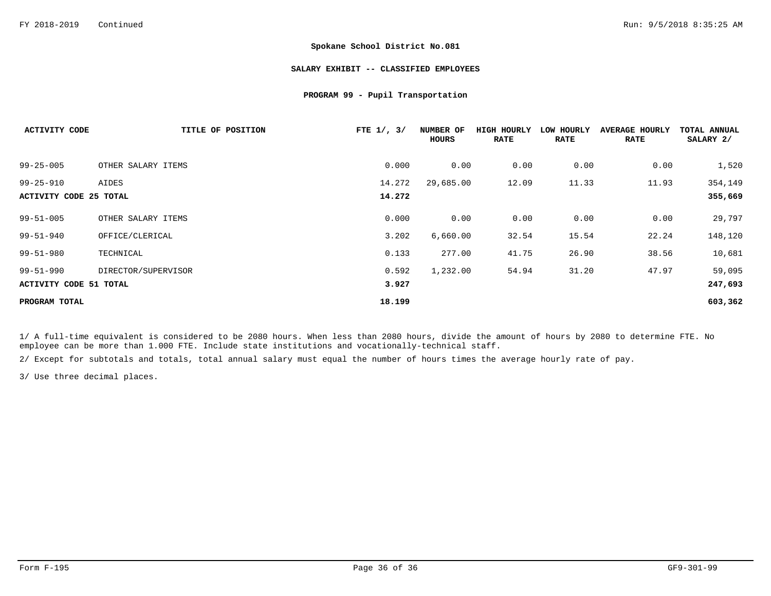#### **SALARY EXHIBIT -- CLASSIFIED EMPLOYEES**

#### **PROGRAM 99 - Pupil Transportation**

| <b>ACTIVITY CODE</b>          | TITLE OF POSITION   | FTE $1/$ , $3/$ | NUMBER OF<br>HOURS | HIGH HOURLY<br><b>RATE</b> | LOW HOURLY<br><b>RATE</b> | <b>AVERAGE HOURLY</b><br><b>RATE</b> | TOTAL ANNUAL<br>SALARY 2/ |
|-------------------------------|---------------------|-----------------|--------------------|----------------------------|---------------------------|--------------------------------------|---------------------------|
| $99 - 25 - 005$               | OTHER SALARY ITEMS  | 0.000           | 0.00               | 0.00                       | 0.00                      | 0.00                                 | 1,520                     |
| $99 - 25 - 910$               | AIDES               | 14.272          | 29,685.00          | 12.09                      | 11.33                     | 11.93                                | 354,149                   |
| <b>ACTIVITY CODE 25 TOTAL</b> |                     | 14.272          |                    |                            |                           |                                      | 355,669                   |
| $99 - 51 - 005$               | OTHER SALARY ITEMS  | 0.000           | 0.00               | 0.00                       | 0.00                      | 0.00                                 | 29,797                    |
| $99 - 51 - 940$               | OFFICE/CLERICAL     | 3.202           | 6,660.00           | 32.54                      | 15.54                     | 22.24                                | 148,120                   |
| $99 - 51 - 980$               | TECHNICAL           | 0.133           | 277.00             | 41.75                      | 26.90                     | 38.56                                | 10,681                    |
| $99 - 51 - 990$               | DIRECTOR/SUPERVISOR | 0.592           | 1,232.00           | 54.94                      | 31.20                     | 47.97                                | 59,095                    |
| <b>ACTIVITY CODE 51 TOTAL</b> |                     | 3.927           |                    |                            |                           |                                      | 247,693                   |
| PROGRAM TOTAL                 |                     | 18.199          |                    |                            |                           |                                      | 603,362                   |

1/ A full-time equivalent is considered to be 2080 hours. When less than 2080 hours, divide the amount of hours by 2080 to determine FTE. No employee can be more than 1.000 FTE. Include state institutions and vocationally-technical staff.

2/ Except for subtotals and totals, total annual salary must equal the number of hours times the average hourly rate of pay.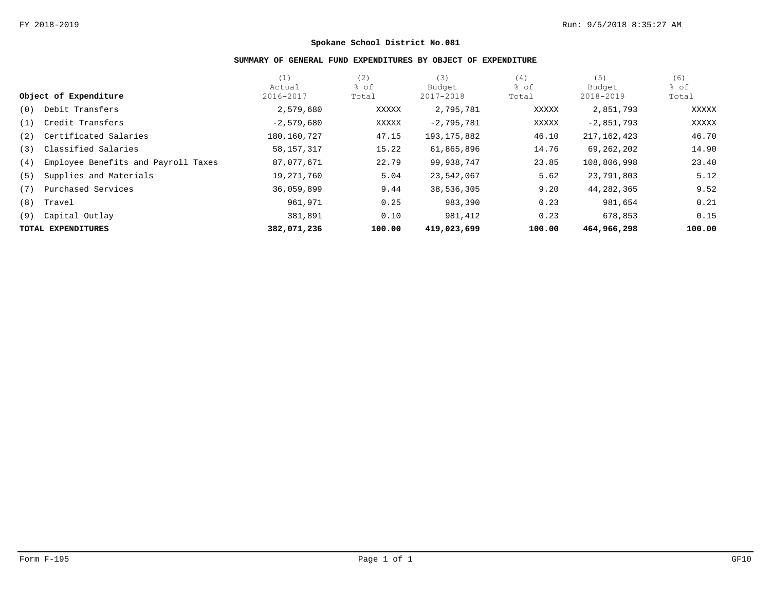# **SUMMARY OF GENERAL FUND EXPENDITURES BY OBJECT OF EXPENDITURE**

|     |                                     | (1)          | (2)    | (3)           | (4)    | (5)           | (6)    |
|-----|-------------------------------------|--------------|--------|---------------|--------|---------------|--------|
|     |                                     | Actual       | % of   | Budget        | % of   | Budget        | % of   |
|     | Object of Expenditure               | 2016-2017    | Total  | 2017-2018     | Total  | 2018-2019     | Total  |
| (0) | Debit Transfers                     | 2,579,680    | XXXXX  | 2,795,781     | XXXXX  | 2,851,793     | XXXXX  |
| (1) | Credit Transfers                    | $-2,579,680$ | XXXXX  | $-2,795,781$  | XXXXX  | $-2,851,793$  | XXXXX  |
| (2) | Certificated Salaries               | 180,160,727  | 47.15  | 193, 175, 882 | 46.10  | 217, 162, 423 | 46.70  |
| (3) | Classified Salaries                 | 58,157,317   | 15.22  | 61,865,896    | 14.76  | 69,262,202    | 14.90  |
| (4) | Employee Benefits and Payroll Taxes | 87,077,671   | 22.79  | 99,938,747    | 23.85  | 108,806,998   | 23.40  |
| (5) | Supplies and Materials              | 19,271,760   | 5.04   | 23,542,067    | 5.62   | 23,791,803    | 5.12   |
| (7) | Purchased Services                  | 36,059,899   | 9.44   | 38,536,305    | 9.20   | 44,282,365    | 9.52   |
| (8) | Travel                              | 961,971      | 0.25   | 983,390       | 0.23   | 981,654       | 0.21   |
| (9) | Capital Outlay                      | 381,891      | 0.10   | 981,412       | 0.23   | 678,853       | 0.15   |
|     | TOTAL EXPENDITURES                  | 382,071,236  | 100.00 | 419,023,699   | 100.00 | 464,966,298   | 100.00 |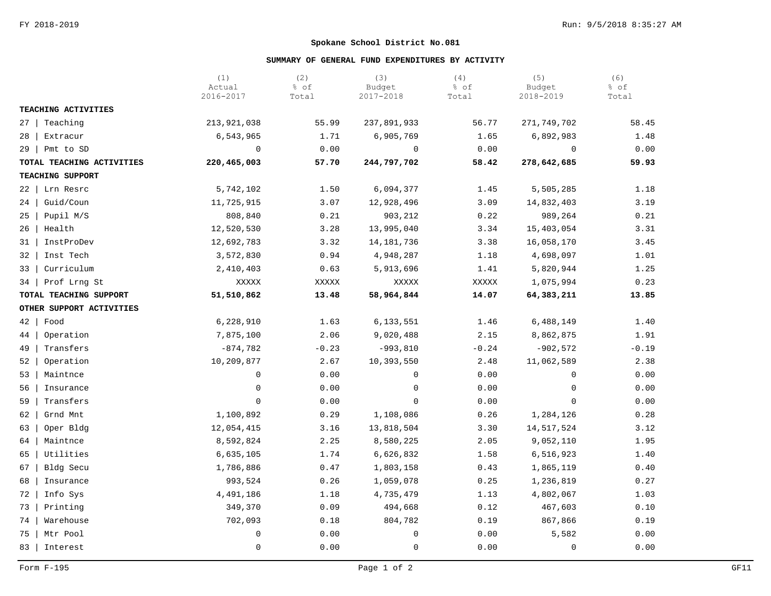## **SUMMARY OF GENERAL FUND EXPENDITURES BY ACTIVITY**

|                           | (1)<br>Actual<br>2016-2017 | (2)<br>% of<br>Total | (3)<br>Budget<br>2017-2018 | (4)<br>% of<br>Total | (5)<br>Budget<br>2018-2019 | (6)<br>% of<br>Total |
|---------------------------|----------------------------|----------------------|----------------------------|----------------------|----------------------------|----------------------|
| TEACHING ACTIVITIES       |                            |                      |                            |                      |                            |                      |
| $27 \mid$<br>Teaching     | 213,921,038                | 55.99                | 237,891,933                | 56.77                | 271,749,702                | 58.45                |
| 28<br>Extracur            | 6,543,965                  | 1.71                 | 6,905,769                  | 1.65                 | 6,892,983                  | 1.48                 |
| $29 \mid$<br>Pmt to SD    | 0                          | 0.00                 | $\mathbf 0$                | 0.00                 | 0                          | 0.00                 |
| TOTAL TEACHING ACTIVITIES | 220, 465, 003              | 57.70                | 244,797,702                | 58.42                | 278,642,685                | 59.93                |
| TEACHING SUPPORT          |                            |                      |                            |                      |                            |                      |
| 22<br>Lrn Resrc           | 5,742,102                  | 1.50                 | 6,094,377                  | 1.45                 | 5,505,285                  | 1.18                 |
| Guid/Coun<br>24           | 11,725,915                 | 3.07                 | 12,928,496                 | 3.09                 | 14,832,403                 | 3.19                 |
| 25<br>Pupil M/S           | 808,840                    | 0.21                 | 903,212                    | 0.22                 | 989,264                    | 0.21                 |
| 26<br>Health              | 12,520,530                 | 3.28                 | 13,995,040                 | 3.34                 | 15,403,054                 | 3.31                 |
| InstProDev<br>31          | 12,692,783                 | 3.32                 | 14, 181, 736               | 3.38                 | 16,058,170                 | 3.45                 |
| Inst Tech<br>32           | 3,572,830                  | 0.94                 | 4,948,287                  | 1.18                 | 4,698,097                  | 1.01                 |
| Curriculum<br>33          | 2,410,403                  | 0.63                 | 5,913,696                  | 1.41                 | 5,820,944                  | 1.25                 |
| Prof Lrng St<br>34        | XXXXX                      | XXXXX                | XXXXX                      | XXXXX                | 1,075,994                  | 0.23                 |
| TOTAL TEACHING SUPPORT    | 51,510,862                 | 13.48                | 58,964,844                 | 14.07                | 64,383,211                 | 13.85                |
| OTHER SUPPORT ACTIVITIES  |                            |                      |                            |                      |                            |                      |
| $42 \mid$<br>Food         | 6,228,910                  | 1.63                 | 6,133,551                  | 1.46                 | 6,488,149                  | 1.40                 |
| Operation<br>44           | 7,875,100                  | 2.06                 | 9,020,488                  | 2.15                 | 8,862,875                  | 1.91                 |
| 49<br>Transfers           | $-874,782$                 | $-0.23$              | $-993,810$                 | $-0.24$              | $-902,572$                 | $-0.19$              |
| Operation<br>52           | 10,209,877                 | 2.67                 | 10,393,550                 | 2.48                 | 11,062,589                 | 2.38                 |
| Maintnce<br>53            | 0                          | 0.00                 | 0                          | 0.00                 | $\Omega$                   | 0.00                 |
| 56<br>Insurance           | $\mathsf 0$                | 0.00                 | $\mathbf 0$                | 0.00                 | $\mathbf 0$                | 0.00                 |
| 59<br>Transfers           | $\mathbf 0$                | 0.00                 | $\mathbf 0$                | 0.00                 | $\Omega$                   | 0.00                 |
| Grnd Mnt<br>62            | 1,100,892                  | 0.29                 | 1,108,086                  | 0.26                 | 1,284,126                  | 0.28                 |
| Oper Bldg<br>63           | 12,054,415                 | 3.16                 | 13,818,504                 | 3.30                 | 14,517,524                 | 3.12                 |
| Maintnce<br>64            | 8,592,824                  | 2.25                 | 8,580,225                  | 2.05                 | 9,052,110                  | 1.95                 |
| 65<br>Utilities           | 6,635,105                  | 1.74                 | 6,626,832                  | 1.58                 | 6,516,923                  | 1.40                 |
| 67<br>Bldg Secu           | 1,786,886                  | 0.47                 | 1,803,158                  | 0.43                 | 1,865,119                  | 0.40                 |
| 68<br>Insurance           | 993,524                    | 0.26                 | 1,059,078                  | 0.25                 | 1,236,819                  | 0.27                 |
| 72<br>Info Sys            | 4,491,186                  | 1.18                 | 4,735,479                  | 1.13                 | 4,802,067                  | 1.03                 |
| 73<br>Printing            | 349,370                    | 0.09                 | 494,668                    | 0.12                 | 467,603                    | 0.10                 |
| 74<br>Warehouse           | 702,093                    | 0.18                 | 804,782                    | 0.19                 | 867,866                    | 0.19                 |
| 75<br>Mtr Pool            | 0                          | 0.00                 | 0                          | 0.00                 | 5,582                      | 0.00                 |
| 83  <br>Interest          | $\mathbf 0$                | 0.00                 | $\mathbf 0$                | 0.00                 | 0                          | 0.00                 |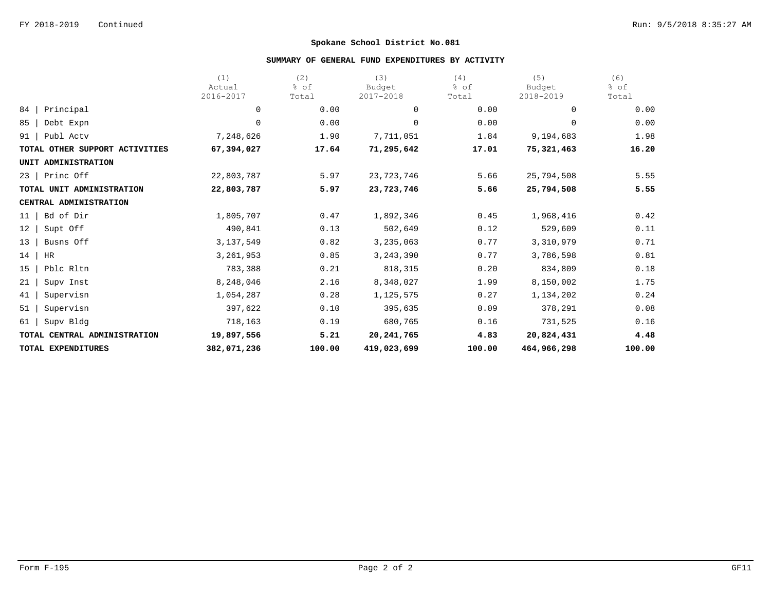## **SUMMARY OF GENERAL FUND EXPENDITURES BY ACTIVITY**

|                                | (1)                 | (2)           | (3)                 | (4)           | (5)                 | (6)           |
|--------------------------------|---------------------|---------------|---------------------|---------------|---------------------|---------------|
|                                | Actual<br>2016-2017 | % of<br>Total | Budget<br>2017-2018 | % of<br>Total | Budget<br>2018-2019 | % of<br>Total |
| Principal<br>84                | 0                   | 0.00          | $\mathbf 0$         | 0.00          | $\Omega$            | 0.00          |
| 85<br>Debt Expn                | 0                   | 0.00          | $\mathbf 0$         | 0.00          | $\Omega$            | 0.00          |
| Publ Actv<br>91                | 7,248,626           | 1.90          | 7,711,051           | 1.84          | 9,194,683           | 1.98          |
| TOTAL OTHER SUPPORT ACTIVITIES | 67,394,027          | 17.64         | 71,295,642          | 17.01         | 75,321,463          | 16.20         |
| UNIT ADMINISTRATION            |                     |               |                     |               |                     |               |
| Princ Off<br>23                | 22,803,787          | 5.97          | 23,723,746          | 5.66          | 25,794,508          | 5.55          |
| TOTAL UNIT ADMINISTRATION      | 22,803,787          | 5.97          | 23,723,746          | 5.66          | 25,794,508          | 5.55          |
| CENTRAL ADMINISTRATION         |                     |               |                     |               |                     |               |
| Bd of Dir<br>11                | 1,805,707           | 0.47          | 1,892,346           | 0.45          | 1,968,416           | 0.42          |
| 12<br>Supt Off                 | 490,841             | 0.13          | 502,649             | 0.12          | 529,609             | 0.11          |
| 13<br>Busns Off                | 3, 137, 549         | 0.82          | 3,235,063           | 0.77          | 3,310,979           | 0.71          |
| 14<br>HR                       | 3,261,953           | 0.85          | 3, 243, 390         | 0.77          | 3,786,598           | 0.81          |
| Pblc Rltn<br>15                | 783,388             | 0.21          | 818,315             | 0.20          | 834,809             | 0.18          |
| 21<br>Supv Inst                | 8,248,046           | 2.16          | 8,348,027           | 1.99          | 8,150,002           | 1.75          |
| 41<br>Supervisn                | 1,054,287           | 0.28          | 1,125,575           | 0.27          | 1,134,202           | 0.24          |
| 51<br>Supervisn                | 397,622             | 0.10          | 395,635             | 0.09          | 378,291             | 0.08          |
| 61<br>Supv Bldg                | 718,163             | 0.19          | 680,765             | 0.16          | 731,525             | 0.16          |
| TOTAL CENTRAL ADMINISTRATION   | 19,897,556          | 5.21          | 20, 241, 765        | 4.83          | 20,824,431          | 4.48          |
| TOTAL EXPENDITURES             | 382,071,236         | 100.00        | 419,023,699         | 100.00        | 464,966,298         | 100.00        |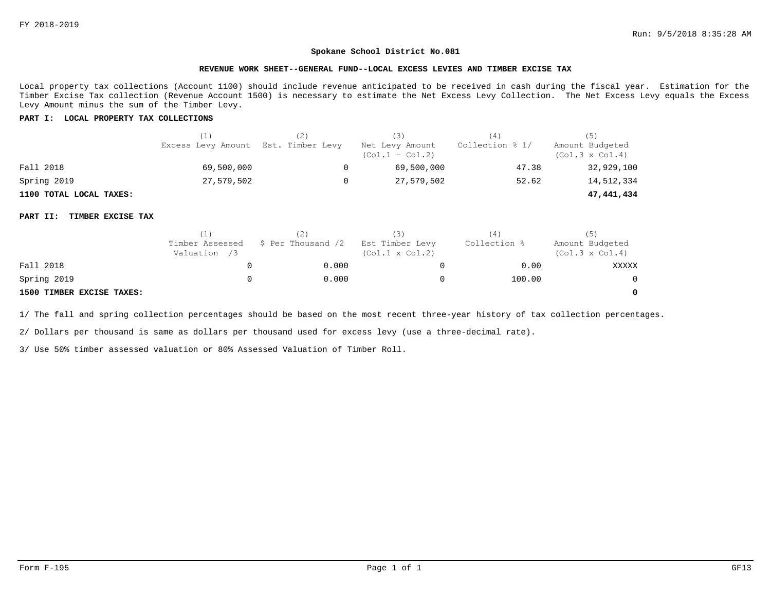#### **REVENUE WORK SHEET--GENERAL FUND--LOCAL EXCESS LEVIES AND TIMBER EXCISE TAX**

Local property tax collections (Account 1100) should include revenue anticipated to be received in cash during the fiscal year. Estimation for the Timber Excise Tax collection (Revenue Account 1500) is necessary to estimate the Net Excess Levy Collection. The Net Excess Levy equals the Excess Levy Amount minus the sum of the Timber Levy.

### **PART I: LOCAL PROPERTY TAX COLLECTIONS**

|                         | (1)                                 | (3)                                  | (4)             | (5)                                       |
|-------------------------|-------------------------------------|--------------------------------------|-----------------|-------------------------------------------|
|                         | Excess Levy Amount Est. Timber Levy | Net Levy Amount<br>$(Col.1 - Col.2)$ | Collection % 1/ | Amount Budgeted<br>$(Col.3 \times Col.4)$ |
| Fall 2018               | 69,500,000                          | 69,500,000                           | 47.38           | 32,929,100                                |
| Spring 2019             | 27,579,502                          | 27,579,502                           | 52.62           | 14,512,334                                |
| 1100 TOTAL LOCAL TAXES: |                                     |                                      |                 | 47,441,434                                |

#### **PART II: TIMBER EXCISE TAX**

|                           |                                 |                    | (3)                                       | 4            | (5)                                       |
|---------------------------|---------------------------------|--------------------|-------------------------------------------|--------------|-------------------------------------------|
|                           | Timber Assessed<br>Valuation /3 | \$ Per Thousand /2 | Est Timber Levy<br>$(Col.1 \times Col.2)$ | Collection % | Amount Budgeted<br>$(Col.3 \times Col.4)$ |
| Fall 2018                 |                                 | 0.000              |                                           | 0.00         | XXXXX                                     |
| Spring 2019               |                                 | 0.000              |                                           | 100.00       | $\Omega$                                  |
| 1500 TIMBER EXCISE TAXES: |                                 |                    |                                           |              | $\Omega$                                  |

1/ The fall and spring collection percentages should be based on the most recent three-year history of tax collection percentages.

2/ Dollars per thousand is same as dollars per thousand used for excess levy (use a three-decimal rate).

3/ Use 50% timber assessed valuation or 80% Assessed Valuation of Timber Roll.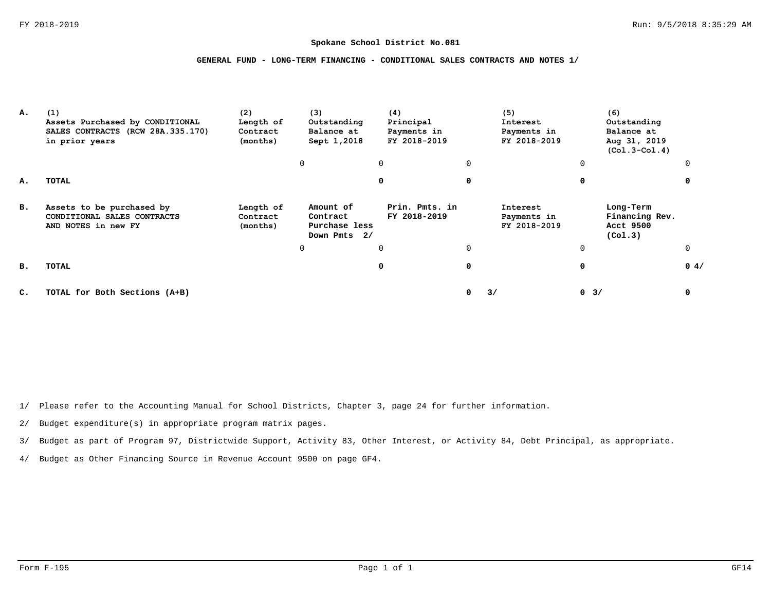## **GENERAL FUND - LONG-TERM FINANCING - CONDITIONAL SALES CONTRACTS AND NOTES 1/**

| А. | (1)<br>Assets Purchased by CONDITIONAL<br>SALES CONTRACTS (RCW 28A.335.170)<br>in prior years | (2)<br>Length of<br>Contract<br>(months) | (3)<br>Outstanding<br>Balance at<br>Sept 1,2018        | (4)<br>Principal<br>Payments in<br>FY 2018-2019 |          | (5)<br>Interest<br>Payments in<br>FY 2018-2019 |          | (6)<br>Outstanding<br>Balance at<br>Aug 31, 2019<br>$(Co1.3-Co1.4)$ |          |
|----|-----------------------------------------------------------------------------------------------|------------------------------------------|--------------------------------------------------------|-------------------------------------------------|----------|------------------------------------------------|----------|---------------------------------------------------------------------|----------|
|    |                                                                                               |                                          | 0                                                      | $\mathbf 0$                                     | 0        |                                                | $\Omega$ |                                                                     |          |
| А. | TOTAL                                                                                         |                                          |                                                        | 0                                               | 0        |                                                | 0        |                                                                     |          |
| в. | Assets to be purchased by<br>CONDITIONAL SALES CONTRACTS<br>AND NOTES in new FY               | Length of<br>Contract<br>(months)        | Amount of<br>Contract<br>Purchase less<br>Down Pmts 2/ | Prin. Pmts. in<br>FY 2018-2019                  |          | Interest<br>Payments in<br>FY 2018-2019        |          | Long-Term<br>Financing Rev.<br>Acct 9500<br>(Co1.3)                 |          |
|    |                                                                                               |                                          | 0                                                      | $\Omega$                                        | $\Omega$ |                                                | $\Omega$ |                                                                     | $\Omega$ |
| в. | TOTAL                                                                                         |                                          |                                                        | 0                                               | 0        |                                                | 0        |                                                                     | 0.4/     |
| C. | TOTAL for Both Sections (A+B)                                                                 |                                          |                                                        |                                                 | 0        | 3/                                             | $0 \t3/$ |                                                                     | 0        |

1/ Please refer to the Accounting Manual for School Districts, Chapter 3, page 24 for further information.

2/ Budget expenditure(s) in appropriate program matrix pages.

3/ Budget as part of Program 97, Districtwide Support, Activity 83, Other Interest, or Activity 84, Debt Principal, as appropriate.

4/ Budget as Other Financing Source in Revenue Account 9500 on page GF4.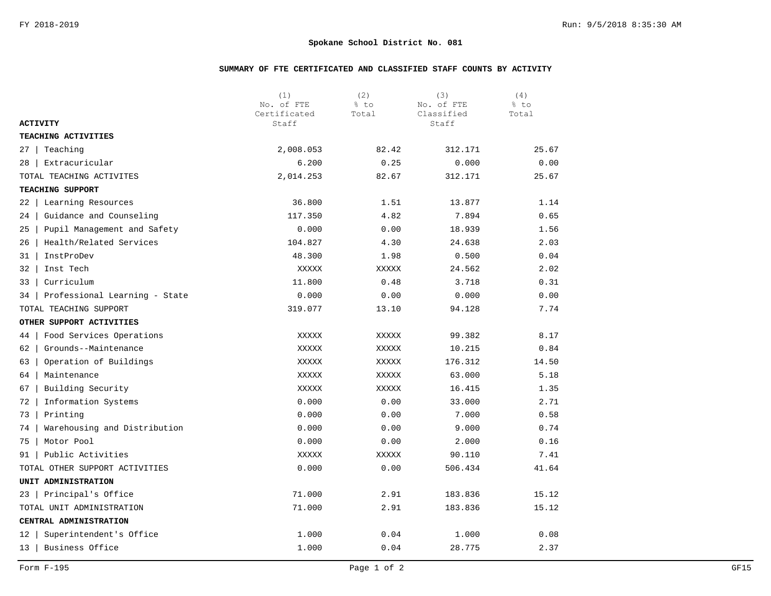# **SUMMARY OF FTE CERTIFICATED AND CLASSIFIED STAFF COUNTS BY ACTIVITY**

|                                     | (1)<br>No. of FTE     | (2)<br>% to | (3)<br>No. of FTE   | (4)<br>% to |
|-------------------------------------|-----------------------|-------------|---------------------|-------------|
| <b>ACTIVITY</b>                     | Certificated<br>Staff | Total       | Classified<br>Staff | Total       |
| TEACHING ACTIVITIES                 |                       |             |                     |             |
| Teaching<br>27                      | 2,008.053             | 82.42       | 312.171             | 25.67       |
| Extracuricular<br>28                | 6.200                 | 0.25        | 0.000               | 0.00        |
| TOTAL TEACHING ACTIVITES            | 2,014.253             | 82.67       | 312.171             | 25.67       |
| TEACHING SUPPORT                    |                       |             |                     |             |
| 22<br>Learning Resources            | 36.800                | 1.51        | 13.877              | 1.14        |
| 24<br>Guidance and Counseling       | 117.350               | 4.82        | 7.894               | 0.65        |
| Pupil Management and Safety<br>25   | 0.000                 | 0.00        | 18.939              | 1.56        |
| Health/Related Services<br>26       | 104.827               | 4.30        | 24.638              | 2.03        |
| InstProDev<br>31                    | 48.300                | 1.98        | 0.500               | 0.04        |
| 32<br>Inst Tech                     | XXXXX                 | XXXXX       | 24.562              | 2.02        |
| Curriculum<br>33                    | 11.800                | 0.48        | 3.718               | 0.31        |
| Professional Learning - State<br>34 | 0.000                 | 0.00        | 0.000               | 0.00        |
| TOTAL TEACHING SUPPORT              | 319.077               | 13.10       | 94.128              | 7.74        |
| OTHER SUPPORT ACTIVITIES            |                       |             |                     |             |
| Food Services Operations<br>44      | XXXXX                 | XXXXX       | 99.382              | 8.17        |
| 62<br>Grounds--Maintenance          | XXXXX                 | XXXXX       | 10.215              | 0.84        |
| Operation of Buildings<br>63        | XXXXX                 | XXXXX       | 176.312             | 14.50       |
| Maintenance<br>64                   | XXXXX                 | XXXXX       | 63.000              | 5.18        |
| 67<br>Building Security             | XXXXX                 | XXXXX       | 16.415              | 1.35        |
| 72<br>Information Systems           | 0.000                 | 0.00        | 33.000              | 2.71        |
| 73<br>Printing                      | 0.000                 | 0.00        | 7.000               | 0.58        |
| Warehousing and Distribution<br>74  | 0.000                 | 0.00        | 9.000               | 0.74        |
| Motor Pool<br>75                    | 0.000                 | 0.00        | 2.000               | 0.16        |
| Public Activities<br>91             | XXXXX                 | XXXXX       | 90.110              | 7.41        |
| TOTAL OTHER SUPPORT ACTIVITIES      | 0.000                 | 0.00        | 506.434             | 41.64       |
| UNIT ADMINISTRATION                 |                       |             |                     |             |
| Principal's Office<br>23            | 71.000                | 2.91        | 183.836             | 15.12       |
| TOTAL UNIT ADMINISTRATION           | 71.000                | 2.91        | 183.836             | 15.12       |
| CENTRAL ADMINISTRATION              |                       |             |                     |             |
| Superintendent's Office<br>12       | 1.000                 | 0.04        | 1.000               | 0.08        |
| Business Office<br>13               | 1.000                 | 0.04        | 28.775              | 2.37        |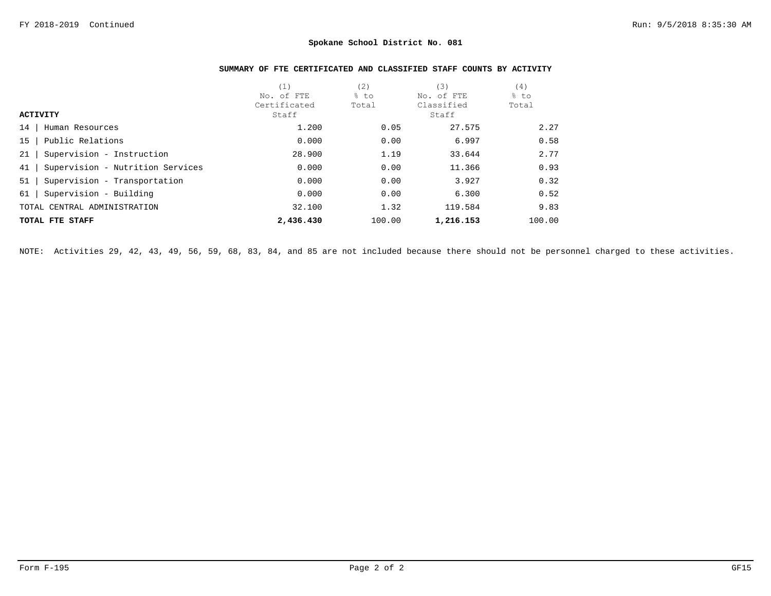# **SUMMARY OF FTE CERTIFICATED AND CLASSIFIED STAFF COUNTS BY ACTIVITY**

|                                        | (1,          | (2)    | (3)        | (4)    |
|----------------------------------------|--------------|--------|------------|--------|
|                                        | No. of FTE   | % to   | No. of FTE | % to   |
|                                        | Certificated | Total  | Classified | Total  |
| <b>ACTIVITY</b>                        | Staff        |        | Staff      |        |
| 14<br>Human Resources                  | 1,200        | 0.05   | 27.575     | 2.27   |
| Public Relations<br>15                 | 0.000        | 0.00   | 6.997      | 0.58   |
| Supervision - Instruction<br>21        | 28,900       | 1.19   | 33.644     | 2.77   |
| Supervision - Nutrition Services<br>41 | 0.000        | 0.00   | 11.366     | 0.93   |
| Supervision - Transportation<br>51     | 0.000        | 0.00   | 3.927      | 0.32   |
| Supervision - Building<br>61           | 0.000        | 0.00   | 6.300      | 0.52   |
| TOTAL CENTRAL ADMINISTRATION           | 32.100       | 1.32   | 119.584    | 9.83   |
| TOTAL FTE STAFF                        | 2,436.430    | 100.00 | 1,216.153  | 100.00 |

NOTE: Activities 29, 42, 43, 49, 56, 59, 68, 83, 84, and 85 are not included because there should not be personnel charged to these activities.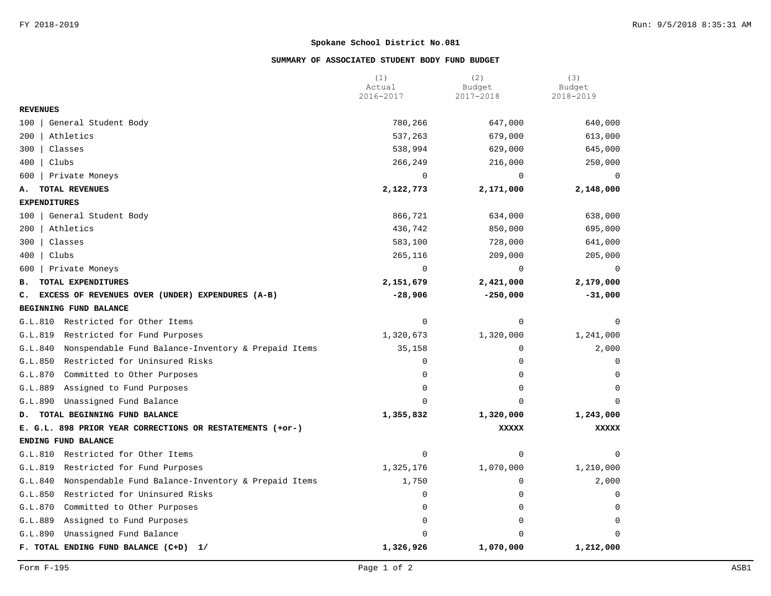## **SUMMARY OF ASSOCIATED STUDENT BODY FUND BUDGET**

|                                                                | (1)<br>Actual | (2)<br>Budget | (3)<br>Budget |
|----------------------------------------------------------------|---------------|---------------|---------------|
|                                                                | 2016-2017     | 2017-2018     | 2018-2019     |
| <b>REVENUES</b>                                                |               |               |               |
| General Student Body<br>100                                    | 780,266       | 647,000       | 640,000       |
| 200<br>Athletics                                               | 537,263       | 679,000       | 613,000       |
| 300<br>Classes                                                 | 538,994       | 629,000       | 645,000       |
| 400<br>Clubs                                                   | 266,249       | 216,000       | 250,000       |
| 600<br>Private Moneys                                          | 0             | 0             | 0             |
| TOTAL REVENUES<br>А.                                           | 2,122,773     | 2,171,000     | 2,148,000     |
| <b>EXPENDITURES</b>                                            |               |               |               |
| General Student Body<br>100                                    | 866,721       | 634,000       | 638,000       |
| 200<br>Athletics                                               | 436,742       | 850,000       | 695,000       |
| Classes<br>300                                                 | 583,100       | 728,000       | 641,000       |
| 400<br>Clubs                                                   | 265,116       | 209,000       | 205,000       |
| 600<br>Private Moneys                                          | $\mathbf 0$   | $\mathbf 0$   | $\mathbf 0$   |
| TOTAL EXPENDITURES<br>в.                                       | 2,151,679     | 2,421,000     | 2,179,000     |
| EXCESS OF REVENUES OVER (UNDER) EXPENDURES (A-B)<br>c.         | $-28,906$     | $-250,000$    | $-31,000$     |
| BEGINNING FUND BALANCE                                         |               |               |               |
| G.L.810<br>Restricted for Other Items                          | $\mathbf 0$   | $\mathbf 0$   | O             |
| Restricted for Fund Purposes<br>G.L.819                        | 1,320,673     | 1,320,000     | 1,241,000     |
| G.L.840<br>Nonspendable Fund Balance-Inventory & Prepaid Items | 35,158        | $\mathbf 0$   | 2,000         |
| G.L.850<br>Restricted for Uninsured Risks                      | $\mathsf 0$   | $\mathbf 0$   | $\Omega$      |
| G.L.870<br>Committed to Other Purposes                         | $\Omega$      | $\Omega$      | $\Omega$      |
| G.L.889<br>Assigned to Fund Purposes                           | $\mathbf 0$   | $\mathbf 0$   | $\Omega$      |
| Unassigned Fund Balance<br>G.L.890                             | $\Omega$      | $\Omega$      | $\Omega$      |
| TOTAL BEGINNING FUND BALANCE<br>D.                             | 1,355,832     | 1,320,000     | 1,243,000     |
| E. G.L. 898 PRIOR YEAR CORRECTIONS OR RESTATEMENTS (+or-)      |               | <b>XXXXX</b>  | <b>XXXXX</b>  |
| ENDING FUND BALANCE                                            |               |               |               |
| G.L.810<br>Restricted for Other Items                          | 0             | $\mathbf 0$   | O             |
| Restricted for Fund Purposes<br>G.L.819                        | 1,325,176     | 1,070,000     | 1,210,000     |
| G.L.840<br>Nonspendable Fund Balance-Inventory & Prepaid Items | 1,750         | 0             | 2,000         |
| G.L.850<br>Restricted for Uninsured Risks                      | 0             | $\mathbf 0$   | 0             |
| G.L.870<br>Committed to Other Purposes                         | 0             | 0             | $\mathbf 0$   |
| G.L.889<br>Assigned to Fund Purposes                           | $\mathbf 0$   | $\mathbf 0$   | 0             |
| G.L.890<br>Unassigned Fund Balance                             | $\Omega$      | <sup>0</sup>  | n             |
| F. TOTAL ENDING FUND BALANCE (C+D)<br>1/                       | 1,326,926     | 1,070,000     | 1,212,000     |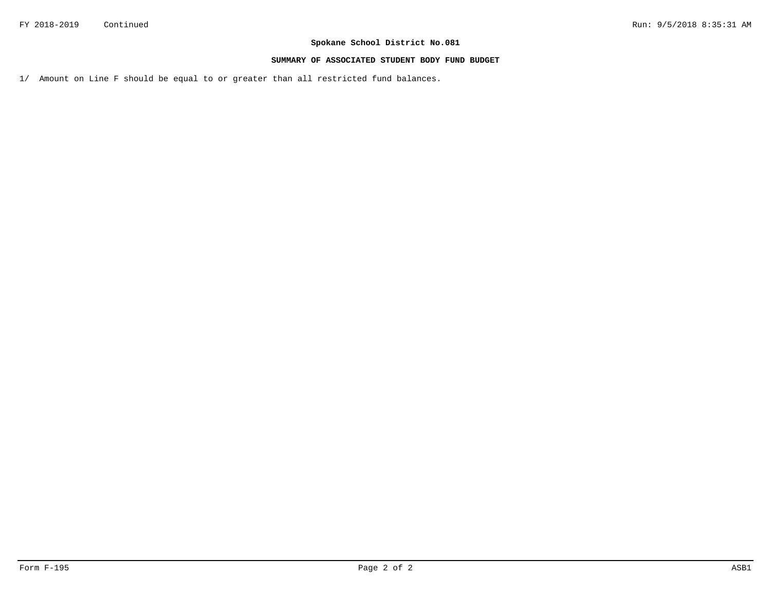### **SUMMARY OF ASSOCIATED STUDENT BODY FUND BUDGET**

1/ Amount on Line F should be equal to or greater than all restricted fund balances.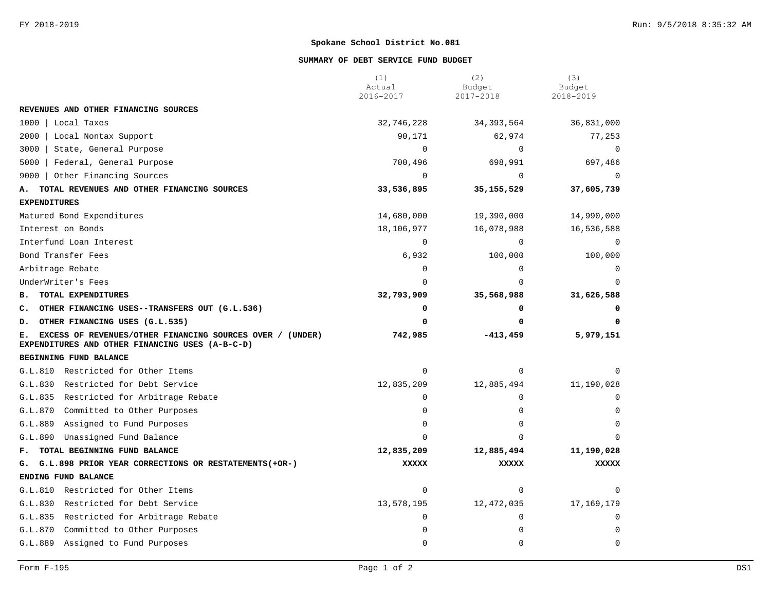### **SUMMARY OF DEBT SERVICE FUND BUDGET**

|                                                                                                                 | (1)<br>Actual<br>2016-2017 | (2)<br>Budget<br>2017-2018 | (3)<br>Budget<br>2018-2019 |
|-----------------------------------------------------------------------------------------------------------------|----------------------------|----------------------------|----------------------------|
| REVENUES AND OTHER FINANCING SOURCES                                                                            |                            |                            |                            |
| 1000   Local Taxes                                                                                              | 32,746,228                 | 34, 393, 564               | 36,831,000                 |
| 2000<br>  Local Nontax Support                                                                                  | 90,171                     | 62,974                     | 77,253                     |
| 3000<br>State, General Purpose                                                                                  | $\mathbf 0$                | 0                          | $\mathbf 0$                |
| 5000<br>Federal, General Purpose                                                                                | 700,496                    | 698,991                    | 697,486                    |
| 9000<br>Other Financing Sources                                                                                 | $\Omega$                   | $\mathbf 0$                | $\Omega$                   |
| TOTAL REVENUES AND OTHER FINANCING SOURCES<br>Α.                                                                | 33,536,895                 | 35, 155, 529               | 37,605,739                 |
| <b>EXPENDITURES</b>                                                                                             |                            |                            |                            |
| Matured Bond Expenditures                                                                                       | 14,680,000                 | 19,390,000                 | 14,990,000                 |
| Interest on Bonds                                                                                               | 18,106,977                 | 16,078,988                 | 16,536,588                 |
| Interfund Loan Interest                                                                                         | $\Omega$                   | $\Omega$                   | $\Omega$                   |
| Bond Transfer Fees                                                                                              | 6,932                      | 100,000                    | 100,000                    |
| Arbitrage Rebate                                                                                                | $\Omega$                   | $\Omega$                   |                            |
| UnderWriter's Fees                                                                                              | $\Omega$                   | $\Omega$                   |                            |
| <b>B. TOTAL EXPENDITURES</b>                                                                                    | 32,793,909                 | 35,568,988                 | 31,626,588                 |
| C. OTHER FINANCING USES--TRANSFERS OUT (G.L.536)                                                                | 0                          | 0                          |                            |
| D. OTHER FINANCING USES (G.L.535)                                                                               | 0                          | 0                          | O                          |
| E. EXCESS OF REVENUES/OTHER FINANCING SOURCES OVER / (UNDER)<br>EXPENDITURES AND OTHER FINANCING USES (A-B-C-D) | 742,985                    | $-413, 459$                | 5,979,151                  |
| BEGINNING FUND BALANCE                                                                                          |                            |                            |                            |
| G.L.810 Restricted for Other Items                                                                              | 0                          | 0                          |                            |
| G.L.830 Restricted for Debt Service                                                                             | 12,835,209                 | 12,885,494                 | 11,190,028                 |
| G.L.835 Restricted for Arbitrage Rebate                                                                         | $\Omega$                   | $\mathbf 0$                |                            |
| G.L.870 Committed to Other Purposes                                                                             | 0                          | $\Omega$                   |                            |
| G.L.889<br>Assigned to Fund Purposes                                                                            | 0                          | 0                          |                            |
| G.L.890<br>Unassigned Fund Balance                                                                              | 0                          | $\Omega$                   |                            |
| TOTAL BEGINNING FUND BALANCE<br>F.,                                                                             | 12,835,209                 | 12,885,494                 | 11,190,028                 |
| G. G.L.898 PRIOR YEAR CORRECTIONS OR RESTATEMENTS (+OR-)                                                        | <b>XXXXX</b>               | <b>XXXXX</b>               | <b>XXXXX</b>               |
| ENDING FUND BALANCE                                                                                             |                            |                            |                            |
| G.L.810 Restricted for Other Items                                                                              | $\Omega$                   | $\Omega$                   |                            |
| G.L.830 Restricted for Debt Service                                                                             | 13,578,195                 | 12,472,035                 | 17,169,179                 |
| G.L.835 Restricted for Arbitrage Rebate                                                                         | $\Omega$                   | $\Omega$                   |                            |
| G.L.870<br>Committed to Other Purposes                                                                          | $\Omega$                   | $\Omega$                   |                            |
| Assigned to Fund Purposes<br>G.L.889                                                                            | 0                          | $\mathbf 0$                | $\Omega$                   |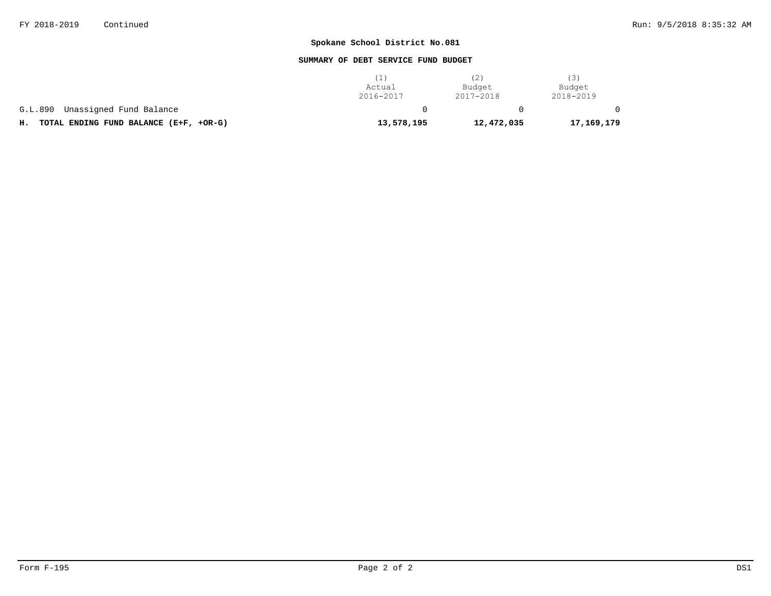### **SUMMARY OF DEBT SERVICE FUND BUDGET**

|                                              |            | (2)        | (3)        |
|----------------------------------------------|------------|------------|------------|
|                                              | Actual     | Budget     | Budget     |
|                                              | 2016-2017  | 2017-2018  | 2018-2019  |
| Unassigned Fund Balance<br>G.L.890           |            |            |            |
| TOTAL ENDING FUND BALANCE (E+F, +OR-G)<br>н. | 13,578,195 | 12,472,035 | 17,169,179 |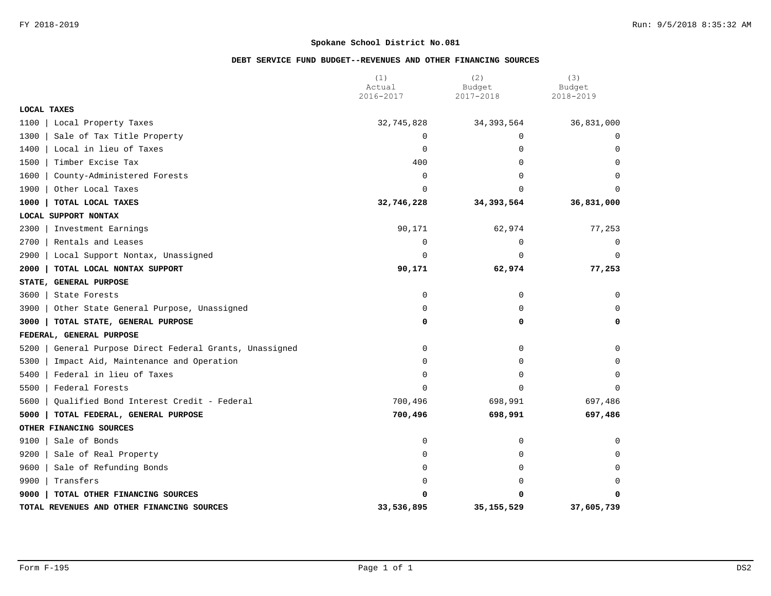## **DEBT SERVICE FUND BUDGET--REVENUES AND OTHER FINANCING SOURCES**

|                                                           | (1)<br>Actual | (2)<br>Budget | (3)<br>Budget |
|-----------------------------------------------------------|---------------|---------------|---------------|
|                                                           | 2016-2017     | 2017-2018     | 2018-2019     |
| <b>LOCAL TAXES</b>                                        |               |               |               |
| 1100<br>Local Property Taxes                              | 32,745,828    | 34, 393, 564  | 36,831,000    |
| 1300<br>Sale of Tax Title Property                        | $\mathbf 0$   | $\Omega$      | $\Omega$      |
| 1400<br>Local in lieu of Taxes                            | 0             | $\Omega$      | $\Omega$      |
| 1500<br>Timber Excise Tax                                 | 400           | 0             | $\mathbf 0$   |
| 1600<br>County-Administered Forests                       | 0             | $\Omega$      | $\Omega$      |
| 1900<br>Other Local Taxes                                 | $\Omega$      | $\Omega$      |               |
| 1000<br>TOTAL LOCAL TAXES                                 | 32,746,228    | 34,393,564    | 36,831,000    |
| LOCAL SUPPORT NONTAX                                      |               |               |               |
| 2300<br>Investment Earnings                               | 90,171        | 62,974        | 77,253        |
| 2700<br>Rentals and Leases                                | 0             | $\mathbf 0$   | 0             |
| 2900<br>Local Support Nontax, Unassigned                  | 0             | 0             | $\mathbf 0$   |
| 2000<br>TOTAL LOCAL NONTAX SUPPORT                        | 90,171        | 62,974        | 77,253        |
| STATE, GENERAL PURPOSE                                    |               |               |               |
| 3600<br>State Forests                                     | 0             | 0             | 0             |
| 3900<br>Other State General Purpose, Unassigned           | 0             | 0             | $\Omega$      |
| 3000<br>TOTAL STATE, GENERAL PURPOSE                      | 0             | 0             | 0             |
| FEDERAL, GENERAL PURPOSE                                  |               |               |               |
| 5200<br>General Purpose Direct Federal Grants, Unassigned | 0             | $\mathbf 0$   | 0             |
| 5300<br>Impact Aid, Maintenance and Operation             | 0             | 0             | $\Omega$      |
| 5400<br>Federal in lieu of Taxes                          | 0             | 0             | $\Omega$      |
| 5500<br>Federal Forests                                   | $\Omega$      | $\Omega$      | $\Omega$      |
| 5600<br>Qualified Bond Interest Credit - Federal          | 700,496       | 698,991       | 697,486       |
| 5000<br>TOTAL FEDERAL, GENERAL PURPOSE                    | 700,496       | 698,991       | 697,486       |
| OTHER FINANCING SOURCES                                   |               |               |               |
| 9100<br>Sale of Bonds                                     | 0             | 0             | 0             |
| 9200<br>Sale of Real Property                             | 0             | 0             | 0             |
| 9600<br>Sale of Refunding Bonds                           | 0             | 0             | $\Omega$      |
| 9900<br>Transfers                                         | $\Omega$      | $\Omega$      | $\Omega$      |
| 9000<br>TOTAL OTHER FINANCING SOURCES                     | O             | O             | 0             |
| TOTAL REVENUES AND OTHER FINANCING SOURCES                | 33,536,895    | 35, 155, 529  | 37,605,739    |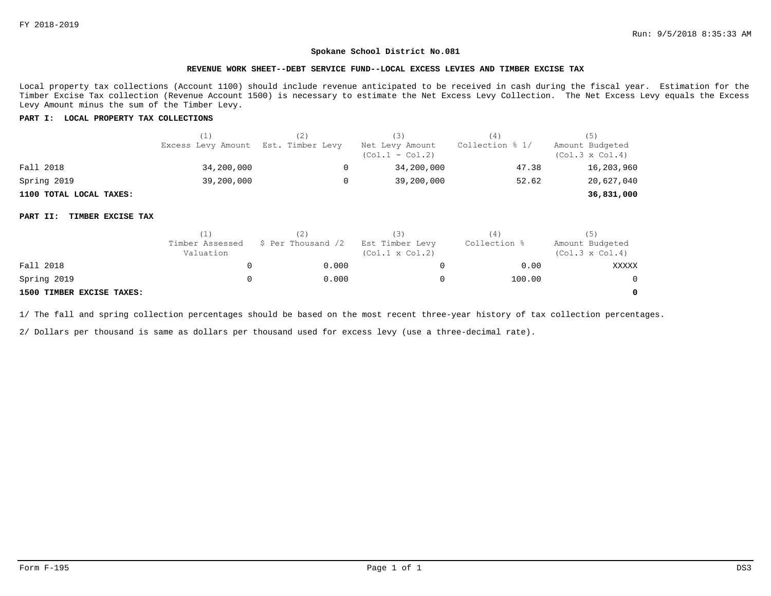### **REVENUE WORK SHEET--DEBT SERVICE FUND--LOCAL EXCESS LEVIES AND TIMBER EXCISE TAX**

Local property tax collections (Account 1100) should include revenue anticipated to be received in cash during the fiscal year. Estimation for the Timber Excise Tax collection (Revenue Account 1500) is necessary to estimate the Net Excess Levy Collection. The Net Excess Levy equals the Excess Levy Amount minus the sum of the Timber Levy.

### **PART I: LOCAL PROPERTY TAX COLLECTIONS**

|                         | (1)<br>Excess Levy Amount | (2)<br>Est. Timber Levy | (3)<br>Net Levy Amount<br>$(Co1.1 - Col.2)$ | (4)<br>Collection % 1/ | (ゝ)<br>Amount Budgeted<br>$(Col.3 \times Col.4)$ |
|-------------------------|---------------------------|-------------------------|---------------------------------------------|------------------------|--------------------------------------------------|
| Fall 2018               | 34,200,000                | 0                       | 34,200,000                                  | 47.38                  | 16,203,960                                       |
| Spring 2019             | 39,200,000                | 0                       | 39,200,000                                  | 52.62                  | 20,627,040                                       |
| 1100 TOTAL LOCAL TAXES: |                           |                         |                                             |                        | 36,831,000                                       |
|                         |                           |                         |                                             |                        |                                                  |

### **PART II: TIMBER EXCISE TAX**

|                           | 11                           |                    | (3)                                       | $4 \,$       | (5)                                       |  |
|---------------------------|------------------------------|--------------------|-------------------------------------------|--------------|-------------------------------------------|--|
|                           | Timber Assessed<br>Valuation | \$ Per Thousand /2 | Est Timber Levy<br>$(Col.1 \times Col.2)$ | Collection % | Amount Budgeted<br>$(Col.3 \times Col.4)$ |  |
| Fall 2018                 |                              | 0.000              |                                           | 0.00         | XXXXX                                     |  |
| Spring 2019               |                              | 0.000              |                                           | 100.00       | $\mathbf{0}$                              |  |
| 1500 TIMBER EXCISE TAXES: |                              |                    |                                           |              | 0                                         |  |

1/ The fall and spring collection percentages should be based on the most recent three-year history of tax collection percentages.

2/ Dollars per thousand is same as dollars per thousand used for excess levy (use a three-decimal rate).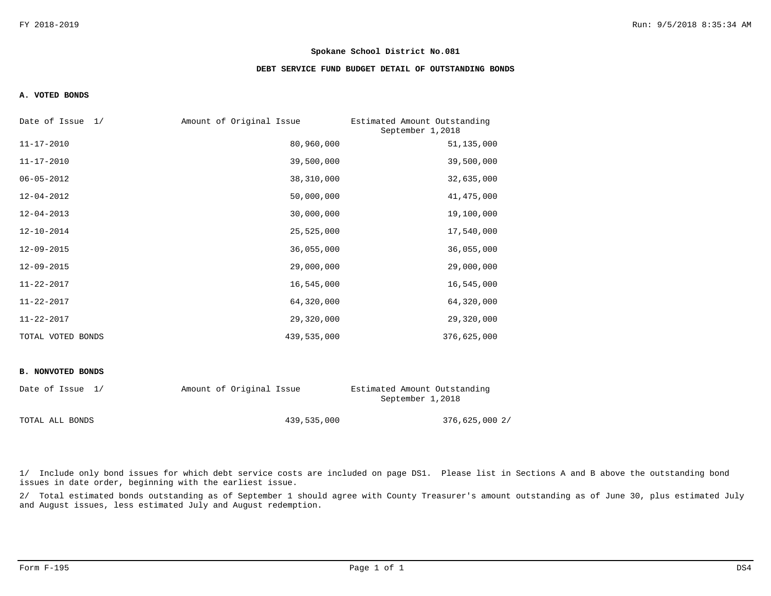### **DEBT SERVICE FUND BUDGET DETAIL OF OUTSTANDING BONDS**

### **A. VOTED BONDS**

| Date of Issue 1/  | Amount of Original Issue | Estimated Amount Outstanding<br>September 1,2018 |
|-------------------|--------------------------|--------------------------------------------------|
| $11 - 17 - 2010$  | 80,960,000               | 51,135,000                                       |
| $11 - 17 - 2010$  | 39,500,000               | 39,500,000                                       |
| $06 - 05 - 2012$  | 38,310,000               | 32,635,000                                       |
| $12 - 04 - 2012$  | 50,000,000               | 41, 475, 000                                     |
| $12 - 04 - 2013$  | 30,000,000               | 19,100,000                                       |
| $12 - 10 - 2014$  | 25,525,000               | 17,540,000                                       |
| $12 - 09 - 2015$  | 36,055,000               | 36,055,000                                       |
| $12 - 09 - 2015$  | 29,000,000               | 29,000,000                                       |
| $11 - 22 - 2017$  | 16,545,000               | 16,545,000                                       |
| $11 - 22 - 2017$  | 64,320,000               | 64,320,000                                       |
| $11 - 22 - 2017$  | 29,320,000               | 29,320,000                                       |
| TOTAL VOTED BONDS | 439,535,000              | 376,625,000                                      |

#### **B. NONVOTED BONDS**

| Date of Issue 1/ | Amount of Original Issue |             | Estimated Amount Outstanding<br>September 1,2018 |
|------------------|--------------------------|-------------|--------------------------------------------------|
| TOTAL ALL BONDS  |                          | 439,535,000 | 376,625,000 2/                                   |

1/ Include only bond issues for which debt service costs are included on page DS1. Please list in Sections A and B above the outstanding bond issues in date order, beginning with the earliest issue.

2/ Total estimated bonds outstanding as of September 1 should agree with County Treasurer's amount outstanding as of June 30, plus estimated July and August issues, less estimated July and August redemption.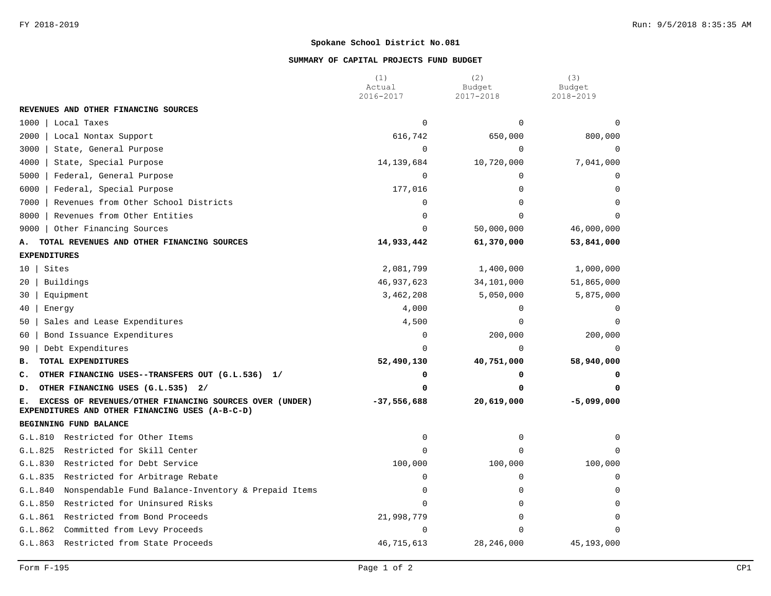### **SUMMARY OF CAPITAL PROJECTS FUND BUDGET**

|                                                                                                                  | (1)<br>Actual | (2)<br>Budget | (3)<br>Budget |
|------------------------------------------------------------------------------------------------------------------|---------------|---------------|---------------|
|                                                                                                                  | 2016-2017     | 2017-2018     | 2018-2019     |
| REVENUES AND OTHER FINANCING SOURCES                                                                             |               |               |               |
| 1000<br>Local Taxes                                                                                              | $\mathbf 0$   | $\Omega$      |               |
| 2000<br>Local Nontax Support                                                                                     | 616,742       | 650,000       | 800,000       |
| 3000<br>State, General Purpose                                                                                   | $\mathbf 0$   | $\mathbf 0$   | 0             |
| 4000<br>State, Special Purpose                                                                                   | 14, 139, 684  | 10,720,000    | 7,041,000     |
| Federal, General Purpose<br>5000                                                                                 | $\mathbf 0$   | $\mathbf 0$   | 0             |
| 6000<br>Federal, Special Purpose                                                                                 | 177,016       | $\Omega$      | $\Omega$      |
| Revenues from Other School Districts<br>7000                                                                     | 0             | $\Omega$      | $\Omega$      |
| 8000<br>Revenues from Other Entities                                                                             | $\Omega$      | $\Omega$      | ∩             |
| 9000<br>Other Financing Sources                                                                                  | $\Omega$      | 50,000,000    | 46,000,000    |
| TOTAL REVENUES AND OTHER FINANCING SOURCES<br>А.                                                                 | 14,933,442    | 61,370,000    | 53,841,000    |
| <b>EXPENDITURES</b>                                                                                              |               |               |               |
| Sites<br>10                                                                                                      | 2,081,799     | 1,400,000     | 1,000,000     |
| Buildings<br>20                                                                                                  | 46, 937, 623  | 34,101,000    | 51,865,000    |
| Equipment<br>30                                                                                                  | 3,462,208     | 5,050,000     | 5,875,000     |
| 40<br>Energy                                                                                                     | 4,000         | $\mathbf 0$   | 0             |
| Sales and Lease Expenditures<br>50                                                                               | 4,500         | $\Omega$      | $\Omega$      |
| Bond Issuance Expenditures<br>60                                                                                 | 0             | 200,000       | 200,000       |
| Debt Expenditures<br>90                                                                                          | $\Omega$      | $\Omega$      | $\Omega$      |
| TOTAL EXPENDITURES<br>в.                                                                                         | 52,490,130    | 40,751,000    | 58,940,000    |
| OTHER FINANCING USES--TRANSFERS OUT (G.L.536) 1/<br>c.                                                           | 0             | 0             |               |
| OTHER FINANCING USES (G.L.535) 2/<br>D.                                                                          | 0             | 0             |               |
| EXCESS OF REVENUES/OTHER FINANCING SOURCES OVER (UNDER)<br>Е.<br>EXPENDITURES AND OTHER FINANCING USES (A-B-C-D) | $-37,556,688$ | 20,619,000    | $-5,099,000$  |
| BEGINNING FUND BALANCE                                                                                           |               |               |               |
| G.L.810 Restricted for Other Items                                                                               | $\mathbf 0$   | $\mathbf 0$   | $\Omega$      |
| Restricted for Skill Center<br>G.L.825                                                                           | $\mathbf 0$   | $\Omega$      | $\Omega$      |
| G.L.830<br>Restricted for Debt Service                                                                           | 100,000       | 100,000       | 100,000       |
| G.L.835<br>Restricted for Arbitrage Rebate                                                                       | 0             | $\mathbf 0$   | $\Omega$      |
| G.L.840<br>Nonspendable Fund Balance-Inventory & Prepaid Items                                                   | 0             | $\Omega$      | $\Omega$      |
| G.L.850<br>Restricted for Uninsured Risks                                                                        | $\Omega$      | $\Omega$      | $\Omega$      |
| G.L.861<br>Restricted from Bond Proceeds                                                                         | 21,998,779    | $\Omega$      | $\Omega$      |
| G.L.862<br>Committed from Levy Proceeds                                                                          | $\Omega$      | $\Omega$      | $\Omega$      |
| Restricted from State Proceeds<br>G.L.863                                                                        | 46,715,613    | 28, 246, 000  | 45,193,000    |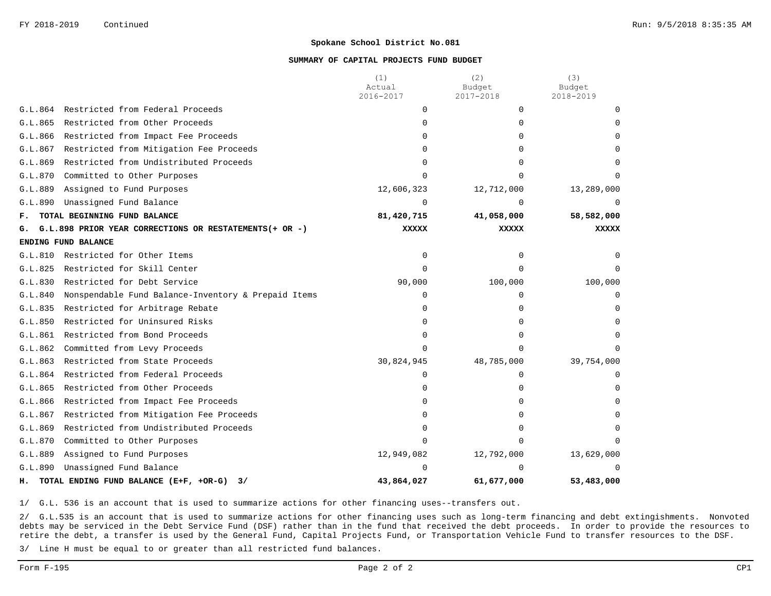### **SUMMARY OF CAPITAL PROJECTS FUND BUDGET**

|         |                                                        | (1)<br>Actual | (2)<br>Budget | (3)<br>Budget |
|---------|--------------------------------------------------------|---------------|---------------|---------------|
|         |                                                        | 2016-2017     | 2017-2018     | 2018-2019     |
| G.L.864 | Restricted from Federal Proceeds                       | $\mathbf 0$   | $\Omega$      |               |
| G.L.865 | Restricted from Other Proceeds                         | $\Omega$      | $\Omega$      |               |
| G.L.866 | Restricted from Impact Fee Proceeds                    | <sup>0</sup>  | 0             |               |
| G.L.867 | Restricted from Mitigation Fee Proceeds                | <sup>0</sup>  | 0             |               |
| G.L.869 | Restricted from Undistributed Proceeds                 | <sup>0</sup>  | U             |               |
| G.L.870 | Committed to Other Purposes                            | <sup>n</sup>  |               |               |
| G.L.889 | Assigned to Fund Purposes                              | 12,606,323    | 12,712,000    | 13,289,000    |
| G.L.890 | Unassigned Fund Balance                                | $\Omega$      | <sup>0</sup>  |               |
| F.      | TOTAL BEGINNING FUND BALANCE                           | 81,420,715    | 41,058,000    | 58,582,000    |
| G.      | G.L.898 PRIOR YEAR CORRECTIONS OR RESTATEMENTS(+ OR -) | XXXXX         | XXXXX         | <b>XXXXX</b>  |
|         | ENDING FUND BALANCE                                    |               |               |               |
| G.L.810 | Restricted for Other Items                             | $\Omega$      | $\Omega$      |               |
| G.L.825 | Restricted for Skill Center                            | $\Omega$      | $\Omega$      |               |
| G.L.830 | Restricted for Debt Service                            | 90,000        | 100,000       | 100,000       |
| G.L.840 | Nonspendable Fund Balance-Inventory & Prepaid Items    | $\Omega$      | $\Omega$      | $\Omega$      |
| G.L.835 | Restricted for Arbitrage Rebate                        | $\Omega$      | 0             |               |
| G.L.850 | Restricted for Uninsured Risks                         | 0             | 0             | 0             |
| G.L.861 | Restricted from Bond Proceeds                          | <sup>0</sup>  | 0             |               |
| G.L.862 | Committed from Levy Proceeds                           | $\Omega$      | U             |               |
| G.L.863 | Restricted from State Proceeds                         | 30,824,945    | 48,785,000    | 39,754,000    |
| G.L.864 | Restricted from Federal Proceeds                       | $\Omega$      | $\Omega$      |               |
| G.L.865 | Restricted from Other Proceeds                         | 0             | U             |               |
| G.L.866 | Restricted from Impact Fee Proceeds                    | 0             | 0             |               |
| G.L.867 | Restricted from Mitigation Fee Proceeds                |               |               |               |
| G.L.869 | Restricted from Undistributed Proceeds                 | <sup>0</sup>  | ∩             |               |
| G.L.870 | Committed to Other Purposes                            | <sup>n</sup>  | U             |               |
| G.L.889 | Assigned to Fund Purposes                              | 12,949,082    | 12,792,000    | 13,629,000    |
| G.L.890 | Unassigned Fund Balance                                | <sup>n</sup>  | U             | $\Omega$      |
| н.      | TOTAL ENDING FUND BALANCE (E+F, +OR-G)<br>3/           | 43,864,027    | 61,677,000    | 53,483,000    |

1/ G.L. 536 is an account that is used to summarize actions for other financing uses--transfers out.

2/ G.L.535 is an account that is used to summarize actions for other financing uses such as long-term financing and debt extingishments. Nonvoted debts may be serviced in the Debt Service Fund (DSF) rather than in the fund that received the debt proceeds. In order to provide the resources to retire the debt, a transfer is used by the General Fund, Capital Projects Fund, or Transportation Vehicle Fund to transfer resources to the DSF.

3/ Line H must be equal to or greater than all restricted fund balances.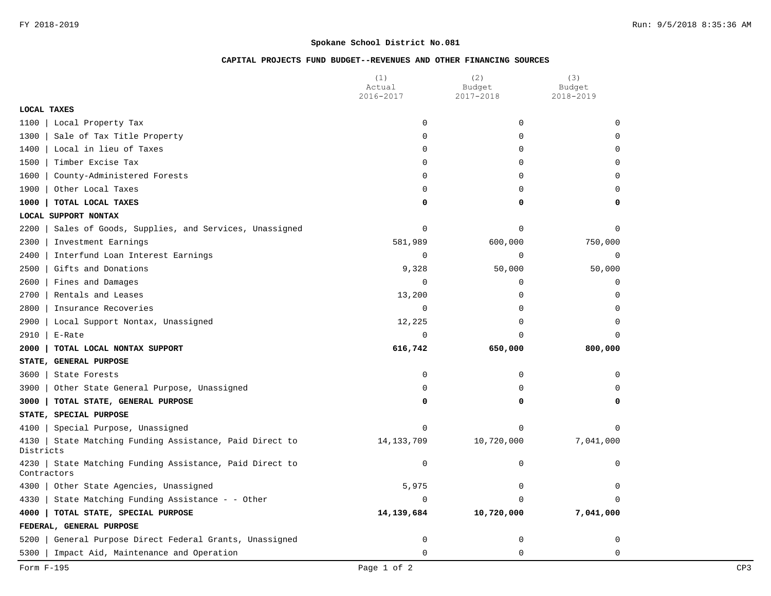# **CAPITAL PROJECTS FUND BUDGET--REVENUES AND OTHER FINANCING SOURCES**

|                                                                              | (1)<br>Actual | (2)<br>Budget | (3)<br>Budget |
|------------------------------------------------------------------------------|---------------|---------------|---------------|
|                                                                              | 2016-2017     | 2017-2018     | 2018-2019     |
| <b>LOCAL TAXES</b>                                                           |               |               |               |
| 1100<br>Local Property Tax                                                   | $\mathbf 0$   | 0             | $\mathbf 0$   |
| Sale of Tax Title Property<br>1300                                           | $\Omega$      | 0             | $\Omega$      |
| Local in lieu of Taxes<br>1400                                               | $\Omega$      | 0             | $\Omega$      |
| 1500<br>Timber Excise Tax                                                    | 0             | $\mathbf 0$   | 0             |
| 1600<br>County-Administered Forests                                          | 0             | $\mathbf 0$   | $\mathbf 0$   |
| 1900<br>Other Local Taxes                                                    | 0             | $\mathbf 0$   | $\mathbf 0$   |
| 1000<br>TOTAL LOCAL TAXES                                                    | 0             | 0             | 0             |
| LOCAL SUPPORT NONTAX                                                         |               |               |               |
| 2200<br>Sales of Goods, Supplies, and Services, Unassigned                   | 0             | $\Omega$      | $\Omega$      |
| 2300<br>Investment Earnings                                                  | 581,989       | 600,000       | 750,000       |
| 2400<br>Interfund Loan Interest Earnings                                     | 0             | 0             | 0             |
| 2500<br>Gifts and Donations                                                  | 9,328         | 50,000        | 50,000        |
| 2600<br>Fines and Damages                                                    | $\mathbf 0$   | $\mathbf 0$   | $\mathbf 0$   |
| 2700<br>Rentals and Leases                                                   | 13,200        | 0             | $\mathbf 0$   |
| Insurance Recoveries<br>2800                                                 | 0             | $\Omega$      | $\Omega$      |
| 2900<br>Local Support Nontax, Unassigned                                     | 12,225        | 0             | $\Omega$      |
| 2910<br>E-Rate                                                               | $\mathbf 0$   | $\Omega$      | $\Omega$      |
| 2000<br>TOTAL LOCAL NONTAX SUPPORT                                           | 616,742       | 650,000       | 800,000       |
| STATE, GENERAL PURPOSE                                                       |               |               |               |
| 3600<br>State Forests                                                        | $\mathbf 0$   | $\Omega$      | $\Omega$      |
| 3900<br>Other State General Purpose, Unassigned                              | 0             | $\Omega$      | $\Omega$      |
| 3000<br>TOTAL STATE, GENERAL PURPOSE                                         | 0             | 0             | 0             |
| STATE, SPECIAL PURPOSE                                                       |               |               |               |
| Special Purpose, Unassigned<br>4100                                          | 0             | 0             | $\mathbf 0$   |
| State Matching Funding Assistance, Paid Direct to<br>4130<br>Districts       | 14, 133, 709  | 10,720,000    | 7,041,000     |
| State Matching Funding Assistance, Paid Direct to<br>$4230$  <br>Contractors | 0             | 0             | $\mathbf 0$   |
| 4300<br>Other State Agencies, Unassigned                                     | 5,975         | 0             | $\mathbf 0$   |
| 4330<br>State Matching Funding Assistance - - Other                          | $\Omega$      | O             | $\Omega$      |
| 4000<br>TOTAL STATE, SPECIAL PURPOSE                                         | 14,139,684    | 10,720,000    | 7,041,000     |
| FEDERAL, GENERAL PURPOSE                                                     |               |               |               |
| 5200<br>General Purpose Direct Federal Grants, Unassigned                    | $\mathbf 0$   | 0             | 0             |
| 5300<br>Impact Aid, Maintenance and Operation                                | $\mathbf 0$   | $\mathbf 0$   | $\mathbf 0$   |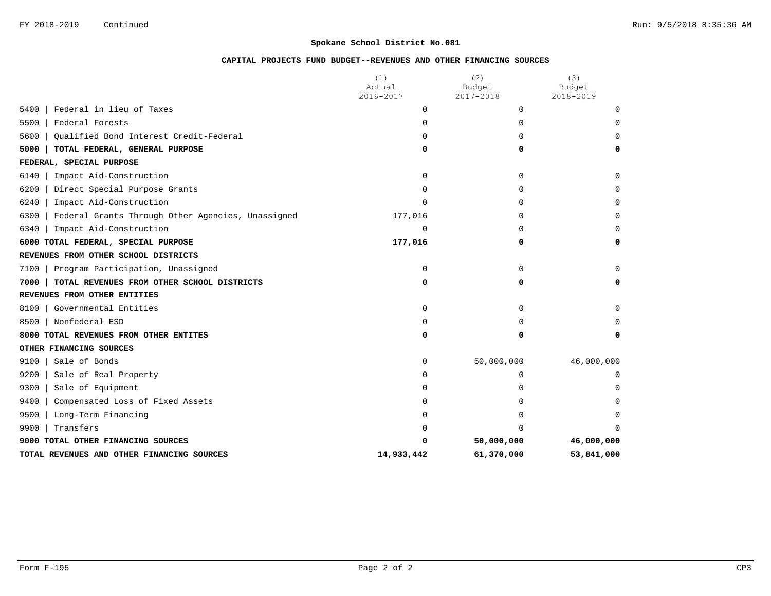# **CAPITAL PROJECTS FUND BUDGET--REVENUES AND OTHER FINANCING SOURCES**

|                                                           | (1)<br>Actual | (2)<br>Budget | (3)<br>Budget |
|-----------------------------------------------------------|---------------|---------------|---------------|
|                                                           | 2016-2017     | 2017-2018     | 2018-2019     |
| Federal in lieu of Taxes<br>5400                          | 0             | $\Omega$      | $\Omega$      |
| Federal Forests<br>5500                                   | $\Omega$      | $\Omega$      | $\Omega$      |
| Qualified Bond Interest Credit-Federal<br>5600            | 0             | <sup>0</sup>  | $\Omega$      |
| 5000<br>TOTAL FEDERAL, GENERAL PURPOSE                    | 0             | 0             | 0             |
| FEDERAL, SPECIAL PURPOSE                                  |               |               |               |
| Impact Aid-Construction<br>6140                           | $\Omega$      | $\Omega$      | $\mathbf 0$   |
| 6200<br>Direct Special Purpose Grants                     | $\Omega$      | 0             | $\Omega$      |
| Impact Aid-Construction<br>6240                           | $\Omega$      | 0             | 0             |
| Federal Grants Through Other Agencies, Unassigned<br>6300 | 177,016       | 0             | $\Omega$      |
| Impact Aid-Construction<br>6340                           | $\mathbf 0$   | 0             | $\Omega$      |
| 6000 TOTAL FEDERAL, SPECIAL PURPOSE                       | 177,016       | 0             | 0             |
| REVENUES FROM OTHER SCHOOL DISTRICTS                      |               |               |               |
| Program Participation, Unassigned<br>7100                 | $\mathbf 0$   | $\Omega$      | $\Omega$      |
| TOTAL REVENUES FROM OTHER SCHOOL DISTRICTS<br>7000        | 0             | 0             | 0             |
| REVENUES FROM OTHER ENTITIES                              |               |               |               |
| Governmental Entities<br>8100                             | $\Omega$      | $\Omega$      | $\Omega$      |
| Nonfederal ESD<br>8500                                    | $\Omega$      | 0             | $\Omega$      |
| 8000 TOTAL REVENUES FROM OTHER ENTITES                    | 0             | 0             | 0             |
| OTHER FINANCING SOURCES                                   |               |               |               |
| Sale of Bonds<br>9100                                     | 0             | 50,000,000    | 46,000,000    |
| 9200<br>Sale of Real Property                             | 0             | 0             | 0             |
| 9300<br>Sale of Equipment                                 | 0             | 0             | $\Omega$      |
| 9400<br>Compensated Loss of Fixed Assets                  | $\Omega$      | 0             | $\Omega$      |
| 9500<br>Long-Term Financing                               | $\Omega$      | 0             | $\Omega$      |
| 9900<br>Transfers                                         | U             | <sup>0</sup>  | $\cap$        |
| 9000 TOTAL OTHER FINANCING SOURCES                        | O             | 50,000,000    | 46,000,000    |
| TOTAL REVENUES AND OTHER FINANCING SOURCES                | 14,933,442    | 61,370,000    | 53,841,000    |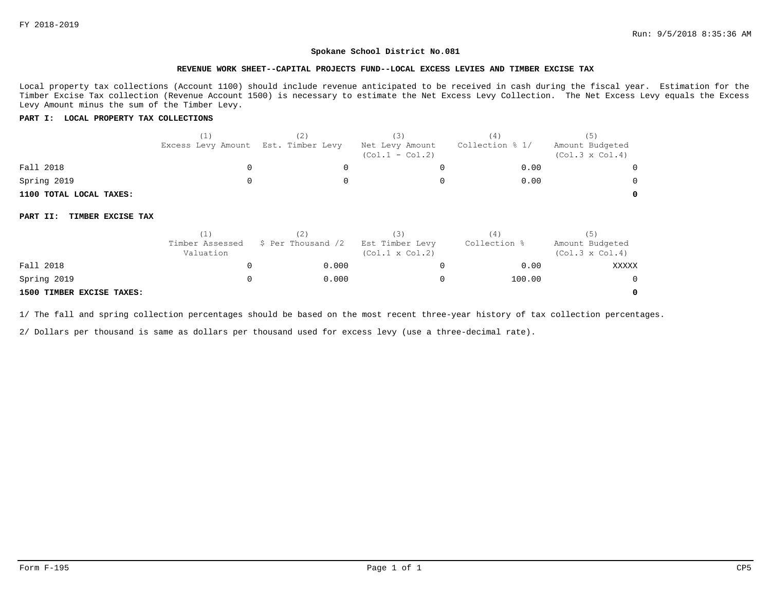#### **REVENUE WORK SHEET--CAPITAL PROJECTS FUND--LOCAL EXCESS LEVIES AND TIMBER EXCISE TAX**

Local property tax collections (Account 1100) should include revenue anticipated to be received in cash during the fiscal year. Estimation for the Timber Excise Tax collection (Revenue Account 1500) is necessary to estimate the Net Excess Levy Collection. The Net Excess Levy equals the Excess Levy Amount minus the sum of the Timber Levy.

### **PART I: LOCAL PROPERTY TAX COLLECTIONS**

|                               | (1)                          | (2)                | (3)                                       | (4)             | (5)                                       |
|-------------------------------|------------------------------|--------------------|-------------------------------------------|-----------------|-------------------------------------------|
|                               | Excess Levy Amount           | Est. Timber Levy   | Net Levy Amount<br>$(Col.1 - Col.2)$      | Collection % 1/ | Amount Budgeted<br>$(Col.3 \times Col.4)$ |
| Fall 2018                     | 0                            | 0                  | 0                                         | 0.00            |                                           |
| Spring 2019                   | 0                            |                    | 0                                         | 0.00            |                                           |
| 1100 TOTAL LOCAL TAXES:       |                              |                    |                                           |                 | 0                                         |
| TIMBER EXCISE TAX<br>PART II: |                              |                    |                                           |                 |                                           |
|                               | (1)                          | (2)                | (3)                                       | (4)             | (5)                                       |
|                               | Timber Assessed<br>Valuation | \$ Per Thousand /2 | Est Timber Levy<br>$(Col.1 \times Col.2)$ | Collection %    | Amount Budgeted<br>$(Col.3 \times Col.4)$ |
| Fall 2018                     | 0                            | 0.000              | 0                                         | 0.00            | XXXXX                                     |
| Spring 2019                   | 0                            | 0.000              | 0                                         | 100.00          | 0                                         |
| 1500 TIMBER EXCISE TAXES:     |                              |                    |                                           |                 | 0                                         |

### **1500 TIMBER EXCISE TAXES:**

1/ The fall and spring collection percentages should be based on the most recent three-year history of tax collection percentages.

2/ Dollars per thousand is same as dollars per thousand used for excess levy (use a three-decimal rate).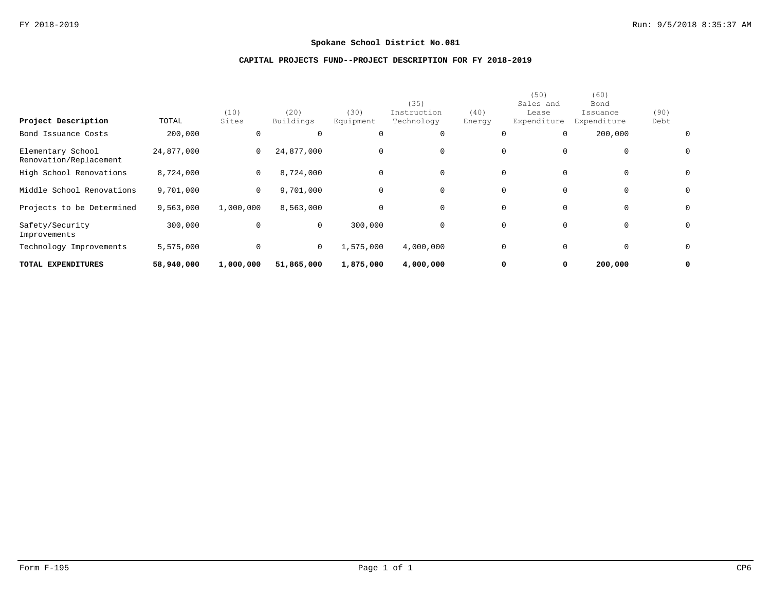# **CAPITAL PROJECTS FUND--PROJECT DESCRIPTION FOR FY 2018-2019**

| TOTAL EXPENDITURES                          | 58,940,000 | 1,000,000      | 51,865,000        | 1,875,000           | 4,000,000                         |                | 0<br>0                                    | 200,000                                 |              | 0            |
|---------------------------------------------|------------|----------------|-------------------|---------------------|-----------------------------------|----------------|-------------------------------------------|-----------------------------------------|--------------|--------------|
| Technology Improvements                     | 5,575,000  | 0              | 0                 | 1,575,000           | 4,000,000                         |                | 0<br>0                                    | 0                                       |              | $\mathsf{O}$ |
| Safety/Security<br>Improvements             | 300,000    | 0              | 0                 | 300,000             | $\Omega$                          |                | 0<br>$\mathbf 0$                          | $\mathbf 0$                             |              | $\mathbf{0}$ |
| Projects to be Determined                   | 9,563,000  | 1,000,000      | 8,563,000         | 0                   | $\Omega$                          |                | $\mathbf{0}$<br>$\Omega$                  | $\mathsf{O}$                            |              | $\mathsf{O}$ |
| Middle School Renovations                   | 9,701,000  | $\overline{0}$ | 9,701,000         | $\mathbf 0$         |                                   |                | 0<br>$\mathbf 0$                          | $\mathsf{O}$                            |              | $\mathsf{O}$ |
| High School Renovations                     | 8,724,000  | $\mathbf{0}$   | 8,724,000         | $\mathsf{O}\xspace$ | $\Omega$                          |                | $\mathbf{0}$<br>$\mathbf 0$               | $\mathbf 0$                             |              | $\mathbf{0}$ |
| Elementary School<br>Renovation/Replacement | 24,877,000 | $\mathbf{0}$   | 24,877,000        | $\mathbf 0$         | $\Omega$                          |                | 0<br>$\Omega$                             | 0                                       |              | $\mathsf{O}$ |
| Bond Issuance Costs                         | 200,000    | 0              | 0                 | $\mathbf 0$         | $\Omega$                          |                | 0<br>$\Omega$                             | 200,000                                 |              | $\mathbf{0}$ |
| Project Description                         | TOTAL      | (10)<br>Sites  | (20)<br>Buildings | (30)<br>Equipment   | (35)<br>Instruction<br>Technology | (40)<br>Energy | (50)<br>Sales and<br>Lease<br>Expenditure | (60)<br>Bond<br>Issuance<br>Expenditure | (90)<br>Debt |              |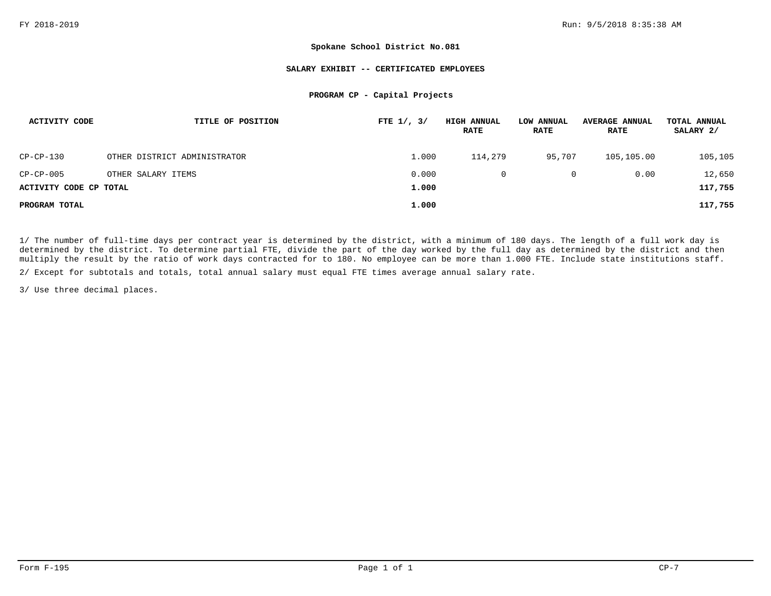#### **SALARY EXHIBIT -- CERTIFICATED EMPLOYEES**

### **PROGRAM CP - Capital Projects**

| <b>ACTIVITY CODE</b>   | TITLE OF POSITION            | FTE $1/$ , $3/$ | <b>HIGH ANNUAL</b><br><b>RATE</b> | LOW ANNUAL<br><b>RATE</b> | <b>AVERAGE ANNUAL</b><br><b>RATE</b> | TOTAL ANNUAL<br>SALARY 2/ |
|------------------------|------------------------------|-----------------|-----------------------------------|---------------------------|--------------------------------------|---------------------------|
| CP-CP-130              | OTHER DISTRICT ADMINISTRATOR | 1,000           | 114,279                           | 95,707                    | 105,105.00                           | 105,105                   |
| $CP-CP-005$            | OTHER SALARY ITEMS           | 0.000           |                                   | 0                         | 0.00                                 | 12,650                    |
| ACTIVITY CODE CP TOTAL |                              | 1,000           |                                   |                           |                                      | 117,755                   |
| PROGRAM TOTAL          |                              | 1,000           |                                   |                           |                                      | 117,755                   |

1/ The number of full-time days per contract year is determined by the district, with a minimum of 180 days. The length of a full work day is determined by the district. To determine partial FTE, divide the part of the day worked by the full day as determined by the district and then multiply the result by the ratio of work days contracted for to 180. No employee can be more than 1.000 FTE. Include state institutions staff.

2/ Except for subtotals and totals, total annual salary must equal FTE times average annual salary rate.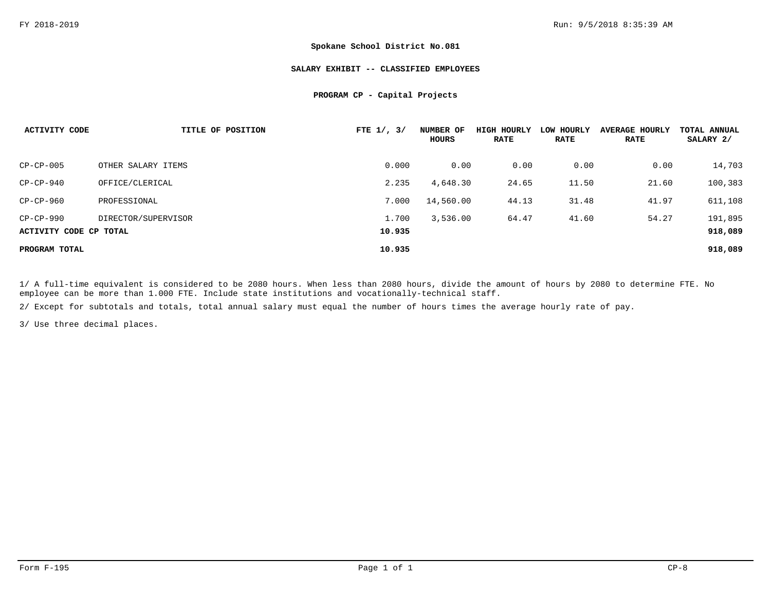#### **SALARY EXHIBIT -- CLASSIFIED EMPLOYEES**

### **PROGRAM CP - Capital Projects**

| <b>ACTIVITY CODE</b>   | TITLE OF POSITION   | FTE $1/$ , $3/$ | NUMBER OF<br>HOURS | <b>HIGH HOURLY</b><br><b>RATE</b> | LOW HOURLY<br><b>RATE</b> | <b>AVERAGE HOURLY</b><br><b>RATE</b> | TOTAL ANNUAL<br>SALARY 2/ |
|------------------------|---------------------|-----------------|--------------------|-----------------------------------|---------------------------|--------------------------------------|---------------------------|
| $CP-CP-005$            | OTHER SALARY ITEMS  | 0.000           | 0.00               | 0.00                              | 0.00                      | 0.00                                 | 14,703                    |
| $CP-CP-940$            | OFFICE/CLERICAL     | 2.235           | 4,648.30           | 24.65                             | 11.50                     | 21.60                                | 100,383                   |
| $CP-CP-960$            | PROFESSIONAL        | 7.000           | 14,560.00          | 44.13                             | 31.48                     | 41.97                                | 611,108                   |
| $CP-CP-990$            | DIRECTOR/SUPERVISOR | 1.700           | 3,536.00           | 64.47                             | 41.60                     | 54.27                                | 191,895                   |
| ACTIVITY CODE CP TOTAL |                     | 10.935          |                    |                                   |                           |                                      | 918,089                   |
| PROGRAM TOTAL          |                     | 10.935          |                    |                                   |                           |                                      | 918,089                   |

1/ A full-time equivalent is considered to be 2080 hours. When less than 2080 hours, divide the amount of hours by 2080 to determine FTE. No employee can be more than 1.000 FTE. Include state institutions and vocationally-technical staff.

2/ Except for subtotals and totals, total annual salary must equal the number of hours times the average hourly rate of pay.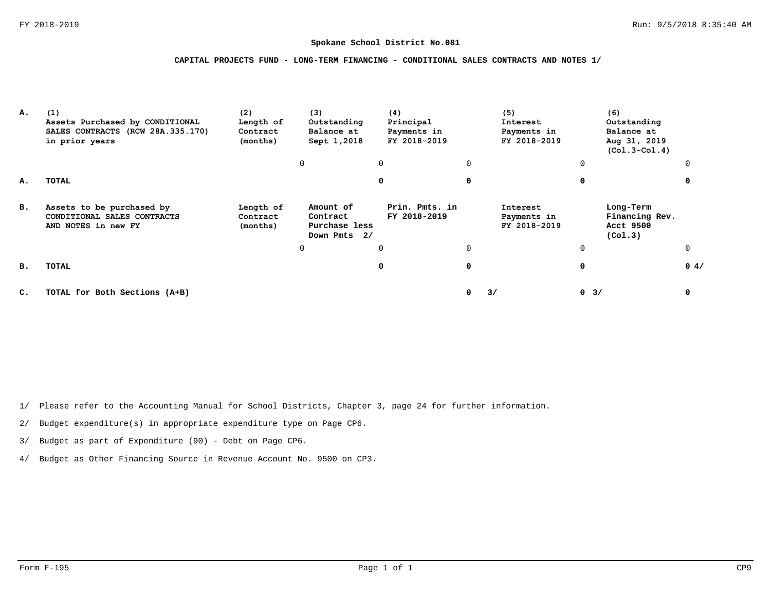## **CAPITAL PROJECTS FUND - LONG-TERM FINANCING - CONDITIONAL SALES CONTRACTS AND NOTES 1/**

| А. | (1)<br>Assets Purchased by CONDITIONAL<br>SALES CONTRACTS (RCW 28A.335.170)<br>in prior years | (2)<br>(3)<br>(4)<br>Length of<br>Principal<br>Outstanding<br>Payments in<br>Contract<br>Balance at<br>FY 2018-2019<br>Sept 1,2018<br>(months) |                                                        |                                | (5)<br>Interest<br>Payments in<br>FY 2018-2019 | (6)<br>Outstanding<br>Balance at<br>Aug 31, 2019<br>$(Col.3 - Col.4)$ |                                                     |      |
|----|-----------------------------------------------------------------------------------------------|------------------------------------------------------------------------------------------------------------------------------------------------|--------------------------------------------------------|--------------------------------|------------------------------------------------|-----------------------------------------------------------------------|-----------------------------------------------------|------|
|    |                                                                                               |                                                                                                                                                | <sup>0</sup>                                           | $\Omega$                       | $\Omega$                                       |                                                                       | 0                                                   | ∩    |
| А. | TOTAL                                                                                         |                                                                                                                                                |                                                        | $\Omega$                       | 0                                              |                                                                       | 0                                                   |      |
| в. | Assets to be purchased by<br>CONDITIONAL SALES CONTRACTS<br>AND NOTES in new FY               | Length of<br>Contract<br>(months)                                                                                                              | Amount of<br>Contract<br>Purchase less<br>Down Pmts 2/ | Prin. Pmts. in<br>FY 2018-2019 |                                                | Interest<br>Payments in<br>FY 2018-2019                               | Long-Term<br>Financing Rev.<br>Acct 9500<br>(Co1.3) |      |
|    |                                                                                               |                                                                                                                                                | <sup>0</sup>                                           | $\Omega$                       | $\Omega$                                       |                                                                       | 0                                                   |      |
| в. | TOTAL                                                                                         |                                                                                                                                                |                                                        | 0                              | 0                                              |                                                                       | 0                                                   | 0.4/ |
| C. | TOTAL for Both Sections (A+B)                                                                 |                                                                                                                                                |                                                        |                                | 0                                              | 3/                                                                    | $0 \t3/$                                            | 0    |

1/ Please refer to the Accounting Manual for School Districts, Chapter 3, page 24 for further information.

2/ Budget expenditure(s) in appropriate expenditure type on Page CP6.

3/ Budget as part of Expenditure (90) - Debt on Page CP6.

4/ Budget as Other Financing Source in Revenue Account No. 9500 on CP3.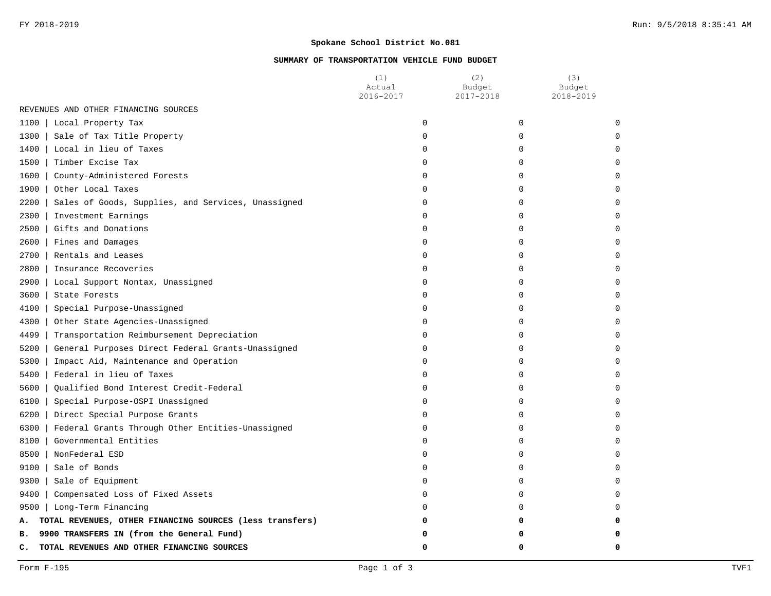# **SUMMARY OF TRANSPORTATION VEHICLE FUND BUDGET**

|                                                                | (1)<br>Actual<br>2016-2017 | (2)<br>Budget<br>2017-2018 | (3)<br>Budget<br>2018-2019 |
|----------------------------------------------------------------|----------------------------|----------------------------|----------------------------|
| REVENUES AND OTHER FINANCING SOURCES                           |                            |                            |                            |
| 1100<br>Local Property Tax                                     | $\mathbf 0$                | 0                          | $\Omega$                   |
| Sale of Tax Title Property<br>1300                             | $\Omega$                   | $\Omega$                   |                            |
| 1400   Local in lieu of Taxes                                  | $\Omega$                   | $\Omega$                   |                            |
| 1500<br>Timber Excise Tax                                      | $\Omega$                   | $\Omega$                   |                            |
| 1600   County-Administered Forests                             | 0                          | $\Omega$                   |                            |
| 1900   Other Local Taxes                                       | 0                          | 0                          |                            |
| 2200<br>Sales of Goods, Supplies, and Services, Unassigned     | 0                          | 0                          |                            |
| 2300<br>Investment Earnings                                    | $\Omega$                   | O                          |                            |
| 2500<br>Gifts and Donations                                    | $\Omega$                   | $\Omega$                   |                            |
| 2600<br>Fines and Damages                                      | $\Omega$                   | 0                          |                            |
| 2700 l<br>Rentals and Leases                                   | O                          | O                          |                            |
| $2800$  <br>Insurance Recoveries                               | $\Omega$                   | ∩                          |                            |
| 2900<br>Local Support Nontax, Unassigned                       | $\Omega$                   | $\Omega$                   |                            |
| 3600<br>State Forests                                          | $\Omega$                   | $\Omega$                   |                            |
| 4100<br>Special Purpose-Unassigned                             | $\Omega$                   | $\Omega$                   |                            |
| 4300<br>Other State Agencies-Unassigned                        | 0                          | 0                          |                            |
| 4499<br>Transportation Reimbursement Depreciation              | 0                          | 0                          |                            |
| 5200<br>General Purposes Direct Federal Grants-Unassigned      | 0                          | $\Omega$                   |                            |
| 5300<br>Impact Aid, Maintenance and Operation                  | $\Omega$                   | O                          |                            |
| 5400<br>Federal in lieu of Taxes                               | $\Omega$                   | $\Omega$                   |                            |
| 5600<br>Qualified Bond Interest Credit-Federal                 | 0                          | O                          |                            |
| 6100<br>Special Purpose-OSPI Unassigned                        | $\Omega$                   | O                          |                            |
| 6200<br>Direct Special Purpose Grants                          | $\Omega$                   | O                          |                            |
| 6300<br>Federal Grants Through Other Entities-Unassigned       | $\Omega$                   | O                          |                            |
| $8100$  <br>Governmental Entities                              | $\Omega$                   | ∩                          |                            |
| 8500  <br>NonFederal ESD                                       | $\Omega$                   | $\cap$                     |                            |
| Sale of Bonds<br>9100                                          | $\Omega$                   | $\Omega$                   |                            |
| 9300   Sale of Equipment                                       | $\Omega$                   | $\Omega$                   |                            |
| $9400$  <br>Compensated Loss of Fixed Assets                   | $\Omega$                   | $\Omega$                   |                            |
| 9500   Long-Term Financing                                     | ∩                          | $\Omega$                   |                            |
| TOTAL REVENUES, OTHER FINANCING SOURCES (less transfers)<br>А. | 0                          | 0                          |                            |
| 9900 TRANSFERS IN (from the General Fund)<br>в.                | O                          |                            |                            |
| TOTAL REVENUES AND OTHER FINANCING SOURCES<br>c.               | $\mathbf 0$                | 0                          | n                          |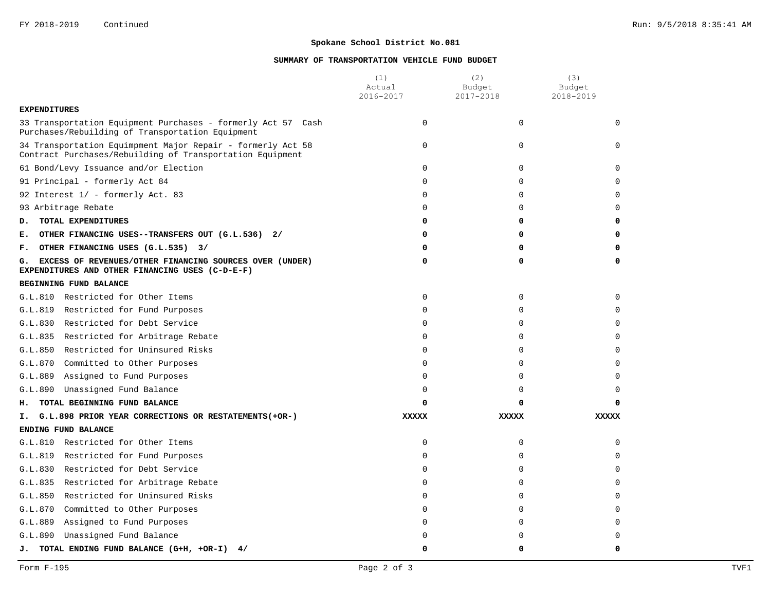# **SUMMARY OF TRANSPORTATION VEHICLE FUND BUDGET**

|                                                                                                                          | (1)<br>Actual | (2)<br>Budget | (3)<br>Budget |
|--------------------------------------------------------------------------------------------------------------------------|---------------|---------------|---------------|
|                                                                                                                          | 2016-2017     | 2017-2018     | 2018-2019     |
| <b>EXPENDITURES</b>                                                                                                      |               |               |               |
| 33 Transportation Equipment Purchases - formerly Act 57 Cash<br>Purchases/Rebuilding of Transportation Equipment         | $\Omega$      | $\Omega$      | $\Omega$      |
| 34 Transportation Equimpment Major Repair - formerly Act 58<br>Contract Purchases/Rebuilding of Transportation Equipment | 0             | $\mathbf 0$   | <sup>0</sup>  |
| 61 Bond/Levy Issuance and/or Election                                                                                    | 0             | $\mathbf 0$   | $\Omega$      |
| 91 Principal - formerly Act 84                                                                                           | $\Omega$      | $\Omega$      |               |
| 92 Interest 1/ - formerly Act. 83                                                                                        | $\Omega$      | $\Omega$      | U             |
| 93 Arbitrage Rebate                                                                                                      | $\mathbf 0$   | $\mathbf 0$   | $\Omega$      |
| TOTAL EXPENDITURES<br>D.                                                                                                 | 0             | 0             | O             |
| E. OTHER FINANCING USES--TRANSFERS OUT (G.L.536) 2/                                                                      | 0             | 0             |               |
| F. OTHER FINANCING USES (G.L.535) 3/                                                                                     | 0             | $\Omega$      |               |
| G. EXCESS OF REVENUES/OTHER FINANCING SOURCES OVER (UNDER)<br>EXPENDITURES AND OTHER FINANCING USES (C-D-E-F)            | 0             | 0             | 0             |
| BEGINNING FUND BALANCE                                                                                                   |               |               |               |
| G.L.810 Restricted for Other Items                                                                                       | 0             | $\mathbf 0$   | $\Omega$      |
| G.L.819 Restricted for Fund Purposes                                                                                     | $\mathbf 0$   | $\Omega$      | U             |
| G.L.830 Restricted for Debt Service                                                                                      | $\Omega$      | $\Omega$      | $\Omega$      |
| G.L.835 Restricted for Arbitrage Rebate                                                                                  | $\mathbf 0$   | $\mathbf 0$   | $\Omega$      |
| G.L.850 Restricted for Uninsured Risks                                                                                   | $\Omega$      | $\Omega$      |               |
| G.L.870 Committed to Other Purposes                                                                                      | $\Omega$      | $\Omega$      |               |
| G.L.889<br>Assigned to Fund Purposes                                                                                     | $\mathbf 0$   | 0             | $\cap$        |
| G.L.890 Unassigned Fund Balance                                                                                          | 0             | $\Omega$      | O             |
| TOTAL BEGINNING FUND BALANCE<br>н.                                                                                       | 0             | 0             | O             |
| I. G.L.898 PRIOR YEAR CORRECTIONS OR RESTATEMENTS (+OR-)                                                                 | <b>XXXXX</b>  | <b>XXXXX</b>  | <b>XXXXX</b>  |
| ENDING FUND BALANCE                                                                                                      |               |               |               |
| G.L.810 Restricted for Other Items                                                                                       | $\mathbf 0$   | $\mathbf 0$   | $\Omega$      |
| G.L.819 Restricted for Fund Purposes                                                                                     | $\Omega$      | $\Omega$      | $\cap$        |
| G.L.830 Restricted for Debt Service                                                                                      | $\Omega$      | $\Omega$      |               |
| G.L.835 Restricted for Arbitrage Rebate                                                                                  | $\Omega$      | $\Omega$      | U             |
| G.L.850 Restricted for Uninsured Risks                                                                                   | $\Omega$      | $\Omega$      |               |
| G.L.870 Committed to Other Purposes                                                                                      | $\mathbf 0$   | $\Omega$      |               |
| Assigned to Fund Purposes<br>G.L.889                                                                                     | $\mathbf 0$   | $\Omega$      |               |
| G.L.890 Unassigned Fund Balance                                                                                          | $\Omega$      | $\Omega$      |               |
| J. TOTAL ENDING FUND BALANCE (G+H, +OR-I) 4/                                                                             | $\Omega$      | 0             | O             |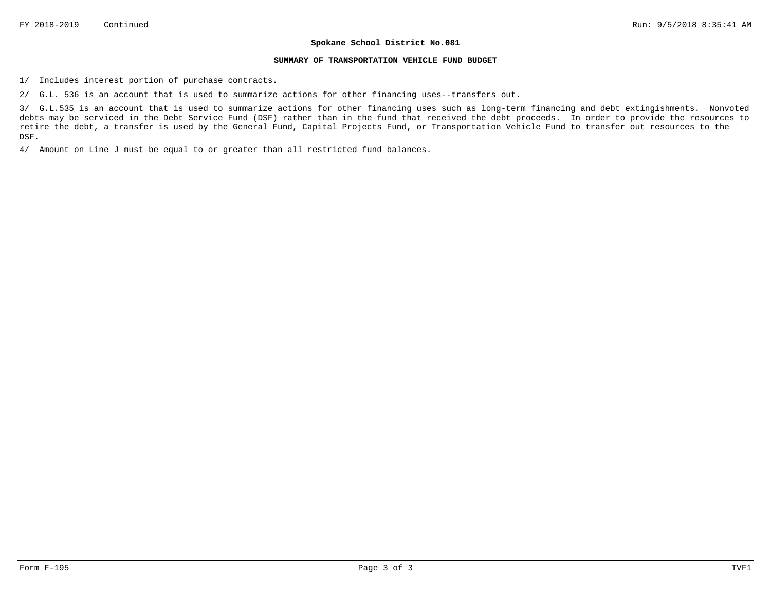#### **SUMMARY OF TRANSPORTATION VEHICLE FUND BUDGET**

1/ Includes interest portion of purchase contracts.

2/ G.L. 536 is an account that is used to summarize actions for other financing uses--transfers out.

3/ G.L.535 is an account that is used to summarize actions for other financing uses such as long-term financing and debt extingishments. Nonvoted debts may be serviced in the Debt Service Fund (DSF) rather than in the fund that received the debt proceeds. In order to provide the resources to retire the debt, a transfer is used by the General Fund, Capital Projects Fund, or Transportation Vehicle Fund to transfer out resources to the DSF.

4/ Amount on Line J must be equal to or greater than all restricted fund balances.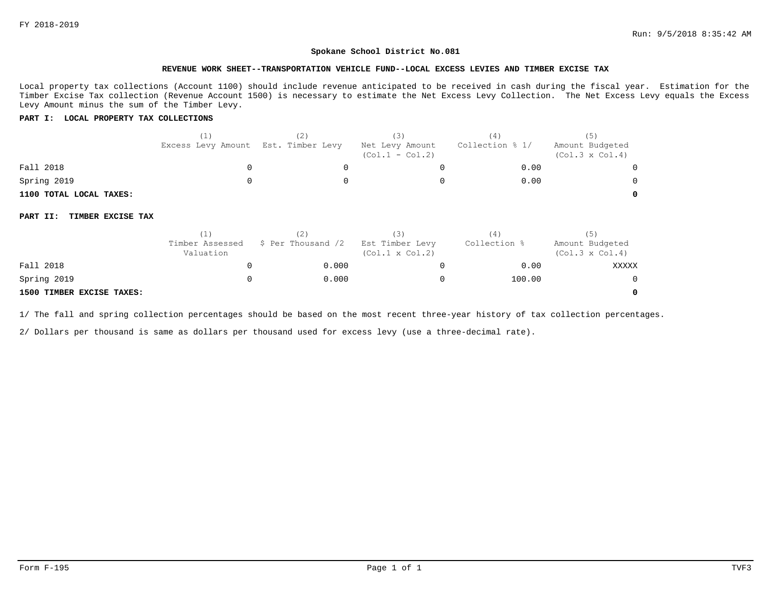#### **REVENUE WORK SHEET--TRANSPORTATION VEHICLE FUND--LOCAL EXCESS LEVIES AND TIMBER EXCISE TAX**

Local property tax collections (Account 1100) should include revenue anticipated to be received in cash during the fiscal year. Estimation for the Timber Excise Tax collection (Revenue Account 1500) is necessary to estimate the Net Excess Levy Collection. The Net Excess Levy equals the Excess Levy Amount minus the sum of the Timber Levy.

### **PART I: LOCAL PROPERTY TAX COLLECTIONS**

|                               | (1)                          | (2)                | (3)                                       | (4)             | (5)                                       |
|-------------------------------|------------------------------|--------------------|-------------------------------------------|-----------------|-------------------------------------------|
|                               | Excess Levy Amount           | Est. Timber Levy   | Net Levy Amount<br>$(Col.1 - Col.2)$      | Collection % 1/ | Amount Budgeted<br>$(Col.3 \times Col.4)$ |
| Fall 2018                     | 0                            | 0                  | 0                                         | 0.00            |                                           |
| Spring 2019                   | 0                            |                    | 0                                         | 0.00            |                                           |
| 1100 TOTAL LOCAL TAXES:       |                              |                    |                                           |                 | 0                                         |
| TIMBER EXCISE TAX<br>PART II: |                              |                    |                                           |                 |                                           |
|                               | (1)                          | (2)                | (3)                                       | (4)             | (5)                                       |
|                               | Timber Assessed<br>Valuation | \$ Per Thousand /2 | Est Timber Levy<br>$(Col.1 \times Col.2)$ | Collection %    | Amount Budgeted<br>$(Col.3 \times Col.4)$ |
| Fall 2018                     | 0                            | 0.000              | 0                                         | 0.00            | XXXXX                                     |
| Spring 2019                   | 0                            | 0.000              | 0                                         | 100.00          | 0                                         |
| 1500 TIMBER EXCISE TAXES:     |                              |                    |                                           |                 | 0                                         |

### **1500 TIMBER EXCISE TAXES:**

1/ The fall and spring collection percentages should be based on the most recent three-year history of tax collection percentages.

2/ Dollars per thousand is same as dollars per thousand used for excess levy (use a three-decimal rate).